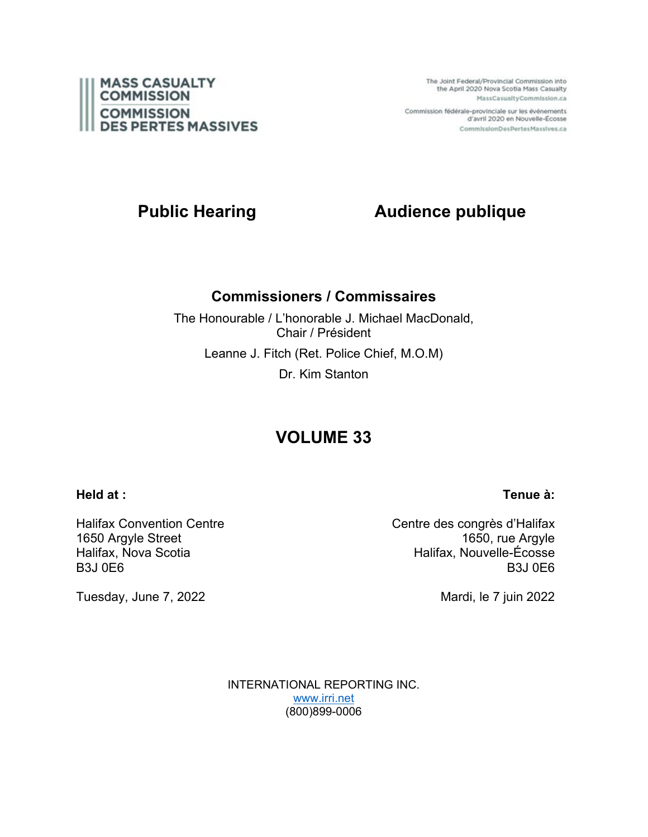

The Joint Federal/Provincial Commission into the April 2020 Nova Scotia Mass Casualty MassCasualtyCommission.ca

Commission fédérale-provinciale sur les événements d'avril 2020 en Nouvelle-Écosse CommissionDesPertesMassives.ca

# **Public Hearing Audience publique**

### **Commissioners / Commissaires**

The Honourable / L'honorable J. Michael MacDonald, Chair / Président Leanne J. Fitch (Ret. Police Chief, M.O.M) Dr. Kim Stanton

# **VOLUME 33**

#### **Held at :**

### **Tenue à:**

Halifax Convention Centre 1650 Argyle Street Halifax, Nova Scotia B3J 0E6

Tuesday, June 7, 2022

Centre des congrès d'Halifax 1650, rue Argyle Halifax, Nouvelle-Écosse B3J 0E6

Mardi, le 7 juin 2022

INTERNATIONAL REPORTING INC. [www.irri.net](http://www.irri.net/) (800)899-0006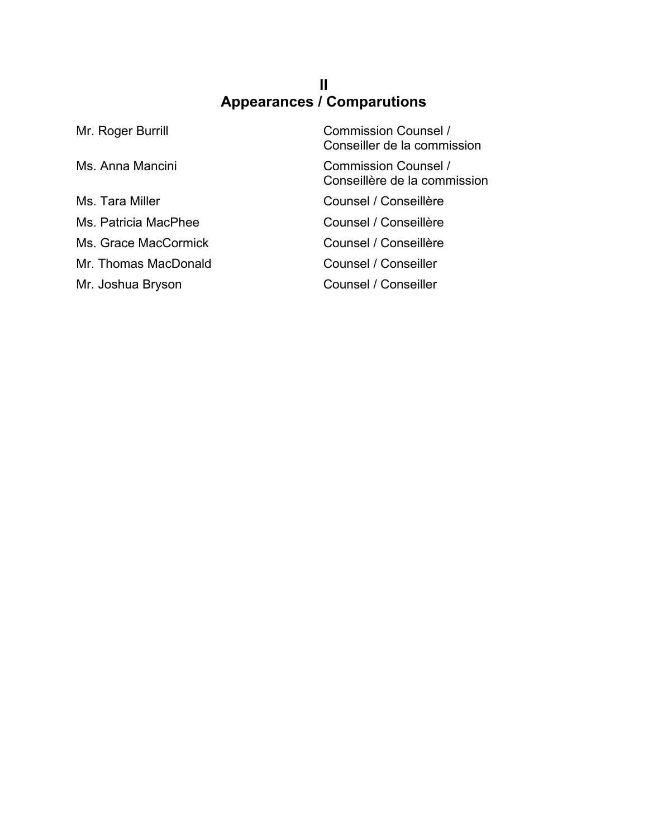## **II Appearances / Comparutions**

| Mr. Roger Burrill    | <b>Commission Counsel /</b><br>Conseiller de la commission |
|----------------------|------------------------------------------------------------|
| Ms. Anna Mancini     | Commission Counsel /<br>Conseillère de la commission       |
| Ms. Tara Miller      | Counsel / Conseillère                                      |
| Ms. Patricia MacPhee | Counsel / Conseillère                                      |
| Ms. Grace MacCormick | Counsel / Conseillère                                      |
| Mr. Thomas MacDonald | Counsel / Conseiller                                       |
| Mr. Joshua Bryson    | Counsel / Conseiller                                       |
|                      |                                                            |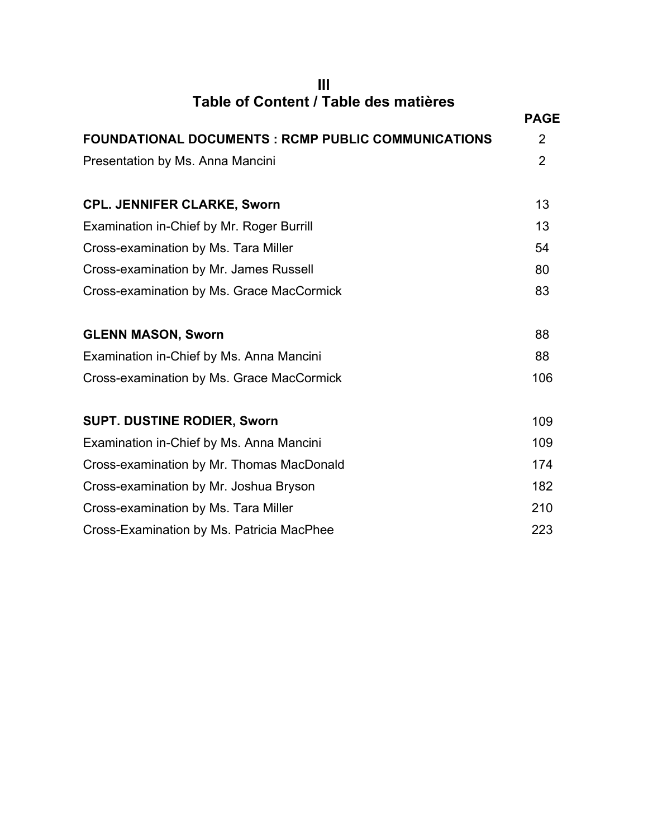**III Table of Content / Table des matières**

|                                                            | <b>PAGE</b>    |
|------------------------------------------------------------|----------------|
| <b>FOUNDATIONAL DOCUMENTS : RCMP PUBLIC COMMUNICATIONS</b> | 2              |
| Presentation by Ms. Anna Mancini                           | $\overline{2}$ |
|                                                            |                |
| <b>CPL. JENNIFER CLARKE, Sworn</b>                         | 13             |
| Examination in-Chief by Mr. Roger Burrill                  | 13             |
| Cross-examination by Ms. Tara Miller                       | 54             |
| Cross-examination by Mr. James Russell                     | 80             |
| Cross-examination by Ms. Grace MacCormick                  | 83             |
| <b>GLENN MASON, Sworn</b>                                  | 88             |
| Examination in-Chief by Ms. Anna Mancini                   | 88             |
| Cross-examination by Ms. Grace MacCormick                  | 106            |
| <b>SUPT. DUSTINE RODIER, Sworn</b>                         | 109            |
| Examination in-Chief by Ms. Anna Mancini                   | 109            |
| Cross-examination by Mr. Thomas MacDonald                  | 174            |
| Cross-examination by Mr. Joshua Bryson                     | 182            |
| Cross-examination by Ms. Tara Miller                       | 210            |
| Cross-Examination by Ms. Patricia MacPhee                  | 223            |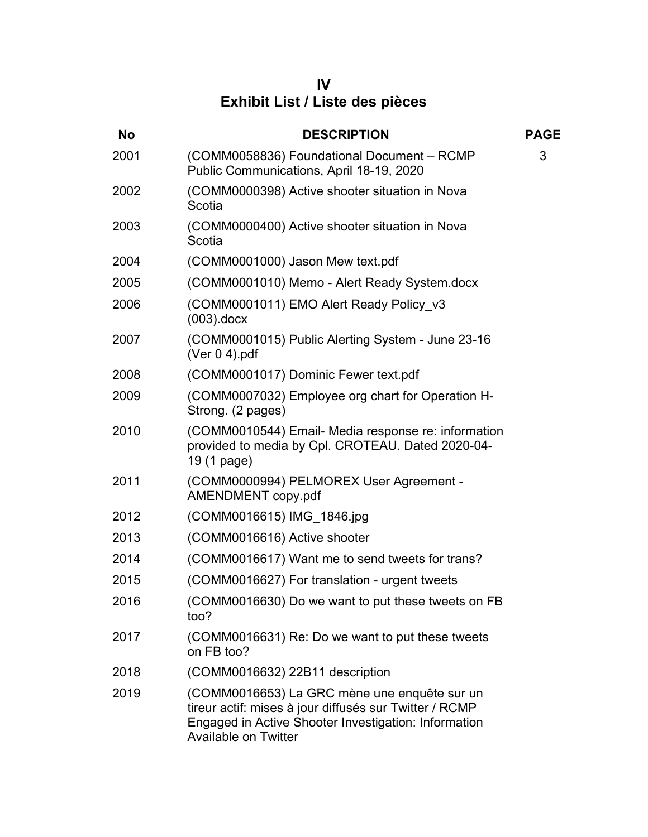**IV Exhibit List / Liste des pièces**

| <b>No</b> | <b>DESCRIPTION</b>                                                                                                                                                                            | <b>PAGE</b> |
|-----------|-----------------------------------------------------------------------------------------------------------------------------------------------------------------------------------------------|-------------|
| 2001      | (COMM0058836) Foundational Document - RCMP<br>Public Communications, April 18-19, 2020                                                                                                        | 3           |
| 2002      | (COMM0000398) Active shooter situation in Nova<br>Scotia                                                                                                                                      |             |
| 2003      | (COMM0000400) Active shooter situation in Nova<br>Scotia                                                                                                                                      |             |
| 2004      | (COMM0001000) Jason Mew text.pdf                                                                                                                                                              |             |
| 2005      | (COMM0001010) Memo - Alert Ready System.docx                                                                                                                                                  |             |
| 2006      | (COMM0001011) EMO Alert Ready Policy v3<br>$(003)$ .docx                                                                                                                                      |             |
| 2007      | (COMM0001015) Public Alerting System - June 23-16<br>(Ver $0$ 4).pdf                                                                                                                          |             |
| 2008      | (COMM0001017) Dominic Fewer text.pdf                                                                                                                                                          |             |
| 2009      | (COMM0007032) Employee org chart for Operation H-<br>Strong. (2 pages)                                                                                                                        |             |
| 2010      | (COMM0010544) Email- Media response re: information<br>provided to media by Cpl. CROTEAU. Dated 2020-04-<br>19 (1 page)                                                                       |             |
| 2011      | (COMM0000994) PELMOREX User Agreement -<br>AMENDMENT copy.pdf                                                                                                                                 |             |
| 2012      | (COMM0016615) IMG 1846.jpg                                                                                                                                                                    |             |
| 2013      | (COMM0016616) Active shooter                                                                                                                                                                  |             |
| 2014      | (COMM0016617) Want me to send tweets for trans?                                                                                                                                               |             |
| 2015      | (COMM0016627) For translation - urgent tweets                                                                                                                                                 |             |
| 2016      | (COMM0016630) Do we want to put these tweets on FB<br>too?                                                                                                                                    |             |
| 2017      | (COMM0016631) Re: Do we want to put these tweets<br>on FB too?                                                                                                                                |             |
| 2018      | (COMM0016632) 22B11 description                                                                                                                                                               |             |
| 2019      | (COMM0016653) La GRC mène une enquête sur un<br>tireur actif: mises à jour diffusés sur Twitter / RCMP<br>Engaged in Active Shooter Investigation: Information<br><b>Available on Twitter</b> |             |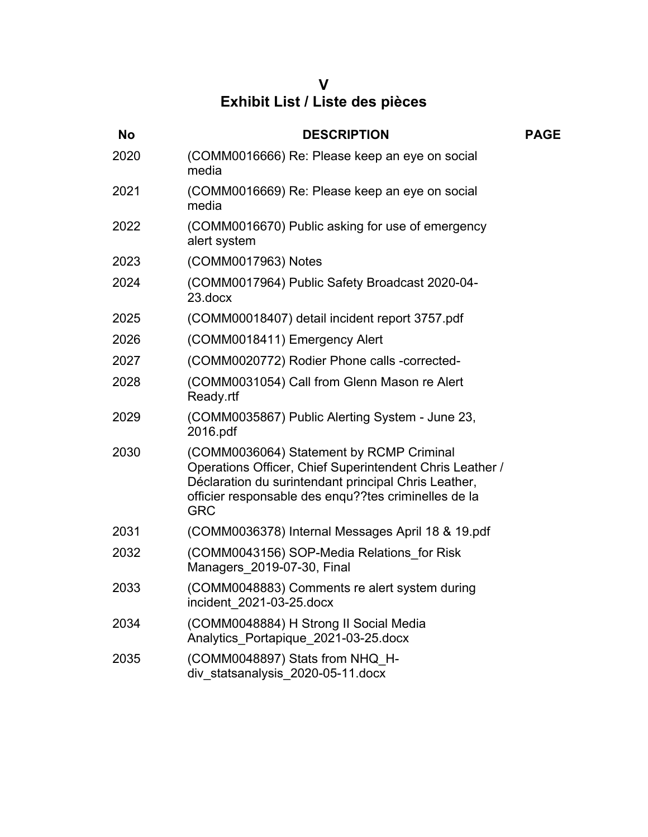# **V Exhibit List / Liste des pièces**

| <b>No</b> | <b>DESCRIPTION</b>                                                                                                                                                                                                                 | <b>PAGE</b> |
|-----------|------------------------------------------------------------------------------------------------------------------------------------------------------------------------------------------------------------------------------------|-------------|
| 2020      | (COMM0016666) Re: Please keep an eye on social<br>media                                                                                                                                                                            |             |
| 2021      | (COMM0016669) Re: Please keep an eye on social<br>media                                                                                                                                                                            |             |
| 2022      | (COMM0016670) Public asking for use of emergency<br>alert system                                                                                                                                                                   |             |
| 2023      | (COMM0017963) Notes                                                                                                                                                                                                                |             |
| 2024      | (COMM0017964) Public Safety Broadcast 2020-04-<br>23.docx                                                                                                                                                                          |             |
| 2025      | (COMM00018407) detail incident report 3757.pdf                                                                                                                                                                                     |             |
| 2026      | (COMM0018411) Emergency Alert                                                                                                                                                                                                      |             |
| 2027      | (COMM0020772) Rodier Phone calls -corrected-                                                                                                                                                                                       |             |
| 2028      | (COMM0031054) Call from Glenn Mason re Alert<br>Ready.rtf                                                                                                                                                                          |             |
| 2029      | (COMM0035867) Public Alerting System - June 23,<br>2016.pdf                                                                                                                                                                        |             |
| 2030      | (COMM0036064) Statement by RCMP Criminal<br>Operations Officer, Chief Superintendent Chris Leather /<br>Déclaration du surintendant principal Chris Leather,<br>officier responsable des enqu??tes criminelles de la<br><b>GRC</b> |             |
| 2031      | (COMM0036378) Internal Messages April 18 & 19.pdf                                                                                                                                                                                  |             |
| 2032      | (COMM0043156) SOP-Media Relations for Risk<br>Managers 2019-07-30, Final                                                                                                                                                           |             |
| 2033      | (COMM0048883) Comments re alert system during<br>incident 2021-03-25.docx                                                                                                                                                          |             |
| 2034      | (COMM0048884) H Strong II Social Media<br>Analytics Portapique 2021-03-25.docx                                                                                                                                                     |             |
| 2035      | (COMM0048897) Stats from NHQ H-<br>div statsanalysis 2020-05-11.docx                                                                                                                                                               |             |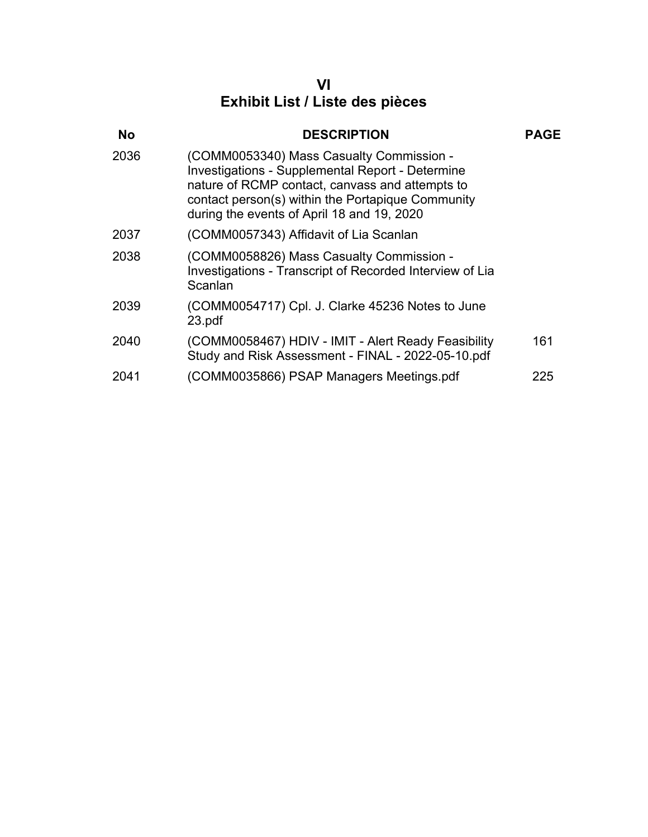### **VI Exhibit List / Liste des pièces**

| <b>No</b> | <b>DESCRIPTION</b>                                                                                                                                                                                                                                 | <b>PAGE</b> |
|-----------|----------------------------------------------------------------------------------------------------------------------------------------------------------------------------------------------------------------------------------------------------|-------------|
| 2036      | (COMM0053340) Mass Casualty Commission -<br>Investigations - Supplemental Report - Determine<br>nature of RCMP contact, canvass and attempts to<br>contact person(s) within the Portapique Community<br>during the events of April 18 and 19, 2020 |             |
| 2037      | (COMM0057343) Affidavit of Lia Scanlan                                                                                                                                                                                                             |             |
| 2038      | (COMM0058826) Mass Casualty Commission -<br>Investigations - Transcript of Recorded Interview of Lia<br>Scanlan                                                                                                                                    |             |
| 2039      | (COMM0054717) Cpl. J. Clarke 45236 Notes to June<br>23.pdf                                                                                                                                                                                         |             |
| 2040      | (COMM0058467) HDIV - IMIT - Alert Ready Feasibility<br>Study and Risk Assessment - FINAL - 2022-05-10.pdf                                                                                                                                          | 161         |
| 2041      | (COMM0035866) PSAP Managers Meetings.pdf                                                                                                                                                                                                           | 225         |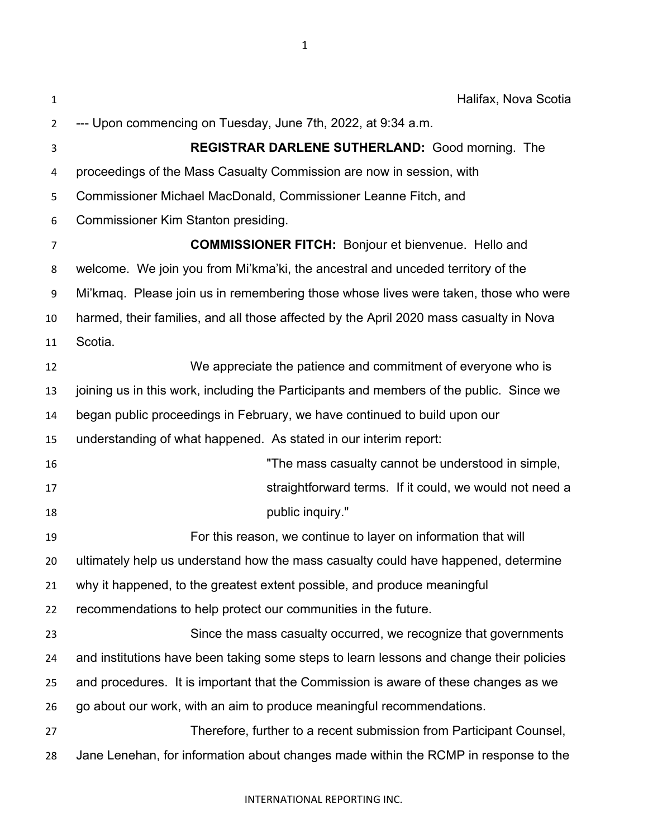**Halifax, Nova Scotia**  --- Upon commencing on Tuesday, June 7th, 2022, at 9:34 a.m. **REGISTRAR DARLENE SUTHERLAND:** Good morning. The proceedings of the Mass Casualty Commission are now in session, with Commissioner Michael MacDonald, Commissioner Leanne Fitch, and Commissioner Kim Stanton presiding. **COMMISSIONER FITCH:** Bonjour et bienvenue. Hello and welcome. We join you from Mi'kma'ki, the ancestral and unceded territory of the Mi'kmaq. Please join us in remembering those whose lives were taken, those who were harmed, their families, and all those affected by the April 2020 mass casualty in Nova Scotia. We appreciate the patience and commitment of everyone who is joining us in this work, including the Participants and members of the public. Since we began public proceedings in February, we have continued to build upon our understanding of what happened. As stated in our interim report: "The mass casualty cannot be understood in simple, straightforward terms. If it could, we would not need a **public inquiry."**  For this reason, we continue to layer on information that will ultimately help us understand how the mass casualty could have happened, determine why it happened, to the greatest extent possible, and produce meaningful recommendations to help protect our communities in the future. Since the mass casualty occurred, we recognize that governments and institutions have been taking some steps to learn lessons and change their policies and procedures. It is important that the Commission is aware of these changes as we go about our work, with an aim to produce meaningful recommendations. Therefore, further to a recent submission from Participant Counsel, Jane Lenehan, for information about changes made within the RCMP in response to the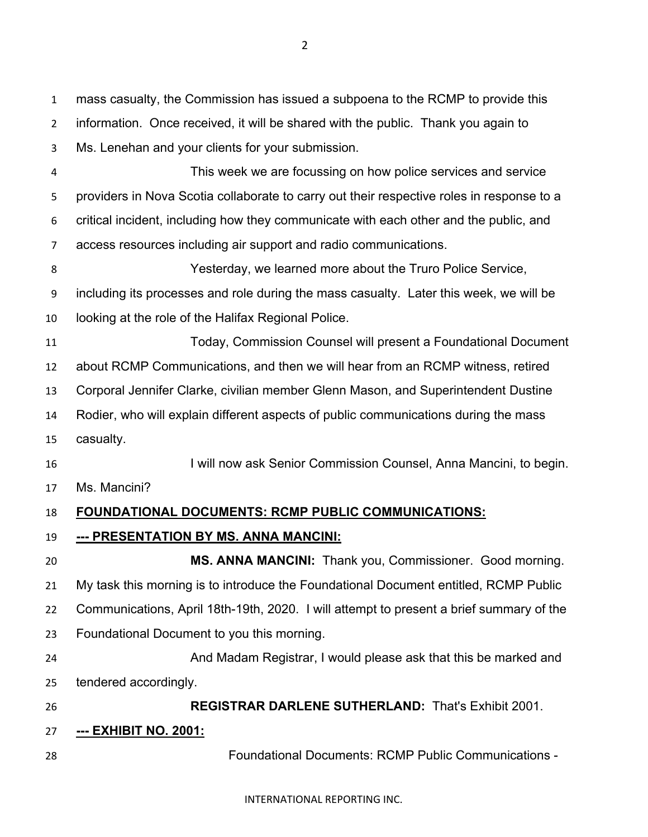mass casualty, the Commission has issued a subpoena to the RCMP to provide this information. Once received, it will be shared with the public. Thank you again to Ms. Lenehan and your clients for your submission. This week we are focussing on how police services and service providers in Nova Scotia collaborate to carry out their respective roles in response to a critical incident, including how they communicate with each other and the public, and access resources including air support and radio communications. Yesterday, we learned more about the Truro Police Service, including its processes and role during the mass casualty. Later this week, we will be looking at the role of the Halifax Regional Police. Today, Commission Counsel will present a Foundational Document about RCMP Communications, and then we will hear from an RCMP witness, retired Corporal Jennifer Clarke, civilian member Glenn Mason, and Superintendent Dustine Rodier, who will explain different aspects of public communications during the mass casualty. 16 I will now ask Senior Commission Counsel, Anna Mancini, to begin. Ms. Mancini? **FOUNDATIONAL DOCUMENTS: RCMP PUBLIC COMMUNICATIONS: --- PRESENTATION BY MS. ANNA MANCINI: MS. ANNA MANCINI:** Thank you, Commissioner. Good morning. My task this morning is to introduce the Foundational Document entitled, RCMP Public Communications, April 18th-19th, 2020. I will attempt to present a brief summary of the Foundational Document to you this morning. And Madam Registrar, I would please ask that this be marked and tendered accordingly. **REGISTRAR DARLENE SUTHERLAND:** That's Exhibit 2001. **--- EXHIBIT NO. 2001:** Foundational Documents: RCMP Public Communications -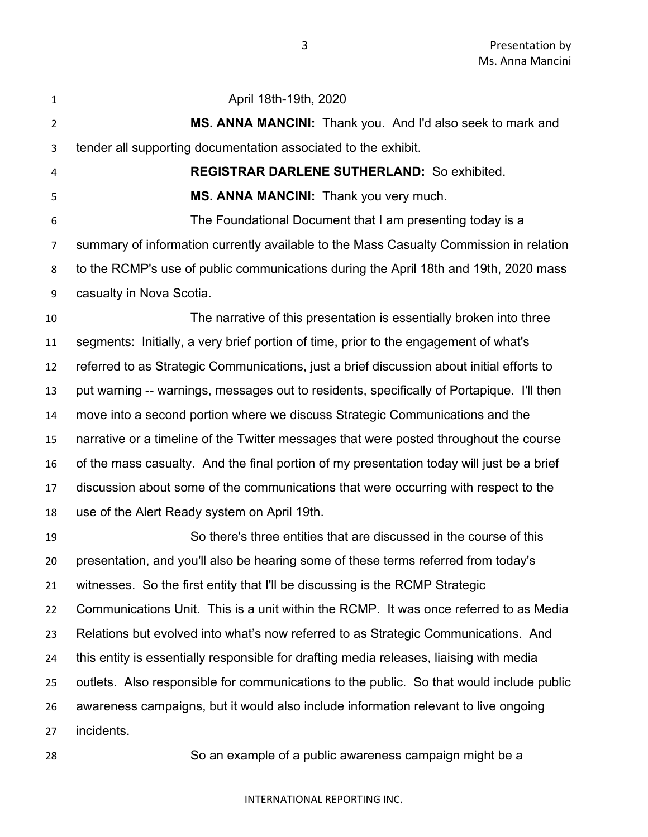| $\mathbf{1}$   | April 18th-19th, 2020                                                                     |
|----------------|-------------------------------------------------------------------------------------------|
| $\overline{2}$ | MS. ANNA MANCINI: Thank you. And I'd also seek to mark and                                |
| 3              | tender all supporting documentation associated to the exhibit.                            |
| 4              | <b>REGISTRAR DARLENE SUTHERLAND: So exhibited.</b>                                        |
| 5              | MS. ANNA MANCINI: Thank you very much.                                                    |
| 6              | The Foundational Document that I am presenting today is a                                 |
| 7              | summary of information currently available to the Mass Casualty Commission in relation    |
| 8              | to the RCMP's use of public communications during the April 18th and 19th, 2020 mass      |
| 9              | casualty in Nova Scotia.                                                                  |
| 10             | The narrative of this presentation is essentially broken into three                       |
| 11             | segments: Initially, a very brief portion of time, prior to the engagement of what's      |
| 12             | referred to as Strategic Communications, just a brief discussion about initial efforts to |
| 13             | put warning -- warnings, messages out to residents, specifically of Portapique. I'll then |
| 14             | move into a second portion where we discuss Strategic Communications and the              |
| 15             | narrative or a timeline of the Twitter messages that were posted throughout the course    |
| 16             | of the mass casualty. And the final portion of my presentation today will just be a brief |
| 17             | discussion about some of the communications that were occurring with respect to the       |
| 18             | use of the Alert Ready system on April 19th.                                              |
| 19             | So there's three entities that are discussed in the course of this                        |
| 20             | presentation, and you'll also be hearing some of these terms referred from today's        |
| 21             | witnesses. So the first entity that I'll be discussing is the RCMP Strategic              |
| 22             | Communications Unit. This is a unit within the RCMP. It was once referred to as Media     |
| 23             | Relations but evolved into what's now referred to as Strategic Communications. And        |
| 24             | this entity is essentially responsible for drafting media releases, liaising with media   |
| 25             | outlets. Also responsible for communications to the public. So that would include public  |
| 26             | awareness campaigns, but it would also include information relevant to live ongoing       |
| 27             | incidents.                                                                                |
|                |                                                                                           |

So an example of a public awareness campaign might be a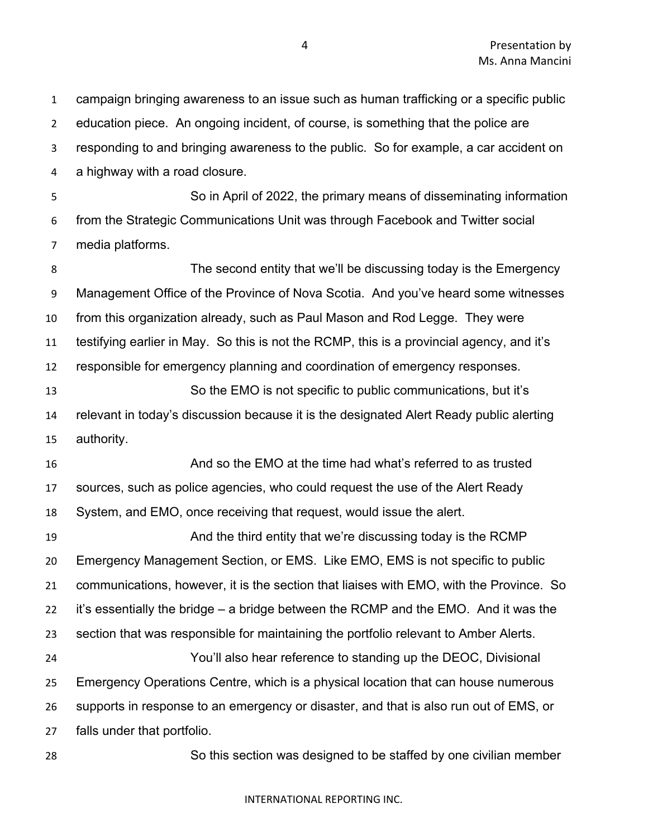campaign bringing awareness to an issue such as human trafficking or a specific public education piece. An ongoing incident, of course, is something that the police are responding to and bringing awareness to the public. So for example, a car accident on a highway with a road closure. So in April of 2022, the primary means of disseminating information from the Strategic Communications Unit was through Facebook and Twitter social media platforms. The second entity that we'll be discussing today is the Emergency Management Office of the Province of Nova Scotia. And you've heard some witnesses from this organization already, such as Paul Mason and Rod Legge. They were testifying earlier in May. So this is not the RCMP, this is a provincial agency, and it's responsible for emergency planning and coordination of emergency responses. So the EMO is not specific to public communications, but it's relevant in today's discussion because it is the designated Alert Ready public alerting authority. And so the EMO at the time had what's referred to as trusted sources, such as police agencies, who could request the use of the Alert Ready System, and EMO, once receiving that request, would issue the alert. **And the third entity that we're discussing today is the RCMP**  Emergency Management Section, or EMS. Like EMO, EMS is not specific to public communications, however, it is the section that liaises with EMO, with the Province. So it's essentially the bridge – a bridge between the RCMP and the EMO. And it was the section that was responsible for maintaining the portfolio relevant to Amber Alerts. You'll also hear reference to standing up the DEOC, Divisional Emergency Operations Centre, which is a physical location that can house numerous supports in response to an emergency or disaster, and that is also run out of EMS, or falls under that portfolio. So this section was designed to be staffed by one civilian member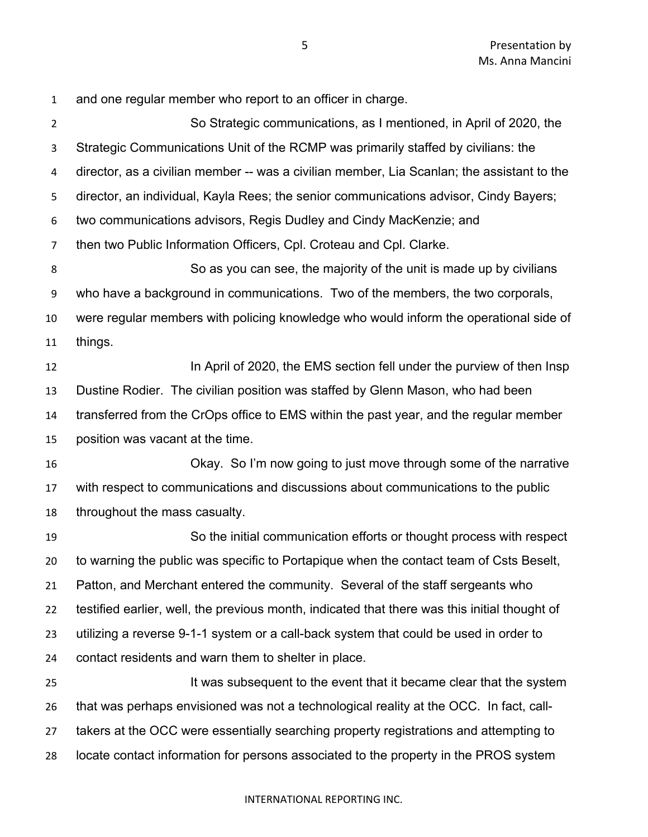and one regular member who report to an officer in charge. So Strategic communications, as I mentioned, in April of 2020, the Strategic Communications Unit of the RCMP was primarily staffed by civilians: the director, as a civilian member -- was a civilian member, Lia Scanlan; the assistant to the director, an individual, Kayla Rees; the senior communications advisor, Cindy Bayers; two communications advisors, Regis Dudley and Cindy MacKenzie; and then two Public Information Officers, Cpl. Croteau and Cpl. Clarke. So as you can see, the majority of the unit is made up by civilians who have a background in communications. Two of the members, the two corporals, were regular members with policing knowledge who would inform the operational side of things. **In April of 2020, the EMS section fell under the purview of then Insp**  Dustine Rodier. The civilian position was staffed by Glenn Mason, who had been transferred from the CrOps office to EMS within the past year, and the regular member position was vacant at the time. Okay. So I'm now going to just move through some of the narrative with respect to communications and discussions about communications to the public throughout the mass casualty. So the initial communication efforts or thought process with respect to warning the public was specific to Portapique when the contact team of Csts Beselt, Patton, and Merchant entered the community. Several of the staff sergeants who testified earlier, well, the previous month, indicated that there was this initial thought of utilizing a reverse 9-1-1 system or a call-back system that could be used in order to contact residents and warn them to shelter in place. 25 It was subsequent to the event that it became clear that the system that was perhaps envisioned was not a technological reality at the OCC. In fact, call- takers at the OCC were essentially searching property registrations and attempting to locate contact information for persons associated to the property in the PROS system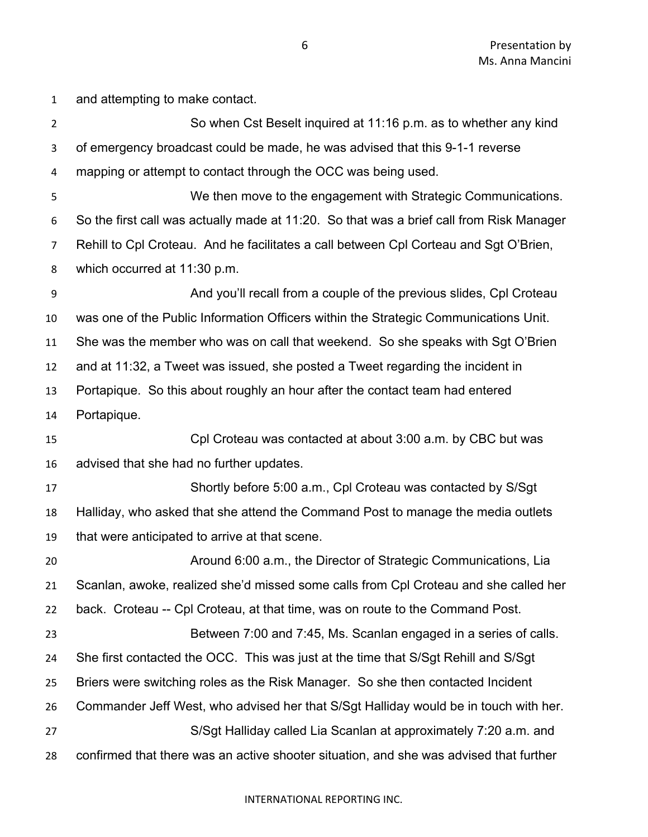and attempting to make contact. So when Cst Beselt inquired at 11:16 p.m. as to whether any kind of emergency broadcast could be made, he was advised that this 9-1-1 reverse mapping or attempt to contact through the OCC was being used. We then move to the engagement with Strategic Communications. So the first call was actually made at 11:20. So that was a brief call from Risk Manager Rehill to Cpl Croteau. And he facilitates a call between Cpl Corteau and Sgt O'Brien, which occurred at 11:30 p.m. And you'll recall from a couple of the previous slides, Cpl Croteau was one of the Public Information Officers within the Strategic Communications Unit. She was the member who was on call that weekend. So she speaks with Sgt O'Brien and at 11:32, a Tweet was issued, she posted a Tweet regarding the incident in Portapique. So this about roughly an hour after the contact team had entered Portapique. Cpl Croteau was contacted at about 3:00 a.m. by CBC but was advised that she had no further updates. Shortly before 5:00 a.m., Cpl Croteau was contacted by S/Sgt Halliday, who asked that she attend the Command Post to manage the media outlets that were anticipated to arrive at that scene. Around 6:00 a.m., the Director of Strategic Communications, Lia Scanlan, awoke, realized she'd missed some calls from Cpl Croteau and she called her back. Croteau -- Cpl Croteau, at that time, was on route to the Command Post. Between 7:00 and 7:45, Ms. Scanlan engaged in a series of calls. She first contacted the OCC. This was just at the time that S/Sgt Rehill and S/Sgt Briers were switching roles as the Risk Manager. So she then contacted Incident Commander Jeff West, who advised her that S/Sgt Halliday would be in touch with her. S/Sgt Halliday called Lia Scanlan at approximately 7:20 a.m. and confirmed that there was an active shooter situation, and she was advised that further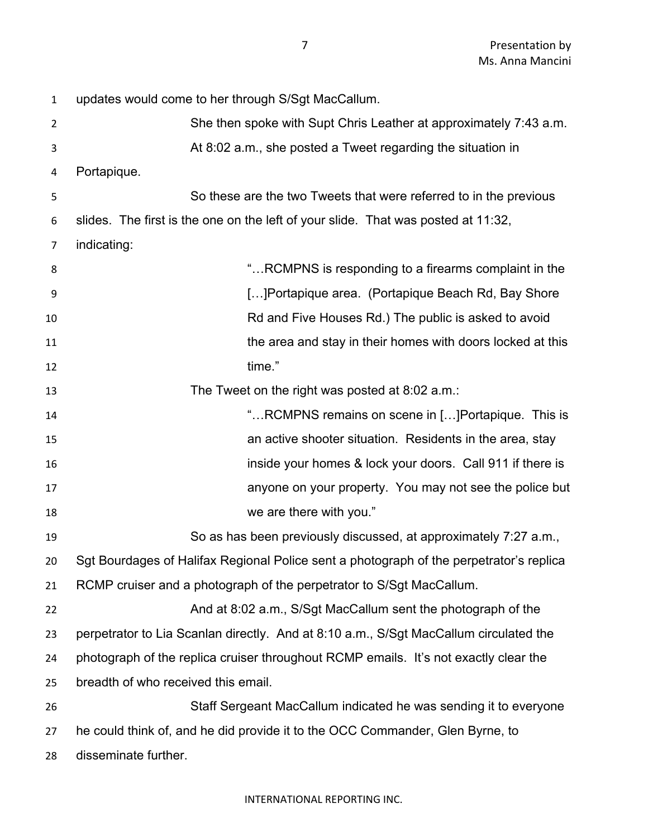| 1              | updates would come to her through S/Sgt MacCallum.                                      |
|----------------|-----------------------------------------------------------------------------------------|
| $\overline{2}$ | She then spoke with Supt Chris Leather at approximately 7:43 a.m.                       |
| 3              | At 8:02 a.m., she posted a Tweet regarding the situation in                             |
| 4              | Portapique.                                                                             |
| 5              | So these are the two Tweets that were referred to in the previous                       |
| 6              | slides. The first is the one on the left of your slide. That was posted at 11:32,       |
| 7              | indicating:                                                                             |
| 8              | " RCMPNS is responding to a firearms complaint in the                                   |
| 9              | [] Portapique area. (Portapique Beach Rd, Bay Shore                                     |
| 10             | Rd and Five Houses Rd.) The public is asked to avoid                                    |
| 11             | the area and stay in their homes with doors locked at this                              |
| 12             | time."                                                                                  |
| 13             | The Tweet on the right was posted at 8:02 a.m.:                                         |
| 14             | "RCMPNS remains on scene in [] Portapique. This is                                      |
| 15             | an active shooter situation. Residents in the area, stay                                |
| 16             | inside your homes & lock your doors. Call 911 if there is                               |
| 17             | anyone on your property. You may not see the police but                                 |
| 18             | we are there with you."                                                                 |
| 19             | So as has been previously discussed, at approximately 7:27 a.m.,                        |
| 20             | Sgt Bourdages of Halifax Regional Police sent a photograph of the perpetrator's replica |
| 21             | RCMP cruiser and a photograph of the perpetrator to S/Sgt MacCallum.                    |
| 22             | And at 8:02 a.m., S/Sgt MacCallum sent the photograph of the                            |
| 23             | perpetrator to Lia Scanlan directly. And at 8:10 a.m., S/Sgt MacCallum circulated the   |
| 24             | photograph of the replica cruiser throughout RCMP emails. It's not exactly clear the    |
| 25             | breadth of who received this email.                                                     |
| 26             | Staff Sergeant MacCallum indicated he was sending it to everyone                        |
| 27             | he could think of, and he did provide it to the OCC Commander, Glen Byrne, to           |
| 28             | disseminate further.                                                                    |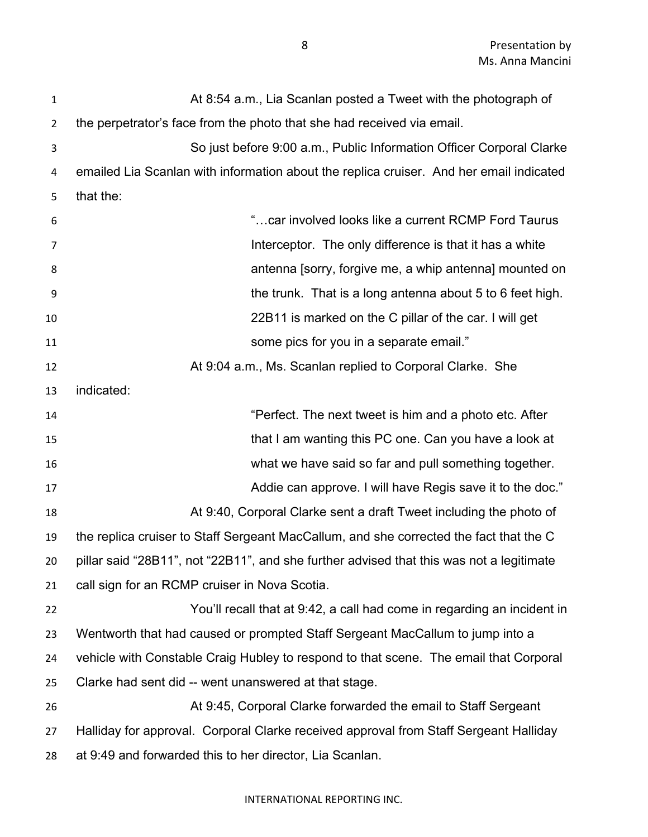| $\mathbf{1}$   | At 8:54 a.m., Lia Scanlan posted a Tweet with the photograph of                          |
|----------------|------------------------------------------------------------------------------------------|
| $\overline{2}$ | the perpetrator's face from the photo that she had received via email.                   |
| 3              | So just before 9:00 a.m., Public Information Officer Corporal Clarke                     |
| 4              | emailed Lia Scanlan with information about the replica cruiser. And her email indicated  |
| 5              | that the:                                                                                |
| 6              | "car involved looks like a current RCMP Ford Taurus                                      |
| 7              | Interceptor. The only difference is that it has a white                                  |
| 8              | antenna [sorry, forgive me, a whip antenna] mounted on                                   |
| 9              | the trunk. That is a long antenna about 5 to 6 feet high.                                |
| 10             | 22B11 is marked on the C pillar of the car. I will get                                   |
| 11             | some pics for you in a separate email."                                                  |
| 12             | At 9:04 a.m., Ms. Scanlan replied to Corporal Clarke. She                                |
| 13             | indicated:                                                                               |
| 14             | "Perfect. The next tweet is him and a photo etc. After                                   |
| 15             | that I am wanting this PC one. Can you have a look at                                    |
| 16             | what we have said so far and pull something together.                                    |
| 17             | Addie can approve. I will have Regis save it to the doc."                                |
| 18             | At 9:40, Corporal Clarke sent a draft Tweet including the photo of                       |
| 19             | the replica cruiser to Staff Sergeant MacCallum, and she corrected the fact that the C   |
| 20             | pillar said "28B11", not "22B11", and she further advised that this was not a legitimate |
| 21             | call sign for an RCMP cruiser in Nova Scotia.                                            |
| 22             | You'll recall that at 9:42, a call had come in regarding an incident in                  |
| 23             | Wentworth that had caused or prompted Staff Sergeant MacCallum to jump into a            |
| 24             | vehicle with Constable Craig Hubley to respond to that scene. The email that Corporal    |
| 25             | Clarke had sent did -- went unanswered at that stage.                                    |
| 26             | At 9:45, Corporal Clarke forwarded the email to Staff Sergeant                           |
| 27             | Halliday for approval. Corporal Clarke received approval from Staff Sergeant Halliday    |
| 28             | at 9:49 and forwarded this to her director, Lia Scanlan.                                 |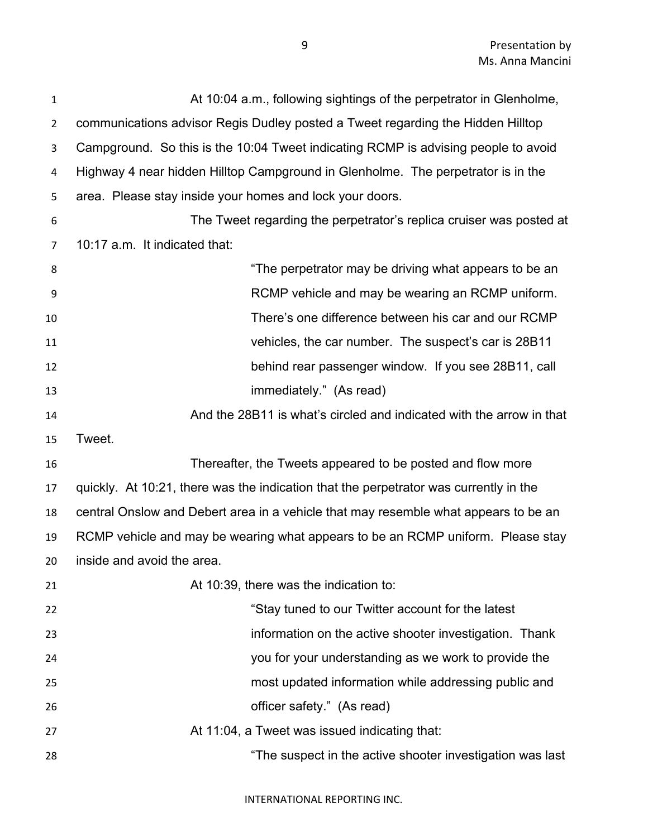| 1              | At 10:04 a.m., following sightings of the perpetrator in Glenholme,                   |
|----------------|---------------------------------------------------------------------------------------|
| $\overline{2}$ | communications advisor Regis Dudley posted a Tweet regarding the Hidden Hilltop       |
| 3              | Campground. So this is the 10:04 Tweet indicating RCMP is advising people to avoid    |
| 4              | Highway 4 near hidden Hilltop Campground in Glenholme. The perpetrator is in the      |
| 5              | area. Please stay inside your homes and lock your doors.                              |
| 6              | The Tweet regarding the perpetrator's replica cruiser was posted at                   |
| 7              | 10:17 a.m. It indicated that:                                                         |
| 8              | "The perpetrator may be driving what appears to be an                                 |
| 9              | RCMP vehicle and may be wearing an RCMP uniform.                                      |
| 10             | There's one difference between his car and our RCMP                                   |
| 11             | vehicles, the car number. The suspect's car is 28B11                                  |
| 12             | behind rear passenger window. If you see 28B11, call                                  |
| 13             | immediately." (As read)                                                               |
| 14             | And the 28B11 is what's circled and indicated with the arrow in that                  |
| 15             | Tweet.                                                                                |
| 16             | Thereafter, the Tweets appeared to be posted and flow more                            |
| 17             | quickly. At 10:21, there was the indication that the perpetrator was currently in the |
| 18             | central Onslow and Debert area in a vehicle that may resemble what appears to be an   |
| 19             | RCMP vehicle and may be wearing what appears to be an RCMP uniform. Please stay       |
| 20             | inside and avoid the area.                                                            |
| 21             | At 10:39, there was the indication to:                                                |
| 22             | "Stay tuned to our Twitter account for the latest                                     |
| 23             | information on the active shooter investigation. Thank                                |
| 24             | you for your understanding as we work to provide the                                  |
| 25             | most updated information while addressing public and                                  |
| 26             |                                                                                       |
|                | officer safety." (As read)                                                            |
| 27             | At 11:04, a Tweet was issued indicating that:                                         |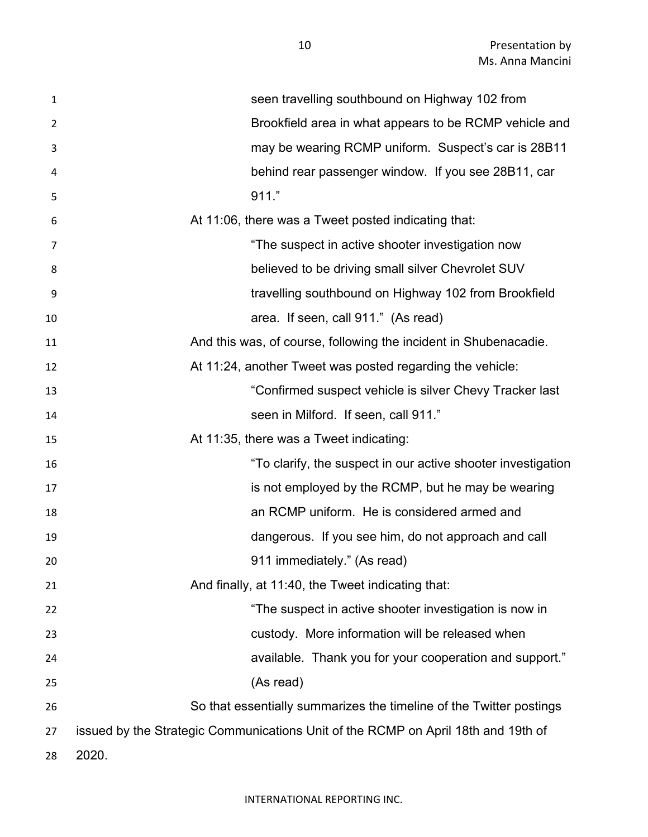| $\mathbf{1}$ | seen travelling southbound on Highway 102 from                                    |
|--------------|-----------------------------------------------------------------------------------|
| 2            | Brookfield area in what appears to be RCMP vehicle and                            |
| 3            | may be wearing RCMP uniform. Suspect's car is 28B11                               |
| 4            | behind rear passenger window. If you see 28B11, car                               |
| 5            | 911."                                                                             |
| 6            | At 11:06, there was a Tweet posted indicating that:                               |
| 7            | "The suspect in active shooter investigation now                                  |
| 8            | believed to be driving small silver Chevrolet SUV                                 |
| 9            | travelling southbound on Highway 102 from Brookfield                              |
| 10           | area. If seen, call 911." (As read)                                               |
| 11           | And this was, of course, following the incident in Shubenacadie.                  |
| 12           | At 11:24, another Tweet was posted regarding the vehicle:                         |
| 13           | "Confirmed suspect vehicle is silver Chevy Tracker last                           |
| 14           | seen in Milford. If seen, call 911."                                              |
| 15           | At 11:35, there was a Tweet indicating:                                           |
| 16           | "To clarify, the suspect in our active shooter investigation                      |
| 17           | is not employed by the RCMP, but he may be wearing                                |
| 18           | an RCMP uniform. He is considered armed and                                       |
| 19           | dangerous. If you see him, do not approach and call                               |
| 20           | 911 immediately." (As read)                                                       |
| 21           | And finally, at 11:40, the Tweet indicating that:                                 |
| 22           | "The suspect in active shooter investigation is now in                            |
| 23           | custody. More information will be released when                                   |
| 24           | available. Thank you for your cooperation and support."                           |
| 25           | (As read)                                                                         |
| 26           | So that essentially summarizes the timeline of the Twitter postings               |
| 27           | issued by the Strategic Communications Unit of the RCMP on April 18th and 19th of |
| 28           | 2020.                                                                             |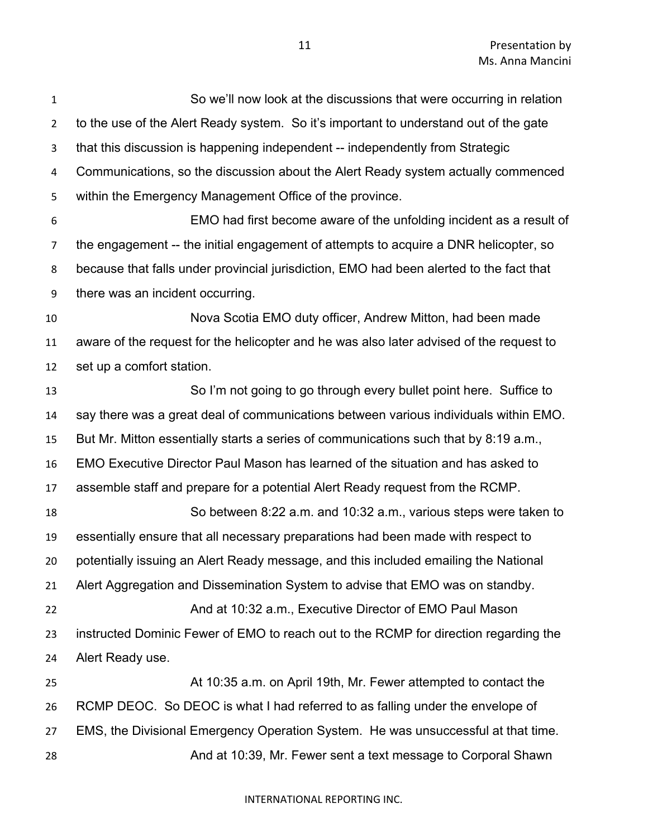| $\mathbf{1}$   | So we'll now look at the discussions that were occurring in relation                    |
|----------------|-----------------------------------------------------------------------------------------|
| $\overline{2}$ | to the use of the Alert Ready system. So it's important to understand out of the gate   |
| 3              | that this discussion is happening independent -- independently from Strategic           |
| 4              | Communications, so the discussion about the Alert Ready system actually commenced       |
| 5              | within the Emergency Management Office of the province.                                 |
| 6              | EMO had first become aware of the unfolding incident as a result of                     |
| 7              | the engagement -- the initial engagement of attempts to acquire a DNR helicopter, so    |
| 8              | because that falls under provincial jurisdiction, EMO had been alerted to the fact that |
| 9              | there was an incident occurring.                                                        |
| 10             | Nova Scotia EMO duty officer, Andrew Mitton, had been made                              |
| 11             | aware of the request for the helicopter and he was also later advised of the request to |
| 12             | set up a comfort station.                                                               |
| 13             | So I'm not going to go through every bullet point here. Suffice to                      |
| 14             | say there was a great deal of communications between various individuals within EMO.    |
| 15             | But Mr. Mitton essentially starts a series of communications such that by 8:19 a.m.,    |
| 16             | EMO Executive Director Paul Mason has learned of the situation and has asked to         |
| 17             | assemble staff and prepare for a potential Alert Ready request from the RCMP.           |
| 18             | So between 8:22 a.m. and 10:32 a.m., various steps were taken to                        |
| 19             | essentially ensure that all necessary preparations had been made with respect to        |
| 20             | potentially issuing an Alert Ready message, and this included emailing the National     |
| 21             | Alert Aggregation and Dissemination System to advise that EMO was on standby.           |
| 22             | And at 10:32 a.m., Executive Director of EMO Paul Mason                                 |
| 23             | instructed Dominic Fewer of EMO to reach out to the RCMP for direction regarding the    |
| 24             | Alert Ready use.                                                                        |
| 25             | At 10:35 a.m. on April 19th, Mr. Fewer attempted to contact the                         |
| 26             | RCMP DEOC. So DEOC is what I had referred to as falling under the envelope of           |
| 27             | EMS, the Divisional Emergency Operation System. He was unsuccessful at that time.       |
| 28             | And at 10:39, Mr. Fewer sent a text message to Corporal Shawn                           |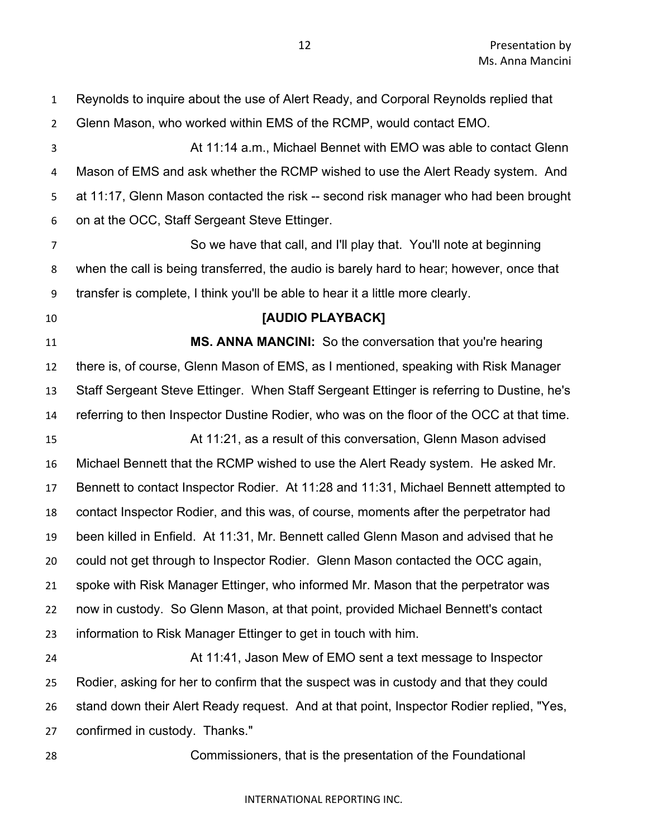Reynolds to inquire about the use of Alert Ready, and Corporal Reynolds replied that Glenn Mason, who worked within EMS of the RCMP, would contact EMO. At 11:14 a.m., Michael Bennet with EMO was able to contact Glenn Mason of EMS and ask whether the RCMP wished to use the Alert Ready system. And at 11:17, Glenn Mason contacted the risk -- second risk manager who had been brought on at the OCC, Staff Sergeant Steve Ettinger. So we have that call, and I'll play that. You'll note at beginning when the call is being transferred, the audio is barely hard to hear; however, once that transfer is complete, I think you'll be able to hear it a little more clearly. **[AUDIO PLAYBACK] MS. ANNA MANCINI:** So the conversation that you're hearing there is, of course, Glenn Mason of EMS, as I mentioned, speaking with Risk Manager Staff Sergeant Steve Ettinger. When Staff Sergeant Ettinger is referring to Dustine, he's referring to then Inspector Dustine Rodier, who was on the floor of the OCC at that time. At 11:21, as a result of this conversation, Glenn Mason advised Michael Bennett that the RCMP wished to use the Alert Ready system. He asked Mr. Bennett to contact Inspector Rodier. At 11:28 and 11:31, Michael Bennett attempted to contact Inspector Rodier, and this was, of course, moments after the perpetrator had been killed in Enfield. At 11:31, Mr. Bennett called Glenn Mason and advised that he could not get through to Inspector Rodier. Glenn Mason contacted the OCC again, spoke with Risk Manager Ettinger, who informed Mr. Mason that the perpetrator was now in custody. So Glenn Mason, at that point, provided Michael Bennett's contact information to Risk Manager Ettinger to get in touch with him. At 11:41, Jason Mew of EMO sent a text message to Inspector Rodier, asking for her to confirm that the suspect was in custody and that they could stand down their Alert Ready request. And at that point, Inspector Rodier replied, "Yes, confirmed in custody. Thanks." Commissioners, that is the presentation of the Foundational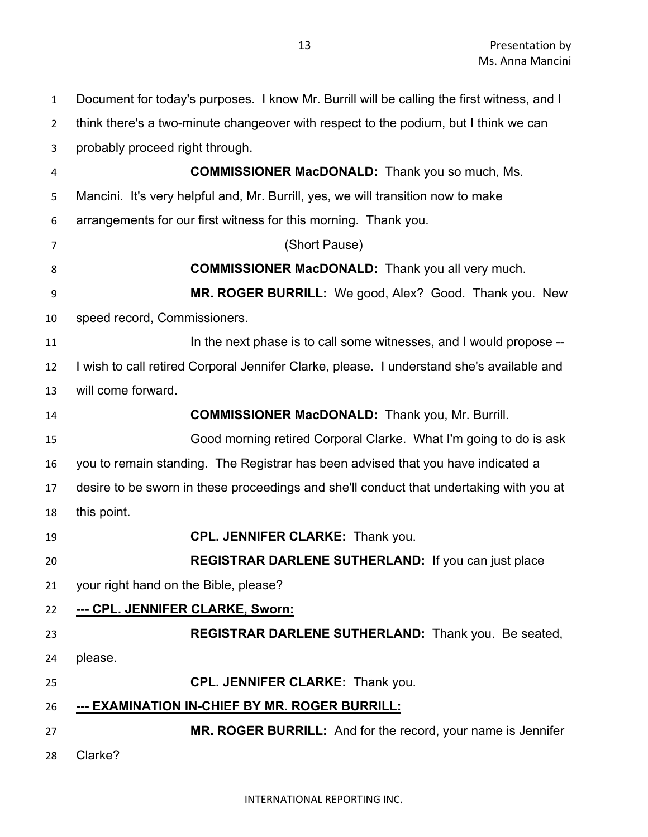Document for today's purposes. I know Mr. Burrill will be calling the first witness, and I think there's a two-minute changeover with respect to the podium, but I think we can probably proceed right through. **COMMISSIONER MacDONALD:** Thank you so much, Ms. Mancini. It's very helpful and, Mr. Burrill, yes, we will transition now to make arrangements for our first witness for this morning. Thank you. (Short Pause) **COMMISSIONER MacDONALD:** Thank you all very much. **MR. ROGER BURRILL:** We good, Alex? Good. Thank you. New speed record, Commissioners. **In the next phase is to call some witnesses, and I would propose --** I wish to call retired Corporal Jennifer Clarke, please. I understand she's available and will come forward. **COMMISSIONER MacDONALD:** Thank you, Mr. Burrill. Good morning retired Corporal Clarke. What I'm going to do is ask you to remain standing. The Registrar has been advised that you have indicated a desire to be sworn in these proceedings and she'll conduct that undertaking with you at this point. **CPL. JENNIFER CLARKE:** Thank you. **REGISTRAR DARLENE SUTHERLAND:** If you can just place your right hand on the Bible, please? **--- CPL. JENNIFER CLARKE, Sworn: REGISTRAR DARLENE SUTHERLAND:** Thank you. Be seated, please. **CPL. JENNIFER CLARKE:** Thank you. **--- EXAMINATION IN-CHIEF BY MR. ROGER BURRILL: MR. ROGER BURRILL:** And for the record, your name is Jennifer Clarke?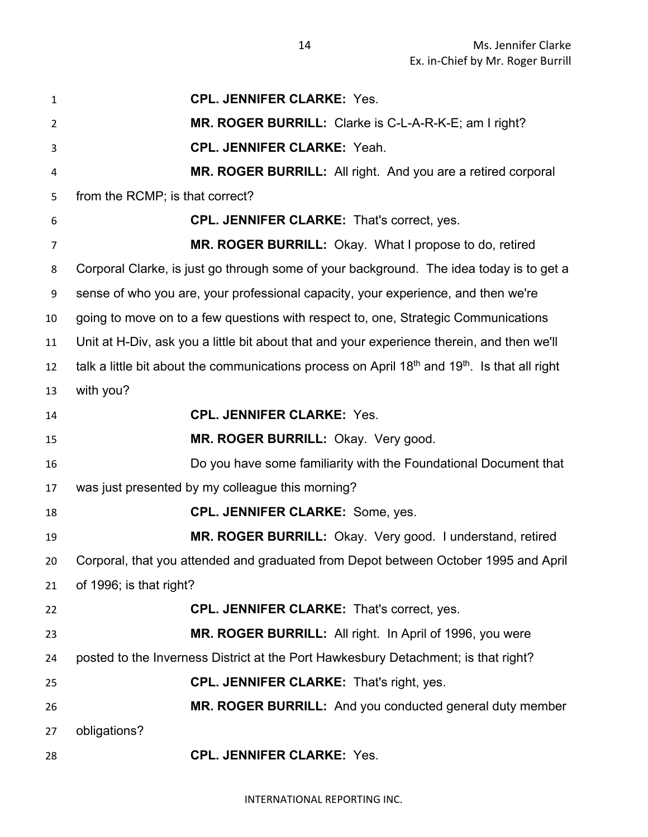| 1              | <b>CPL. JENNIFER CLARKE: Yes.</b>                                                                                     |
|----------------|-----------------------------------------------------------------------------------------------------------------------|
| $\overline{2}$ | MR. ROGER BURRILL: Clarke is C-L-A-R-K-E; am I right?                                                                 |
| 3              | <b>CPL. JENNIFER CLARKE: Yeah.</b>                                                                                    |
| 4              | MR. ROGER BURRILL: All right. And you are a retired corporal                                                          |
| 5              | from the RCMP; is that correct?                                                                                       |
| 6              | CPL. JENNIFER CLARKE: That's correct, yes.                                                                            |
| $\overline{7}$ | MR. ROGER BURRILL: Okay. What I propose to do, retired                                                                |
| 8              | Corporal Clarke, is just go through some of your background. The idea today is to get a                               |
| 9              | sense of who you are, your professional capacity, your experience, and then we're                                     |
| 10             | going to move on to a few questions with respect to, one, Strategic Communications                                    |
| 11             | Unit at H-Div, ask you a little bit about that and your experience therein, and then we'll                            |
| 12             | talk a little bit about the communications process on April 18 <sup>th</sup> and 19 <sup>th</sup> . Is that all right |
| 13             | with you?                                                                                                             |
| 14             | <b>CPL. JENNIFER CLARKE: Yes.</b>                                                                                     |
| 15             | MR. ROGER BURRILL: Okay. Very good.                                                                                   |
| 16             | Do you have some familiarity with the Foundational Document that                                                      |
| 17             | was just presented by my colleague this morning?                                                                      |
| 18             | <b>CPL. JENNIFER CLARKE: Some, yes.</b>                                                                               |
| 19             | MR. ROGER BURRILL: Okay. Very good. I understand, retired                                                             |
| 20             | Corporal, that you attended and graduated from Depot between October 1995 and April                                   |
| 21             | of 1996; is that right?                                                                                               |
| 22             | <b>CPL. JENNIFER CLARKE: That's correct, yes.</b>                                                                     |
| 23             | MR. ROGER BURRILL: All right. In April of 1996, you were                                                              |
| 24             | posted to the Inverness District at the Port Hawkesbury Detachment; is that right?                                    |
| 25             | <b>CPL. JENNIFER CLARKE: That's right, yes.</b>                                                                       |
| 26             | MR. ROGER BURRILL: And you conducted general duty member                                                              |
| 27             | obligations?                                                                                                          |
| 28             | <b>CPL. JENNIFER CLARKE: Yes.</b>                                                                                     |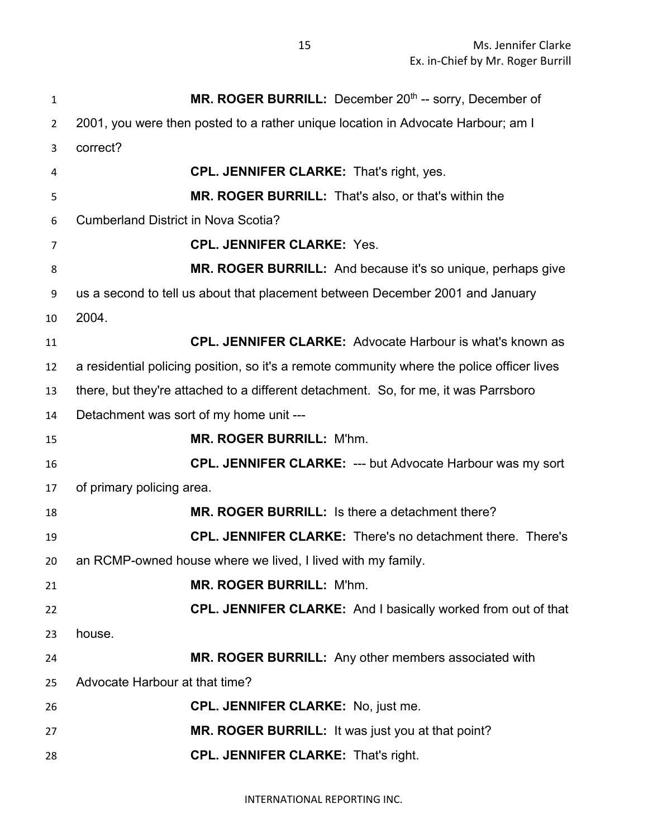| 1              | MR. ROGER BURRILL: December 20 <sup>th</sup> -- sorry, December of                         |
|----------------|--------------------------------------------------------------------------------------------|
| $\overline{2}$ | 2001, you were then posted to a rather unique location in Advocate Harbour; am I           |
| 3              | correct?                                                                                   |
| 4              | <b>CPL. JENNIFER CLARKE: That's right, yes.</b>                                            |
| 5              | MR. ROGER BURRILL: That's also, or that's within the                                       |
| 6              | <b>Cumberland District in Nova Scotia?</b>                                                 |
| 7              | <b>CPL. JENNIFER CLARKE: Yes.</b>                                                          |
| 8              | MR. ROGER BURRILL: And because it's so unique, perhaps give                                |
| 9              | us a second to tell us about that placement between December 2001 and January              |
| 10             | 2004.                                                                                      |
| 11             | <b>CPL. JENNIFER CLARKE:</b> Advocate Harbour is what's known as                           |
| 12             | a residential policing position, so it's a remote community where the police officer lives |
| 13             | there, but they're attached to a different detachment. So, for me, it was Parrsboro        |
| 14             | Detachment was sort of my home unit ---                                                    |
| 15             | <b>MR. ROGER BURRILL: M'hm.</b>                                                            |
| 16             | <b>CPL. JENNIFER CLARKE: --- but Advocate Harbour was my sort</b>                          |
| 17             | of primary policing area.                                                                  |
| 18             | MR. ROGER BURRILL: Is there a detachment there?                                            |
| 19             | <b>CPL. JENNIFER CLARKE:</b> There's no detachment there. There's                          |
| 20             | an RCMP-owned house where we lived, I lived with my family.                                |
| 21             | <b>MR. ROGER BURRILL: M'hm.</b>                                                            |
| 22             | <b>CPL. JENNIFER CLARKE:</b> And I basically worked from out of that                       |
| 23             | house.                                                                                     |
| 24             | MR. ROGER BURRILL: Any other members associated with                                       |
| 25             | Advocate Harbour at that time?                                                             |
| 26             | <b>CPL. JENNIFER CLARKE: No, just me.</b>                                                  |
| 27             | MR. ROGER BURRILL: It was just you at that point?                                          |
| 28             | <b>CPL. JENNIFER CLARKE: That's right.</b>                                                 |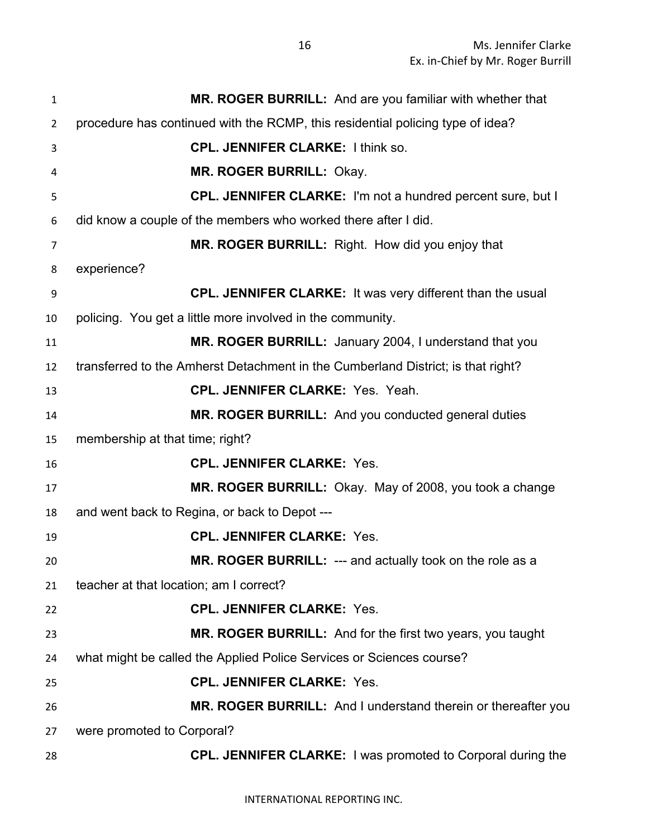| $\mathbf{1}$   | MR. ROGER BURRILL: And are you familiar with whether that                        |
|----------------|----------------------------------------------------------------------------------|
| $\overline{2}$ | procedure has continued with the RCMP, this residential policing type of idea?   |
| 3              | <b>CPL. JENNIFER CLARKE: I think so.</b>                                         |
| 4              | <b>MR. ROGER BURRILL: Okay.</b>                                                  |
| 5              | <b>CPL. JENNIFER CLARKE:</b> I'm not a hundred percent sure, but I               |
| 6              | did know a couple of the members who worked there after I did.                   |
| 7              | MR. ROGER BURRILL: Right. How did you enjoy that                                 |
| 8              | experience?                                                                      |
| 9              | <b>CPL. JENNIFER CLARKE:</b> It was very different than the usual                |
| 10             | policing. You get a little more involved in the community.                       |
| 11             | MR. ROGER BURRILL: January 2004, I understand that you                           |
| 12             | transferred to the Amherst Detachment in the Cumberland District; is that right? |
| 13             | <b>CPL. JENNIFER CLARKE: Yes. Yeah.</b>                                          |
| 14             | MR. ROGER BURRILL: And you conducted general duties                              |
| 15             | membership at that time; right?                                                  |
| 16             | <b>CPL. JENNIFER CLARKE: Yes.</b>                                                |
| 17             | MR. ROGER BURRILL: Okay. May of 2008, you took a change                          |
| 18             | and went back to Regina, or back to Depot ---                                    |
| 19             | <b>CPL. JENNIFER CLARKE: Yes.</b>                                                |
| 20             | MR. ROGER BURRILL: --- and actually took on the role as a                        |
| 21             | teacher at that location; am I correct?                                          |
| 22             | <b>CPL. JENNIFER CLARKE: Yes.</b>                                                |
| 23             | MR. ROGER BURRILL: And for the first two years, you taught                       |
| 24             | what might be called the Applied Police Services or Sciences course?             |
| 25             | <b>CPL. JENNIFER CLARKE: Yes.</b>                                                |
| 26             | MR. ROGER BURRILL: And I understand therein or thereafter you                    |
| 27             | were promoted to Corporal?                                                       |
| 28             | <b>CPL. JENNIFER CLARKE: I was promoted to Corporal during the</b>               |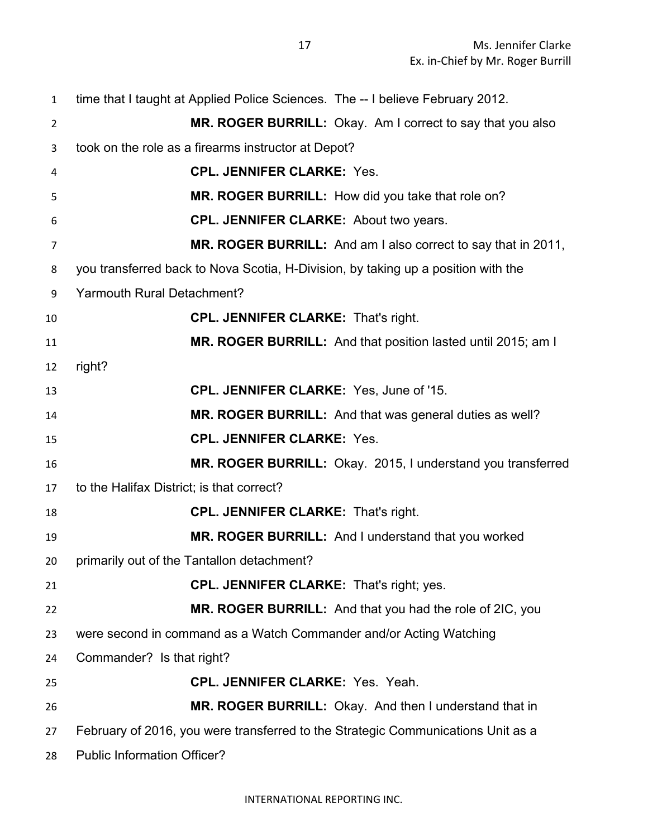| $\mathbf{1}$   | time that I taught at Applied Police Sciences. The -- I believe February 2012.    |
|----------------|-----------------------------------------------------------------------------------|
| $\overline{2}$ | MR. ROGER BURRILL: Okay. Am I correct to say that you also                        |
| 3              | took on the role as a firearms instructor at Depot?                               |
| 4              | <b>CPL. JENNIFER CLARKE: Yes.</b>                                                 |
| 5              | MR. ROGER BURRILL: How did you take that role on?                                 |
| 6              | <b>CPL. JENNIFER CLARKE: About two years.</b>                                     |
| 7              | MR. ROGER BURRILL: And am I also correct to say that in 2011,                     |
| 8              | you transferred back to Nova Scotia, H-Division, by taking up a position with the |
| 9              | <b>Yarmouth Rural Detachment?</b>                                                 |
| 10             | <b>CPL. JENNIFER CLARKE: That's right.</b>                                        |
| 11             | MR. ROGER BURRILL: And that position lasted until 2015; am I                      |
| 12             | right?                                                                            |
| 13             | CPL. JENNIFER CLARKE: Yes, June of '15.                                           |
| 14             | MR. ROGER BURRILL: And that was general duties as well?                           |
| 15             | <b>CPL. JENNIFER CLARKE: Yes.</b>                                                 |
| 16             | MR. ROGER BURRILL: Okay. 2015, I understand you transferred                       |
| 17             | to the Halifax District; is that correct?                                         |
| 18             | <b>CPL. JENNIFER CLARKE: That's right.</b>                                        |
| 19             | MR. ROGER BURRILL: And I understand that you worked                               |
| 20             | primarily out of the Tantallon detachment?                                        |
| 21             | <b>CPL. JENNIFER CLARKE:</b> That's right; yes.                                   |
| 22             | MR. ROGER BURRILL: And that you had the role of 2IC, you                          |
| 23             | were second in command as a Watch Commander and/or Acting Watching                |
| 24             | Commander? Is that right?                                                         |
| 25             | <b>CPL. JENNIFER CLARKE: Yes. Yeah.</b>                                           |
| 26             | MR. ROGER BURRILL: Okay. And then I understand that in                            |
| 27             | February of 2016, you were transferred to the Strategic Communications Unit as a  |
| 28             | <b>Public Information Officer?</b>                                                |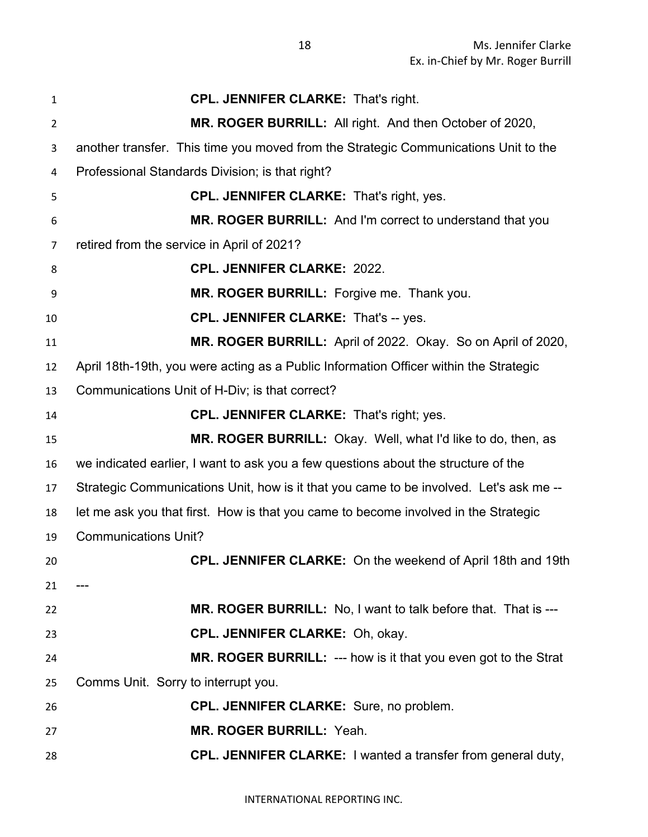| 1              | <b>CPL. JENNIFER CLARKE: That's right.</b>                                             |
|----------------|----------------------------------------------------------------------------------------|
| $\overline{2}$ | MR. ROGER BURRILL: All right. And then October of 2020,                                |
| 3              | another transfer. This time you moved from the Strategic Communications Unit to the    |
| 4              | Professional Standards Division; is that right?                                        |
| 5              | <b>CPL. JENNIFER CLARKE:</b> That's right, yes.                                        |
| 6              | MR. ROGER BURRILL: And I'm correct to understand that you                              |
| 7              | retired from the service in April of 2021?                                             |
| 8              | <b>CPL. JENNIFER CLARKE: 2022.</b>                                                     |
| 9              | MR. ROGER BURRILL: Forgive me. Thank you.                                              |
| 10             | <b>CPL. JENNIFER CLARKE: That's -- yes.</b>                                            |
| 11             | MR. ROGER BURRILL: April of 2022. Okay. So on April of 2020,                           |
| 12             | April 18th-19th, you were acting as a Public Information Officer within the Strategic  |
| 13             | Communications Unit of H-Div; is that correct?                                         |
| 14             | <b>CPL. JENNIFER CLARKE: That's right; yes.</b>                                        |
| 15             | MR. ROGER BURRILL: Okay. Well, what I'd like to do, then, as                           |
| 16             | we indicated earlier, I want to ask you a few questions about the structure of the     |
| 17             | Strategic Communications Unit, how is it that you came to be involved. Let's ask me -- |
| 18             | let me ask you that first. How is that you came to become involved in the Strategic    |
| 19             | <b>Communications Unit?</b>                                                            |
| 20             | CPL. JENNIFER CLARKE: On the weekend of April 18th and 19th                            |
| 21             |                                                                                        |
|                |                                                                                        |
|                | MR. ROGER BURRILL: No, I want to talk before that. That is ---                         |
| 22<br>23       | CPL. JENNIFER CLARKE: Oh, okay.                                                        |
| 24             | MR. ROGER BURRILL: --- how is it that you even got to the Strat                        |
| 25             | Comms Unit. Sorry to interrupt you.                                                    |
| 26             | <b>CPL. JENNIFER CLARKE:</b> Sure, no problem.                                         |
| 27             | MR. ROGER BURRILL: Yeah.                                                               |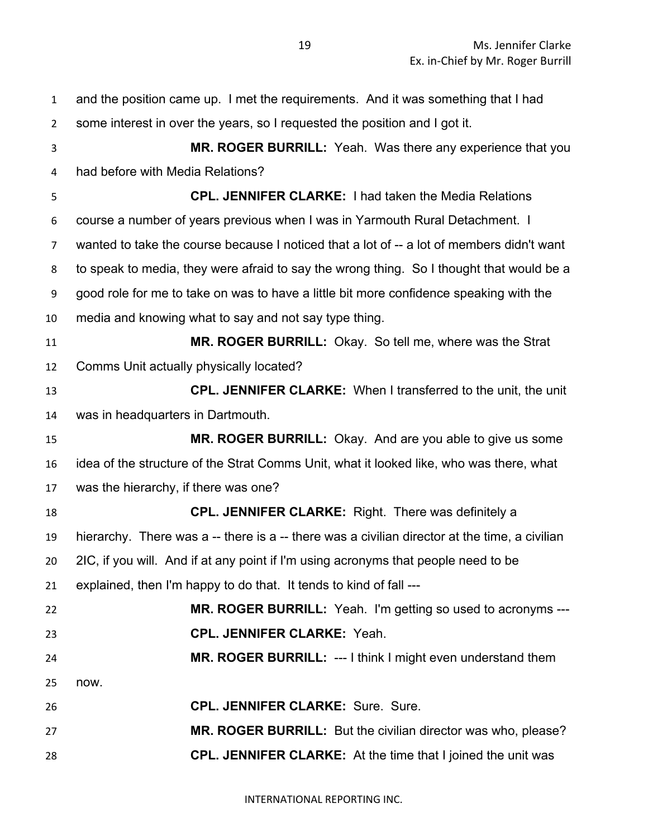| $\mathbf{1}$   | and the position came up. I met the requirements. And it was something that I had             |
|----------------|-----------------------------------------------------------------------------------------------|
| $\overline{2}$ | some interest in over the years, so I requested the position and I got it.                    |
| 3              | MR. ROGER BURRILL: Yeah. Was there any experience that you                                    |
| 4              | had before with Media Relations?                                                              |
| 5              | <b>CPL. JENNIFER CLARKE: I had taken the Media Relations</b>                                  |
| 6              | course a number of years previous when I was in Yarmouth Rural Detachment. I                  |
| $\overline{7}$ | wanted to take the course because I noticed that a lot of -- a lot of members didn't want     |
| 8              | to speak to media, they were afraid to say the wrong thing. So I thought that would be a      |
| 9              | good role for me to take on was to have a little bit more confidence speaking with the        |
| 10             | media and knowing what to say and not say type thing.                                         |
| 11             | MR. ROGER BURRILL: Okay. So tell me, where was the Strat                                      |
| 12             | Comms Unit actually physically located?                                                       |
| 13             | <b>CPL. JENNIFER CLARKE:</b> When I transferred to the unit, the unit                         |
| 14             | was in headquarters in Dartmouth.                                                             |
|                | MR. ROGER BURRILL: Okay. And are you able to give us some                                     |
| 15             |                                                                                               |
| 16             | idea of the structure of the Strat Comms Unit, what it looked like, who was there, what       |
| 17             | was the hierarchy, if there was one?                                                          |
| 18             | <b>CPL. JENNIFER CLARKE:</b> Right. There was definitely a                                    |
| 19             | hierarchy. There was a -- there is a -- there was a civilian director at the time, a civilian |
| 20             | 2IC, if you will. And if at any point if I'm using acronyms that people need to be            |
| 21             | explained, then I'm happy to do that. It tends to kind of fall ---                            |
| 22             | <b>MR. ROGER BURRILL:</b> Yeah. I'm getting so used to acronyms ---                           |
| 23             | <b>CPL. JENNIFER CLARKE: Yeah.</b>                                                            |
| 24             | MR. ROGER BURRILL: --- I think I might even understand them                                   |
| 25             | now.                                                                                          |
| 26             | <b>CPL. JENNIFER CLARKE: Sure. Sure.</b>                                                      |
| 27             | MR. ROGER BURRILL: But the civilian director was who, please?                                 |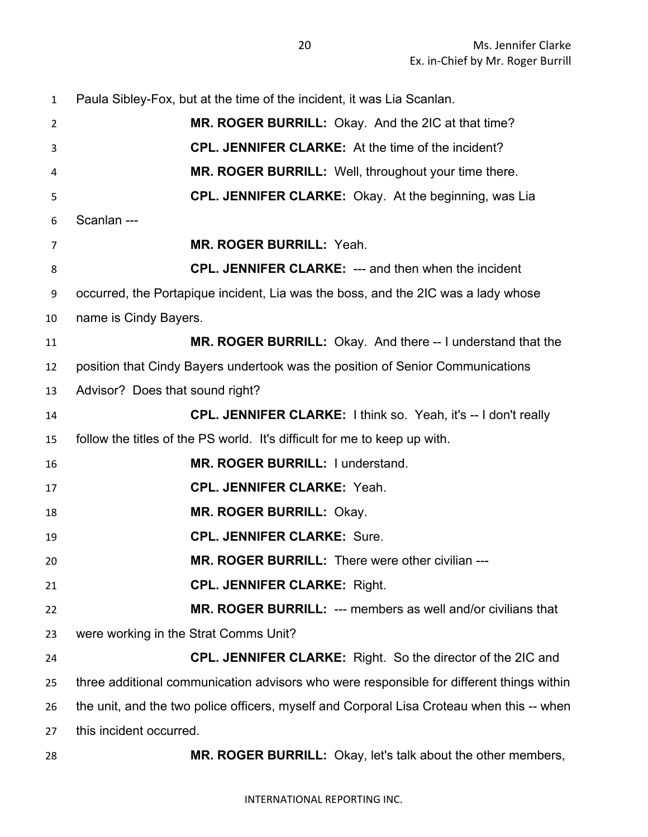Paula Sibley-Fox, but at the time of the incident, it was Lia Scanlan. **MR. ROGER BURRILL:** Okay. And the 2IC at that time? **CPL. JENNIFER CLARKE:** At the time of the incident? **MR. ROGER BURRILL:** Well, throughout your time there. **CPL. JENNIFER CLARKE:** Okay. At the beginning, was Lia Scanlan --- **MR. ROGER BURRILL:** Yeah. **CPL. JENNIFER CLARKE:** --- and then when the incident occurred, the Portapique incident, Lia was the boss, and the 2IC was a lady whose name is Cindy Bayers. **MR. ROGER BURRILL:** Okay. And there -- I understand that the position that Cindy Bayers undertook was the position of Senior Communications Advisor? Does that sound right? **CPL. JENNIFER CLARKE:** I think so. Yeah, it's -- I don't really follow the titles of the PS world. It's difficult for me to keep up with. **MR. ROGER BURRILL:** I understand. **CPL. JENNIFER CLARKE:** Yeah. **MR. ROGER BURRILL:** Okay. **CPL. JENNIFER CLARKE:** Sure. **MR. ROGER BURRILL:** There were other civilian --- **CPL. JENNIFER CLARKE:** Right. **MR. ROGER BURRILL:** --- members as well and/or civilians that were working in the Strat Comms Unit? **CPL. JENNIFER CLARKE:** Right. So the director of the 2IC and three additional communication advisors who were responsible for different things within the unit, and the two police officers, myself and Corporal Lisa Croteau when this -- when this incident occurred. **MR. ROGER BURRILL:** Okay, let's talk about the other members,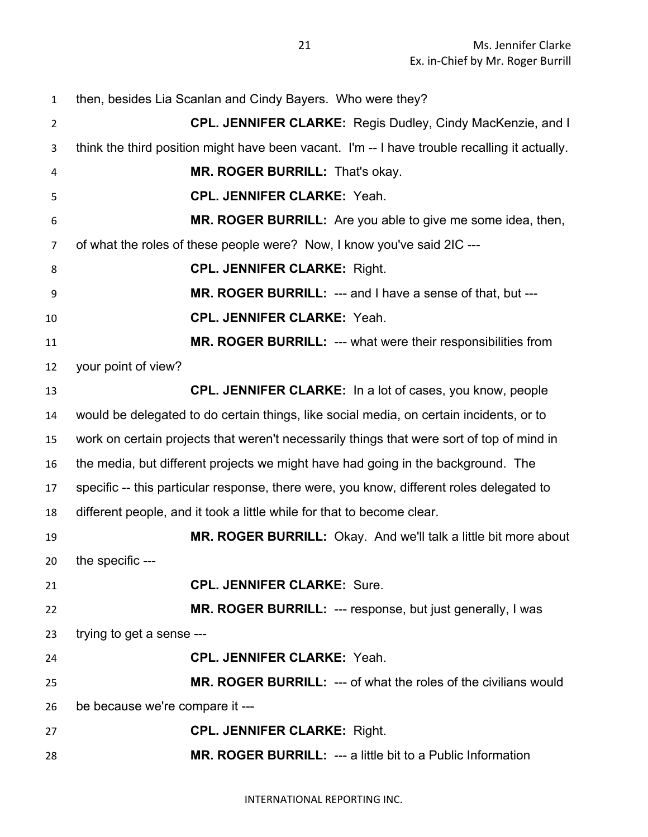| $\mathbf{1}$   | then, besides Lia Scanlan and Cindy Bayers. Who were they?                                    |
|----------------|-----------------------------------------------------------------------------------------------|
| $\overline{2}$ | CPL. JENNIFER CLARKE: Regis Dudley, Cindy MacKenzie, and I                                    |
| 3              | think the third position might have been vacant. I'm -- I have trouble recalling it actually. |
| 4              | MR. ROGER BURRILL: That's okay.                                                               |
| 5              | <b>CPL. JENNIFER CLARKE: Yeah.</b>                                                            |
| 6              | MR. ROGER BURRILL: Are you able to give me some idea, then,                                   |
| $\overline{7}$ | of what the roles of these people were? Now, I know you've said 2IC ---                       |
| 8              | <b>CPL. JENNIFER CLARKE: Right.</b>                                                           |
| 9              | MR. ROGER BURRILL: --- and I have a sense of that, but ---                                    |
| 10             | <b>CPL. JENNIFER CLARKE: Yeah.</b>                                                            |
| 11             | MR. ROGER BURRILL: --- what were their responsibilities from                                  |
| 12             | your point of view?                                                                           |
| 13             | <b>CPL. JENNIFER CLARKE:</b> In a lot of cases, you know, people                              |
| 14             | would be delegated to do certain things, like social media, on certain incidents, or to       |
| 15             | work on certain projects that weren't necessarily things that were sort of top of mind in     |
| 16             | the media, but different projects we might have had going in the background. The              |
| 17             | specific -- this particular response, there were, you know, different roles delegated to      |
| 18             | different people, and it took a little while for that to become clear.                        |
| 19             | MR. ROGER BURRILL: Okay. And we'll talk a little bit more about                               |
| 20             | the specific ---                                                                              |
| 21             | <b>CPL. JENNIFER CLARKE: Sure.</b>                                                            |
| 22             | MR. ROGER BURRILL: --- response, but just generally, I was                                    |
| 23             | trying to get a sense ---                                                                     |
| 24             | <b>CPL. JENNIFER CLARKE: Yeah.</b>                                                            |
| 25             | MR. ROGER BURRILL: --- of what the roles of the civilians would                               |
| 26             | be because we're compare it ---                                                               |
| 27             | <b>CPL. JENNIFER CLARKE: Right.</b>                                                           |
| 28             | MR. ROGER BURRILL: --- a little bit to a Public Information                                   |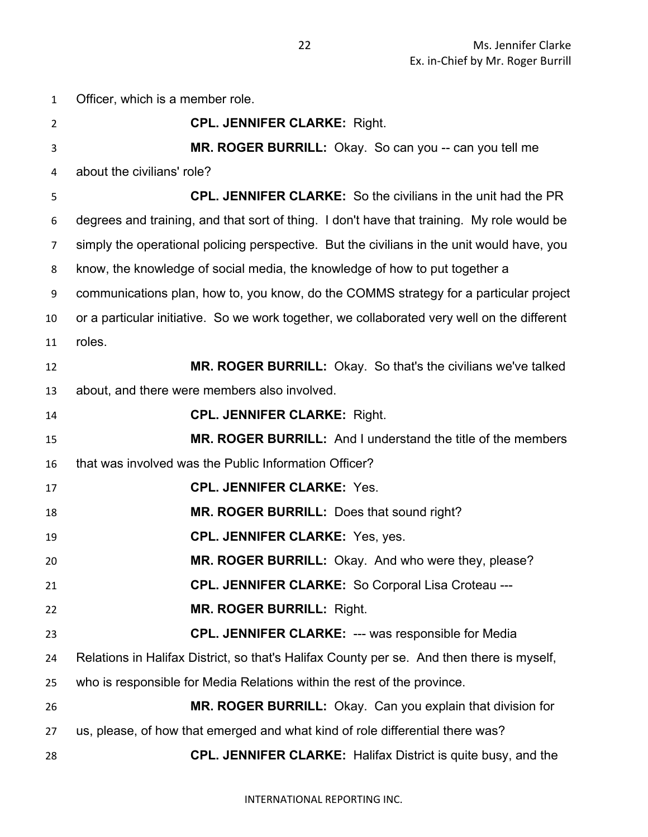Officer, which is a member role. **CPL. JENNIFER CLARKE:** Right. **MR. ROGER BURRILL:** Okay. So can you -- can you tell me about the civilians' role? **CPL. JENNIFER CLARKE:** So the civilians in the unit had the PR degrees and training, and that sort of thing. I don't have that training. My role would be simply the operational policing perspective. But the civilians in the unit would have, you know, the knowledge of social media, the knowledge of how to put together a communications plan, how to, you know, do the COMMS strategy for a particular project or a particular initiative. So we work together, we collaborated very well on the different roles. **MR. ROGER BURRILL:** Okay. So that's the civilians we've talked about, and there were members also involved. **CPL. JENNIFER CLARKE:** Right. **MR. ROGER BURRILL:** And I understand the title of the members that was involved was the Public Information Officer? **CPL. JENNIFER CLARKE:** Yes. **MR. ROGER BURRILL:** Does that sound right? **CPL. JENNIFER CLARKE:** Yes, yes. **MR. ROGER BURRILL:** Okay. And who were they, please? **CPL. JENNIFER CLARKE:** So Corporal Lisa Croteau --- **MR. ROGER BURRILL:** Right. **CPL. JENNIFER CLARKE:** --- was responsible for Media Relations in Halifax District, so that's Halifax County per se. And then there is myself, who is responsible for Media Relations within the rest of the province. **MR. ROGER BURRILL:** Okay. Can you explain that division for us, please, of how that emerged and what kind of role differential there was? **CPL. JENNIFER CLARKE:** Halifax District is quite busy, and the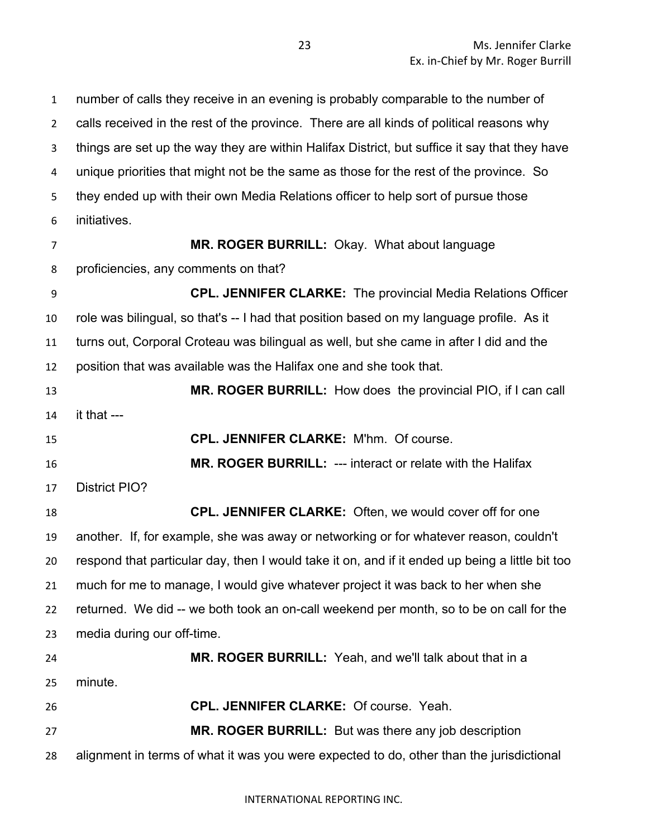number of calls they receive in an evening is probably comparable to the number of calls received in the rest of the province. There are all kinds of political reasons why things are set up the way they are within Halifax District, but suffice it say that they have unique priorities that might not be the same as those for the rest of the province. So they ended up with their own Media Relations officer to help sort of pursue those initiatives. **MR. ROGER BURRILL:** Okay. What about language proficiencies, any comments on that? **CPL. JENNIFER CLARKE:** The provincial Media Relations Officer role was bilingual, so that's -- I had that position based on my language profile. As it turns out, Corporal Croteau was bilingual as well, but she came in after I did and the position that was available was the Halifax one and she took that. **MR. ROGER BURRILL:** How does the provincial PIO, if I can call it that --- **CPL. JENNIFER CLARKE:** M'hm. Of course. **MR. ROGER BURRILL:** --- interact or relate with the Halifax District PIO? **CPL. JENNIFER CLARKE:** Often, we would cover off for one

 another. If, for example, she was away or networking or for whatever reason, couldn't respond that particular day, then I would take it on, and if it ended up being a little bit too much for me to manage, I would give whatever project it was back to her when she returned. We did -- we both took an on-call weekend per month, so to be on call for the media during our off-time. **MR. ROGER BURRILL:** Yeah, and we'll talk about that in a

minute.

**CPL. JENNIFER CLARKE:** Of course. Yeah.

 **MR. ROGER BURRILL:** But was there any job description alignment in terms of what it was you were expected to do, other than the jurisdictional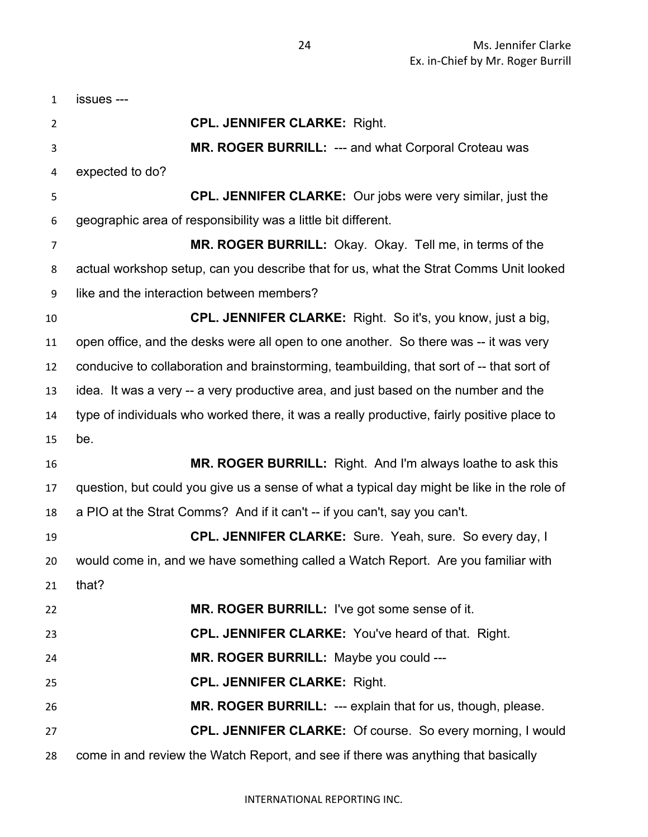| $\mathbf{1}$   | issues ---                                                                                 |
|----------------|--------------------------------------------------------------------------------------------|
| $\overline{2}$ | <b>CPL. JENNIFER CLARKE: Right.</b>                                                        |
| 3              | <b>MR. ROGER BURRILL: --- and what Corporal Croteau was</b>                                |
| 4              | expected to do?                                                                            |
| 5              | <b>CPL. JENNIFER CLARKE:</b> Our jobs were very similar, just the                          |
| 6              | geographic area of responsibility was a little bit different.                              |
| 7              | MR. ROGER BURRILL: Okay. Okay. Tell me, in terms of the                                    |
| 8              | actual workshop setup, can you describe that for us, what the Strat Comms Unit looked      |
| 9              | like and the interaction between members?                                                  |
| 10             | CPL. JENNIFER CLARKE: Right. So it's, you know, just a big,                                |
| 11             | open office, and the desks were all open to one another. So there was -- it was very       |
| 12             | conducive to collaboration and brainstorming, teambuilding, that sort of -- that sort of   |
| 13             | idea. It was a very -- a very productive area, and just based on the number and the        |
| 14             | type of individuals who worked there, it was a really productive, fairly positive place to |
| 15             | be.                                                                                        |
| 16             | MR. ROGER BURRILL: Right. And I'm always loathe to ask this                                |
| 17             | question, but could you give us a sense of what a typical day might be like in the role of |
| 18             | a PIO at the Strat Comms? And if it can't -- if you can't, say you can't.                  |
| 19             | CPL. JENNIFER CLARKE: Sure. Yeah, sure. So every day, I                                    |
| 20             | would come in, and we have something called a Watch Report. Are you familiar with          |
| 21             | that?                                                                                      |
| 22             | MR. ROGER BURRILL: I've got some sense of it.                                              |
| 23             | CPL. JENNIFER CLARKE: You've heard of that. Right.                                         |
| 24             | MR. ROGER BURRILL: Maybe you could ---                                                     |
| 25             | <b>CPL. JENNIFER CLARKE: Right.</b>                                                        |
| 26             | MR. ROGER BURRILL: --- explain that for us, though, please.                                |
| 27             | <b>CPL. JENNIFER CLARKE:</b> Of course. So every morning, I would                          |
| 28             | come in and review the Watch Report, and see if there was anything that basically          |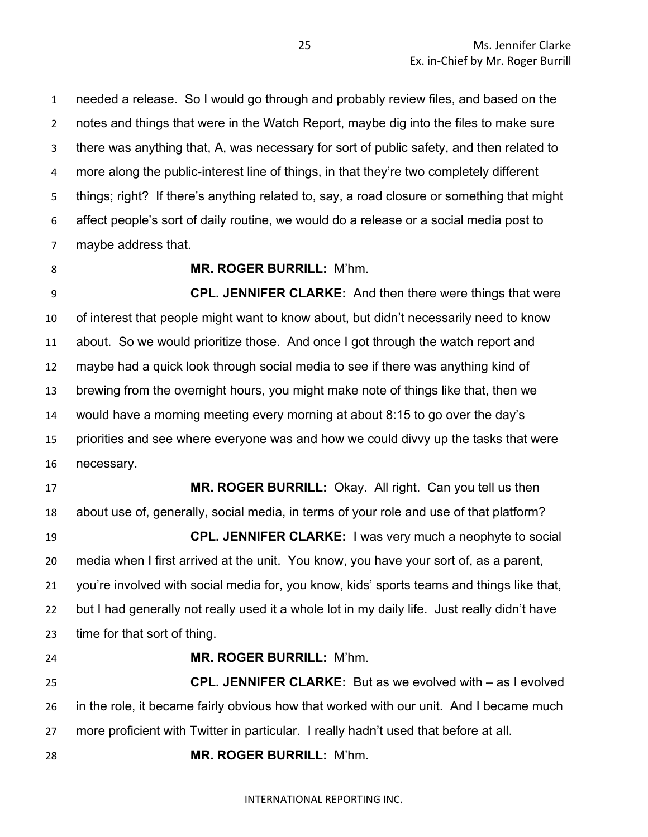needed a release. So I would go through and probably review files, and based on the notes and things that were in the Watch Report, maybe dig into the files to make sure there was anything that, A, was necessary for sort of public safety, and then related to more along the public-interest line of things, in that they're two completely different things; right? If there's anything related to, say, a road closure or something that might affect people's sort of daily routine, we would do a release or a social media post to maybe address that.

#### **MR. ROGER BURRILL:** M'hm.

 **CPL. JENNIFER CLARKE:** And then there were things that were of interest that people might want to know about, but didn't necessarily need to know about. So we would prioritize those. And once I got through the watch report and maybe had a quick look through social media to see if there was anything kind of brewing from the overnight hours, you might make note of things like that, then we would have a morning meeting every morning at about 8:15 to go over the day's priorities and see where everyone was and how we could divvy up the tasks that were necessary.

 **MR. ROGER BURRILL:** Okay. All right. Can you tell us then about use of, generally, social media, in terms of your role and use of that platform? **CPL. JENNIFER CLARKE:** I was very much a neophyte to social media when I first arrived at the unit. You know, you have your sort of, as a parent, you're involved with social media for, you know, kids' sports teams and things like that, but I had generally not really used it a whole lot in my daily life. Just really didn't have time for that sort of thing.

 **MR. ROGER BURRILL:** M'hm. **CPL. JENNIFER CLARKE:** But as we evolved with – as I evolved in the role, it became fairly obvious how that worked with our unit. And I became much more proficient with Twitter in particular. I really hadn't used that before at all. **MR. ROGER BURRILL:** M'hm.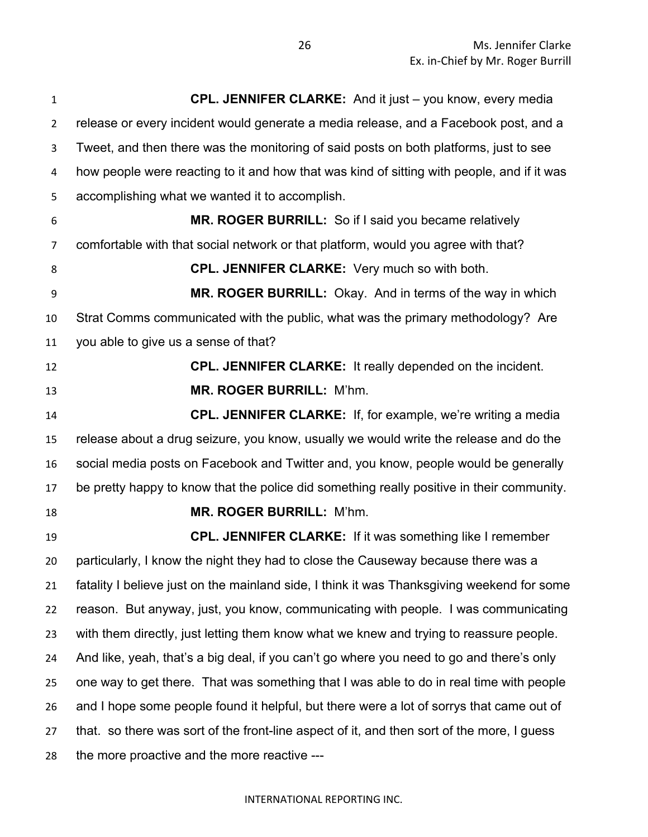| $\mathbf{1}$   | <b>CPL. JENNIFER CLARKE:</b> And it just – you know, every media                           |
|----------------|--------------------------------------------------------------------------------------------|
| $\overline{2}$ | release or every incident would generate a media release, and a Facebook post, and a       |
| 3              | Tweet, and then there was the monitoring of said posts on both platforms, just to see      |
| 4              | how people were reacting to it and how that was kind of sitting with people, and if it was |
| 5              | accomplishing what we wanted it to accomplish.                                             |
| 6              | MR. ROGER BURRILL: So if I said you became relatively                                      |
| 7              | comfortable with that social network or that platform, would you agree with that?          |
| 8              | <b>CPL. JENNIFER CLARKE:</b> Very much so with both.                                       |
| 9              | MR. ROGER BURRILL: Okay. And in terms of the way in which                                  |
| 10             | Strat Comms communicated with the public, what was the primary methodology? Are            |
| 11             | you able to give us a sense of that?                                                       |
| 12             | <b>CPL. JENNIFER CLARKE:</b> It really depended on the incident.                           |
| 13             | MR. ROGER BURRILL: M'hm.                                                                   |
| 14             | <b>CPL. JENNIFER CLARKE:</b> If, for example, we're writing a media                        |
| 15             | release about a drug seizure, you know, usually we would write the release and do the      |
| 16             | social media posts on Facebook and Twitter and, you know, people would be generally        |
| 17             | be pretty happy to know that the police did something really positive in their community.  |
| 18             | <b>MR. ROGER BURRILL: M'hm.</b>                                                            |
| 19             | <b>CPL. JENNIFER CLARKE:</b> If it was something like I remember                           |
| 20             | particularly, I know the night they had to close the Causeway because there was a          |
| 21             | fatality I believe just on the mainland side, I think it was Thanksgiving weekend for some |
| 22             | reason. But anyway, just, you know, communicating with people. I was communicating         |
| 23             | with them directly, just letting them know what we knew and trying to reassure people.     |
| 24             | And like, yeah, that's a big deal, if you can't go where you need to go and there's only   |
| 25             | one way to get there. That was something that I was able to do in real time with people    |
| 26             | and I hope some people found it helpful, but there were a lot of sorrys that came out of   |
| 27             | that. so there was sort of the front-line aspect of it, and then sort of the more, I guess |
| 28             | the more proactive and the more reactive ---                                               |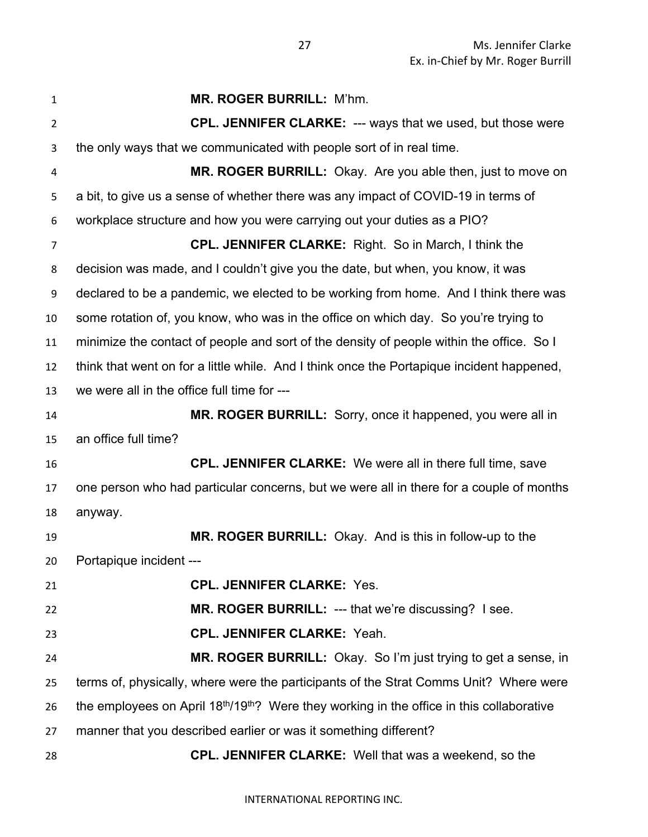| $\mathbf{1}$   | <b>MR. ROGER BURRILL: M'hm.</b>                                                                                   |
|----------------|-------------------------------------------------------------------------------------------------------------------|
| $\overline{2}$ | <b>CPL. JENNIFER CLARKE: --- ways that we used, but those were</b>                                                |
| 3              | the only ways that we communicated with people sort of in real time.                                              |
| 4              | MR. ROGER BURRILL: Okay. Are you able then, just to move on                                                       |
| 5              | a bit, to give us a sense of whether there was any impact of COVID-19 in terms of                                 |
| 6              | workplace structure and how you were carrying out your duties as a PIO?                                           |
| $\overline{7}$ | <b>CPL. JENNIFER CLARKE:</b> Right. So in March, I think the                                                      |
| 8              | decision was made, and I couldn't give you the date, but when, you know, it was                                   |
| 9              | declared to be a pandemic, we elected to be working from home. And I think there was                              |
| 10             | some rotation of, you know, who was in the office on which day. So you're trying to                               |
| 11             | minimize the contact of people and sort of the density of people within the office. So I                          |
| 12             | think that went on for a little while. And I think once the Portapique incident happened,                         |
| 13             | we were all in the office full time for ---                                                                       |
| 14             | MR. ROGER BURRILL: Sorry, once it happened, you were all in                                                       |
| 15             | an office full time?                                                                                              |
| 16             | <b>CPL. JENNIFER CLARKE:</b> We were all in there full time, save                                                 |
| 17             | one person who had particular concerns, but we were all in there for a couple of months                           |
| 18             | anyway.                                                                                                           |
| 19             | MR. ROGER BURRILL: Okay. And is this in follow-up to the                                                          |
| 20             | Portapique incident ---                                                                                           |
| 21             | <b>CPL. JENNIFER CLARKE: Yes.</b>                                                                                 |
| 22             | MR. ROGER BURRILL: --- that we're discussing? I see.                                                              |
| 23             | <b>CPL. JENNIFER CLARKE: Yeah.</b>                                                                                |
| 24             | MR. ROGER BURRILL: Okay. So I'm just trying to get a sense, in                                                    |
| 25             | terms of, physically, where were the participants of the Strat Comms Unit? Where were                             |
| 26             | the employees on April 18 <sup>th</sup> /19 <sup>th</sup> ? Were they working in the office in this collaborative |
| 27             | manner that you described earlier or was it something different?                                                  |
| 28             | <b>CPL. JENNIFER CLARKE:</b> Well that was a weekend, so the                                                      |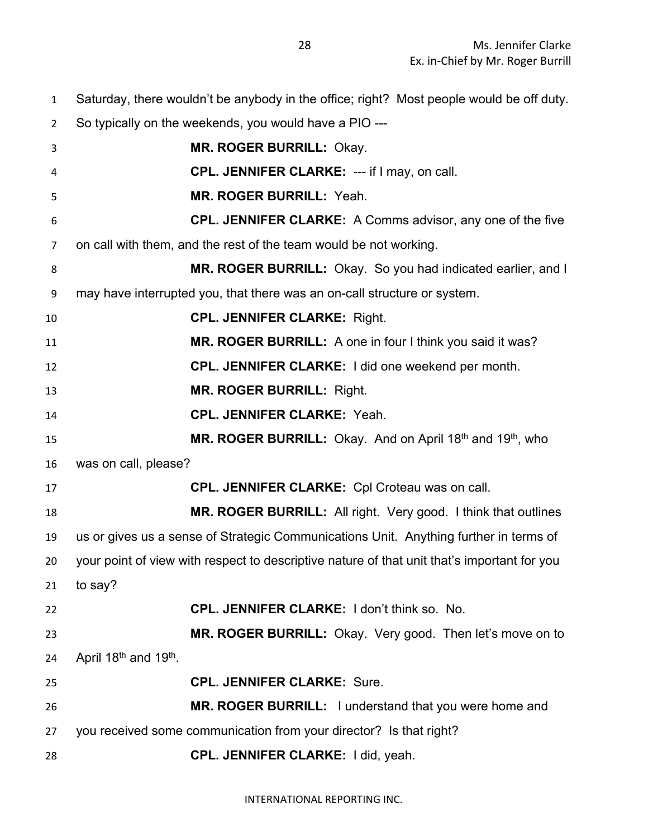So typically on the weekends, you would have a PIO --- **MR. ROGER BURRILL:** Okay. **CPL. JENNIFER CLARKE:** --- if I may, on call. **MR. ROGER BURRILL:** Yeah. **CPL. JENNIFER CLARKE:** A Comms advisor, any one of the five on call with them, and the rest of the team would be not working. **MR. ROGER BURRILL:** Okay. So you had indicated earlier, and I may have interrupted you, that there was an on-call structure or system. **CPL. JENNIFER CLARKE:** Right. **MR. ROGER BURRILL:** A one in four I think you said it was? **CPL. JENNIFER CLARKE:** I did one weekend per month. **MR. ROGER BURRILL:** Right. **CPL. JENNIFER CLARKE:** Yeah. **MR. ROGER BURRILL:** Okay. And on April 18<sup>th</sup> and 19<sup>th</sup>, who was on call, please? **CPL. JENNIFER CLARKE:** Cpl Croteau was on call. **MR. ROGER BURRILL:** All right. Very good. I think that outlines us or gives us a sense of Strategic Communications Unit. Anything further in terms of your point of view with respect to descriptive nature of that unit that's important for you to say? **CPL. JENNIFER CLARKE:** I don't think so. No. **MR. ROGER BURRILL:** Okay. Very good. Then let's move on to 24 April  $18<sup>th</sup>$  and  $19<sup>th</sup>$ . **CPL. JENNIFER CLARKE:** Sure. **MR. ROGER BURRILL:** I understand that you were home and you received some communication from your director? Is that right? **CPL. JENNIFER CLARKE:** I did, yeah.

Saturday, there wouldn't be anybody in the office; right? Most people would be off duty.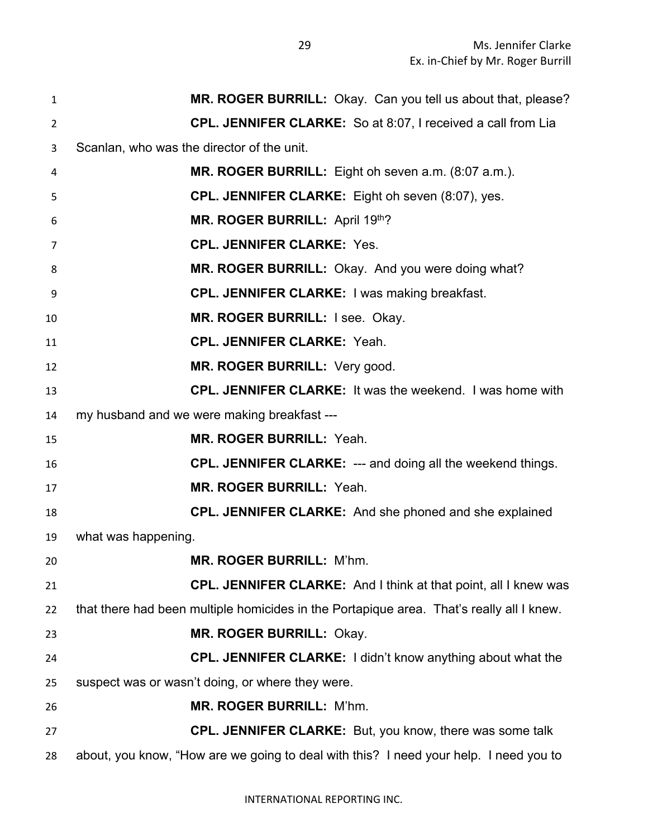**MR. ROGER BURRILL:** Okay. Can you tell us about that, please? **CPL. JENNIFER CLARKE:** So at 8:07, I received a call from Lia Scanlan, who was the director of the unit. **MR. ROGER BURRILL:** Eight oh seven a.m. (8:07 a.m.). **CPL. JENNIFER CLARKE:** Eight oh seven (8:07), yes. **MR. ROGER BURRILL:** April 19<sup>th</sup>? **CPL. JENNIFER CLARKE:** Yes. **MR. ROGER BURRILL:** Okay. And you were doing what? **CPL. JENNIFER CLARKE:** I was making breakfast. **MR. ROGER BURRILL:** I see. Okay. **CPL. JENNIFER CLARKE:** Yeah. **MR. ROGER BURRILL:** Very good. **CPL. JENNIFER CLARKE:** It was the weekend. I was home with my husband and we were making breakfast --- **MR. ROGER BURRILL:** Yeah. **CPL. JENNIFER CLARKE:** --- and doing all the weekend things. **MR. ROGER BURRILL:** Yeah. **CPL. JENNIFER CLARKE:** And she phoned and she explained what was happening. **MR. ROGER BURRILL:** M'hm. **CPL. JENNIFER CLARKE:** And I think at that point, all I knew was that there had been multiple homicides in the Portapique area. That's really all I knew. **MR. ROGER BURRILL:** Okay. **CPL. JENNIFER CLARKE:** I didn't know anything about what the suspect was or wasn't doing, or where they were. **MR. ROGER BURRILL:** M'hm. **CPL. JENNIFER CLARKE:** But, you know, there was some talk about, you know, "How are we going to deal with this? I need your help. I need you to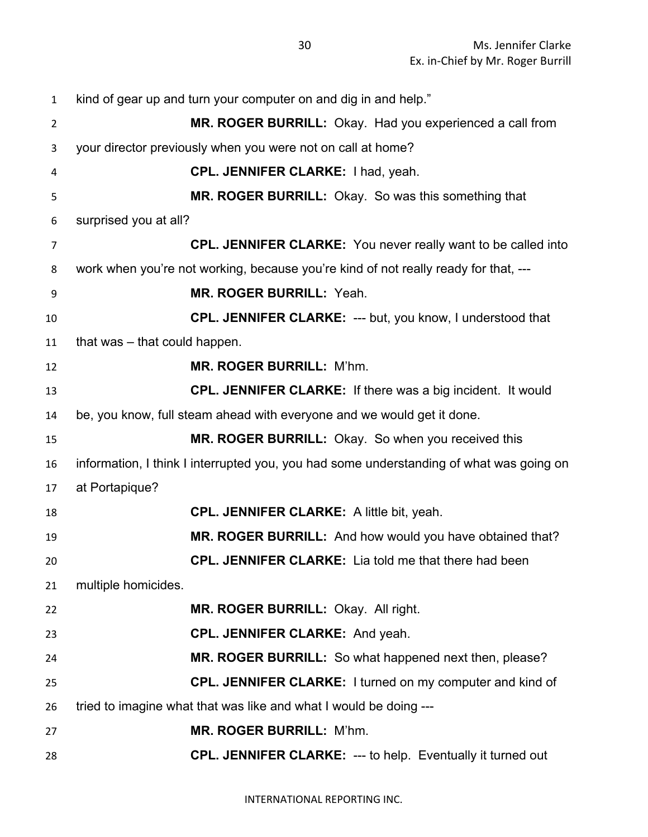| $\mathbf{1}$   | kind of gear up and turn your computer on and dig in and help."                         |
|----------------|-----------------------------------------------------------------------------------------|
| $\overline{2}$ | MR. ROGER BURRILL: Okay. Had you experienced a call from                                |
| 3              | your director previously when you were not on call at home?                             |
| 4              | CPL. JENNIFER CLARKE: I had, yeah.                                                      |
| 5              | MR. ROGER BURRILL: Okay. So was this something that                                     |
| 6              | surprised you at all?                                                                   |
| $\overline{7}$ | CPL. JENNIFER CLARKE: You never really want to be called into                           |
| 8              | work when you're not working, because you're kind of not really ready for that, ---     |
| 9              | <b>MR. ROGER BURRILL: Yeah.</b>                                                         |
| 10             | <b>CPL. JENNIFER CLARKE: --- but, you know, I understood that</b>                       |
| 11             | that was - that could happen.                                                           |
| 12             | <b>MR. ROGER BURRILL: M'hm.</b>                                                         |
| 13             | <b>CPL. JENNIFER CLARKE:</b> If there was a big incident. It would                      |
| 14             | be, you know, full steam ahead with everyone and we would get it done.                  |
| 15             | MR. ROGER BURRILL: Okay. So when you received this                                      |
| 16             | information, I think I interrupted you, you had some understanding of what was going on |
| 17             | at Portapique?                                                                          |
| 18             | <b>CPL. JENNIFER CLARKE:</b> A little bit, yeah.                                        |
| 19             | MR. ROGER BURRILL: And how would you have obtained that?                                |
| 20             | <b>CPL. JENNIFER CLARKE:</b> Lia told me that there had been                            |
| 21             | multiple homicides.                                                                     |
| 22             | MR. ROGER BURRILL: Okay. All right.                                                     |
| 23             | <b>CPL. JENNIFER CLARKE: And yeah.</b>                                                  |
| 24             | MR. ROGER BURRILL: So what happened next then, please?                                  |
| 25             | <b>CPL. JENNIFER CLARKE:</b> I turned on my computer and kind of                        |
| 26             | tried to imagine what that was like and what I would be doing ---                       |
| 27             | <b>MR. ROGER BURRILL: M'hm.</b>                                                         |
| 28             | <b>CPL. JENNIFER CLARKE: --- to help. Eventually it turned out</b>                      |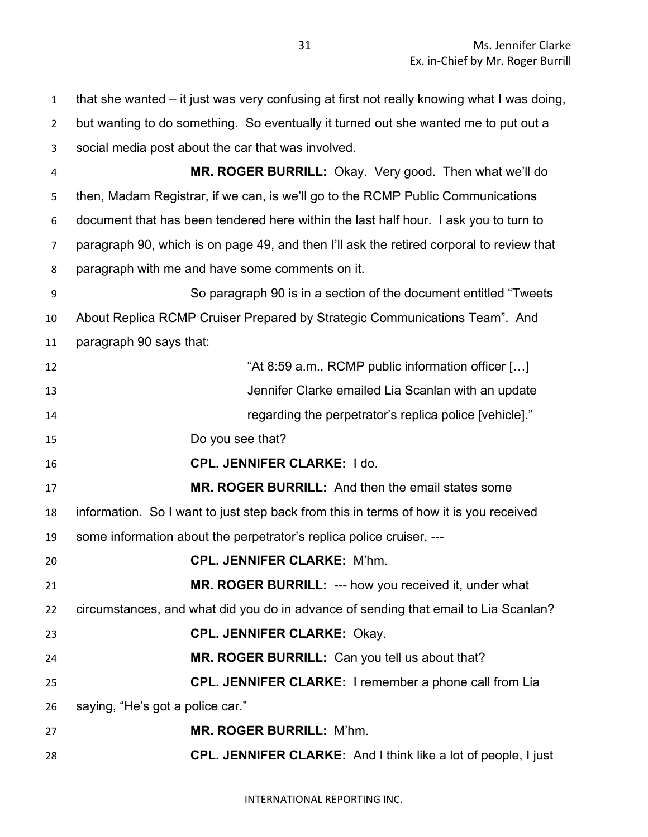that she wanted – it just was very confusing at first not really knowing what I was doing, but wanting to do something. So eventually it turned out she wanted me to put out a social media post about the car that was involved. **MR. ROGER BURRILL:** Okay. Very good. Then what we'll do then, Madam Registrar, if we can, is we'll go to the RCMP Public Communications document that has been tendered here within the last half hour. I ask you to turn to paragraph 90, which is on page 49, and then I'll ask the retired corporal to review that paragraph with me and have some comments on it. So paragraph 90 is in a section of the document entitled "Tweets About Replica RCMP Cruiser Prepared by Strategic Communications Team". And paragraph 90 says that: **At 8:59 a.m., RCMP public information officer [...]**  Jennifer Clarke emailed Lia Scanlan with an update regarding the perpetrator's replica police [vehicle]." Do you see that? **CPL. JENNIFER CLARKE:** I do. **MR. ROGER BURRILL:** And then the email states some information. So I want to just step back from this in terms of how it is you received some information about the perpetrator's replica police cruiser, --- **CPL. JENNIFER CLARKE:** M'hm. **MR. ROGER BURRILL:** --- how you received it, under what circumstances, and what did you do in advance of sending that email to Lia Scanlan? **CPL. JENNIFER CLARKE:** Okay. **MR. ROGER BURRILL:** Can you tell us about that? **CPL. JENNIFER CLARKE:** I remember a phone call from Lia saying, "He's got a police car." **MR. ROGER BURRILL:** M'hm. **CPL. JENNIFER CLARKE:** And I think like a lot of people, I just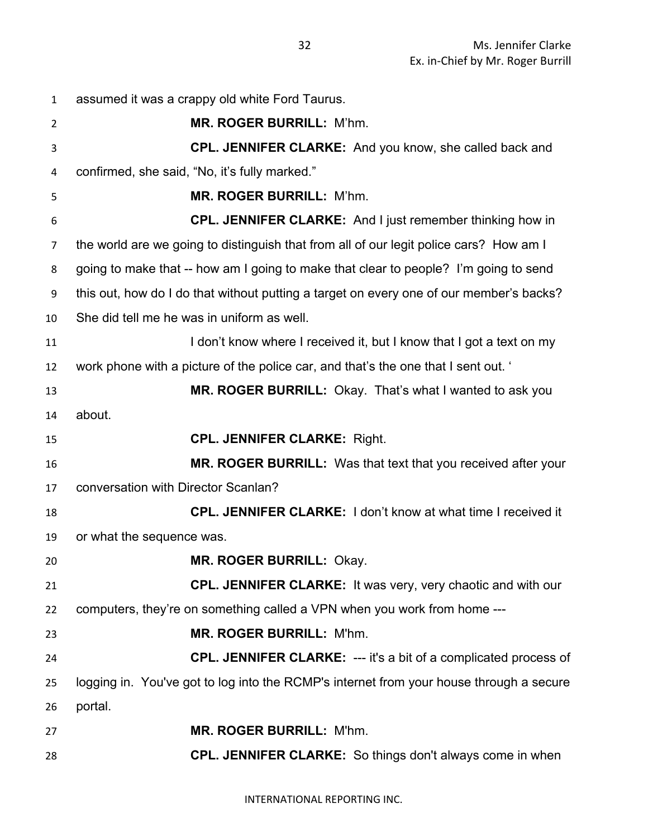| 1              | assumed it was a crappy old white Ford Taurus.                                          |
|----------------|-----------------------------------------------------------------------------------------|
| $\overline{2}$ | MR. ROGER BURRILL: M'hm.                                                                |
| 3              | <b>CPL. JENNIFER CLARKE:</b> And you know, she called back and                          |
| 4              | confirmed, she said, "No, it's fully marked."                                           |
| 5              | MR. ROGER BURRILL: M'hm.                                                                |
| 6              | <b>CPL. JENNIFER CLARKE:</b> And I just remember thinking how in                        |
| 7              | the world are we going to distinguish that from all of our legit police cars? How am I  |
| 8              | going to make that -- how am I going to make that clear to people? I'm going to send    |
| 9              | this out, how do I do that without putting a target on every one of our member's backs? |
| 10             | She did tell me he was in uniform as well.                                              |
| 11             | I don't know where I received it, but I know that I got a text on my                    |
| 12             | work phone with a picture of the police car, and that's the one that I sent out. '      |
| 13             | MR. ROGER BURRILL: Okay. That's what I wanted to ask you                                |
| 14             | about.                                                                                  |
| 15             | <b>CPL. JENNIFER CLARKE: Right.</b>                                                     |
| 16             | MR. ROGER BURRILL: Was that text that you received after your                           |
| 17             | conversation with Director Scanlan?                                                     |
| 18             | <b>CPL. JENNIFER CLARKE:</b> I don't know at what time I received it                    |
| 19             | or what the sequence was.                                                               |
| 20             | <b>MR. ROGER BURRILL: Okay.</b>                                                         |
| 21             | CPL. JENNIFER CLARKE: It was very, very chaotic and with our                            |
| 22             | computers, they're on something called a VPN when you work from home ---                |
| 23             | MR. ROGER BURRILL: M'hm.                                                                |
| 24             | CPL. JENNIFER CLARKE: --- it's a bit of a complicated process of                        |
| 25             | logging in. You've got to log into the RCMP's internet from your house through a secure |
| 26             | portal.                                                                                 |
| 27             | <b>MR. ROGER BURRILL: M'hm.</b>                                                         |
| 28             | <b>CPL. JENNIFER CLARKE:</b> So things don't always come in when                        |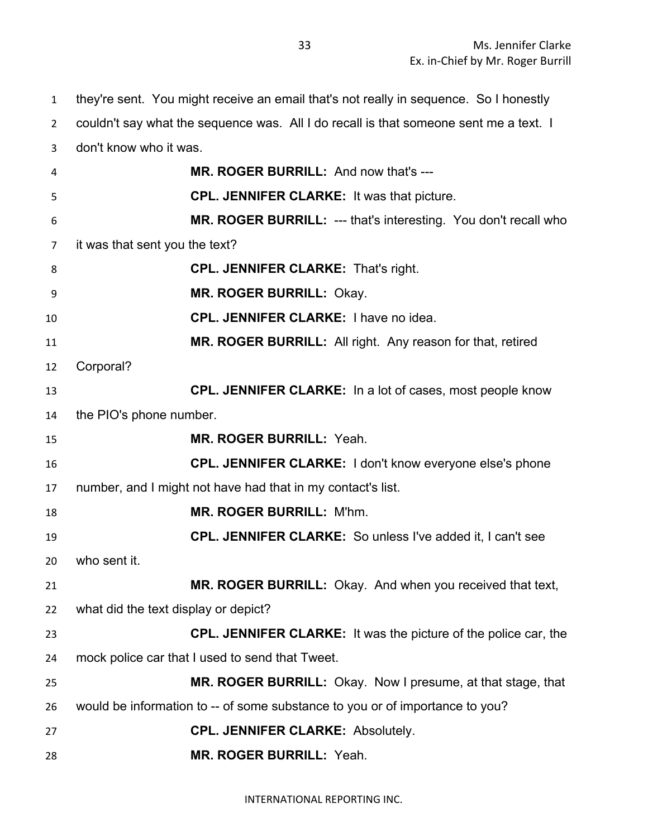they're sent. You might receive an email that's not really in sequence. So I honestly couldn't say what the sequence was. All I do recall is that someone sent me a text. I don't know who it was. **MR. ROGER BURRILL:** And now that's --- **CPL. JENNIFER CLARKE:** It was that picture. **MR. ROGER BURRILL:** --- that's interesting. You don't recall who it was that sent you the text? **CPL. JENNIFER CLARKE:** That's right. **MR. ROGER BURRILL:** Okay. **CPL. JENNIFER CLARKE:** I have no idea. **MR. ROGER BURRILL:** All right. Any reason for that, retired Corporal? **CPL. JENNIFER CLARKE:** In a lot of cases, most people know the PIO's phone number. **MR. ROGER BURRILL:** Yeah. **CPL. JENNIFER CLARKE:** I don't know everyone else's phone number, and I might not have had that in my contact's list. **MR. ROGER BURRILL:** M'hm. **CPL. JENNIFER CLARKE:** So unless I've added it, I can't see who sent it. **MR. ROGER BURRILL:** Okay. And when you received that text, what did the text display or depict? **CPL. JENNIFER CLARKE:** It was the picture of the police car, the mock police car that I used to send that Tweet. **MR. ROGER BURRILL:** Okay. Now I presume, at that stage, that would be information to -- of some substance to you or of importance to you? **CPL. JENNIFER CLARKE:** Absolutely. **MR. ROGER BURRILL:** Yeah.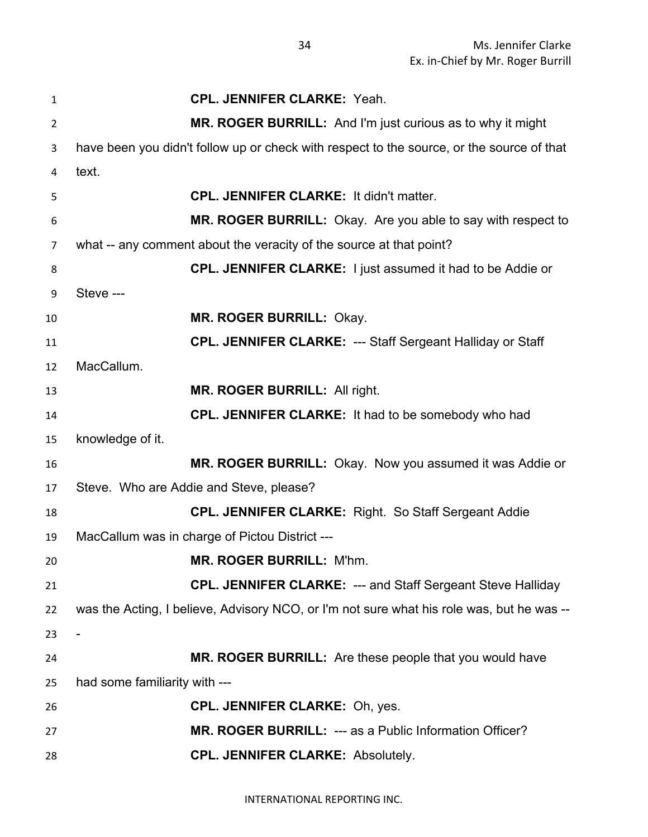| 1              | <b>CPL. JENNIFER CLARKE: Yeah.</b>                                                        |
|----------------|-------------------------------------------------------------------------------------------|
| $\overline{2}$ | MR. ROGER BURRILL: And I'm just curious as to why it might                                |
| 3              | have been you didn't follow up or check with respect to the source, or the source of that |
| 4              | text.                                                                                     |
| 5              | <b>CPL. JENNIFER CLARKE: It didn't matter.</b>                                            |
| 6              | MR. ROGER BURRILL: Okay. Are you able to say with respect to                              |
| 7              | what -- any comment about the veracity of the source at that point?                       |
| 8              | <b>CPL. JENNIFER CLARKE:</b> I just assumed it had to be Addie or                         |
| 9              | Steve ---                                                                                 |
| 10             | MR. ROGER BURRILL: Okay.                                                                  |
| 11             | <b>CPL. JENNIFER CLARKE: --- Staff Sergeant Halliday or Staff</b>                         |
| 12             | MacCallum.                                                                                |
| 13             | <b>MR. ROGER BURRILL: All right.</b>                                                      |
| 14             | CPL. JENNIFER CLARKE: It had to be somebody who had                                       |
| 15             | knowledge of it.                                                                          |
| 16             | MR. ROGER BURRILL: Okay. Now you assumed it was Addie or                                  |
| 17             | Steve. Who are Addie and Steve, please?                                                   |
| 18             | <b>CPL. JENNIFER CLARKE: Right. So Staff Sergeant Addie</b>                               |
| 19             | MacCallum was in charge of Pictou District ---                                            |
| 20             | MR. ROGER BURRILL: M'hm.                                                                  |
| 21             | <b>CPL. JENNIFER CLARKE: --- and Staff Sergeant Steve Halliday</b>                        |
| 22             | was the Acting, I believe, Advisory NCO, or I'm not sure what his role was, but he was -- |
| 23             |                                                                                           |
| 24             | MR. ROGER BURRILL: Are these people that you would have                                   |
| 25             | had some familiarity with ---                                                             |
| 26             | <b>CPL. JENNIFER CLARKE: Oh, yes.</b>                                                     |
| 27             | MR. ROGER BURRILL: --- as a Public Information Officer?                                   |
| 28             | <b>CPL. JENNIFER CLARKE: Absolutely.</b>                                                  |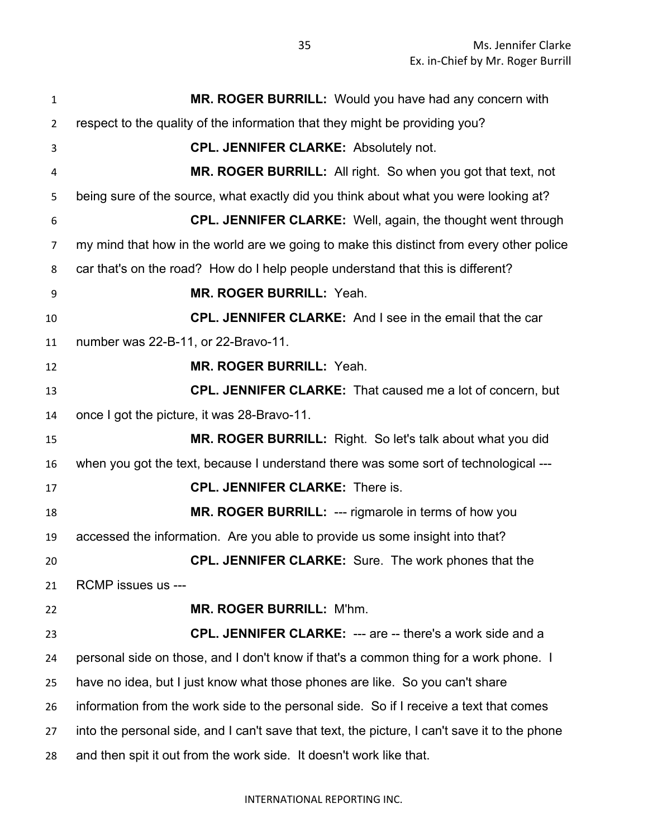| $\mathbf{1}$   | MR. ROGER BURRILL: Would you have had any concern with                                        |
|----------------|-----------------------------------------------------------------------------------------------|
| $\overline{2}$ | respect to the quality of the information that they might be providing you?                   |
| 3              | <b>CPL. JENNIFER CLARKE: Absolutely not.</b>                                                  |
| 4              | MR. ROGER BURRILL: All right. So when you got that text, not                                  |
| 5              | being sure of the source, what exactly did you think about what you were looking at?          |
| 6              | <b>CPL. JENNIFER CLARKE:</b> Well, again, the thought went through                            |
| 7              | my mind that how in the world are we going to make this distinct from every other police      |
| 8              | car that's on the road? How do I help people understand that this is different?               |
| 9              | <b>MR. ROGER BURRILL: Yeah.</b>                                                               |
| 10             | <b>CPL. JENNIFER CLARKE:</b> And I see in the email that the car                              |
| 11             | number was 22-B-11, or 22-Bravo-11.                                                           |
| 12             | MR. ROGER BURRILL: Yeah.                                                                      |
| 13             | <b>CPL. JENNIFER CLARKE:</b> That caused me a lot of concern, but                             |
| 14             | once I got the picture, it was 28-Bravo-11.                                                   |
| 15             | MR. ROGER BURRILL: Right. So let's talk about what you did                                    |
| 16             | when you got the text, because I understand there was some sort of technological ---          |
| 17             | <b>CPL. JENNIFER CLARKE: There is.</b>                                                        |
| 18             | MR. ROGER BURRILL: --- rigmarole in terms of how you                                          |
| 19             | accessed the information. Are you able to provide us some insight into that?                  |
| 20             | <b>CPL. JENNIFER CLARKE:</b> Sure. The work phones that the                                   |
| 21             | RCMP issues us ---                                                                            |
| 22             | <b>MR. ROGER BURRILL: M'hm.</b>                                                               |
| 23             | <b>CPL. JENNIFER CLARKE: --- are -- there's a work side and a</b>                             |
| 24             | personal side on those, and I don't know if that's a common thing for a work phone. I         |
| 25             | have no idea, but I just know what those phones are like. So you can't share                  |
| 26             | information from the work side to the personal side. So if I receive a text that comes        |
| 27             | into the personal side, and I can't save that text, the picture, I can't save it to the phone |
| 28             | and then spit it out from the work side. It doesn't work like that.                           |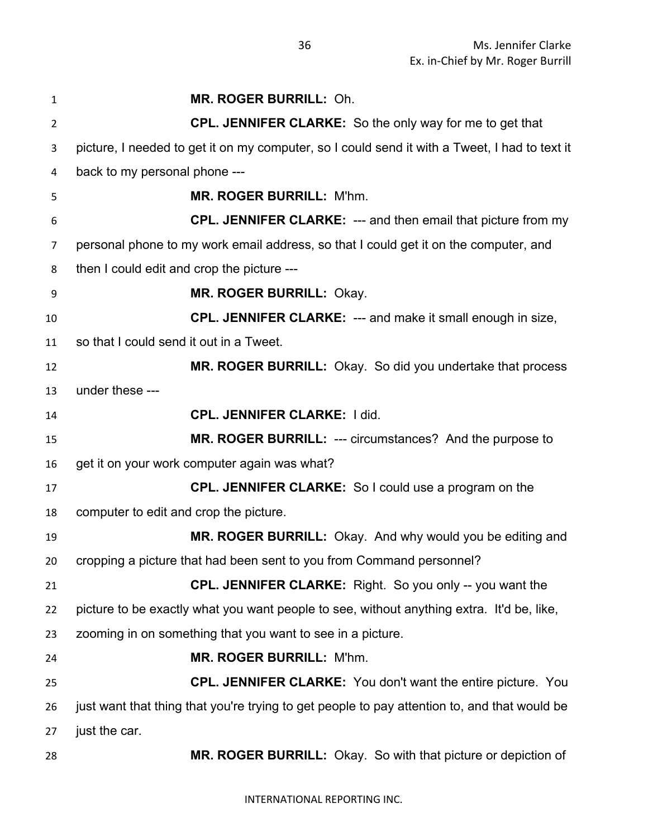| 1              | MR. ROGER BURRILL: Oh.                                                                        |
|----------------|-----------------------------------------------------------------------------------------------|
| $\overline{2}$ | <b>CPL. JENNIFER CLARKE:</b> So the only way for me to get that                               |
| 3              | picture, I needed to get it on my computer, so I could send it with a Tweet, I had to text it |
| 4              | back to my personal phone ---                                                                 |
| 5              | <b>MR. ROGER BURRILL: M'hm.</b>                                                               |
| 6              | CPL. JENNIFER CLARKE: --- and then email that picture from my                                 |
| 7              | personal phone to my work email address, so that I could get it on the computer, and          |
| 8              | then I could edit and crop the picture ---                                                    |
| 9              | <b>MR. ROGER BURRILL: Okay.</b>                                                               |
| 10             | <b>CPL. JENNIFER CLARKE: --- and make it small enough in size,</b>                            |
| 11             | so that I could send it out in a Tweet.                                                       |
| 12             | MR. ROGER BURRILL: Okay. So did you undertake that process                                    |
| 13             | under these ---                                                                               |
| 14             | <b>CPL. JENNIFER CLARKE: I did.</b>                                                           |
| 15             | MR. ROGER BURRILL: --- circumstances? And the purpose to                                      |
| 16             | get it on your work computer again was what?                                                  |
| 17             | CPL. JENNIFER CLARKE: So I could use a program on the                                         |
| 18             | computer to edit and crop the picture.                                                        |
| 19             | MR. ROGER BURRILL: Okay. And why would you be editing and                                     |
| 20             | cropping a picture that had been sent to you from Command personnel?                          |
| 21             | <b>CPL. JENNIFER CLARKE:</b> Right. So you only -- you want the                               |
| 22             | picture to be exactly what you want people to see, without anything extra. It'd be, like,     |
| 23             | zooming in on something that you want to see in a picture.                                    |
| 24             | <b>MR. ROGER BURRILL: M'hm.</b>                                                               |
| 25             | <b>CPL. JENNIFER CLARKE:</b> You don't want the entire picture. You                           |
| 26             | just want that thing that you're trying to get people to pay attention to, and that would be  |
| 27             | just the car.                                                                                 |
| 28             | MR. ROGER BURRILL: Okay. So with that picture or depiction of                                 |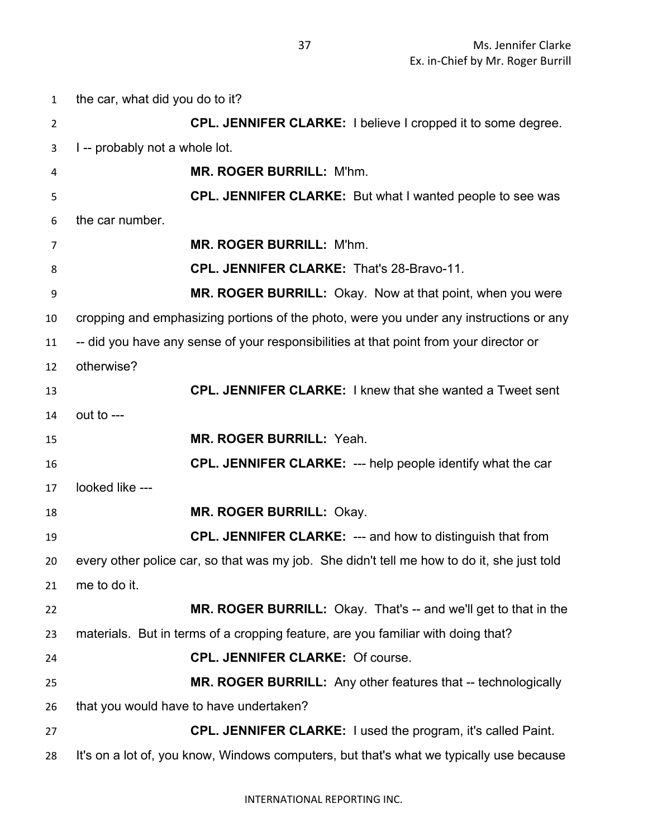the car, what did you do to it? **CPL. JENNIFER CLARKE:** I believe I cropped it to some degree. I -- probably not a whole lot. **MR. ROGER BURRILL:** M'hm. **CPL. JENNIFER CLARKE:** But what I wanted people to see was the car number. **MR. ROGER BURRILL:** M'hm. **CPL. JENNIFER CLARKE:** That's 28-Bravo-11. **MR. ROGER BURRILL:** Okay. Now at that point, when you were cropping and emphasizing portions of the photo, were you under any instructions or any -- did you have any sense of your responsibilities at that point from your director or otherwise? **CPL. JENNIFER CLARKE:** I knew that she wanted a Tweet sent out to --- **MR. ROGER BURRILL:** Yeah. **CPL. JENNIFER CLARKE:** --- help people identify what the car looked like --- **MR. ROGER BURRILL:** Okay. **CPL. JENNIFER CLARKE:** --- and how to distinguish that from every other police car, so that was my job. She didn't tell me how to do it, she just told me to do it. **MR. ROGER BURRILL:** Okay. That's -- and we'll get to that in the materials. But in terms of a cropping feature, are you familiar with doing that? **CPL. JENNIFER CLARKE:** Of course. **MR. ROGER BURRILL:** Any other features that -- technologically that you would have to have undertaken? **CPL. JENNIFER CLARKE:** I used the program, it's called Paint. It's on a lot of, you know, Windows computers, but that's what we typically use because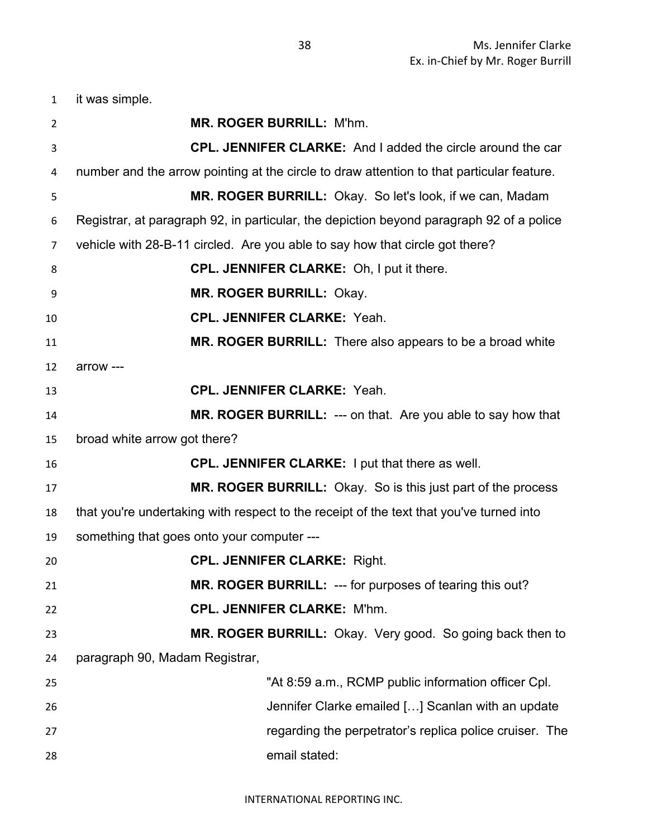it was simple.

| $\overline{2}$ | <b>MR. ROGER BURRILL: M'hm.</b>                                                           |
|----------------|-------------------------------------------------------------------------------------------|
| 3              | <b>CPL. JENNIFER CLARKE:</b> And I added the circle around the car                        |
| 4              | number and the arrow pointing at the circle to draw attention to that particular feature. |
| 5              | MR. ROGER BURRILL: Okay. So let's look, if we can, Madam                                  |
| 6              | Registrar, at paragraph 92, in particular, the depiction beyond paragraph 92 of a police  |
| 7              | vehicle with 28-B-11 circled. Are you able to say how that circle got there?              |
| 8              | <b>CPL. JENNIFER CLARKE:</b> Oh, I put it there.                                          |
| 9              | <b>MR. ROGER BURRILL: Okay.</b>                                                           |
| 10             | <b>CPL. JENNIFER CLARKE: Yeah.</b>                                                        |
| 11             | MR. ROGER BURRILL: There also appears to be a broad white                                 |
| 12             | arrow ---                                                                                 |
| 13             | <b>CPL. JENNIFER CLARKE: Yeah.</b>                                                        |
| 14             | MR. ROGER BURRILL: --- on that. Are you able to say how that                              |
| 15             | broad white arrow got there?                                                              |
| 16             | <b>CPL. JENNIFER CLARKE:</b> I put that there as well.                                    |
| 17             | MR. ROGER BURRILL: Okay. So is this just part of the process                              |
| 18             | that you're undertaking with respect to the receipt of the text that you've turned into   |
| 19             | something that goes onto your computer ---                                                |
| 20             | <b>CPL. JENNIFER CLARKE: Right.</b>                                                       |
| 21             | MR. ROGER BURRILL: --- for purposes of tearing this out?                                  |
| 22             | <b>CPL. JENNIFER CLARKE: M'hm.</b>                                                        |
| 23             | MR. ROGER BURRILL: Okay. Very good. So going back then to                                 |
| 24             | paragraph 90, Madam Registrar,                                                            |
| 25             | "At 8:59 a.m., RCMP public information officer Cpl.                                       |
| 26             | Jennifer Clarke emailed [] Scanlan with an update                                         |
| 27             | regarding the perpetrator's replica police cruiser. The                                   |
| 28             | email stated:                                                                             |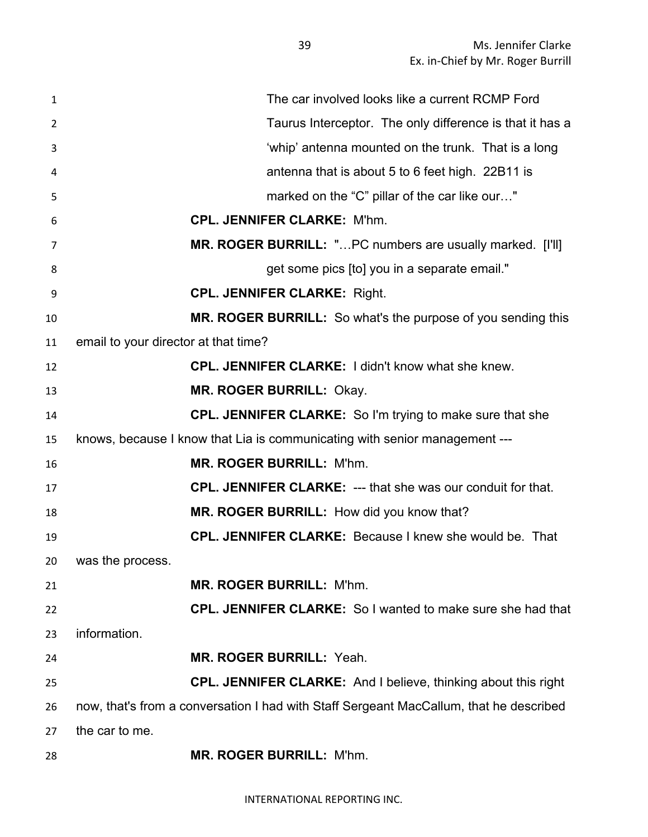| $\mathbf{1}$ | The car involved looks like a current RCMP Ford                                        |
|--------------|----------------------------------------------------------------------------------------|
| 2            | Taurus Interceptor. The only difference is that it has a                               |
| 3            | 'whip' antenna mounted on the trunk. That is a long                                    |
| 4            | antenna that is about 5 to 6 feet high. 22B11 is                                       |
| 5            | marked on the "C" pillar of the car like our"                                          |
| 6            | <b>CPL. JENNIFER CLARKE: M'hm.</b>                                                     |
| 7            | MR. ROGER BURRILL: "PC numbers are usually marked. [I'll]                              |
| 8            | get some pics [to] you in a separate email."                                           |
| 9            | <b>CPL. JENNIFER CLARKE: Right.</b>                                                    |
| 10           | MR. ROGER BURRILL: So what's the purpose of you sending this                           |
| 11           | email to your director at that time?                                                   |
| 12           | <b>CPL. JENNIFER CLARKE: I didn't know what she knew.</b>                              |
| 13           | <b>MR. ROGER BURRILL: Okay.</b>                                                        |
| 14           | CPL. JENNIFER CLARKE: So I'm trying to make sure that she                              |
| 15           | knows, because I know that Lia is communicating with senior management ---             |
| 16           | <b>MR. ROGER BURRILL: M'hm.</b>                                                        |
| 17           | <b>CPL. JENNIFER CLARKE: --- that she was our conduit for that.</b>                    |
| 18           | MR. ROGER BURRILL: How did you know that?                                              |
| 19           | <b>CPL. JENNIFER CLARKE:</b> Because I knew she would be. That                         |
|              | 20 was the process.                                                                    |
| 21           | <b>MR. ROGER BURRILL: M'hm.</b>                                                        |
| 22           | <b>CPL. JENNIFER CLARKE:</b> So I wanted to make sure she had that                     |
| 23           | information.                                                                           |
| 24           | MR. ROGER BURRILL: Yeah.                                                               |
| 25           | <b>CPL. JENNIFER CLARKE:</b> And I believe, thinking about this right                  |
| 26           | now, that's from a conversation I had with Staff Sergeant MacCallum, that he described |
| 27           | the car to me.                                                                         |
| 28           | MR. ROGER BURRILL: M'hm.                                                               |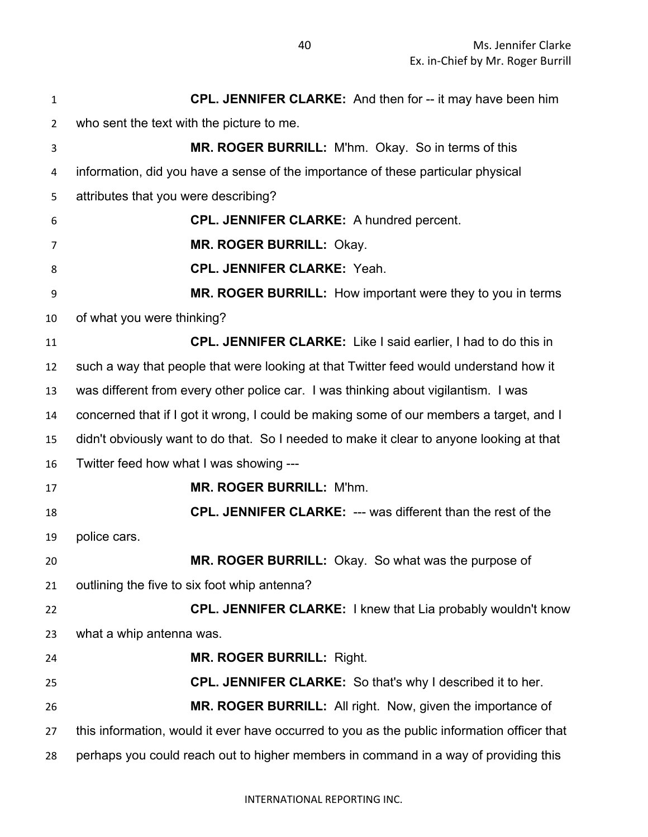**CPL. JENNIFER CLARKE:** And then for -- it may have been him who sent the text with the picture to me. **MR. ROGER BURRILL:** M'hm. Okay. So in terms of this information, did you have a sense of the importance of these particular physical attributes that you were describing? **CPL. JENNIFER CLARKE:** A hundred percent. **MR. ROGER BURRILL:** Okay. **CPL. JENNIFER CLARKE:** Yeah. **MR. ROGER BURRILL:** How important were they to you in terms of what you were thinking? **CPL. JENNIFER CLARKE:** Like I said earlier, I had to do this in such a way that people that were looking at that Twitter feed would understand how it was different from every other police car. I was thinking about vigilantism. I was concerned that if I got it wrong, I could be making some of our members a target, and I didn't obviously want to do that. So I needed to make it clear to anyone looking at that Twitter feed how what I was showing --- **MR. ROGER BURRILL:** M'hm. **CPL. JENNIFER CLARKE:** --- was different than the rest of the police cars. **MR. ROGER BURRILL:** Okay. So what was the purpose of outlining the five to six foot whip antenna? **CPL. JENNIFER CLARKE:** I knew that Lia probably wouldn't know what a whip antenna was. **MR. ROGER BURRILL:** Right. **CPL. JENNIFER CLARKE:** So that's why I described it to her. **MR. ROGER BURRILL:** All right. Now, given the importance of this information, would it ever have occurred to you as the public information officer that perhaps you could reach out to higher members in command in a way of providing this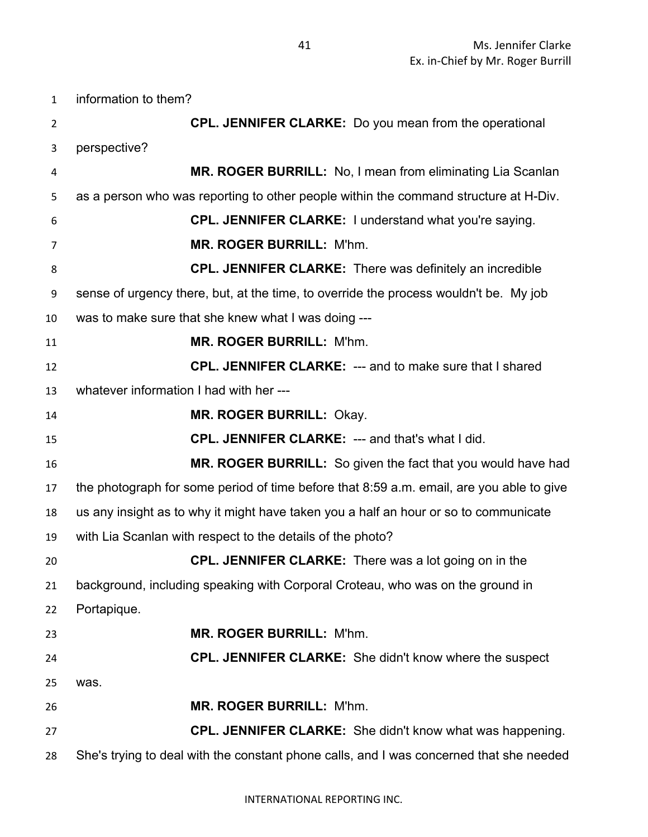information to them? **CPL. JENNIFER CLARKE:** Do you mean from the operational perspective? **MR. ROGER BURRILL:** No, I mean from eliminating Lia Scanlan as a person who was reporting to other people within the command structure at H-Div. **CPL. JENNIFER CLARKE:** I understand what you're saying. **MR. ROGER BURRILL:** M'hm. **CPL. JENNIFER CLARKE:** There was definitely an incredible sense of urgency there, but, at the time, to override the process wouldn't be. My job was to make sure that she knew what I was doing --- **MR. ROGER BURRILL:** M'hm. **CPL. JENNIFER CLARKE:** --- and to make sure that I shared whatever information I had with her --- **MR. ROGER BURRILL:** Okay. **CPL. JENNIFER CLARKE:** --- and that's what I did. **MR. ROGER BURRILL:** So given the fact that you would have had the photograph for some period of time before that 8:59 a.m. email, are you able to give us any insight as to why it might have taken you a half an hour or so to communicate with Lia Scanlan with respect to the details of the photo? **CPL. JENNIFER CLARKE:** There was a lot going on in the background, including speaking with Corporal Croteau, who was on the ground in Portapique. **MR. ROGER BURRILL:** M'hm. **CPL. JENNIFER CLARKE:** She didn't know where the suspect was. **MR. ROGER BURRILL:** M'hm. **CPL. JENNIFER CLARKE:** She didn't know what was happening. She's trying to deal with the constant phone calls, and I was concerned that she needed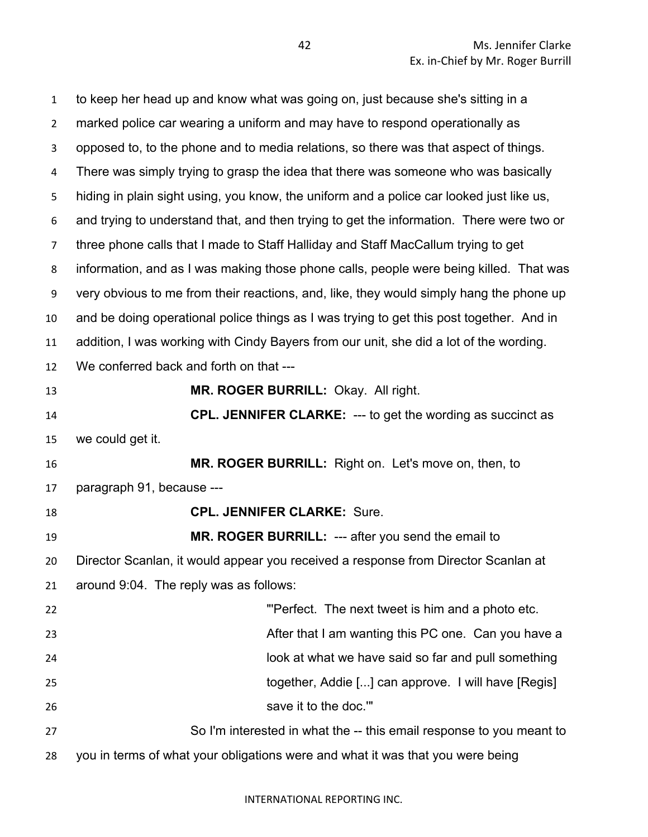| $\mathbf{1}$   | to keep her head up and know what was going on, just because she's sitting in a          |
|----------------|------------------------------------------------------------------------------------------|
| $\overline{2}$ | marked police car wearing a uniform and may have to respond operationally as             |
| 3              | opposed to, to the phone and to media relations, so there was that aspect of things.     |
| 4              | There was simply trying to grasp the idea that there was someone who was basically       |
| 5              | hiding in plain sight using, you know, the uniform and a police car looked just like us, |
| 6              | and trying to understand that, and then trying to get the information. There were two or |
| $\overline{7}$ | three phone calls that I made to Staff Halliday and Staff MacCallum trying to get        |
| 8              | information, and as I was making those phone calls, people were being killed. That was   |
| 9              | very obvious to me from their reactions, and, like, they would simply hang the phone up  |
| 10             | and be doing operational police things as I was trying to get this post together. And in |
| 11             | addition, I was working with Cindy Bayers from our unit, she did a lot of the wording.   |
| 12             | We conferred back and forth on that ---                                                  |
| 13             | MR. ROGER BURRILL: Okay. All right.                                                      |
| 14             | <b>CPL. JENNIFER CLARKE: --- to get the wording as succinct as</b>                       |
| 15             | we could get it.                                                                         |
| 16             | MR. ROGER BURRILL: Right on. Let's move on, then, to                                     |
| 17             | paragraph 91, because ---                                                                |
| 18             | <b>CPL. JENNIFER CLARKE: Sure.</b>                                                       |
| 19             | MR. ROGER BURRILL: --- after you send the email to                                       |
| 20             | Director Scanlan, it would appear you received a response from Director Scanlan at       |
| 21             | around 9:04. The reply was as follows:                                                   |
| 22             | "Perfect. The next tweet is him and a photo etc.                                         |
| 23             | After that I am wanting this PC one. Can you have a                                      |
| 24             | look at what we have said so far and pull something                                      |
| 25             | together, Addie [] can approve. I will have [Regis]                                      |
| 26             | save it to the doc.""                                                                    |
| 27             | So I'm interested in what the -- this email response to you meant to                     |
| 28             | you in terms of what your obligations were and what it was that you were being           |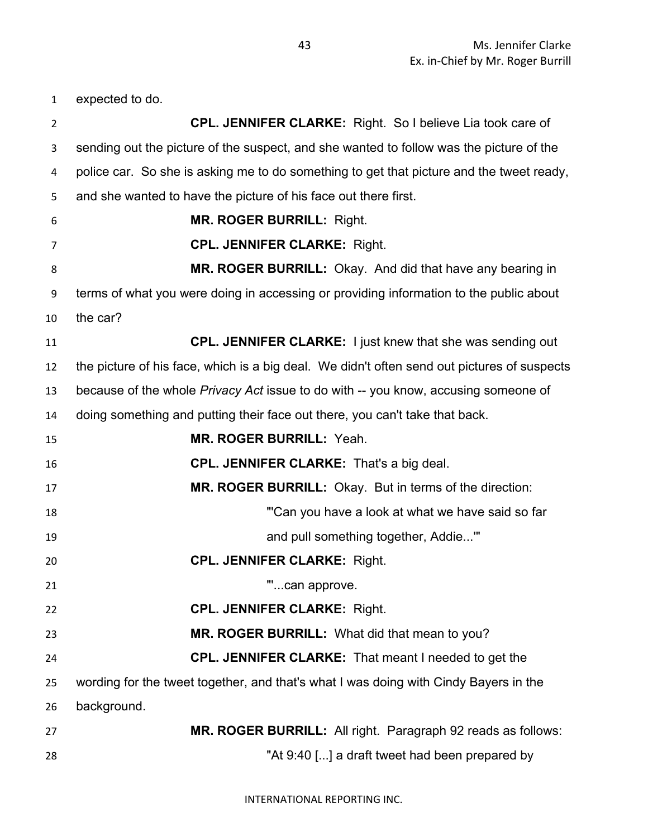expected to do.

| $\overline{2}$ | <b>CPL. JENNIFER CLARKE:</b> Right. So I believe Lia took care of                           |
|----------------|---------------------------------------------------------------------------------------------|
| 3              | sending out the picture of the suspect, and she wanted to follow was the picture of the     |
| 4              | police car. So she is asking me to do something to get that picture and the tweet ready,    |
| 5              | and she wanted to have the picture of his face out there first.                             |
| 6              | <b>MR. ROGER BURRILL: Right.</b>                                                            |
| 7              | <b>CPL. JENNIFER CLARKE: Right.</b>                                                         |
| 8              | MR. ROGER BURRILL: Okay. And did that have any bearing in                                   |
| 9              | terms of what you were doing in accessing or providing information to the public about      |
| 10             | the car?                                                                                    |
| 11             | CPL. JENNIFER CLARKE: I just knew that she was sending out                                  |
| 12             | the picture of his face, which is a big deal. We didn't often send out pictures of suspects |
| 13             | because of the whole Privacy Act issue to do with -- you know, accusing someone of          |
| 14             | doing something and putting their face out there, you can't take that back.                 |
| 15             | <b>MR. ROGER BURRILL: Yeah.</b>                                                             |
| 16             | CPL. JENNIFER CLARKE: That's a big deal.                                                    |
| 17             | MR. ROGER BURRILL: Okay. But in terms of the direction:                                     |
| 18             | "Can you have a look at what we have said so far                                            |
| 19             | and pull something together, Addie"                                                         |
| 20             | <b>CPL. JENNIFER CLARKE: Right.</b>                                                         |
| 21             | ш<br>can approve.                                                                           |
| 22             | <b>CPL. JENNIFER CLARKE: Right.</b>                                                         |
| 23             | MR. ROGER BURRILL: What did that mean to you?                                               |
| 24             | <b>CPL. JENNIFER CLARKE:</b> That meant I needed to get the                                 |
| 25             | wording for the tweet together, and that's what I was doing with Cindy Bayers in the        |
| 26             | background.                                                                                 |
| 27             | MR. ROGER BURRILL: All right. Paragraph 92 reads as follows:                                |
| 28             | "At 9:40 [] a draft tweet had been prepared by                                              |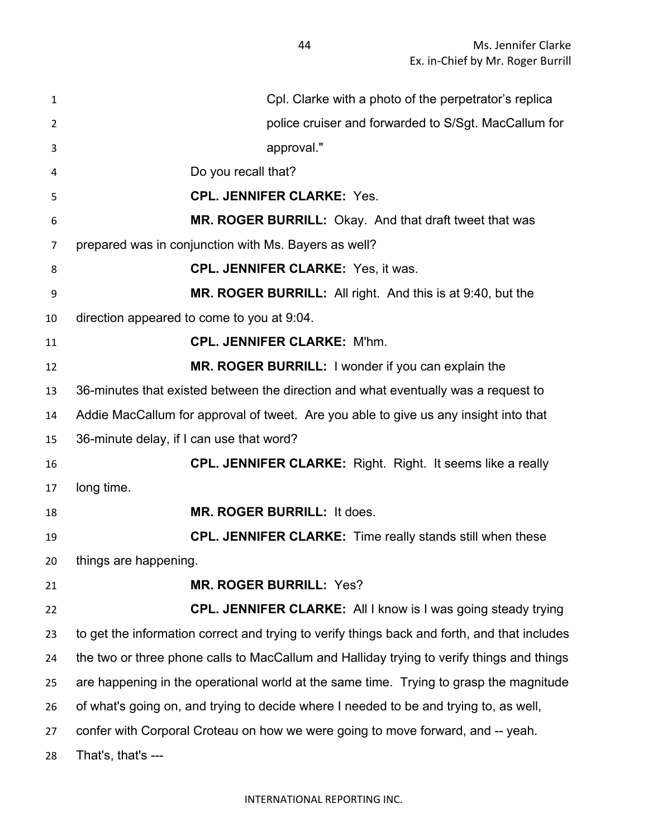| 1  | Cpl. Clarke with a photo of the perpetrator's replica                                        |
|----|----------------------------------------------------------------------------------------------|
| 2  | police cruiser and forwarded to S/Sgt. MacCallum for                                         |
| 3  | approval."                                                                                   |
| 4  | Do you recall that?                                                                          |
| 5  | <b>CPL. JENNIFER CLARKE: Yes.</b>                                                            |
| 6  | MR. ROGER BURRILL: Okay. And that draft tweet that was                                       |
| 7  | prepared was in conjunction with Ms. Bayers as well?                                         |
| 8  | <b>CPL. JENNIFER CLARKE: Yes, it was.</b>                                                    |
| 9  | MR. ROGER BURRILL: All right. And this is at 9:40, but the                                   |
| 10 | direction appeared to come to you at 9:04.                                                   |
| 11 | <b>CPL. JENNIFER CLARKE: M'hm.</b>                                                           |
| 12 | MR. ROGER BURRILL: I wonder if you can explain the                                           |
| 13 | 36-minutes that existed between the direction and what eventually was a request to           |
| 14 | Addie MacCallum for approval of tweet. Are you able to give us any insight into that         |
| 15 | 36-minute delay, if I can use that word?                                                     |
| 16 | <b>CPL. JENNIFER CLARKE:</b> Right. Right. It seems like a really                            |
| 17 | long time.                                                                                   |
| 18 | MR. ROGER BURRILL: It does.                                                                  |
| 19 | <b>CPL. JENNIFER CLARKE:</b> Time really stands still when these                             |
| 20 | things are happening.                                                                        |
| 21 | <b>MR. ROGER BURRILL: Yes?</b>                                                               |
| 22 | CPL. JENNIFER CLARKE: All I know is I was going steady trying                                |
| 23 | to get the information correct and trying to verify things back and forth, and that includes |
| 24 | the two or three phone calls to MacCallum and Halliday trying to verify things and things    |
| 25 | are happening in the operational world at the same time. Trying to grasp the magnitude       |
| 26 | of what's going on, and trying to decide where I needed to be and trying to, as well,        |
| 27 | confer with Corporal Croteau on how we were going to move forward, and -- yeah.              |
| 28 | That's, that's ---                                                                           |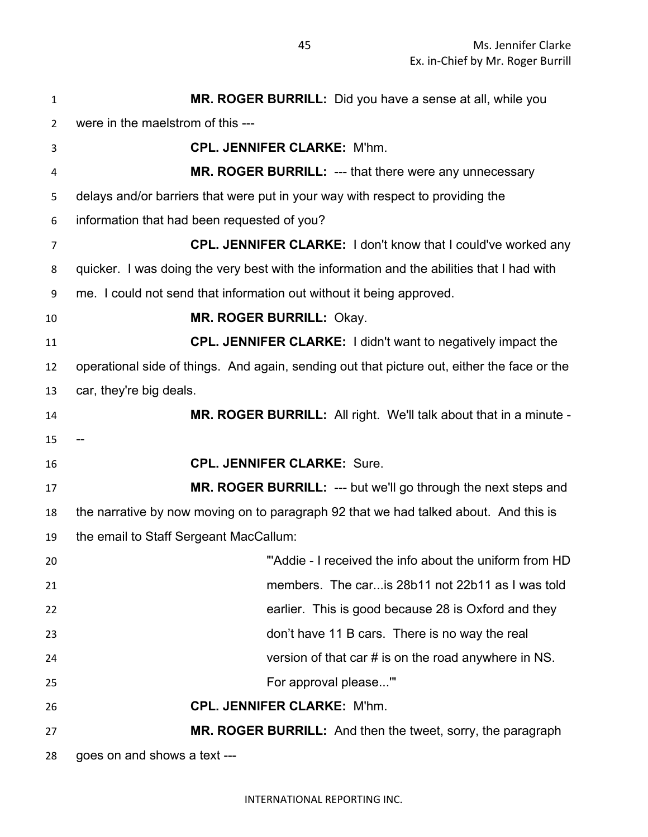| 1  | MR. ROGER BURRILL: Did you have a sense at all, while you                                   |
|----|---------------------------------------------------------------------------------------------|
| 2  | were in the maelstrom of this ---                                                           |
| 3  | <b>CPL. JENNIFER CLARKE: M'hm.</b>                                                          |
| 4  | MR. ROGER BURRILL: --- that there were any unnecessary                                      |
| 5  | delays and/or barriers that were put in your way with respect to providing the              |
| 6  | information that had been requested of you?                                                 |
| 7  | CPL. JENNIFER CLARKE: I don't know that I could've worked any                               |
| 8  | quicker. I was doing the very best with the information and the abilities that I had with   |
| 9  | me. I could not send that information out without it being approved.                        |
| 10 | <b>MR. ROGER BURRILL: Okay.</b>                                                             |
| 11 | CPL. JENNIFER CLARKE: I didn't want to negatively impact the                                |
| 12 | operational side of things. And again, sending out that picture out, either the face or the |
| 13 | car, they're big deals.                                                                     |
| 14 | <b>MR. ROGER BURRILL:</b> All right. We'll talk about that in a minute -                    |
| 15 |                                                                                             |
| 16 | <b>CPL. JENNIFER CLARKE: Sure.</b>                                                          |
| 17 | MR. ROGER BURRILL: --- but we'll go through the next steps and                              |
| 18 | the narrative by now moving on to paragraph 92 that we had talked about. And this is        |
| 19 | the email to Staff Sergeant MacCallum:                                                      |
| 20 | "Addie - I received the info about the uniform from HD                                      |
| 21 | members. The car is 28b11 not 22b11 as I was told                                           |
| 22 | earlier. This is good because 28 is Oxford and they                                         |
| 23 | don't have 11 B cars. There is no way the real                                              |
| 24 | version of that car $#$ is on the road anywhere in NS.                                      |
| 25 | For approval please"                                                                        |
| 26 | <b>CPL. JENNIFER CLARKE: M'hm.</b>                                                          |
| 27 | MR. ROGER BURRILL: And then the tweet, sorry, the paragraph                                 |
| 28 | goes on and shows a text ---                                                                |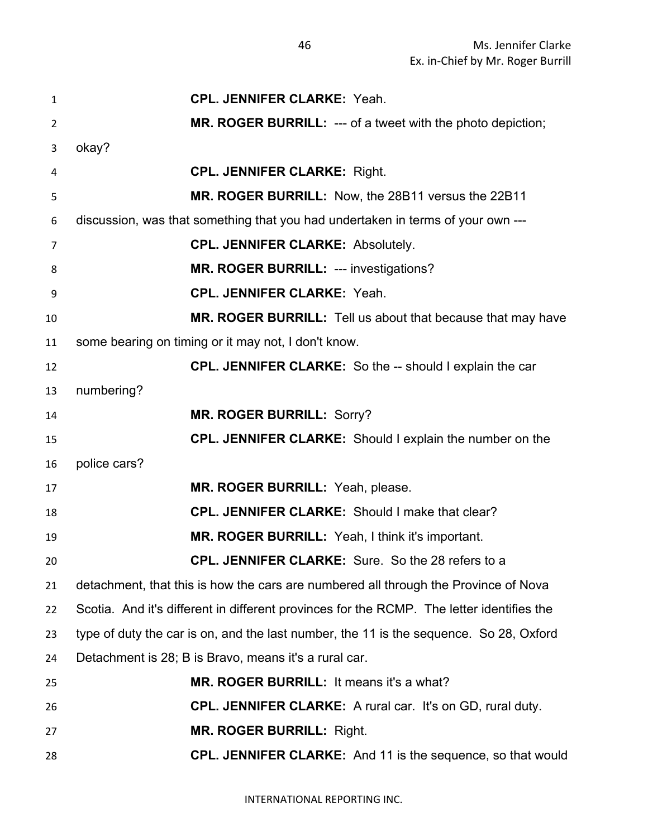| $\mathbf{1}$   | <b>CPL. JENNIFER CLARKE: Yeah.</b>                                                        |
|----------------|-------------------------------------------------------------------------------------------|
| $\overline{2}$ | <b>MR. ROGER BURRILL: --- of a tweet with the photo depiction;</b>                        |
| 3              | okay?                                                                                     |
| 4              | <b>CPL. JENNIFER CLARKE: Right.</b>                                                       |
| 5              | MR. ROGER BURRILL: Now, the 28B11 versus the 22B11                                        |
| 6              | discussion, was that something that you had undertaken in terms of your own ---           |
| $\overline{7}$ | <b>CPL. JENNIFER CLARKE: Absolutely.</b>                                                  |
| 8              | MR. ROGER BURRILL: --- investigations?                                                    |
| 9              | <b>CPL. JENNIFER CLARKE: Yeah.</b>                                                        |
| 10             | MR. ROGER BURRILL: Tell us about that because that may have                               |
| 11             | some bearing on timing or it may not, I don't know.                                       |
| 12             | <b>CPL. JENNIFER CLARKE:</b> So the -- should I explain the car                           |
| 13             | numbering?                                                                                |
| 14             | <b>MR. ROGER BURRILL: Sorry?</b>                                                          |
| 15             | <b>CPL. JENNIFER CLARKE:</b> Should I explain the number on the                           |
| 16             | police cars?                                                                              |
| 17             | MR. ROGER BURRILL: Yeah, please.                                                          |
| 18             | CPL. JENNIFER CLARKE: Should I make that clear?                                           |
| 19             | MR. ROGER BURRILL: Yeah, I think it's important.                                          |
| 20             | <b>CPL. JENNIFER CLARKE:</b> Sure. So the 28 refers to a                                  |
| 21             | detachment, that this is how the cars are numbered all through the Province of Nova       |
| 22             | Scotia. And it's different in different provinces for the RCMP. The letter identifies the |
| 23             | type of duty the car is on, and the last number, the 11 is the sequence. So 28, Oxford    |
| 24             | Detachment is 28; B is Bravo, means it's a rural car.                                     |
| 25             | MR. ROGER BURRILL: It means it's a what?                                                  |
| 26             | <b>CPL. JENNIFER CLARKE:</b> A rural car. It's on GD, rural duty.                         |
| 27             | <b>MR. ROGER BURRILL: Right.</b>                                                          |
| 28             | <b>CPL. JENNIFER CLARKE:</b> And 11 is the sequence, so that would                        |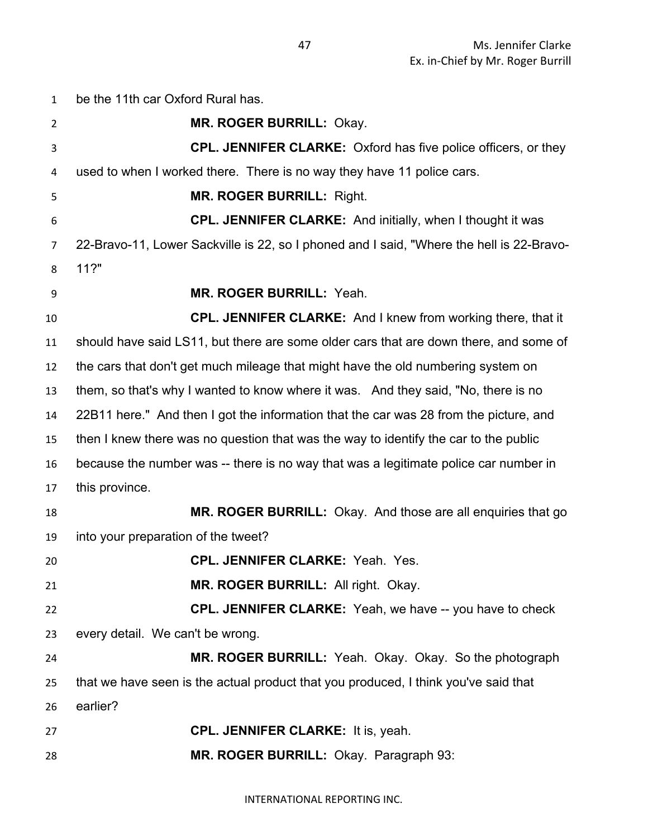| $\mathbf{1}$   | be the 11th car Oxford Rural has.                                                        |
|----------------|------------------------------------------------------------------------------------------|
| $\overline{2}$ | MR. ROGER BURRILL: Okay.                                                                 |
| 3              | <b>CPL. JENNIFER CLARKE:</b> Oxford has five police officers, or they                    |
| 4              | used to when I worked there. There is no way they have 11 police cars.                   |
| 5              | <b>MR. ROGER BURRILL: Right.</b>                                                         |
| 6              | <b>CPL. JENNIFER CLARKE:</b> And initially, when I thought it was                        |
| 7              | 22-Bravo-11, Lower Sackville is 22, so I phoned and I said, "Where the hell is 22-Bravo- |
| 8              | 11?"                                                                                     |
| 9              | <b>MR. ROGER BURRILL: Yeah.</b>                                                          |
| 10             | CPL. JENNIFER CLARKE: And I knew from working there, that it                             |
| 11             | should have said LS11, but there are some older cars that are down there, and some of    |
| 12             | the cars that don't get much mileage that might have the old numbering system on         |
| 13             | them, so that's why I wanted to know where it was. And they said, "No, there is no       |
| 14             | 22B11 here." And then I got the information that the car was 28 from the picture, and    |
| 15             | then I knew there was no question that was the way to identify the car to the public     |
| 16             | because the number was -- there is no way that was a legitimate police car number in     |
| 17             | this province.                                                                           |
| 18             | <b>MR. ROGER BURRILL:</b> Okay. And those are all enquiries that go                      |
| 19             | into your preparation of the tweet?                                                      |
| 20             | <b>CPL. JENNIFER CLARKE: Yeah. Yes.</b>                                                  |
| 21             | MR. ROGER BURRILL: All right. Okay.                                                      |
| 22             | <b>CPL. JENNIFER CLARKE:</b> Yeah, we have -- you have to check                          |
| 23             | every detail. We can't be wrong.                                                         |
| 24             | MR. ROGER BURRILL: Yeah. Okay. Okay. So the photograph                                   |
| 25             | that we have seen is the actual product that you produced, I think you've said that      |
| 26             | earlier?                                                                                 |
| 27             | <b>CPL. JENNIFER CLARKE: It is, yeah.</b>                                                |
| 28             | MR. ROGER BURRILL: Okay. Paragraph 93:                                                   |

INTERNATIONAL REPORTING INC.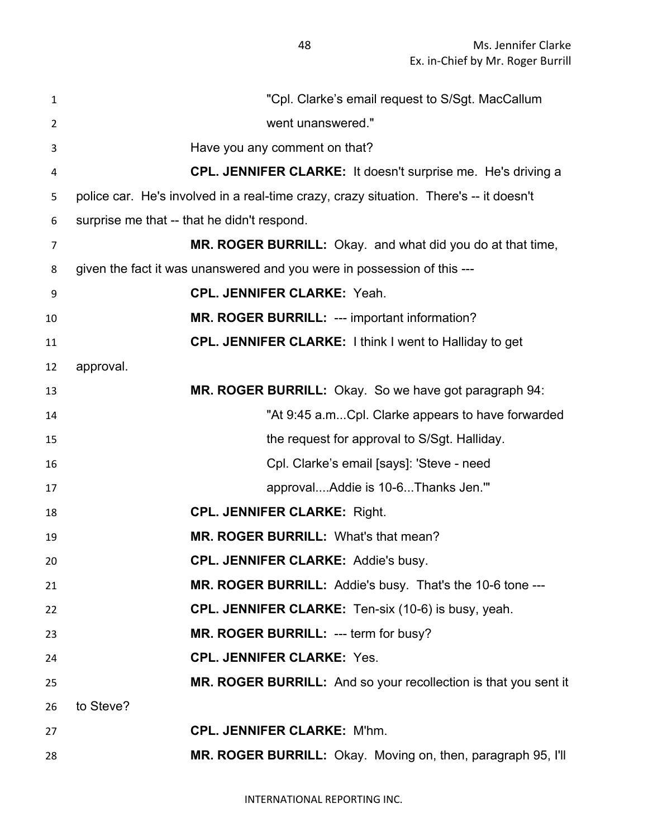| $\mathbf{1}$   | "Cpl. Clarke's email request to S/Sgt. MacCallum                                       |
|----------------|----------------------------------------------------------------------------------------|
| $\overline{2}$ | went unanswered."                                                                      |
| 3              | Have you any comment on that?                                                          |
| 4              | <b>CPL. JENNIFER CLARKE:</b> It doesn't surprise me. He's driving a                    |
| 5              | police car. He's involved in a real-time crazy, crazy situation. There's -- it doesn't |
| 6              | surprise me that -- that he didn't respond.                                            |
| $\overline{7}$ | MR. ROGER BURRILL: Okay. and what did you do at that time,                             |
| 8              | given the fact it was unanswered and you were in possession of this ---                |
| 9              | <b>CPL. JENNIFER CLARKE: Yeah.</b>                                                     |
| 10             | MR. ROGER BURRILL: --- important information?                                          |
| 11             | <b>CPL. JENNIFER CLARKE:</b> I think I went to Halliday to get                         |
| 12             | approval.                                                                              |
| 13             | MR. ROGER BURRILL: Okay. So we have got paragraph 94:                                  |
| 14             | "At 9:45 a.mCpl. Clarke appears to have forwarded                                      |
| 15             | the request for approval to S/Sgt. Halliday.                                           |
| 16             | Cpl. Clarke's email [says]: 'Steve - need                                              |
| 17             | approvalAddie is 10-6Thanks Jen."                                                      |
| 18             | <b>CPL. JENNIFER CLARKE: Right.</b>                                                    |
| 19             | MR. ROGER BURRILL: What's that mean?                                                   |
| 20             | <b>CPL. JENNIFER CLARKE: Addie's busy.</b>                                             |
| 21             | MR. ROGER BURRILL: Addie's busy. That's the 10-6 tone ---                              |
| 22             | <b>CPL. JENNIFER CLARKE:</b> Ten-six (10-6) is busy, yeah.                             |
| 23             | MR. ROGER BURRILL: --- term for busy?                                                  |
| 24             | <b>CPL. JENNIFER CLARKE: Yes.</b>                                                      |
| 25             | MR. ROGER BURRILL: And so your recollection is that you sent it                        |
| 26             | to Steve?                                                                              |
| 27             | <b>CPL. JENNIFER CLARKE: M'hm.</b>                                                     |
| 28             | MR. ROGER BURRILL: Okay. Moving on, then, paragraph 95, I'll                           |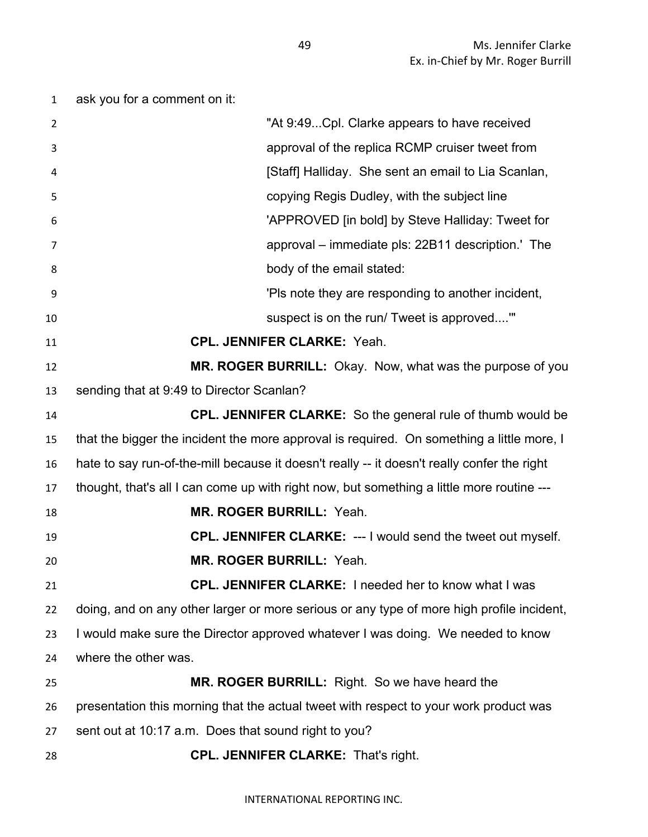ask you for a comment on it: "At 9:49...Cpl. Clarke appears to have received approval of the replica RCMP cruiser tweet from **Allergian Controller Staff** Halliday. She sent an email to Lia Scanlan, copying Regis Dudley, with the subject line 'APPROVED [in bold] by Steve Halliday: Tweet for approval – immediate pls: 22B11 description.' The **body of the email stated:**  'Pls note they are responding to another incident, suspect is on the run/ Tweet is approved....'" **CPL. JENNIFER CLARKE:** Yeah. **MR. ROGER BURRILL:** Okay. Now, what was the purpose of you sending that at 9:49 to Director Scanlan? **CPL. JENNIFER CLARKE:** So the general rule of thumb would be that the bigger the incident the more approval is required. On something a little more, I hate to say run-of-the-mill because it doesn't really -- it doesn't really confer the right thought, that's all I can come up with right now, but something a little more routine --- **MR. ROGER BURRILL:** Yeah. **CPL. JENNIFER CLARKE:** --- I would send the tweet out myself. **MR. ROGER BURRILL:** Yeah. **CPL. JENNIFER CLARKE:** I needed her to know what I was doing, and on any other larger or more serious or any type of more high profile incident, I would make sure the Director approved whatever I was doing. We needed to know where the other was. **MR. ROGER BURRILL:** Right. So we have heard the presentation this morning that the actual tweet with respect to your work product was sent out at 10:17 a.m. Does that sound right to you? **CPL. JENNIFER CLARKE:** That's right.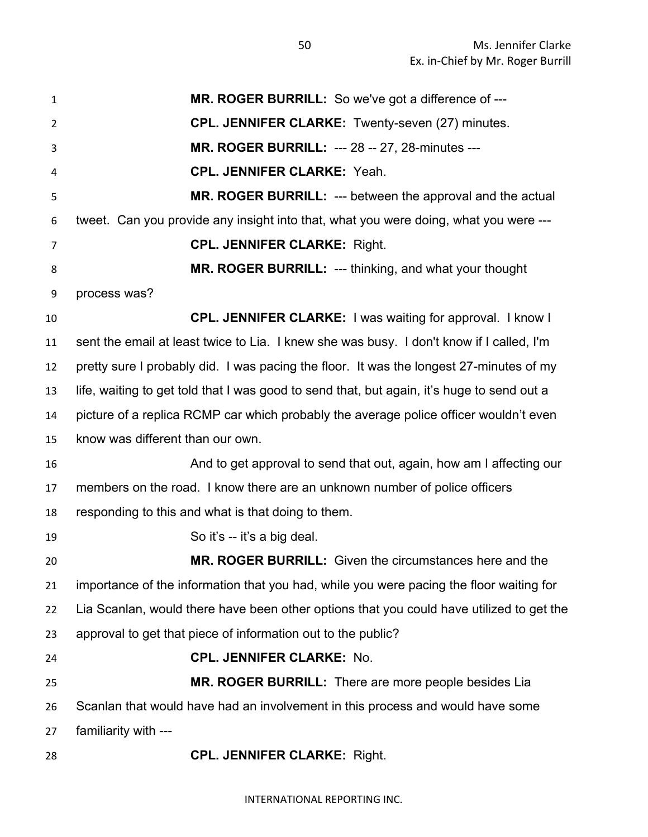**MR. ROGER BURRILL:** So we've got a difference of --- **CPL. JENNIFER CLARKE:** Twenty-seven (27) minutes. **MR. ROGER BURRILL:** --- 28 -- 27, 28-minutes --- **CPL. JENNIFER CLARKE:** Yeah. **MR. ROGER BURRILL:** --- between the approval and the actual tweet. Can you provide any insight into that, what you were doing, what you were --- **CPL. JENNIFER CLARKE:** Right. **MR. ROGER BURRILL:** --- thinking, and what your thought process was? **CPL. JENNIFER CLARKE:** I was waiting for approval. I know I sent the email at least twice to Lia. I knew she was busy. I don't know if I called, I'm pretty sure I probably did. I was pacing the floor. It was the longest 27-minutes of my life, waiting to get told that I was good to send that, but again, it's huge to send out a picture of a replica RCMP car which probably the average police officer wouldn't even know was different than our own. **And to get approval to send that out, again, how am I affecting our**  members on the road. I know there are an unknown number of police officers responding to this and what is that doing to them. 19 So it's -- it's a big deal. **MR. ROGER BURRILL:** Given the circumstances here and the importance of the information that you had, while you were pacing the floor waiting for Lia Scanlan, would there have been other options that you could have utilized to get the approval to get that piece of information out to the public? **CPL. JENNIFER CLARKE:** No. **MR. ROGER BURRILL:** There are more people besides Lia Scanlan that would have had an involvement in this process and would have some familiarity with --- **CPL. JENNIFER CLARKE:** Right.

INTERNATIONAL REPORTING INC.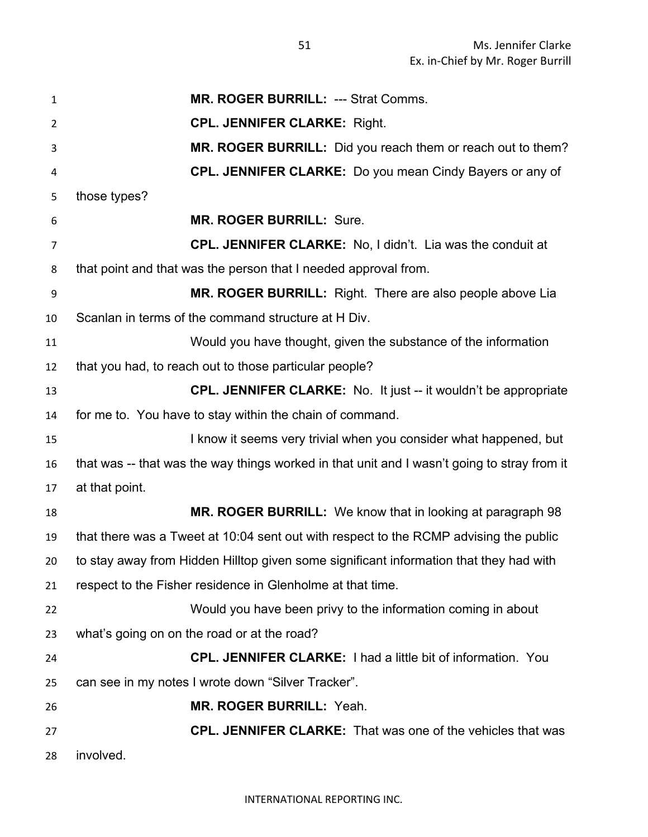**MR. ROGER BURRILL:** --- Strat Comms. **CPL. JENNIFER CLARKE:** Right. **MR. ROGER BURRILL:** Did you reach them or reach out to them? **CPL. JENNIFER CLARKE:** Do you mean Cindy Bayers or any of those types? **MR. ROGER BURRILL:** Sure. **CPL. JENNIFER CLARKE:** No, I didn't. Lia was the conduit at that point and that was the person that I needed approval from. **MR. ROGER BURRILL:** Right. There are also people above Lia Scanlan in terms of the command structure at H Div. Would you have thought, given the substance of the information that you had, to reach out to those particular people? **CPL. JENNIFER CLARKE:** No. It just -- it wouldn't be appropriate for me to. You have to stay within the chain of command. **I know it seems very trivial when you consider what happened, but**  that was -- that was the way things worked in that unit and I wasn't going to stray from it at that point. **MR. ROGER BURRILL:** We know that in looking at paragraph 98 that there was a Tweet at 10:04 sent out with respect to the RCMP advising the public to stay away from Hidden Hilltop given some significant information that they had with respect to the Fisher residence in Glenholme at that time. Would you have been privy to the information coming in about what's going on on the road or at the road? **CPL. JENNIFER CLARKE:** I had a little bit of information. You can see in my notes I wrote down "Silver Tracker". **MR. ROGER BURRILL:** Yeah. **CPL. JENNIFER CLARKE:** That was one of the vehicles that was involved.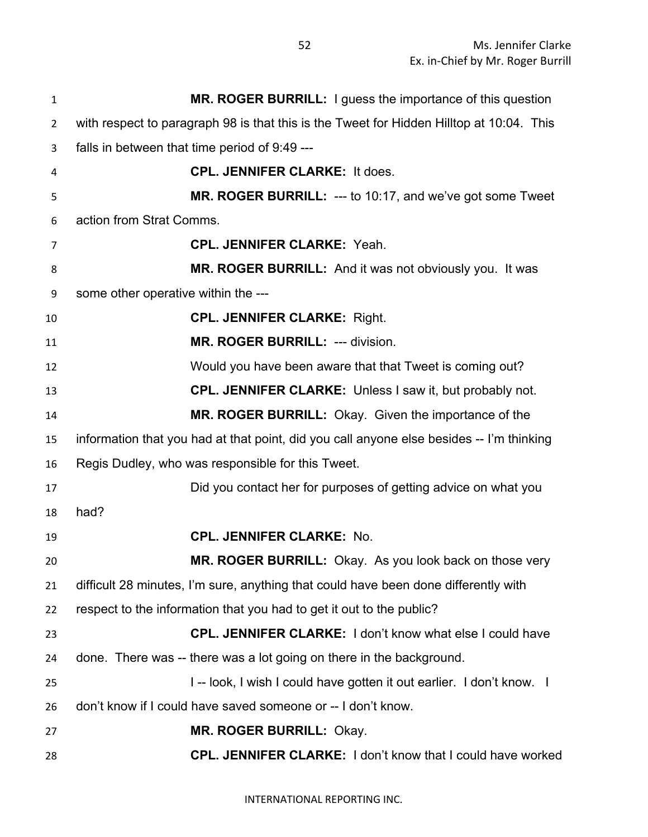| $\mathbf{1}$   | MR. ROGER BURRILL: I guess the importance of this question                               |
|----------------|------------------------------------------------------------------------------------------|
| $\overline{2}$ | with respect to paragraph 98 is that this is the Tweet for Hidden Hilltop at 10:04. This |
| 3              | falls in between that time period of 9:49 ---                                            |
| 4              | <b>CPL. JENNIFER CLARKE: It does.</b>                                                    |
| 5              | MR. ROGER BURRILL: --- to 10:17, and we've got some Tweet                                |
| 6              | action from Strat Comms.                                                                 |
| 7              | <b>CPL. JENNIFER CLARKE: Yeah.</b>                                                       |
| 8              | MR. ROGER BURRILL: And it was not obviously you. It was                                  |
| 9              | some other operative within the ---                                                      |
| 10             | <b>CPL. JENNIFER CLARKE: Right.</b>                                                      |
| 11             | MR. ROGER BURRILL: --- division.                                                         |
| 12             | Would you have been aware that that Tweet is coming out?                                 |
| 13             | <b>CPL. JENNIFER CLARKE:</b> Unless I saw it, but probably not.                          |
| 14             | MR. ROGER BURRILL: Okay. Given the importance of the                                     |
| 15             | information that you had at that point, did you call anyone else besides -- I'm thinking |
| 16             | Regis Dudley, who was responsible for this Tweet.                                        |
| 17             | Did you contact her for purposes of getting advice on what you                           |
| 18             | had?                                                                                     |
| 19             | <b>CPL. JENNIFER CLARKE: No.</b>                                                         |
| 20             | MR. ROGER BURRILL: Okay. As you look back on those very                                  |
| 21             | difficult 28 minutes, I'm sure, anything that could have been done differently with      |
| 22             | respect to the information that you had to get it out to the public?                     |
| 23             | <b>CPL. JENNIFER CLARKE: I don't know what else I could have</b>                         |
| 24             | done. There was -- there was a lot going on there in the background.                     |
| 25             | I-- look, I wish I could have gotten it out earlier. I don't know. I                     |
| 26             | don't know if I could have saved someone or -- I don't know.                             |
| 27             | <b>MR. ROGER BURRILL: Okay.</b>                                                          |
| 28             | CPL. JENNIFER CLARKE: I don't know that I could have worked                              |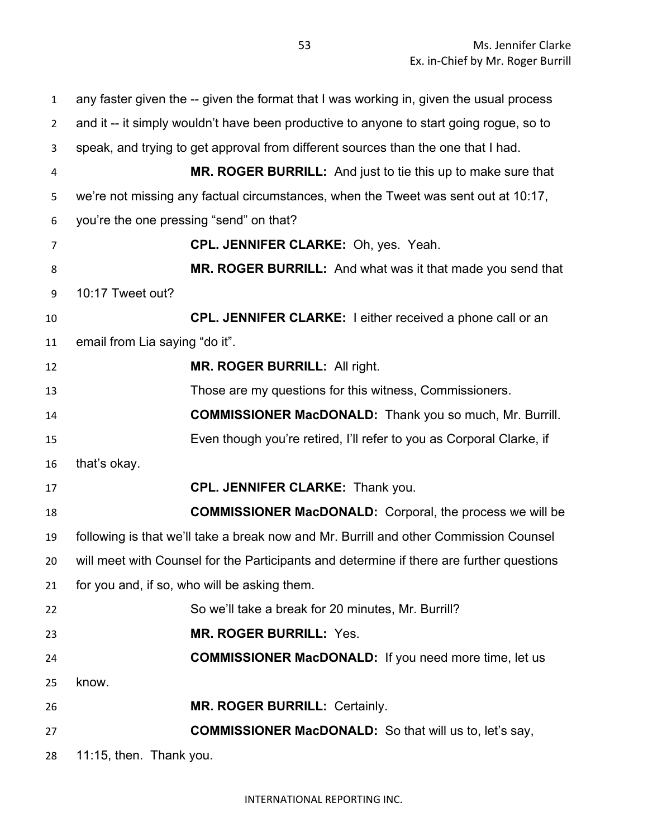any faster given the -- given the format that I was working in, given the usual process and it -- it simply wouldn't have been productive to anyone to start going rogue, so to speak, and trying to get approval from different sources than the one that I had. **MR. ROGER BURRILL:** And just to tie this up to make sure that we're not missing any factual circumstances, when the Tweet was sent out at 10:17, you're the one pressing "send" on that? **CPL. JENNIFER CLARKE:** Oh, yes. Yeah. **MR. ROGER BURRILL:** And what was it that made you send that 10:17 Tweet out? **CPL. JENNIFER CLARKE:** I either received a phone call or an email from Lia saying "do it". **MR. ROGER BURRILL:** All right. Those are my questions for this witness, Commissioners. **COMMISSIONER MacDONALD:** Thank you so much, Mr. Burrill. Even though you're retired, I'll refer to you as Corporal Clarke, if that's okay. **CPL. JENNIFER CLARKE:** Thank you. **COMMISSIONER MacDONALD:** Corporal, the process we will be following is that we'll take a break now and Mr. Burrill and other Commission Counsel will meet with Counsel for the Participants and determine if there are further questions for you and, if so, who will be asking them. So we'll take a break for 20 minutes, Mr. Burrill? **MR. ROGER BURRILL:** Yes. **COMMISSIONER MacDONALD:** If you need more time, let us know. **MR. ROGER BURRILL:** Certainly. **COMMISSIONER MacDONALD:** So that will us to, let's say, 11:15, then. Thank you.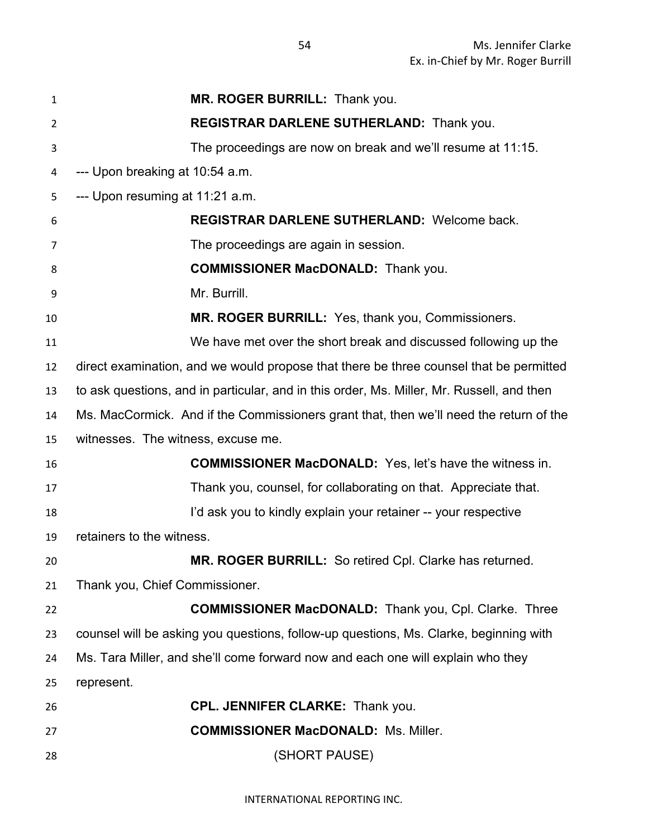| 1  | MR. ROGER BURRILL: Thank you.                                                             |
|----|-------------------------------------------------------------------------------------------|
| 2  | REGISTRAR DARLENE SUTHERLAND: Thank you.                                                  |
| 3  | The proceedings are now on break and we'll resume at 11:15.                               |
| 4  | --- Upon breaking at 10:54 a.m.                                                           |
| 5  | --- Upon resuming at 11:21 a.m.                                                           |
| 6  | REGISTRAR DARLENE SUTHERLAND: Welcome back.                                               |
| 7  | The proceedings are again in session.                                                     |
| 8  | <b>COMMISSIONER MacDONALD:</b> Thank you.                                                 |
| 9  | Mr. Burrill.                                                                              |
| 10 | MR. ROGER BURRILL: Yes, thank you, Commissioners.                                         |
| 11 | We have met over the short break and discussed following up the                           |
| 12 | direct examination, and we would propose that there be three counsel that be permitted    |
| 13 | to ask questions, and in particular, and in this order, Ms. Miller, Mr. Russell, and then |
| 14 | Ms. MacCormick. And if the Commissioners grant that, then we'll need the return of the    |
| 15 | witnesses. The witness, excuse me.                                                        |
| 16 | <b>COMMISSIONER MacDONALD:</b> Yes, let's have the witness in.                            |
| 17 | Thank you, counsel, for collaborating on that. Appreciate that.                           |
| 18 | I'd ask you to kindly explain your retainer -- your respective                            |
| 19 | retainers to the witness.                                                                 |
| 20 | MR. ROGER BURRILL: So retired Cpl. Clarke has returned.                                   |
| 21 | Thank you, Chief Commissioner.                                                            |
| 22 | <b>COMMISSIONER MacDONALD:</b> Thank you, Cpl. Clarke. Three                              |
| 23 | counsel will be asking you questions, follow-up questions, Ms. Clarke, beginning with     |
| 24 | Ms. Tara Miller, and she'll come forward now and each one will explain who they           |
| 25 | represent.                                                                                |
| 26 | <b>CPL. JENNIFER CLARKE: Thank you.</b>                                                   |
| 27 | <b>COMMISSIONER MacDONALD: Ms. Miller.</b>                                                |
| 28 | (SHORT PAUSE)                                                                             |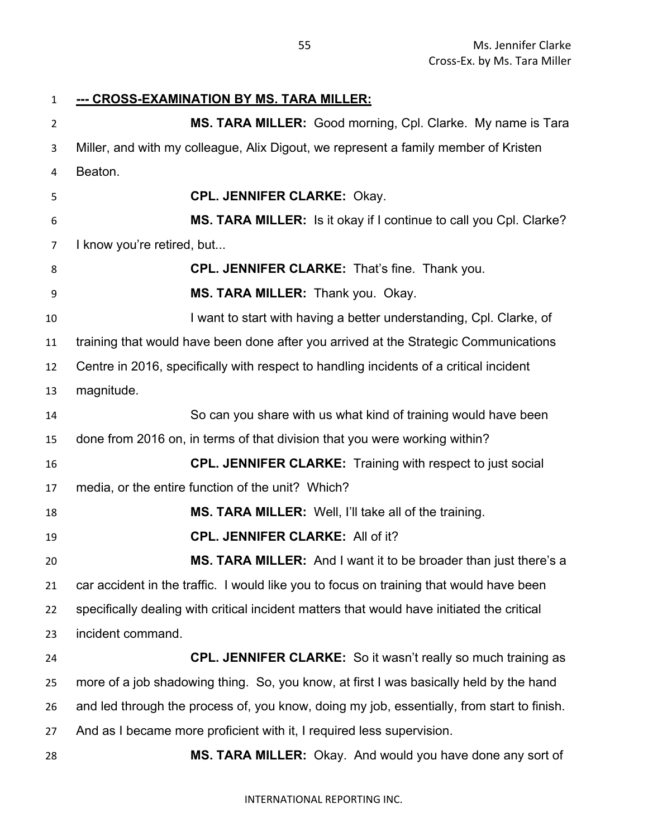**--- CROSS-EXAMINATION BY MS. TARA MILLER:** 

**MS. TARA MILLER:** Good morning, Cpl. Clarke. My name is Tara Miller, and with my colleague, Alix Digout, we represent a family member of Kristen Beaton. **CPL. JENNIFER CLARKE:** Okay. **MS. TARA MILLER:** Is it okay if I continue to call you Cpl. Clarke? 7 I know you're retired, but... **CPL. JENNIFER CLARKE:** That's fine. Thank you. **MS. TARA MILLER:** Thank you. Okay. **I want to start with having a better understanding, Cpl. Clarke, of**  training that would have been done after you arrived at the Strategic Communications Centre in 2016, specifically with respect to handling incidents of a critical incident magnitude. So can you share with us what kind of training would have been done from 2016 on, in terms of that division that you were working within? **CPL. JENNIFER CLARKE:** Training with respect to just social media, or the entire function of the unit? Which? **MS. TARA MILLER:** Well, I'll take all of the training. **CPL. JENNIFER CLARKE:** All of it? **MS. TARA MILLER:** And I want it to be broader than just there's a car accident in the traffic. I would like you to focus on training that would have been specifically dealing with critical incident matters that would have initiated the critical incident command. **CPL. JENNIFER CLARKE:** So it wasn't really so much training as more of a job shadowing thing. So, you know, at first I was basically held by the hand and led through the process of, you know, doing my job, essentially, from start to finish. And as I became more proficient with it, I required less supervision. **MS. TARA MILLER:** Okay. And would you have done any sort of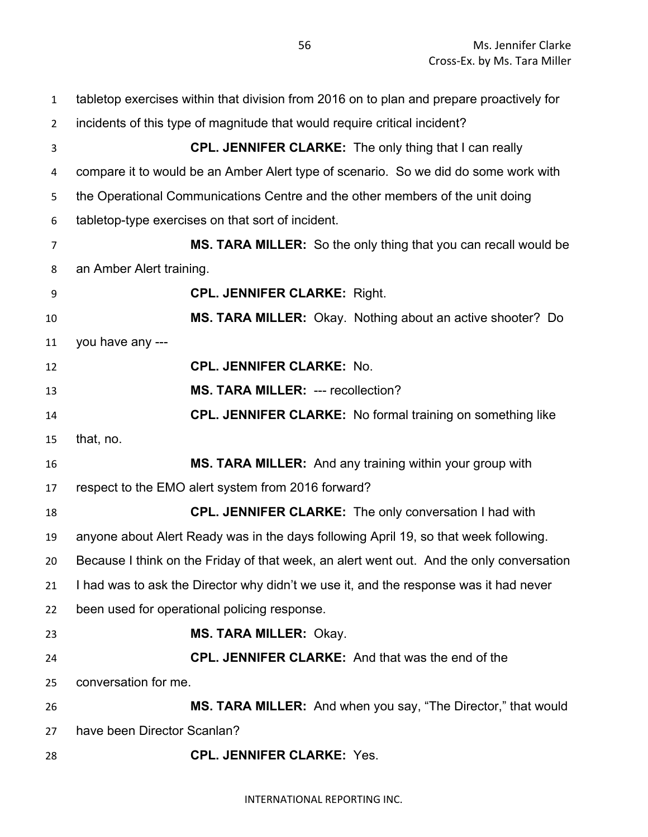| $\mathbf{1}$   | tabletop exercises within that division from 2016 on to plan and prepare proactively for |
|----------------|------------------------------------------------------------------------------------------|
| $\overline{2}$ | incidents of this type of magnitude that would require critical incident?                |
| 3              | <b>CPL. JENNIFER CLARKE:</b> The only thing that I can really                            |
| 4              | compare it to would be an Amber Alert type of scenario. So we did do some work with      |
| 5              | the Operational Communications Centre and the other members of the unit doing            |
| 6              | tabletop-type exercises on that sort of incident.                                        |
| $\overline{7}$ | MS. TARA MILLER: So the only thing that you can recall would be                          |
| 8              | an Amber Alert training.                                                                 |
| 9              | <b>CPL. JENNIFER CLARKE: Right.</b>                                                      |
| 10             | MS. TARA MILLER: Okay. Nothing about an active shooter? Do                               |
| 11             | you have any ---                                                                         |
| 12             | <b>CPL. JENNIFER CLARKE: No.</b>                                                         |
| 13             | MS. TARA MILLER: --- recollection?                                                       |
| 14             | <b>CPL. JENNIFER CLARKE:</b> No formal training on something like                        |
| 15             | that, no.                                                                                |
| 16             | MS. TARA MILLER: And any training within your group with                                 |
| 17             | respect to the EMO alert system from 2016 forward?                                       |
| 18             | <b>CPL. JENNIFER CLARKE:</b> The only conversation I had with                            |
| 19             | anyone about Alert Ready was in the days following April 19, so that week following.     |
| 20             | Because I think on the Friday of that week, an alert went out. And the only conversation |
| 21             | I had was to ask the Director why didn't we use it, and the response was it had never    |
| 22             | been used for operational policing response.                                             |
| 23             | <b>MS. TARA MILLER: Okay.</b>                                                            |
| 24             | <b>CPL. JENNIFER CLARKE:</b> And that was the end of the                                 |
| 25             | conversation for me.                                                                     |
| 26             | MS. TARA MILLER: And when you say, "The Director," that would                            |
| 27             | have been Director Scanlan?                                                              |
| 28             | <b>CPL. JENNIFER CLARKE: Yes.</b>                                                        |

INTERNATIONAL REPORTING INC.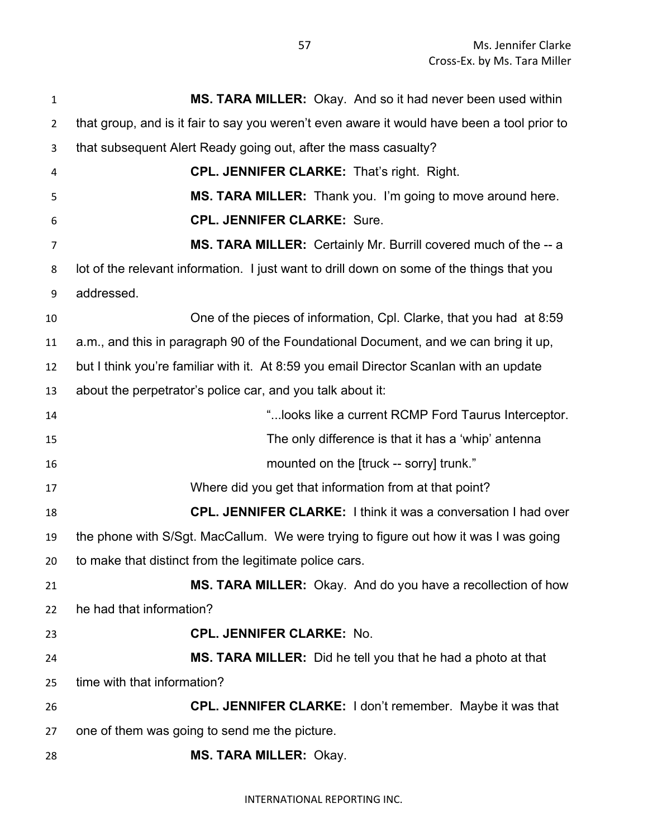| $\mathbf{1}$   | MS. TARA MILLER: Okay. And so it had never been used within                                 |
|----------------|---------------------------------------------------------------------------------------------|
| $\overline{2}$ | that group, and is it fair to say you weren't even aware it would have been a tool prior to |
| 3              | that subsequent Alert Ready going out, after the mass casualty?                             |
| 4              | <b>CPL. JENNIFER CLARKE: That's right. Right.</b>                                           |
| 5              | MS. TARA MILLER: Thank you. I'm going to move around here.                                  |
| 6              | <b>CPL. JENNIFER CLARKE: Sure.</b>                                                          |
| 7              | MS. TARA MILLER: Certainly Mr. Burrill covered much of the -- a                             |
| 8              | lot of the relevant information. I just want to drill down on some of the things that you   |
| 9              | addressed.                                                                                  |
| 10             | One of the pieces of information, Cpl. Clarke, that you had at 8:59                         |
| 11             | a.m., and this in paragraph 90 of the Foundational Document, and we can bring it up,        |
| 12             | but I think you're familiar with it. At 8:59 you email Director Scanlan with an update      |
| 13             | about the perpetrator's police car, and you talk about it:                                  |
| 14             | " looks like a current RCMP Ford Taurus Interceptor.                                        |
| 15             | The only difference is that it has a 'whip' antenna                                         |
| 16             | mounted on the [truck -- sorry] trunk."                                                     |
| 17             | Where did you get that information from at that point?                                      |
| 18             | <b>CPL. JENNIFER CLARKE:</b> I think it was a conversation I had over                       |
| 19             | the phone with S/Sgt. MacCallum. We were trying to figure out how it was I was going        |
| 20             | to make that distinct from the legitimate police cars.                                      |
| 21             | MS. TARA MILLER: Okay. And do you have a recollection of how                                |
| 22             | he had that information?                                                                    |
| 23             | <b>CPL. JENNIFER CLARKE: No.</b>                                                            |
| 24             | MS. TARA MILLER: Did he tell you that he had a photo at that                                |
| 25             | time with that information?                                                                 |
| 26             | <b>CPL. JENNIFER CLARKE:</b> I don't remember. Maybe it was that                            |
| 27             | one of them was going to send me the picture.                                               |
| 28             | <b>MS. TARA MILLER: Okay.</b>                                                               |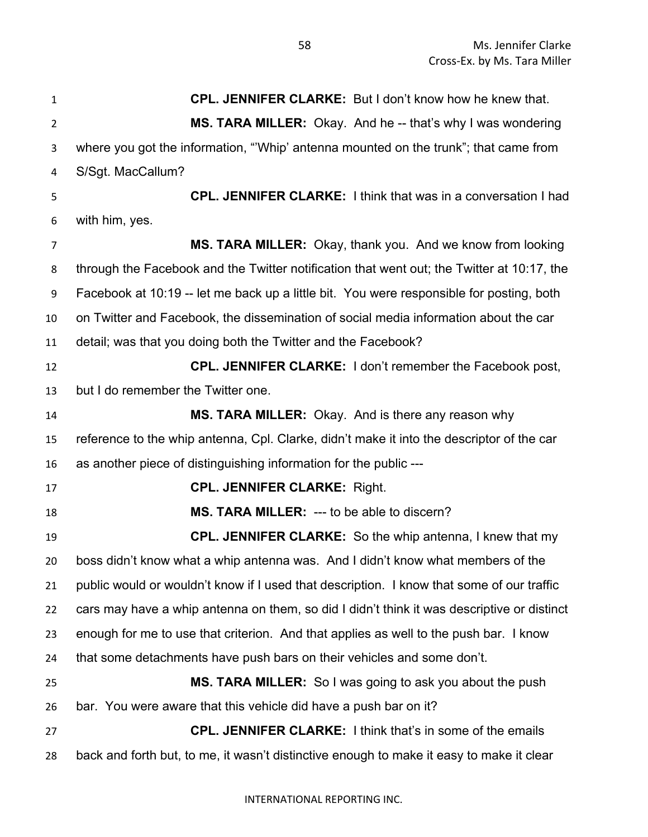**CPL. JENNIFER CLARKE:** But I don't know how he knew that. **MS. TARA MILLER:** Okay. And he -- that's why I was wondering where you got the information, "'Whip' antenna mounted on the trunk"; that came from S/Sgt. MacCallum? **CPL. JENNIFER CLARKE:** I think that was in a conversation I had with him, yes. **MS. TARA MILLER:** Okay, thank you. And we know from looking through the Facebook and the Twitter notification that went out; the Twitter at 10:17, the Facebook at 10:19 -- let me back up a little bit. You were responsible for posting, both on Twitter and Facebook, the dissemination of social media information about the car detail; was that you doing both the Twitter and the Facebook? **CPL. JENNIFER CLARKE:** I don't remember the Facebook post, but I do remember the Twitter one. **MS. TARA MILLER:** Okay. And is there any reason why reference to the whip antenna, Cpl. Clarke, didn't make it into the descriptor of the car as another piece of distinguishing information for the public --- **CPL. JENNIFER CLARKE:** Right. **MS. TARA MILLER:** --- to be able to discern? **CPL. JENNIFER CLARKE:** So the whip antenna, I knew that my boss didn't know what a whip antenna was. And I didn't know what members of the public would or wouldn't know if I used that description. I know that some of our traffic cars may have a whip antenna on them, so did I didn't think it was descriptive or distinct enough for me to use that criterion. And that applies as well to the push bar. I know that some detachments have push bars on their vehicles and some don't. **MS. TARA MILLER:** So I was going to ask you about the push bar. You were aware that this vehicle did have a push bar on it? **CPL. JENNIFER CLARKE:** I think that's in some of the emails back and forth but, to me, it wasn't distinctive enough to make it easy to make it clear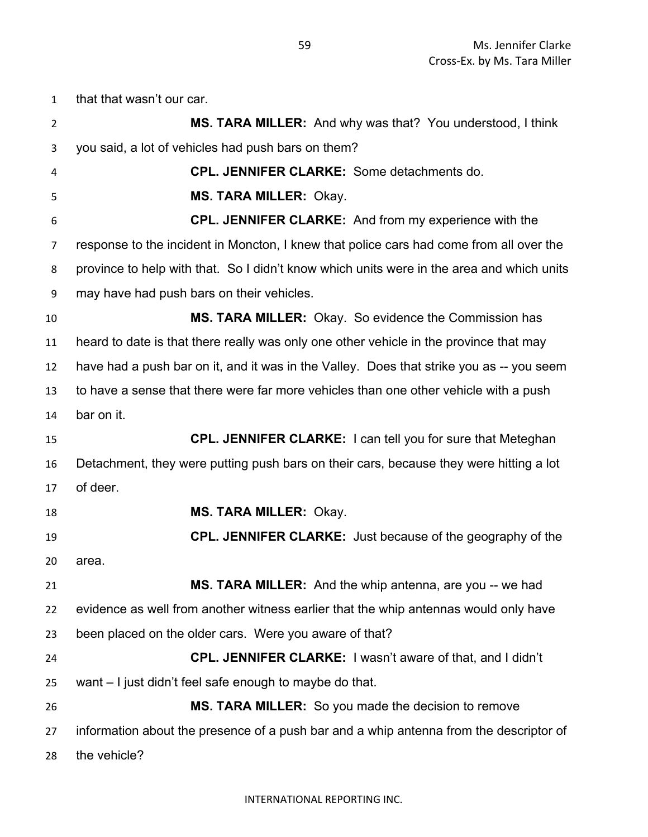that that wasn't our car.

| $\overline{2}$ | MS. TARA MILLER: And why was that? You understood, I think                                |
|----------------|-------------------------------------------------------------------------------------------|
| 3              | you said, a lot of vehicles had push bars on them?                                        |
| 4              | <b>CPL. JENNIFER CLARKE:</b> Some detachments do.                                         |
| 5              | <b>MS. TARA MILLER: Okay.</b>                                                             |
| 6              | <b>CPL. JENNIFER CLARKE:</b> And from my experience with the                              |
| 7              | response to the incident in Moncton, I knew that police cars had come from all over the   |
| 8              | province to help with that. So I didn't know which units were in the area and which units |
| 9              | may have had push bars on their vehicles.                                                 |
| 10             | MS. TARA MILLER: Okay. So evidence the Commission has                                     |
| 11             | heard to date is that there really was only one other vehicle in the province that may    |
| 12             | have had a push bar on it, and it was in the Valley. Does that strike you as -- you seem  |
| 13             | to have a sense that there were far more vehicles than one other vehicle with a push      |
| 14             | bar on it.                                                                                |
| 15             | <b>CPL. JENNIFER CLARKE:</b> I can tell you for sure that Meteghan                        |
| 16             | Detachment, they were putting push bars on their cars, because they were hitting a lot    |
| 17             | of deer.                                                                                  |
| 18             | <b>MS. TARA MILLER: Okay.</b>                                                             |
| 19             | <b>CPL. JENNIFER CLARKE:</b> Just because of the geography of the                         |
| 20             | area.                                                                                     |
| 21             | MS. TARA MILLER: And the whip antenna, are you -- we had                                  |
| 22             | evidence as well from another witness earlier that the whip antennas would only have      |
| 23             | been placed on the older cars. Were you aware of that?                                    |
| 24             | <b>CPL. JENNIFER CLARKE:</b> I wasn't aware of that, and I didn't                         |
| 25             | want – I just didn't feel safe enough to maybe do that.                                   |
| 26             | MS. TARA MILLER: So you made the decision to remove                                       |
| 27             | information about the presence of a push bar and a whip antenna from the descriptor of    |
| 28             | the vehicle?                                                                              |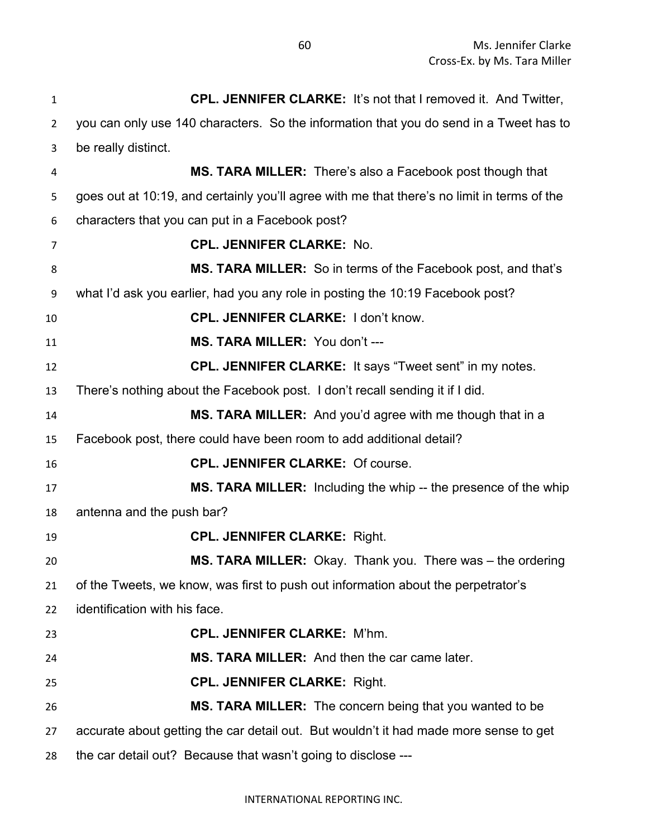**CPL. JENNIFER CLARKE:** It's not that I removed it. And Twitter, you can only use 140 characters. So the information that you do send in a Tweet has to be really distinct. **MS. TARA MILLER:** There's also a Facebook post though that goes out at 10:19, and certainly you'll agree with me that there's no limit in terms of the characters that you can put in a Facebook post? **CPL. JENNIFER CLARKE:** No. **MS. TARA MILLER:** So in terms of the Facebook post, and that's what I'd ask you earlier, had you any role in posting the 10:19 Facebook post? **CPL. JENNIFER CLARKE:** I don't know. **MS. TARA MILLER:** You don't --- **CPL. JENNIFER CLARKE:** It says "Tweet sent" in my notes. There's nothing about the Facebook post. I don't recall sending it if I did. **MS. TARA MILLER:** And you'd agree with me though that in a Facebook post, there could have been room to add additional detail? **CPL. JENNIFER CLARKE:** Of course. **MS. TARA MILLER:** Including the whip -- the presence of the whip antenna and the push bar? **CPL. JENNIFER CLARKE:** Right. **MS. TARA MILLER:** Okay. Thank you. There was – the ordering of the Tweets, we know, was first to push out information about the perpetrator's identification with his face. **CPL. JENNIFER CLARKE:** M'hm. **MS. TARA MILLER:** And then the car came later. **CPL. JENNIFER CLARKE:** Right. **MS. TARA MILLER:** The concern being that you wanted to be accurate about getting the car detail out. But wouldn't it had made more sense to get the car detail out? Because that wasn't going to disclose ---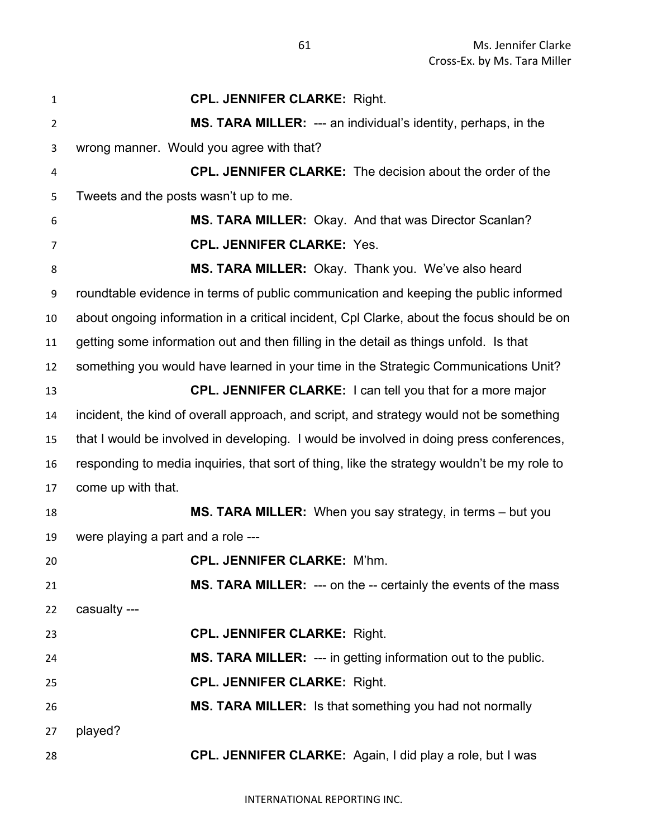**CPL. JENNIFER CLARKE:** Right. **MS. TARA MILLER:** --- an individual's identity, perhaps, in the wrong manner. Would you agree with that? **CPL. JENNIFER CLARKE:** The decision about the order of the Tweets and the posts wasn't up to me. **MS. TARA MILLER:** Okay. And that was Director Scanlan? **CPL. JENNIFER CLARKE:** Yes. **MS. TARA MILLER:** Okay. Thank you. We've also heard roundtable evidence in terms of public communication and keeping the public informed about ongoing information in a critical incident, Cpl Clarke, about the focus should be on getting some information out and then filling in the detail as things unfold. Is that something you would have learned in your time in the Strategic Communications Unit? **CPL. JENNIFER CLARKE:** I can tell you that for a more major incident, the kind of overall approach, and script, and strategy would not be something that I would be involved in developing. I would be involved in doing press conferences, responding to media inquiries, that sort of thing, like the strategy wouldn't be my role to come up with that. **MS. TARA MILLER:** When you say strategy, in terms – but you were playing a part and a role --- **CPL. JENNIFER CLARKE:** M'hm. **MS. TARA MILLER:** --- on the -- certainly the events of the mass casualty --- **CPL. JENNIFER CLARKE:** Right. **MS. TARA MILLER:** --- in getting information out to the public. **CPL. JENNIFER CLARKE:** Right. **MS. TARA MILLER:** Is that something you had not normally played? **CPL. JENNIFER CLARKE:** Again, I did play a role, but I was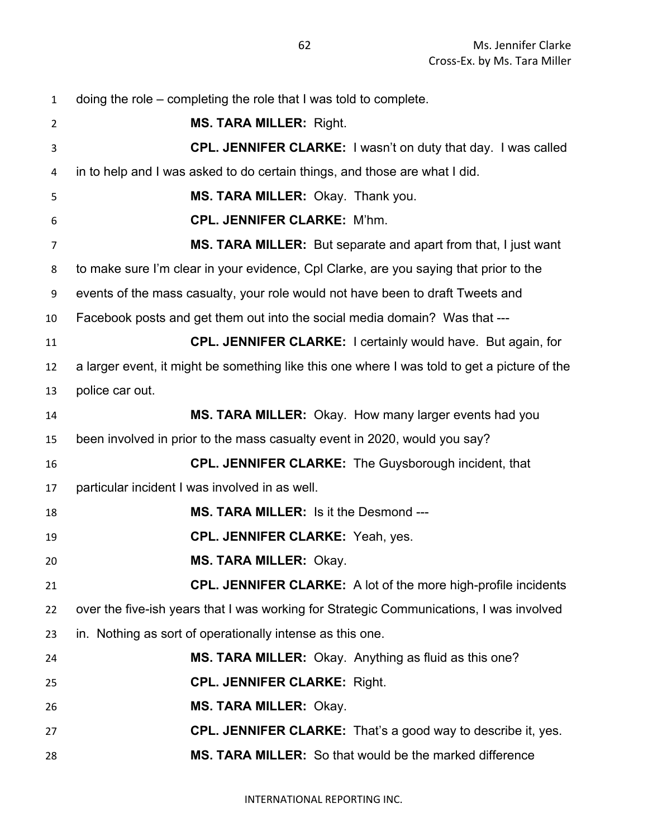| $\mathbf{1}$ | doing the role $-$ completing the role that I was told to complete.                          |
|--------------|----------------------------------------------------------------------------------------------|
| 2            | <b>MS. TARA MILLER: Right.</b>                                                               |
| 3            | CPL. JENNIFER CLARKE: I wasn't on duty that day. I was called                                |
| 4            | in to help and I was asked to do certain things, and those are what I did.                   |
| 5            | MS. TARA MILLER: Okay. Thank you.                                                            |
| 6            | <b>CPL. JENNIFER CLARKE: M'hm.</b>                                                           |
| 7            | MS. TARA MILLER: But separate and apart from that, I just want                               |
| 8            | to make sure I'm clear in your evidence, CpI Clarke, are you saying that prior to the        |
| 9            | events of the mass casualty, your role would not have been to draft Tweets and               |
| 10           | Facebook posts and get them out into the social media domain? Was that ---                   |
| 11           | <b>CPL. JENNIFER CLARKE:</b> I certainly would have. But again, for                          |
| 12           | a larger event, it might be something like this one where I was told to get a picture of the |
| 13           | police car out.                                                                              |
| 14           | MS. TARA MILLER: Okay. How many larger events had you                                        |
| 15           | been involved in prior to the mass casualty event in 2020, would you say?                    |
| 16           | <b>CPL. JENNIFER CLARKE:</b> The Guysborough incident, that                                  |
| 17           | particular incident I was involved in as well.                                               |
| 18           | <b>MS. TARA MILLER: Is it the Desmond ---</b>                                                |
| 19           | <b>CPL. JENNIFER CLARKE: Yeah, yes.</b>                                                      |
| 20           | <b>MS. TARA MILLER: Okay.</b>                                                                |
| 21           | CPL. JENNIFER CLARKE: A lot of the more high-profile incidents                               |
| 22           | over the five-ish years that I was working for Strategic Communications, I was involved      |
| 23           | in. Nothing as sort of operationally intense as this one.                                    |
| 24           | MS. TARA MILLER: Okay. Anything as fluid as this one?                                        |
| 25           | <b>CPL. JENNIFER CLARKE: Right.</b>                                                          |
| 26           | <b>MS. TARA MILLER: Okay.</b>                                                                |
| 27           | <b>CPL. JENNIFER CLARKE:</b> That's a good way to describe it, yes.                          |
| 28           | MS. TARA MILLER: So that would be the marked difference                                      |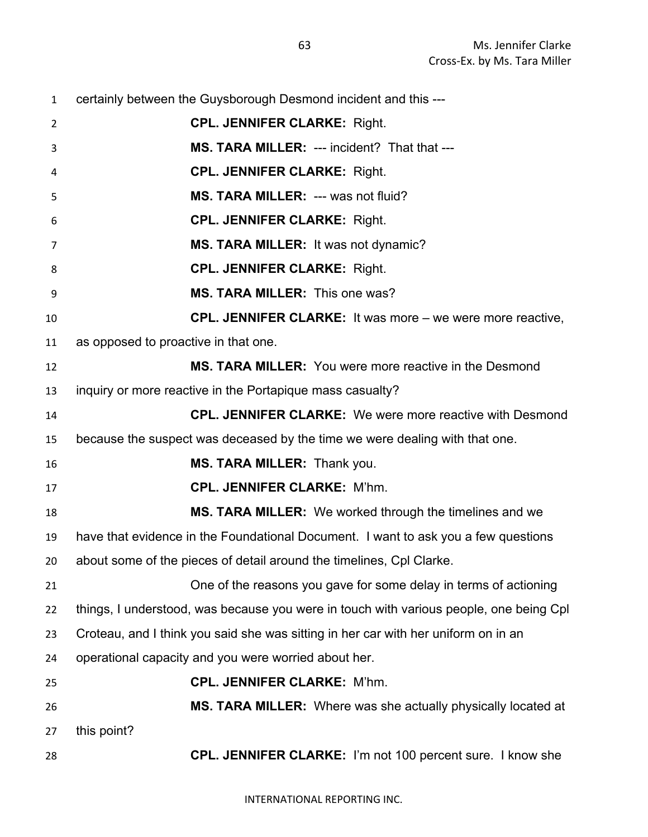certainly between the Guysborough Desmond incident and this --- **CPL. JENNIFER CLARKE:** Right. **MS. TARA MILLER:** --- incident? That that --- **CPL. JENNIFER CLARKE:** Right. **MS. TARA MILLER:** --- was not fluid? **CPL. JENNIFER CLARKE:** Right. **MS. TARA MILLER:** It was not dynamic? **CPL. JENNIFER CLARKE:** Right. **MS. TARA MILLER:** This one was? **CPL. JENNIFER CLARKE:** It was more – we were more reactive, as opposed to proactive in that one. **MS. TARA MILLER:** You were more reactive in the Desmond inquiry or more reactive in the Portapique mass casualty? **CPL. JENNIFER CLARKE:** We were more reactive with Desmond because the suspect was deceased by the time we were dealing with that one. **MS. TARA MILLER:** Thank you. **CPL. JENNIFER CLARKE:** M'hm. **MS. TARA MILLER:** We worked through the timelines and we have that evidence in the Foundational Document. I want to ask you a few questions about some of the pieces of detail around the timelines, Cpl Clarke. One of the reasons you gave for some delay in terms of actioning things, I understood, was because you were in touch with various people, one being Cpl Croteau, and I think you said she was sitting in her car with her uniform on in an operational capacity and you were worried about her. **CPL. JENNIFER CLARKE:** M'hm. **MS. TARA MILLER:** Where was she actually physically located at this point? **CPL. JENNIFER CLARKE:** I'm not 100 percent sure. I know she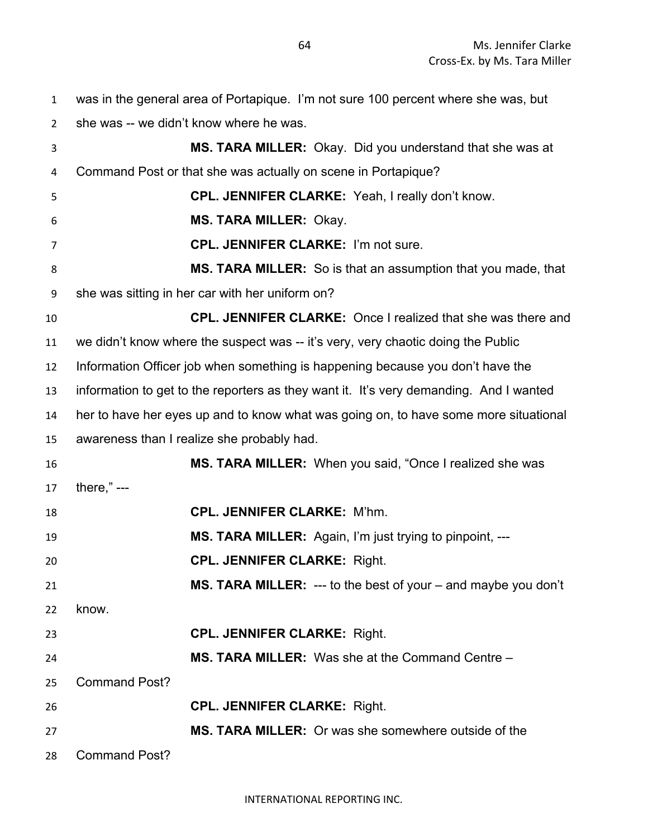was in the general area of Portapique. I'm not sure 100 percent where she was, but

she was -- we didn't know where he was.

 **MS. TARA MILLER:** Okay. Did you understand that she was at Command Post or that she was actually on scene in Portapique? **CPL. JENNIFER CLARKE:** Yeah, I really don't know. **MS. TARA MILLER:** Okay. **CPL. JENNIFER CLARKE:** I'm not sure. **MS. TARA MILLER:** So is that an assumption that you made, that she was sitting in her car with her uniform on? **CPL. JENNIFER CLARKE:** Once I realized that she was there and we didn't know where the suspect was -- it's very, very chaotic doing the Public Information Officer job when something is happening because you don't have the information to get to the reporters as they want it. It's very demanding. And I wanted her to have her eyes up and to know what was going on, to have some more situational awareness than I realize she probably had. **MS. TARA MILLER:** When you said, "Once I realized she was there," --- **CPL. JENNIFER CLARKE:** M'hm. **MS. TARA MILLER:** Again, I'm just trying to pinpoint, --- **CPL. JENNIFER CLARKE:** Right. **MS. TARA MILLER:** --- to the best of your – and maybe you don't know. **CPL. JENNIFER CLARKE:** Right. **MS. TARA MILLER:** Was she at the Command Centre – Command Post? **CPL. JENNIFER CLARKE:** Right. **MS. TARA MILLER:** Or was she somewhere outside of the Command Post?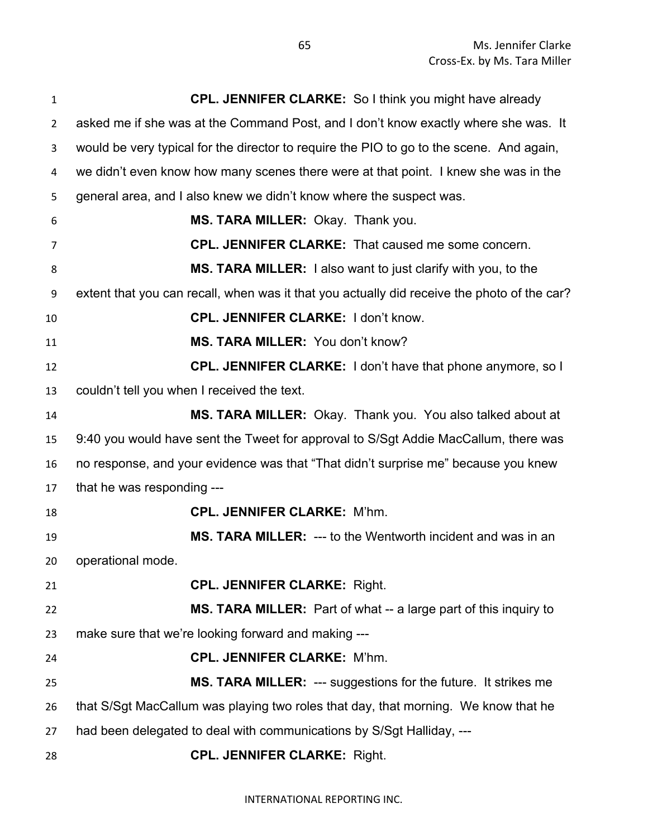| 1              | <b>CPL. JENNIFER CLARKE:</b> So I think you might have already                              |
|----------------|---------------------------------------------------------------------------------------------|
| $\overline{2}$ | asked me if she was at the Command Post, and I don't know exactly where she was. It         |
| 3              | would be very typical for the director to require the PIO to go to the scene. And again,    |
| 4              | we didn't even know how many scenes there were at that point. I knew she was in the         |
| 5              | general area, and I also knew we didn't know where the suspect was.                         |
| 6              | MS. TARA MILLER: Okay. Thank you.                                                           |
| 7              | <b>CPL. JENNIFER CLARKE:</b> That caused me some concern.                                   |
| 8              | <b>MS. TARA MILLER:</b> I also want to just clarify with you, to the                        |
| 9              | extent that you can recall, when was it that you actually did receive the photo of the car? |
| 10             | <b>CPL. JENNIFER CLARKE: I don't know.</b>                                                  |
| 11             | MS. TARA MILLER: You don't know?                                                            |
| 12             | CPL. JENNIFER CLARKE: I don't have that phone anymore, so I                                 |
| 13             | couldn't tell you when I received the text.                                                 |
| 14             | MS. TARA MILLER: Okay. Thank you. You also talked about at                                  |
| 15             | 9:40 you would have sent the Tweet for approval to S/Sgt Addie MacCallum, there was         |
| 16             | no response, and your evidence was that "That didn't surprise me" because you knew          |
| 17             | that he was responding ---                                                                  |
| 18             | <b>CPL. JENNIFER CLARKE: M'hm.</b>                                                          |
| 19             | MS. TARA MILLER: --- to the Wentworth incident and was in an                                |
| 20             | operational mode.                                                                           |
| 21             | <b>CPL. JENNIFER CLARKE: Right.</b>                                                         |
| 22             | MS. TARA MILLER: Part of what -- a large part of this inquiry to                            |
| 23             | make sure that we're looking forward and making ---                                         |
| 24             | <b>CPL. JENNIFER CLARKE: M'hm.</b>                                                          |
| 25             | MS. TARA MILLER: --- suggestions for the future. It strikes me                              |
| 26             | that S/Sgt MacCallum was playing two roles that day, that morning. We know that he          |
| 27             | had been delegated to deal with communications by S/Sgt Halliday, ---                       |
| 28             | <b>CPL. JENNIFER CLARKE: Right.</b>                                                         |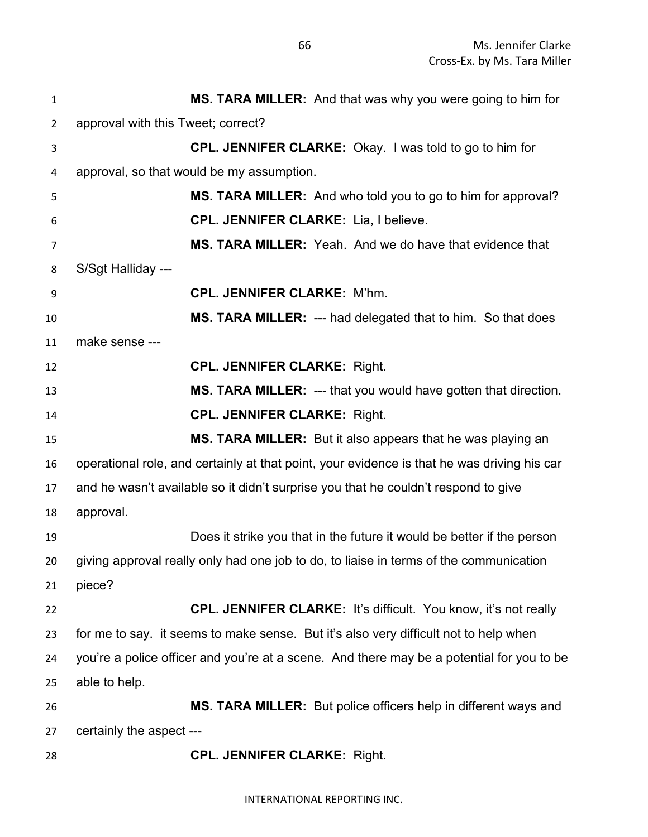| $\mathbf{1}$   | MS. TARA MILLER: And that was why you were going to him for                                 |
|----------------|---------------------------------------------------------------------------------------------|
| $\overline{2}$ | approval with this Tweet; correct?                                                          |
| 3              | <b>CPL. JENNIFER CLARKE:</b> Okay. I was told to go to him for                              |
| 4              | approval, so that would be my assumption.                                                   |
| 5              | <b>MS. TARA MILLER:</b> And who told you to go to him for approval?                         |
| 6              | <b>CPL. JENNIFER CLARKE: Lia, I believe.</b>                                                |
| 7              | MS. TARA MILLER: Yeah. And we do have that evidence that                                    |
| 8              | S/Sgt Halliday ---                                                                          |
| 9              | <b>CPL. JENNIFER CLARKE: M'hm.</b>                                                          |
| 10             | MS. TARA MILLER: --- had delegated that to him. So that does                                |
| 11             | make sense ---                                                                              |
| 12             | <b>CPL. JENNIFER CLARKE: Right.</b>                                                         |
| 13             | MS. TARA MILLER: --- that you would have gotten that direction.                             |
| 14             | <b>CPL. JENNIFER CLARKE: Right.</b>                                                         |
| 15             | MS. TARA MILLER: But it also appears that he was playing an                                 |
| 16             | operational role, and certainly at that point, your evidence is that he was driving his car |
| 17             | and he wasn't available so it didn't surprise you that he couldn't respond to give          |
| 18             | approval.                                                                                   |
| 19             | Does it strike you that in the future it would be better if the person                      |
| 20             | giving approval really only had one job to do, to liaise in terms of the communication      |
| 21             | piece?                                                                                      |
| 22             | <b>CPL. JENNIFER CLARKE:</b> It's difficult. You know, it's not really                      |
| 23             | for me to say. it seems to make sense. But it's also very difficult not to help when        |
| 24             | you're a police officer and you're at a scene. And there may be a potential for you to be   |
| 25             | able to help.                                                                               |
| 26             | MS. TARA MILLER: But police officers help in different ways and                             |
| 27             | certainly the aspect ---                                                                    |
| 28             | <b>CPL. JENNIFER CLARKE: Right.</b>                                                         |

INTERNATIONAL REPORTING INC.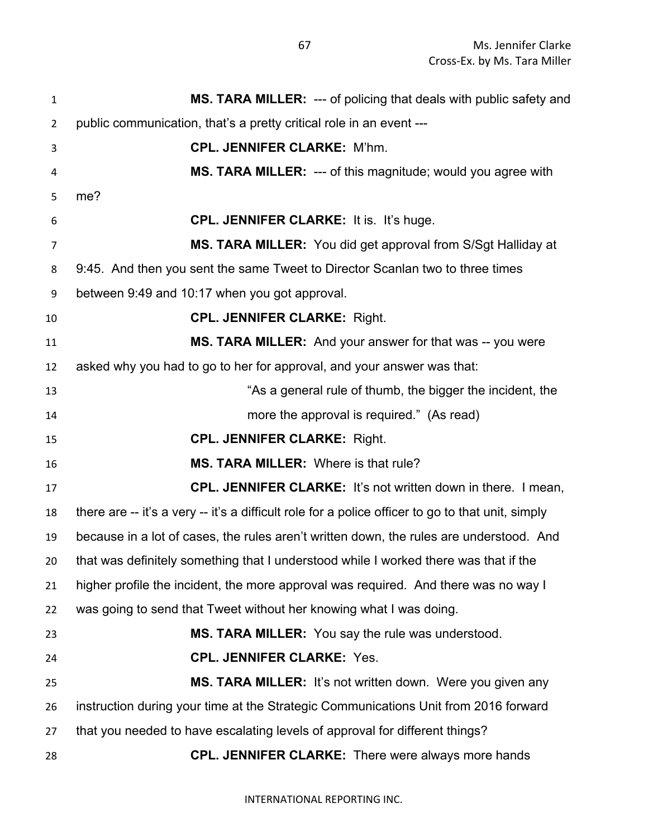| 1              | MS. TARA MILLER: --- of policing that deals with public safety and                                |
|----------------|---------------------------------------------------------------------------------------------------|
| $\overline{2}$ | public communication, that's a pretty critical role in an event ---                               |
| 3              | <b>CPL. JENNIFER CLARKE: M'hm.</b>                                                                |
| 4              | <b>MS. TARA MILLER: --- of this magnitude; would you agree with</b>                               |
| 5              | me?                                                                                               |
| 6              | CPL. JENNIFER CLARKE: It is. It's huge.                                                           |
| 7              | MS. TARA MILLER: You did get approval from S/Sgt Halliday at                                      |
| 8              | 9:45. And then you sent the same Tweet to Director Scanlan two to three times                     |
| 9              | between 9:49 and 10:17 when you got approval.                                                     |
| 10             | <b>CPL. JENNIFER CLARKE: Right.</b>                                                               |
| 11             | MS. TARA MILLER: And your answer for that was -- you were                                         |
| 12             | asked why you had to go to her for approval, and your answer was that:                            |
| 13             | "As a general rule of thumb, the bigger the incident, the                                         |
| 14             | more the approval is required." (As read)                                                         |
| 15             | <b>CPL. JENNIFER CLARKE: Right.</b>                                                               |
| 16             | <b>MS. TARA MILLER: Where is that rule?</b>                                                       |
| 17             | <b>CPL. JENNIFER CLARKE:</b> It's not written down in there. I mean,                              |
| 18             | there are -- it's a very -- it's a difficult role for a police officer to go to that unit, simply |
| 19             | because in a lot of cases, the rules aren't written down, the rules are understood. And           |
| 20             | that was definitely something that I understood while I worked there was that if the              |
| 21             | higher profile the incident, the more approval was required. And there was no way I               |
| 22             | was going to send that Tweet without her knowing what I was doing.                                |
| 23             | MS. TARA MILLER: You say the rule was understood.                                                 |
| 24             | <b>CPL. JENNIFER CLARKE: Yes.</b>                                                                 |
| 25             | MS. TARA MILLER: It's not written down. Were you given any                                        |
| 26             | instruction during your time at the Strategic Communications Unit from 2016 forward               |
|                |                                                                                                   |
| 27             | that you needed to have escalating levels of approval for different things?                       |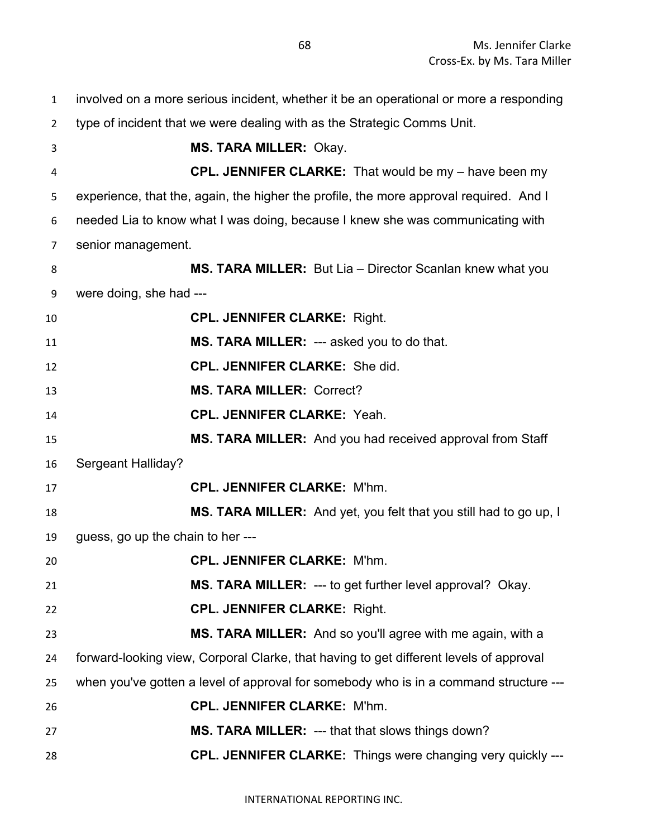involved on a more serious incident, whether it be an operational or more a responding type of incident that we were dealing with as the Strategic Comms Unit. **MS. TARA MILLER:** Okay. **CPL. JENNIFER CLARKE:** That would be my – have been my experience, that the, again, the higher the profile, the more approval required. And I needed Lia to know what I was doing, because I knew she was communicating with senior management. **MS. TARA MILLER:** But Lia – Director Scanlan knew what you were doing, she had --- **CPL. JENNIFER CLARKE:** Right. **MS. TARA MILLER:** --- asked you to do that. **CPL. JENNIFER CLARKE:** She did. **MS. TARA MILLER:** Correct? **CPL. JENNIFER CLARKE:** Yeah. **MS. TARA MILLER:** And you had received approval from Staff Sergeant Halliday? **CPL. JENNIFER CLARKE:** M'hm. **MS. TARA MILLER:** And yet, you felt that you still had to go up, I guess, go up the chain to her --- **CPL. JENNIFER CLARKE:** M'hm. **MS. TARA MILLER:** --- to get further level approval? Okay. **CPL. JENNIFER CLARKE:** Right. **MS. TARA MILLER:** And so you'll agree with me again, with a forward-looking view, Corporal Clarke, that having to get different levels of approval when you've gotten a level of approval for somebody who is in a command structure --- **CPL. JENNIFER CLARKE:** M'hm. **MS. TARA MILLER:** --- that that slows things down? **CPL. JENNIFER CLARKE:** Things were changing very quickly ---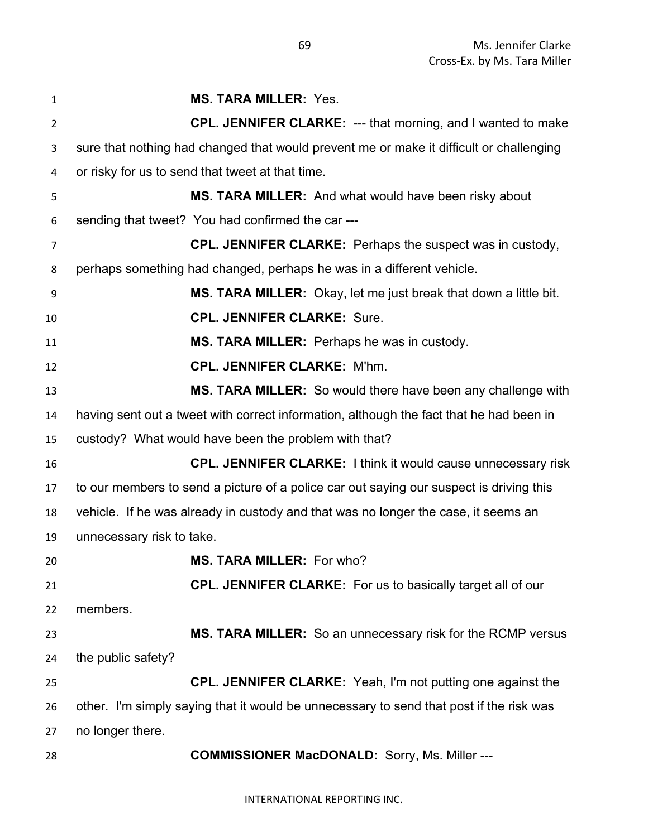| 1              | <b>MS. TARA MILLER: Yes.</b>                                                            |
|----------------|-----------------------------------------------------------------------------------------|
| $\overline{2}$ | CPL. JENNIFER CLARKE: --- that morning, and I wanted to make                            |
| 3              | sure that nothing had changed that would prevent me or make it difficult or challenging |
| 4              | or risky for us to send that tweet at that time.                                        |
| 5              | MS. TARA MILLER: And what would have been risky about                                   |
| 6              | sending that tweet? You had confirmed the car ---                                       |
| 7              | <b>CPL. JENNIFER CLARKE:</b> Perhaps the suspect was in custody,                        |
| 8              | perhaps something had changed, perhaps he was in a different vehicle.                   |
| 9              | <b>MS. TARA MILLER:</b> Okay, let me just break that down a little bit.                 |
| 10             | <b>CPL. JENNIFER CLARKE: Sure.</b>                                                      |
| 11             | MS. TARA MILLER: Perhaps he was in custody.                                             |
| 12             | <b>CPL. JENNIFER CLARKE: M'hm.</b>                                                      |
| 13             | <b>MS. TARA MILLER:</b> So would there have been any challenge with                     |
| 14             | having sent out a tweet with correct information, although the fact that he had been in |
| 15             | custody? What would have been the problem with that?                                    |
| 16             | <b>CPL. JENNIFER CLARKE:</b> I think it would cause unnecessary risk                    |
| 17             | to our members to send a picture of a police car out saying our suspect is driving this |
| 18             | vehicle. If he was already in custody and that was no longer the case, it seems an      |
| 19             | unnecessary risk to take.                                                               |
| 20             | <b>MS. TARA MILLER: For who?</b>                                                        |
| 21             | <b>CPL. JENNIFER CLARKE:</b> For us to basically target all of our                      |
| 22             | members.                                                                                |
| 23             | MS. TARA MILLER: So an unnecessary risk for the RCMP versus                             |
| 24             | the public safety?                                                                      |
| 25             | <b>CPL. JENNIFER CLARKE:</b> Yeah, I'm not putting one against the                      |
| 26             | other. I'm simply saying that it would be unnecessary to send that post if the risk was |
| 27             | no longer there.                                                                        |
| 28             | <b>COMMISSIONER MacDONALD:</b> Sorry, Ms. Miller ---                                    |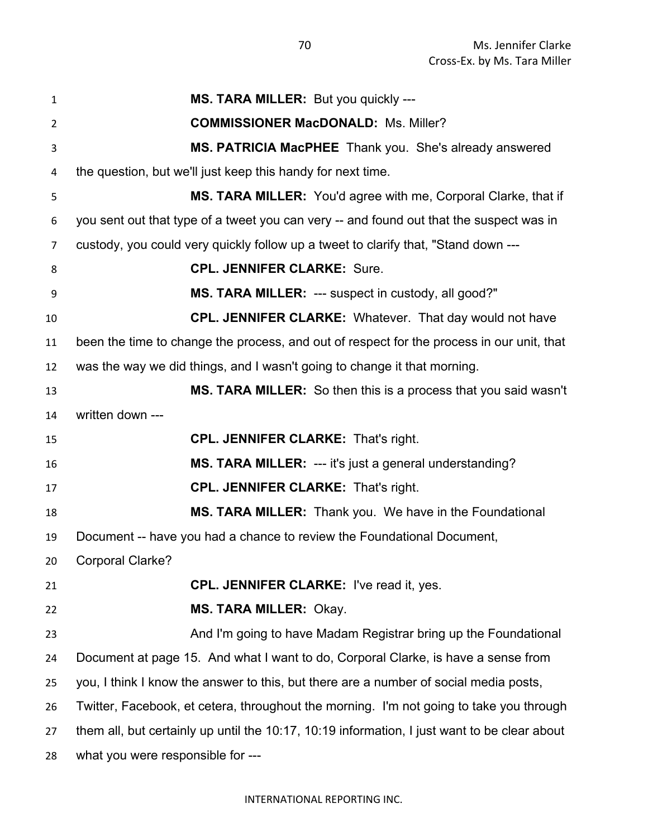| $\mathbf{1}$   | MS. TARA MILLER: But you quickly ---                                                         |
|----------------|----------------------------------------------------------------------------------------------|
| $\overline{2}$ | <b>COMMISSIONER MacDONALD: Ms. Miller?</b>                                                   |
| 3              | MS. PATRICIA MacPHEE Thank you. She's already answered                                       |
| 4              | the question, but we'll just keep this handy for next time.                                  |
| 5              | MS. TARA MILLER: You'd agree with me, Corporal Clarke, that if                               |
| 6              | you sent out that type of a tweet you can very -- and found out that the suspect was in      |
| 7              | custody, you could very quickly follow up a tweet to clarify that, "Stand down ---           |
| 8              | <b>CPL. JENNIFER CLARKE: Sure.</b>                                                           |
| 9              | MS. TARA MILLER: --- suspect in custody, all good?"                                          |
| 10             | CPL. JENNIFER CLARKE: Whatever. That day would not have                                      |
| 11             | been the time to change the process, and out of respect for the process in our unit, that    |
| 12             | was the way we did things, and I wasn't going to change it that morning.                     |
| 13             | <b>MS. TARA MILLER:</b> So then this is a process that you said wasn't                       |
| 14             | written down ---                                                                             |
| 15             | <b>CPL. JENNIFER CLARKE: That's right.</b>                                                   |
| 16             | MS. TARA MILLER: --- it's just a general understanding?                                      |
| 17             | <b>CPL. JENNIFER CLARKE: That's right.</b>                                                   |
| 18             | MS. TARA MILLER: Thank you. We have in the Foundational                                      |
| 19             | Document -- have you had a chance to review the Foundational Document,                       |
| 20             | <b>Corporal Clarke?</b>                                                                      |
| 21             | <b>CPL. JENNIFER CLARKE: I've read it, yes.</b>                                              |
| 22             | <b>MS. TARA MILLER: Okay.</b>                                                                |
| 23             | And I'm going to have Madam Registrar bring up the Foundational                              |
| 24             | Document at page 15. And what I want to do, Corporal Clarke, is have a sense from            |
| 25             | you, I think I know the answer to this, but there are a number of social media posts,        |
| 26             | Twitter, Facebook, et cetera, throughout the morning. I'm not going to take you through      |
| 27             | them all, but certainly up until the 10:17, 10:19 information, I just want to be clear about |
| 28             | what you were responsible for ---                                                            |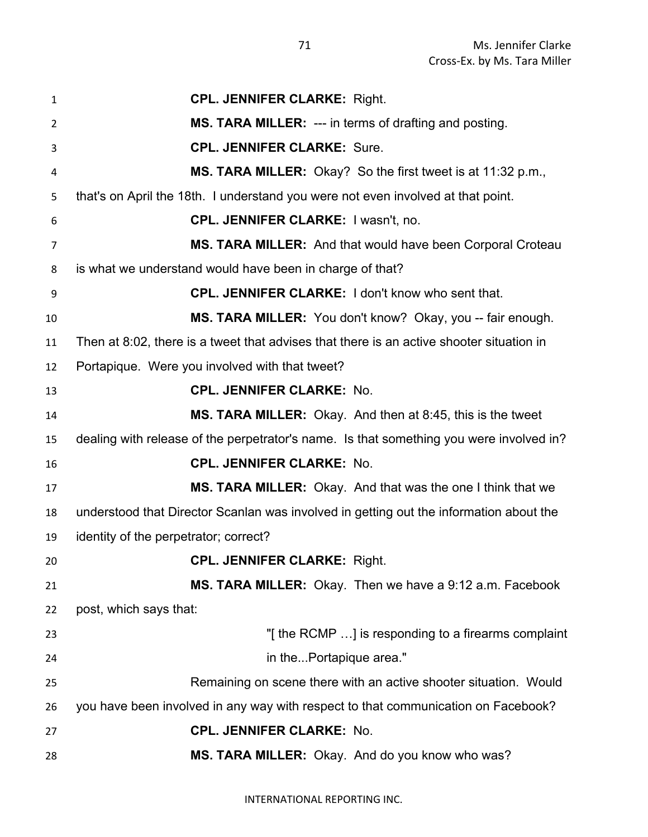| $\mathbf{1}$ | <b>CPL. JENNIFER CLARKE: Right.</b>                                                      |
|--------------|------------------------------------------------------------------------------------------|
| 2            | MS. TARA MILLER: --- in terms of drafting and posting.                                   |
| 3            | <b>CPL. JENNIFER CLARKE: Sure.</b>                                                       |
| 4            | MS. TARA MILLER: Okay? So the first tweet is at 11:32 p.m.,                              |
| 5            | that's on April the 18th. I understand you were not even involved at that point.         |
| 6            | CPL. JENNIFER CLARKE: I wasn't, no.                                                      |
| 7            | MS. TARA MILLER: And that would have been Corporal Croteau                               |
| 8            | is what we understand would have been in charge of that?                                 |
| 9            | <b>CPL. JENNIFER CLARKE: I don't know who sent that.</b>                                 |
| 10           | MS. TARA MILLER: You don't know? Okay, you -- fair enough.                               |
| 11           | Then at 8:02, there is a tweet that advises that there is an active shooter situation in |
| 12           | Portapique. Were you involved with that tweet?                                           |
| 13           | <b>CPL. JENNIFER CLARKE: No.</b>                                                         |
| 14           | <b>MS. TARA MILLER:</b> Okay. And then at 8:45, this is the tweet                        |
| 15           | dealing with release of the perpetrator's name. Is that something you were involved in?  |
| 16           | <b>CPL. JENNIFER CLARKE: No.</b>                                                         |
| 17           | MS. TARA MILLER: Okay. And that was the one I think that we                              |
| 18           | understood that Director Scanlan was involved in getting out the information about the   |
| 19           | identity of the perpetrator; correct?                                                    |
| 20           | <b>CPL. JENNIFER CLARKE: Right.</b>                                                      |
| 21           | MS. TARA MILLER: Okay. Then we have a 9:12 a.m. Facebook                                 |
| 22           | post, which says that:                                                                   |
| 23           | "[the RCMP ] is responding to a firearms complaint                                       |
| 24           | in thePortapique area."                                                                  |
| 25           | Remaining on scene there with an active shooter situation. Would                         |
| 26           | you have been involved in any way with respect to that communication on Facebook?        |
| 27           | <b>CPL. JENNIFER CLARKE: No.</b>                                                         |
| 28           | MS. TARA MILLER: Okay. And do you know who was?                                          |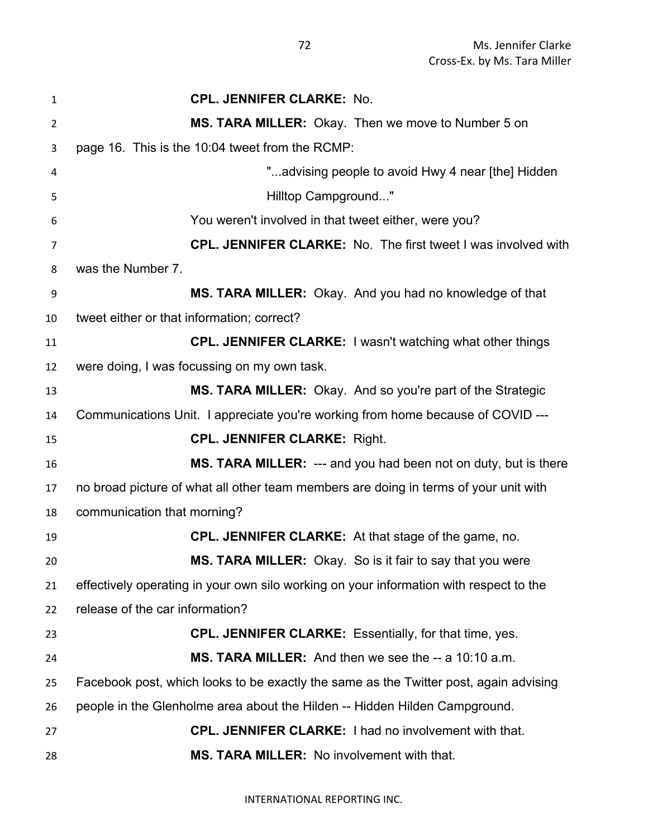| $\mathbf{1}$   | <b>CPL. JENNIFER CLARKE: No.</b>                                                       |
|----------------|----------------------------------------------------------------------------------------|
| $\overline{2}$ | MS. TARA MILLER: Okay. Then we move to Number 5 on                                     |
| 3              | page 16. This is the 10:04 tweet from the RCMP:                                        |
| 4              | "advising people to avoid Hwy 4 near [the] Hidden                                      |
| 5              | Hilltop Campground"                                                                    |
| 6              | You weren't involved in that tweet either, were you?                                   |
| $\overline{7}$ | <b>CPL. JENNIFER CLARKE:</b> No. The first tweet I was involved with                   |
| 8              | was the Number 7.                                                                      |
| 9              | MS. TARA MILLER: Okay. And you had no knowledge of that                                |
| 10             | tweet either or that information; correct?                                             |
| 11             | <b>CPL. JENNIFER CLARKE: I wasn't watching what other things</b>                       |
| 12             | were doing, I was focussing on my own task.                                            |
| 13             | MS. TARA MILLER: Okay. And so you're part of the Strategic                             |
| 14             | Communications Unit. I appreciate you're working from home because of COVID ---        |
| 15             | <b>CPL. JENNIFER CLARKE: Right.</b>                                                    |
| 16             | MS. TARA MILLER: --- and you had been not on duty, but is there                        |
| 17             | no broad picture of what all other team members are doing in terms of your unit with   |
| 18             | communication that morning?                                                            |
| 19             | <b>CPL. JENNIFER CLARKE:</b> At that stage of the game, no.                            |
| 20             | MS. TARA MILLER: Okay. So is it fair to say that you were                              |
| 21             | effectively operating in your own silo working on your information with respect to the |
| 22             | release of the car information?                                                        |
| 23             | <b>CPL. JENNIFER CLARKE:</b> Essentially, for that time, yes.                          |
| 24             | MS. TARA MILLER: And then we see the -- a 10:10 a.m.                                   |
| 25             | Facebook post, which looks to be exactly the same as the Twitter post, again advising  |
| 26             | people in the Glenholme area about the Hilden -- Hidden Hilden Campground.             |
| 27             | <b>CPL. JENNIFER CLARKE: I had no involvement with that.</b>                           |
| 28             | MS. TARA MILLER: No involvement with that.                                             |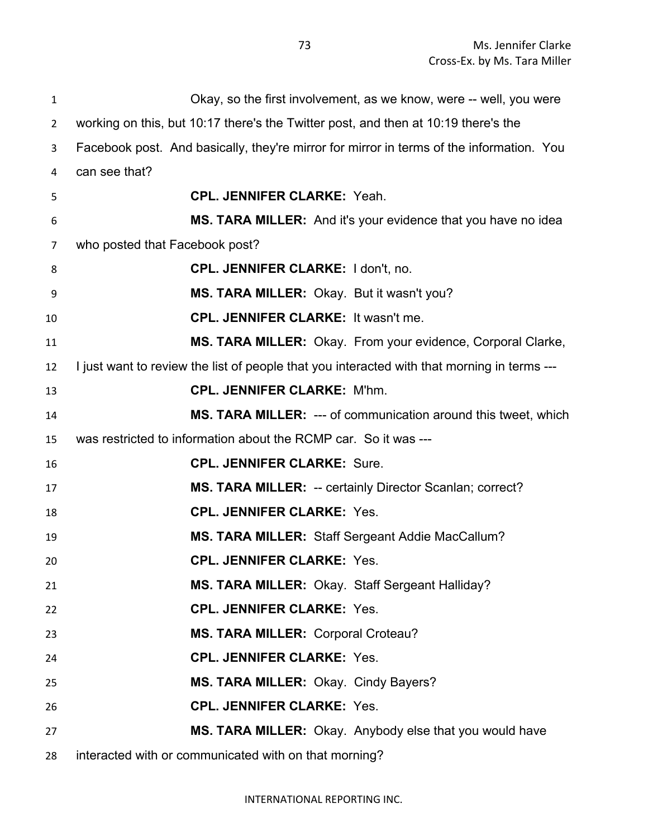| $\mathbf{1}$   | Okay, so the first involvement, as we know, were -- well, you were                          |
|----------------|---------------------------------------------------------------------------------------------|
| $\overline{2}$ | working on this, but 10:17 there's the Twitter post, and then at 10:19 there's the          |
| 3              | Facebook post. And basically, they're mirror for mirror in terms of the information. You    |
| 4              | can see that?                                                                               |
| 5              | <b>CPL. JENNIFER CLARKE: Yeah.</b>                                                          |
| 6              | MS. TARA MILLER: And it's your evidence that you have no idea                               |
| 7              | who posted that Facebook post?                                                              |
| 8              | <b>CPL. JENNIFER CLARKE: I don't, no.</b>                                                   |
| 9              | MS. TARA MILLER: Okay. But it wasn't you?                                                   |
| 10             | <b>CPL. JENNIFER CLARKE: It wasn't me.</b>                                                  |
| 11             | MS. TARA MILLER: Okay. From your evidence, Corporal Clarke,                                 |
| 12             | I just want to review the list of people that you interacted with that morning in terms --- |
| 13             | <b>CPL. JENNIFER CLARKE: M'hm.</b>                                                          |
| 14             | <b>MS. TARA MILLER: --- of communication around this tweet, which</b>                       |
| 15             | was restricted to information about the RCMP car. So it was ---                             |
| 16             | <b>CPL. JENNIFER CLARKE: Sure.</b>                                                          |
| 17             | MS. TARA MILLER: -- certainly Director Scanlan; correct?                                    |
| 18             | <b>CPL. JENNIFER CLARKE: Yes.</b>                                                           |
| 19             | MS. TARA MILLER: Staff Sergeant Addie MacCallum?                                            |
| 20             | <b>CPL. JENNIFER CLARKE: Yes.</b>                                                           |
| 21             | MS. TARA MILLER: Okay. Staff Sergeant Halliday?                                             |
| 22             | <b>CPL. JENNIFER CLARKE: Yes.</b>                                                           |
| 23             | MS. TARA MILLER: Corporal Croteau?                                                          |
| 24             | <b>CPL. JENNIFER CLARKE: Yes.</b>                                                           |
| 25             | MS. TARA MILLER: Okay. Cindy Bayers?                                                        |
| 26             | <b>CPL. JENNIFER CLARKE: Yes.</b>                                                           |
| 27             | MS. TARA MILLER: Okay. Anybody else that you would have                                     |
| 28             | interacted with or communicated with on that morning?                                       |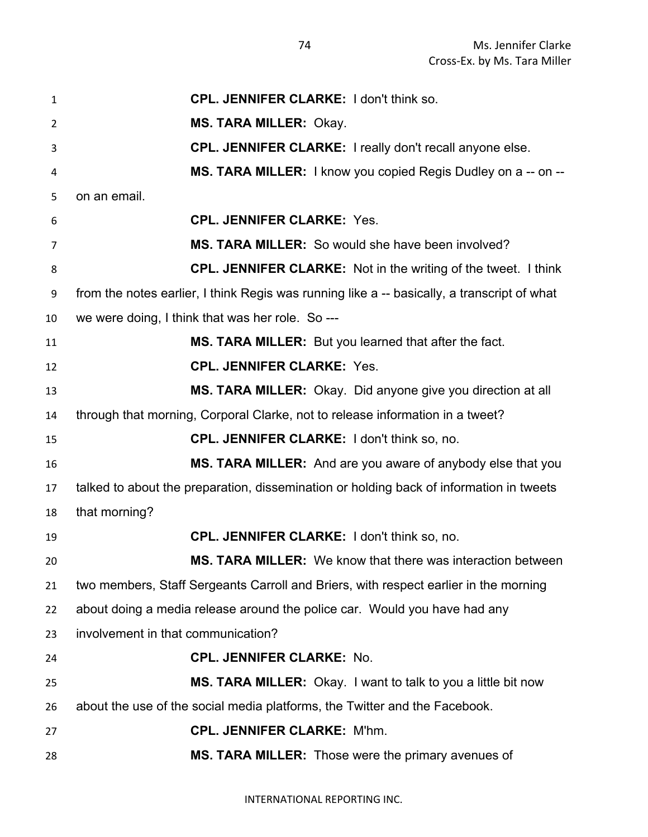| $\mathbf{1}$ | CPL. JENNIFER CLARKE: I don't think so.                                                     |
|--------------|---------------------------------------------------------------------------------------------|
| 2            | <b>MS. TARA MILLER: Okay.</b>                                                               |
| 3            | CPL. JENNIFER CLARKE: I really don't recall anyone else.                                    |
| 4            | MS. TARA MILLER: I know you copied Regis Dudley on a -- on --                               |
| 5            | on an email.                                                                                |
| 6            | <b>CPL. JENNIFER CLARKE: Yes.</b>                                                           |
| 7            | MS. TARA MILLER: So would she have been involved?                                           |
| 8            | <b>CPL. JENNIFER CLARKE:</b> Not in the writing of the tweet. I think                       |
| 9            | from the notes earlier, I think Regis was running like a -- basically, a transcript of what |
| 10           | we were doing, I think that was her role. So ---                                            |
| 11           | MS. TARA MILLER: But you learned that after the fact.                                       |
| 12           | <b>CPL. JENNIFER CLARKE: Yes.</b>                                                           |
| 13           | MS. TARA MILLER: Okay. Did anyone give you direction at all                                 |
| 14           | through that morning, Corporal Clarke, not to release information in a tweet?               |
| 15           | <b>CPL. JENNIFER CLARKE: I don't think so, no.</b>                                          |
| 16           | MS. TARA MILLER: And are you aware of anybody else that you                                 |
| 17           | talked to about the preparation, dissemination or holding back of information in tweets     |
| 18           | that morning?                                                                               |
| 19           | CPL. JENNIFER CLARKE: I don't think so, no.                                                 |
| 20           | <b>MS. TARA MILLER:</b> We know that there was interaction between                          |
| 21           | two members, Staff Sergeants Carroll and Briers, with respect earlier in the morning        |
| 22           | about doing a media release around the police car. Would you have had any                   |
| 23           | involvement in that communication?                                                          |
| 24           | <b>CPL. JENNIFER CLARKE: No.</b>                                                            |
| 25           | MS. TARA MILLER: Okay. I want to talk to you a little bit now                               |
| 26           | about the use of the social media platforms, the Twitter and the Facebook.                  |
| 27           | <b>CPL. JENNIFER CLARKE: M'hm.</b>                                                          |
| 28           | MS. TARA MILLER: Those were the primary avenues of                                          |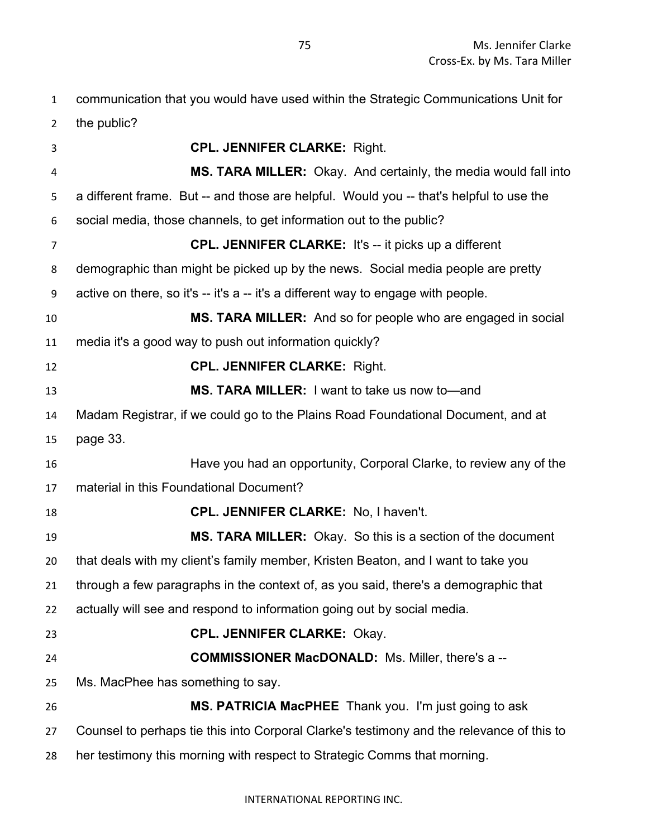communication that you would have used within the Strategic Communications Unit for

the public?

| 3              | <b>CPL. JENNIFER CLARKE: Right.</b>                                                       |
|----------------|-------------------------------------------------------------------------------------------|
| 4              | MS. TARA MILLER: Okay. And certainly, the media would fall into                           |
| 5              | a different frame. But -- and those are helpful. Would you -- that's helpful to use the   |
| 6              | social media, those channels, to get information out to the public?                       |
| $\overline{7}$ | <b>CPL. JENNIFER CLARKE:</b> It's -- it picks up a different                              |
| 8              | demographic than might be picked up by the news. Social media people are pretty           |
| 9              | active on there, so it's -- it's a -- it's a different way to engage with people.         |
| 10             | MS. TARA MILLER: And so for people who are engaged in social                              |
| 11             | media it's a good way to push out information quickly?                                    |
| 12             | <b>CPL. JENNIFER CLARKE: Right.</b>                                                       |
| 13             | MS. TARA MILLER: I want to take us now to-and                                             |
| 14             | Madam Registrar, if we could go to the Plains Road Foundational Document, and at          |
| 15             | page 33.                                                                                  |
| 16             | Have you had an opportunity, Corporal Clarke, to review any of the                        |
| 17             | material in this Foundational Document?                                                   |
| 18             | CPL. JENNIFER CLARKE: No, I haven't.                                                      |
| 19             | MS. TARA MILLER: Okay. So this is a section of the document                               |
| 20             | that deals with my client's family member, Kristen Beaton, and I want to take you         |
| 21             | through a few paragraphs in the context of, as you said, there's a demographic that       |
| 22             | actually will see and respond to information going out by social media.                   |
| 23             | <b>CPL. JENNIFER CLARKE: Okay.</b>                                                        |
| 24             | <b>COMMISSIONER MacDONALD:</b> Ms. Miller, there's a --                                   |
| 25             | Ms. MacPhee has something to say.                                                         |
| 26             | MS. PATRICIA MacPHEE Thank you. I'm just going to ask                                     |
| 27             | Counsel to perhaps tie this into Corporal Clarke's testimony and the relevance of this to |
| 28             | her testimony this morning with respect to Strategic Comms that morning.                  |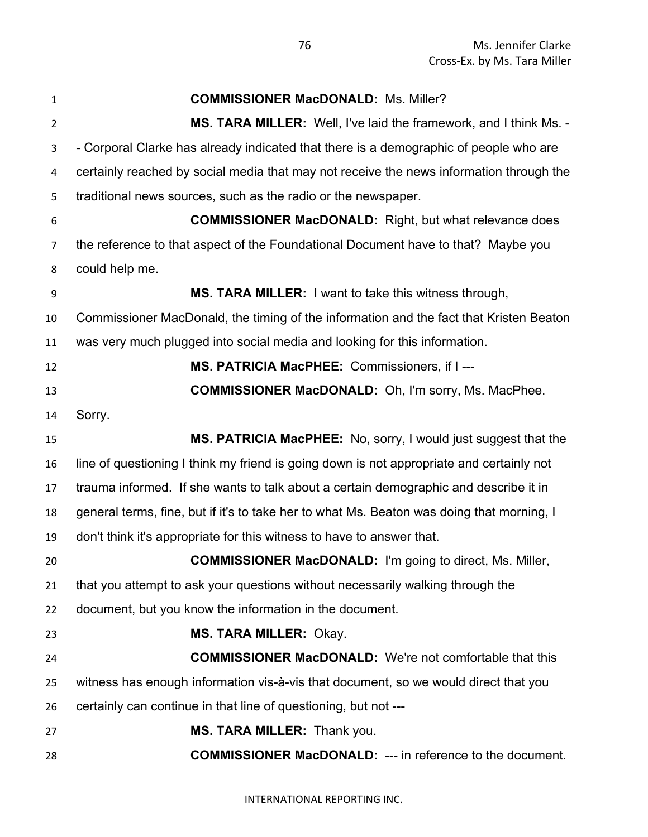| $\mathbf{1}$   | <b>COMMISSIONER MacDONALD: Ms. Miller?</b>                                                |
|----------------|-------------------------------------------------------------------------------------------|
| $\overline{2}$ | <b>MS. TARA MILLER:</b> Well, I've laid the framework, and I think Ms. -                  |
| 3              | - Corporal Clarke has already indicated that there is a demographic of people who are     |
| 4              | certainly reached by social media that may not receive the news information through the   |
| 5              | traditional news sources, such as the radio or the newspaper.                             |
| 6              | <b>COMMISSIONER MacDONALD:</b> Right, but what relevance does                             |
| 7              | the reference to that aspect of the Foundational Document have to that? Maybe you         |
| 8              | could help me.                                                                            |
| 9              | MS. TARA MILLER: I want to take this witness through,                                     |
| 10             | Commissioner MacDonald, the timing of the information and the fact that Kristen Beaton    |
| 11             | was very much plugged into social media and looking for this information.                 |
| 12             | MS. PATRICIA MacPHEE: Commissioners, if I ---                                             |
| 13             | <b>COMMISSIONER MacDONALD:</b> Oh, I'm sorry, Ms. MacPhee.                                |
| 14             | Sorry.                                                                                    |
| 15             | MS. PATRICIA MacPHEE: No, sorry, I would just suggest that the                            |
| 16             | line of questioning I think my friend is going down is not appropriate and certainly not  |
| 17             | trauma informed. If she wants to talk about a certain demographic and describe it in      |
| 18             | general terms, fine, but if it's to take her to what Ms. Beaton was doing that morning, I |
| 19             | don't think it's appropriate for this witness to have to answer that.                     |
| 20             | <b>COMMISSIONER MacDONALD:</b> I'm going to direct, Ms. Miller,                           |
| 21             | that you attempt to ask your questions without necessarily walking through the            |
| 22             | document, but you know the information in the document.                                   |
| 23             | <b>MS. TARA MILLER: Okay.</b>                                                             |
| 24             | <b>COMMISSIONER MacDONALD:</b> We're not comfortable that this                            |
| 25             | witness has enough information vis-à-vis that document, so we would direct that you       |
| 26             | certainly can continue in that line of questioning, but not ---                           |
| 27             | MS. TARA MILLER: Thank you.                                                               |
| 28             | <b>COMMISSIONER MacDONALD:</b> --- in reference to the document.                          |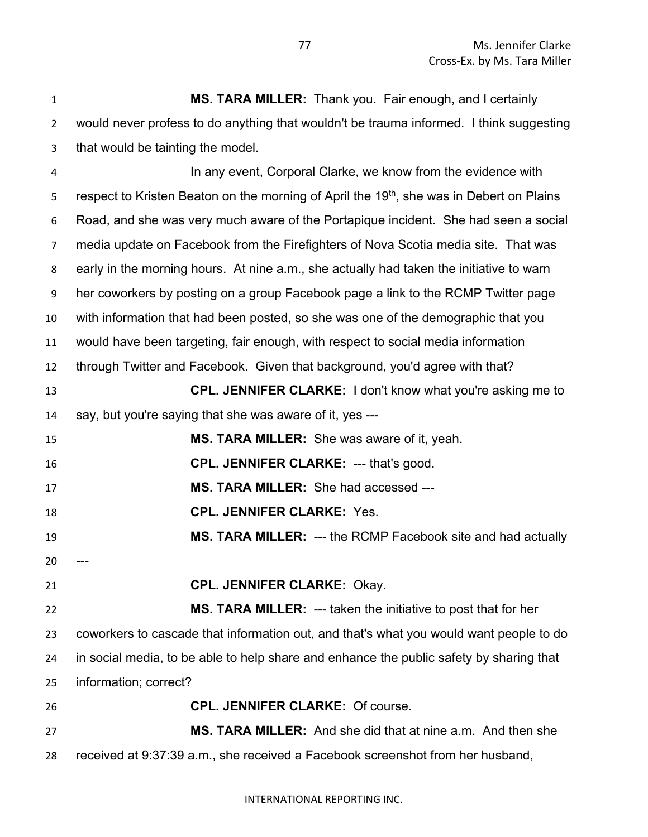| $\mathbf{1}$   | MS. TARA MILLER: Thank you. Fair enough, and I certainly                                             |
|----------------|------------------------------------------------------------------------------------------------------|
| $\overline{2}$ | would never profess to do anything that wouldn't be trauma informed. I think suggesting              |
| 3              | that would be tainting the model.                                                                    |
| 4              | In any event, Corporal Clarke, we know from the evidence with                                        |
| 5              | respect to Kristen Beaton on the morning of April the 19 <sup>th</sup> , she was in Debert on Plains |
| 6              | Road, and she was very much aware of the Portapique incident. She had seen a social                  |
| $\overline{7}$ | media update on Facebook from the Firefighters of Nova Scotia media site. That was                   |
| 8              | early in the morning hours. At nine a.m., she actually had taken the initiative to warn              |
| 9              | her coworkers by posting on a group Facebook page a link to the RCMP Twitter page                    |
| 10             | with information that had been posted, so she was one of the demographic that you                    |
| 11             | would have been targeting, fair enough, with respect to social media information                     |
| 12             | through Twitter and Facebook. Given that background, you'd agree with that?                          |
| 13             | <b>CPL. JENNIFER CLARKE:</b> I don't know what you're asking me to                                   |
| 14             | say, but you're saying that she was aware of it, yes ---                                             |
| 15             | <b>MS. TARA MILLER:</b> She was aware of it, yeah.                                                   |
| 16             | CPL. JENNIFER CLARKE: --- that's good.                                                               |
| 17             | MS. TARA MILLER: She had accessed ---                                                                |
| 18             | <b>CPL. JENNIFER CLARKE: Yes.</b>                                                                    |
| 19             | MS. TARA MILLER: --- the RCMP Facebook site and had actually                                         |
| 20             |                                                                                                      |
| 21             | <b>CPL. JENNIFER CLARKE: Okay.</b>                                                                   |
| 22             | <b>MS. TARA MILLER:</b> --- taken the initiative to post that for her                                |
| 23             | coworkers to cascade that information out, and that's what you would want people to do               |
| 24             | in social media, to be able to help share and enhance the public safety by sharing that              |
| 25             | information; correct?                                                                                |
| 26             | <b>CPL. JENNIFER CLARKE: Of course.</b>                                                              |
| 27             | MS. TARA MILLER: And she did that at nine a.m. And then she                                          |
| 28             | received at 9:37:39 a.m., she received a Facebook screenshot from her husband,                       |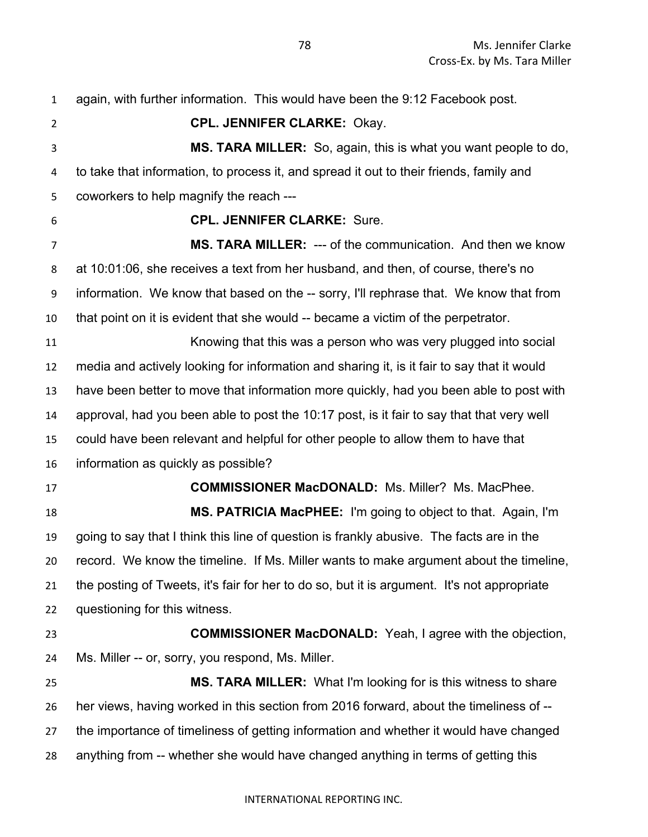again, with further information. This would have been the 9:12 Facebook post. **CPL. JENNIFER CLARKE:** Okay. **MS. TARA MILLER:** So, again, this is what you want people to do, to take that information, to process it, and spread it out to their friends, family and coworkers to help magnify the reach --- **CPL. JENNIFER CLARKE:** Sure. **MS. TARA MILLER:** --- of the communication. And then we know at 10:01:06, she receives a text from her husband, and then, of course, there's no information. We know that based on the -- sorry, I'll rephrase that. We know that from that point on it is evident that she would -- became a victim of the perpetrator. Knowing that this was a person who was very plugged into social media and actively looking for information and sharing it, is it fair to say that it would have been better to move that information more quickly, had you been able to post with approval, had you been able to post the 10:17 post, is it fair to say that that very well could have been relevant and helpful for other people to allow them to have that information as quickly as possible? **COMMISSIONER MacDONALD:** Ms. Miller? Ms. MacPhee. **MS. PATRICIA MacPHEE:** I'm going to object to that. Again, I'm going to say that I think this line of question is frankly abusive. The facts are in the record. We know the timeline. If Ms. Miller wants to make argument about the timeline, the posting of Tweets, it's fair for her to do so, but it is argument. It's not appropriate questioning for this witness. **COMMISSIONER MacDONALD:** Yeah, I agree with the objection, Ms. Miller -- or, sorry, you respond, Ms. Miller. **MS. TARA MILLER:** What I'm looking for is this witness to share her views, having worked in this section from 2016 forward, about the timeliness of -- the importance of timeliness of getting information and whether it would have changed anything from -- whether she would have changed anything in terms of getting this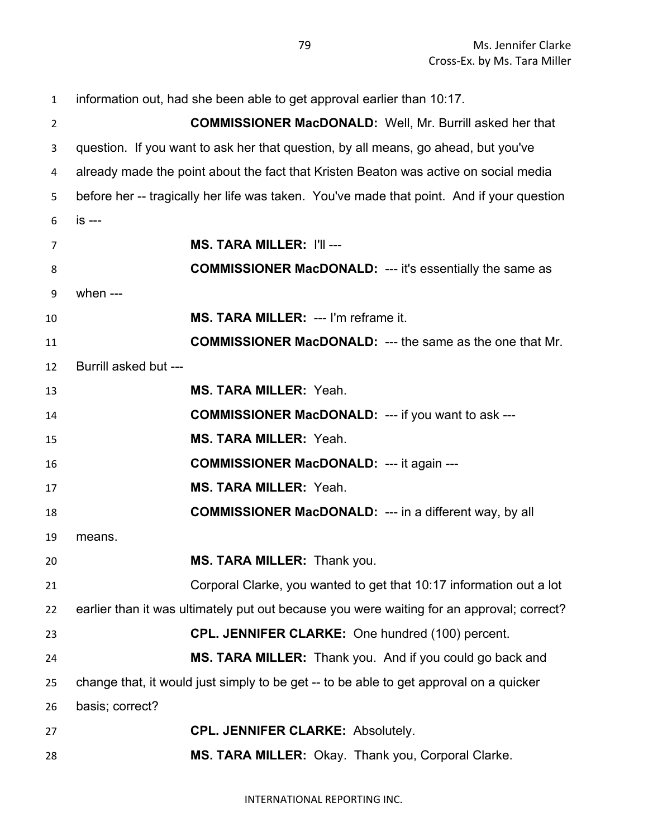| $\mathbf{1}$   | information out, had she been able to get approval earlier than 10:17.                    |
|----------------|-------------------------------------------------------------------------------------------|
| $\overline{2}$ | <b>COMMISSIONER MacDONALD:</b> Well, Mr. Burrill asked her that                           |
| 3              | question. If you want to ask her that question, by all means, go ahead, but you've        |
| 4              | already made the point about the fact that Kristen Beaton was active on social media      |
| 5              | before her -- tragically her life was taken. You've made that point. And if your question |
| 6              | is ---                                                                                    |
| 7              | <b>MS. TARA MILLER: I'll ---</b>                                                          |
| 8              | <b>COMMISSIONER MacDONALD: --- it's essentially the same as</b>                           |
| 9              | when $---$                                                                                |
| 10             | MS. TARA MILLER: --- I'm reframe it.                                                      |
| 11             | <b>COMMISSIONER MacDONALD:</b> --- the same as the one that Mr.                           |
| 12             | Burrill asked but ---                                                                     |
| 13             | <b>MS. TARA MILLER: Yeah.</b>                                                             |
| 14             | <b>COMMISSIONER MacDONALD:</b> --- if you want to ask ---                                 |
| 15             | <b>MS. TARA MILLER: Yeah.</b>                                                             |
| 16             | <b>COMMISSIONER MacDONALD: --- it again ---</b>                                           |
| 17             | <b>MS. TARA MILLER: Yeah.</b>                                                             |
| 18             | <b>COMMISSIONER MacDONALD:</b> --- in a different way, by all                             |
| 19             | means.                                                                                    |
| 20             | MS. TARA MILLER: Thank you.                                                               |
| 21             | Corporal Clarke, you wanted to get that 10:17 information out a lot                       |
| 22             | earlier than it was ultimately put out because you were waiting for an approval; correct? |
| 23             | CPL. JENNIFER CLARKE: One hundred (100) percent.                                          |
| 24             | MS. TARA MILLER: Thank you. And if you could go back and                                  |
| 25             | change that, it would just simply to be get -- to be able to get approval on a quicker    |
| 26             | basis; correct?                                                                           |
| 27             | <b>CPL. JENNIFER CLARKE: Absolutely.</b>                                                  |
| 28             | MS. TARA MILLER: Okay. Thank you, Corporal Clarke.                                        |

INTERNATIONAL REPORTING INC.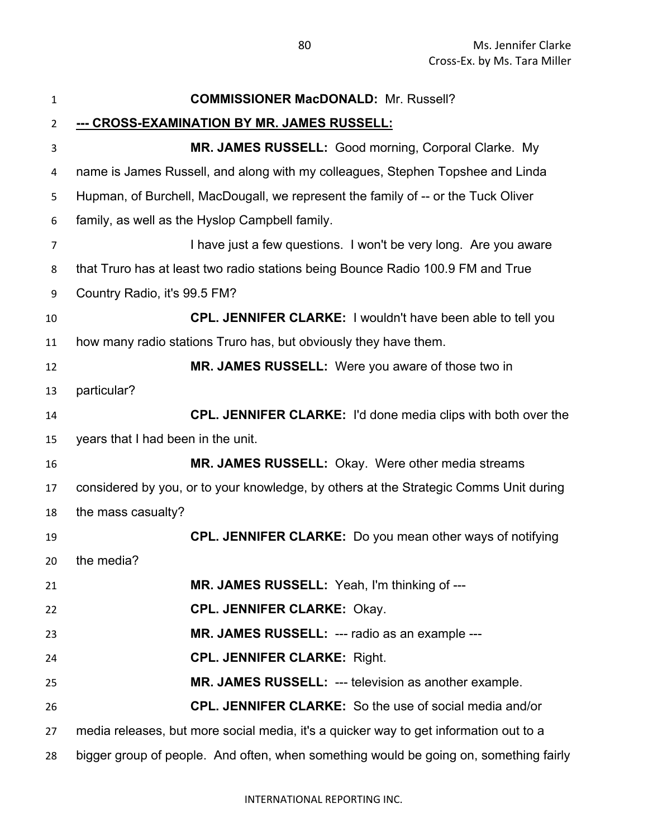| $\mathbf{1}$   | <b>COMMISSIONER MacDONALD: Mr. Russell?</b>                                           |
|----------------|---------------------------------------------------------------------------------------|
| $\overline{2}$ | <u>--- CROSS-EXAMINATION BY MR. JAMES RUSSELL:</u>                                    |
| 3              | MR. JAMES RUSSELL: Good morning, Corporal Clarke. My                                  |
| 4              | name is James Russell, and along with my colleagues, Stephen Topshee and Linda        |
| 5              | Hupman, of Burchell, MacDougall, we represent the family of -- or the Tuck Oliver     |
| 6              | family, as well as the Hyslop Campbell family.                                        |
| $\overline{7}$ | I have just a few questions. I won't be very long. Are you aware                      |
| 8              | that Truro has at least two radio stations being Bounce Radio 100.9 FM and True       |
| 9              | Country Radio, it's 99.5 FM?                                                          |
| 10             | CPL. JENNIFER CLARKE: I wouldn't have been able to tell you                           |
| 11             | how many radio stations Truro has, but obviously they have them.                      |
| 12             | MR. JAMES RUSSELL: Were you aware of those two in                                     |
| 13             | particular?                                                                           |
| 14             | <b>CPL. JENNIFER CLARKE:</b> I'd done media clips with both over the                  |
| 15             | years that I had been in the unit.                                                    |
| 16             | MR. JAMES RUSSELL: Okay. Were other media streams                                     |
| 17             | considered by you, or to your knowledge, by others at the Strategic Comms Unit during |
| 18             | the mass casualty?                                                                    |
| 19             | <b>CPL. JENNIFER CLARKE:</b> Do you mean other ways of notifying                      |
| 20             | the media?                                                                            |
| 21             | MR. JAMES RUSSELL: Yeah, I'm thinking of ---                                          |
| 22             | <b>CPL. JENNIFER CLARKE: Okay.</b>                                                    |
| 23             | MR. JAMES RUSSELL: --- radio as an example ---                                        |
| 24             | <b>CPL. JENNIFER CLARKE: Right.</b>                                                   |
| 25             | MR. JAMES RUSSELL: --- television as another example.                                 |
| 26             | <b>CPL. JENNIFER CLARKE:</b> So the use of social media and/or                        |
| 27             | media releases, but more social media, it's a quicker way to get information out to a |
| 28             | bigger group of people. And often, when something would be going on, something fairly |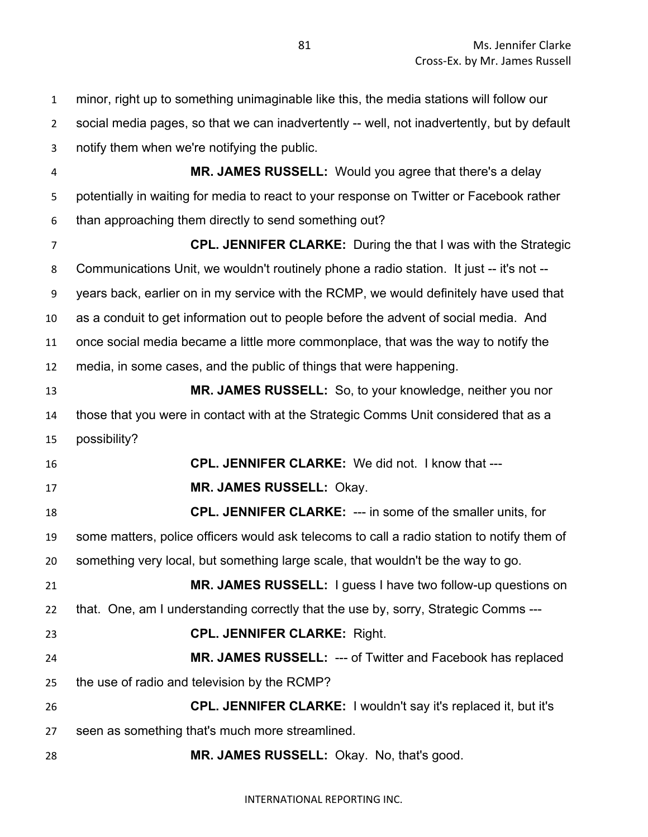minor, right up to something unimaginable like this, the media stations will follow our social media pages, so that we can inadvertently -- well, not inadvertently, but by default notify them when we're notifying the public. **MR. JAMES RUSSELL:** Would you agree that there's a delay potentially in waiting for media to react to your response on Twitter or Facebook rather than approaching them directly to send something out? **CPL. JENNIFER CLARKE:** During the that I was with the Strategic Communications Unit, we wouldn't routinely phone a radio station. It just -- it's not -- years back, earlier on in my service with the RCMP, we would definitely have used that as a conduit to get information out to people before the advent of social media. And once social media became a little more commonplace, that was the way to notify the media, in some cases, and the public of things that were happening. **MR. JAMES RUSSELL:** So, to your knowledge, neither you nor those that you were in contact with at the Strategic Comms Unit considered that as a possibility? **CPL. JENNIFER CLARKE:** We did not. I know that --- **MR. JAMES RUSSELL:** Okay. **CPL. JENNIFER CLARKE:** --- in some of the smaller units, for some matters, police officers would ask telecoms to call a radio station to notify them of something very local, but something large scale, that wouldn't be the way to go. **MR. JAMES RUSSELL:** I guess I have two follow-up questions on that. One, am I understanding correctly that the use by, sorry, Strategic Comms --- **CPL. JENNIFER CLARKE:** Right. **MR. JAMES RUSSELL:** --- of Twitter and Facebook has replaced the use of radio and television by the RCMP? **CPL. JENNIFER CLARKE:** I wouldn't say it's replaced it, but it's seen as something that's much more streamlined. **MR. JAMES RUSSELL:** Okay. No, that's good.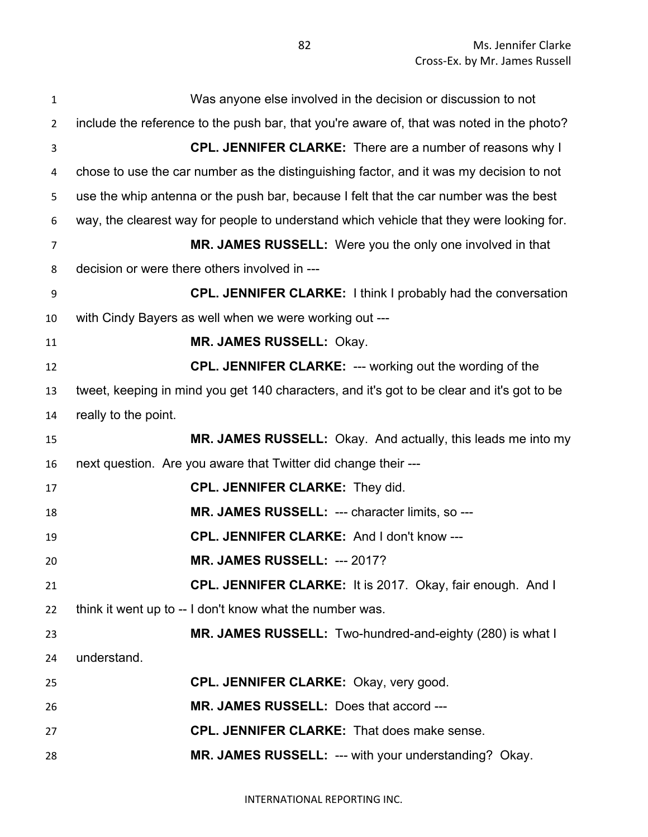| $\mathbf{1}$   | Was anyone else involved in the decision or discussion to not                              |
|----------------|--------------------------------------------------------------------------------------------|
| $\overline{2}$ | include the reference to the push bar, that you're aware of, that was noted in the photo?  |
| 3              | <b>CPL. JENNIFER CLARKE:</b> There are a number of reasons why I                           |
| 4              | chose to use the car number as the distinguishing factor, and it was my decision to not    |
| 5              | use the whip antenna or the push bar, because I felt that the car number was the best      |
| 6              | way, the clearest way for people to understand which vehicle that they were looking for.   |
| $\overline{7}$ | MR. JAMES RUSSELL: Were you the only one involved in that                                  |
| 8              | decision or were there others involved in ---                                              |
| 9              | <b>CPL. JENNIFER CLARKE:</b> I think I probably had the conversation                       |
| 10             | with Cindy Bayers as well when we were working out ---                                     |
| 11             | MR. JAMES RUSSELL: Okay.                                                                   |
| 12             | <b>CPL. JENNIFER CLARKE: --- working out the wording of the</b>                            |
| 13             | tweet, keeping in mind you get 140 characters, and it's got to be clear and it's got to be |
| 14             | really to the point.                                                                       |
| 15             | MR. JAMES RUSSELL: Okay. And actually, this leads me into my                               |
| 16             | next question. Are you aware that Twitter did change their ---                             |
| 17             | <b>CPL. JENNIFER CLARKE: They did.</b>                                                     |
| 18             | MR. JAMES RUSSELL: --- character limits, so ---                                            |
| 19             | CPL. JENNIFER CLARKE: And I don't know ---                                                 |
| 20             | <b>MR. JAMES RUSSELL: --- 2017?</b>                                                        |
| 21             | CPL. JENNIFER CLARKE: It is 2017. Okay, fair enough. And I                                 |
| 22             | think it went up to -- I don't know what the number was.                                   |
| 23             | MR. JAMES RUSSELL: Two-hundred-and-eighty (280) is what I                                  |
| 24             | understand.                                                                                |
| 25             | <b>CPL. JENNIFER CLARKE: Okay, very good.</b>                                              |
| 26             | MR. JAMES RUSSELL: Does that accord ---                                                    |
| 27             | <b>CPL. JENNIFER CLARKE:</b> That does make sense.                                         |
| 28             | MR. JAMES RUSSELL: --- with your understanding? Okay.                                      |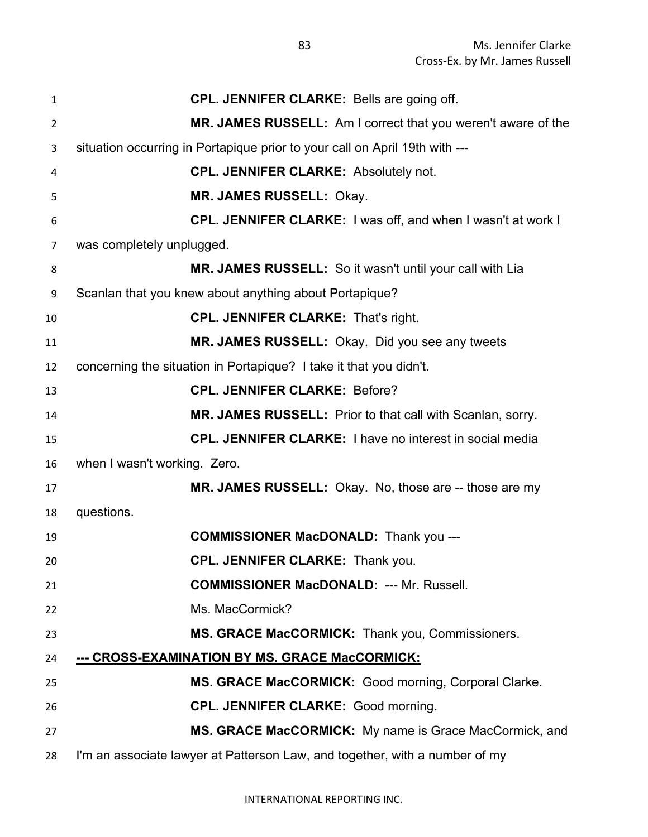| 1  | <b>CPL. JENNIFER CLARKE: Bells are going off.</b>                           |
|----|-----------------------------------------------------------------------------|
| 2  | MR. JAMES RUSSELL: Am I correct that you weren't aware of the               |
| 3  | situation occurring in Portapique prior to your call on April 19th with --- |
| 4  | <b>CPL. JENNIFER CLARKE: Absolutely not.</b>                                |
| 5  | MR. JAMES RUSSELL: Okay.                                                    |
| 6  | CPL. JENNIFER CLARKE: I was off, and when I wasn't at work I                |
| 7  | was completely unplugged.                                                   |
| 8  | MR. JAMES RUSSELL: So it wasn't until your call with Lia                    |
| 9  | Scanlan that you knew about anything about Portapique?                      |
| 10 | <b>CPL. JENNIFER CLARKE: That's right.</b>                                  |
| 11 | MR. JAMES RUSSELL: Okay. Did you see any tweets                             |
| 12 | concerning the situation in Portapique? I take it that you didn't.          |
| 13 | <b>CPL. JENNIFER CLARKE: Before?</b>                                        |
| 14 | MR. JAMES RUSSELL: Prior to that call with Scanlan, sorry.                  |
| 15 | <b>CPL. JENNIFER CLARKE: I have no interest in social media</b>             |
| 16 | when I wasn't working. Zero.                                                |
| 17 | MR. JAMES RUSSELL: Okay. No, those are -- those are my                      |
| 18 | questions.                                                                  |
| 19 | <b>COMMISSIONER MacDONALD:</b> Thank you ---                                |
| 20 | <b>CPL. JENNIFER CLARKE: Thank you.</b>                                     |
| 21 | <b>COMMISSIONER MacDONALD: --- Mr. Russell.</b>                             |
| 22 | Ms. MacCormick?                                                             |
| 23 | MS. GRACE MacCORMICK: Thank you, Commissioners.                             |
| 24 | --- CROSS-EXAMINATION BY MS. GRACE MacCORMICK:                              |
| 25 | MS. GRACE MacCORMICK: Good morning, Corporal Clarke.                        |
| 26 | <b>CPL. JENNIFER CLARKE: Good morning.</b>                                  |
| 27 | MS. GRACE MacCORMICK: My name is Grace MacCormick, and                      |
| 28 | I'm an associate lawyer at Patterson Law, and together, with a number of my |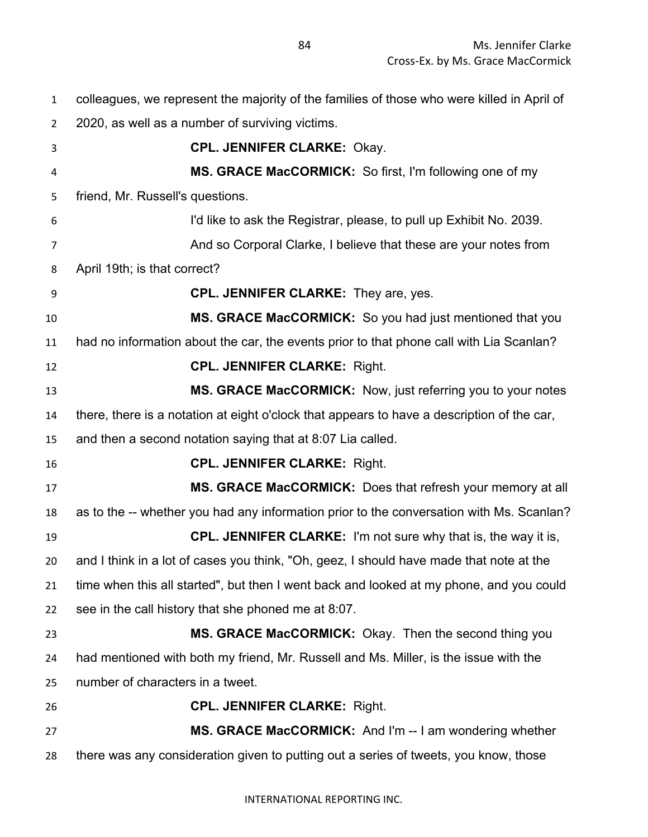colleagues, we represent the majority of the families of those who were killed in April of 2020, as well as a number of surviving victims. **CPL. JENNIFER CLARKE:** Okay. **MS. GRACE MacCORMICK:** So first, I'm following one of my friend, Mr. Russell's questions. I'd like to ask the Registrar, please, to pull up Exhibit No. 2039. And so Corporal Clarke, I believe that these are your notes from April 19th; is that correct? **CPL. JENNIFER CLARKE:** They are, yes. **MS. GRACE MacCORMICK:** So you had just mentioned that you had no information about the car, the events prior to that phone call with Lia Scanlan? **CPL. JENNIFER CLARKE:** Right. **MS. GRACE MacCORMICK:** Now, just referring you to your notes there, there is a notation at eight o'clock that appears to have a description of the car, and then a second notation saying that at 8:07 Lia called. **CPL. JENNIFER CLARKE:** Right. **MS. GRACE MacCORMICK:** Does that refresh your memory at all as to the -- whether you had any information prior to the conversation with Ms. Scanlan? **CPL. JENNIFER CLARKE:** I'm not sure why that is, the way it is, and I think in a lot of cases you think, "Oh, geez, I should have made that note at the time when this all started", but then I went back and looked at my phone, and you could see in the call history that she phoned me at 8:07. **MS. GRACE MacCORMICK:** Okay. Then the second thing you had mentioned with both my friend, Mr. Russell and Ms. Miller, is the issue with the number of characters in a tweet. **CPL. JENNIFER CLARKE:** Right. **MS. GRACE MacCORMICK:** And I'm -- I am wondering whether

there was any consideration given to putting out a series of tweets, you know, those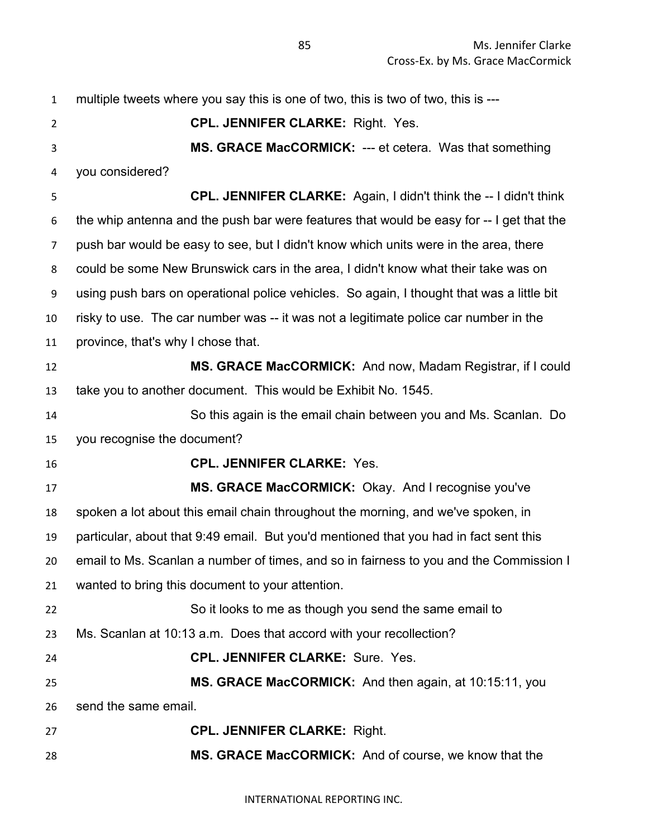| $\mathbf{1}$   | multiple tweets where you say this is one of two, this is two of two, this is ---         |
|----------------|-------------------------------------------------------------------------------------------|
| $\overline{2}$ | <b>CPL. JENNIFER CLARKE: Right. Yes.</b>                                                  |
| 3              | MS. GRACE MacCORMICK: --- et cetera. Was that something                                   |
| 4              | you considered?                                                                           |
| 5              | <b>CPL. JENNIFER CLARKE:</b> Again, I didn't think the -- I didn't think                  |
| 6              | the whip antenna and the push bar were features that would be easy for -- I get that the  |
| $\overline{7}$ | push bar would be easy to see, but I didn't know which units were in the area, there      |
| 8              | could be some New Brunswick cars in the area, I didn't know what their take was on        |
| 9              | using push bars on operational police vehicles. So again, I thought that was a little bit |
| 10             | risky to use. The car number was -- it was not a legitimate police car number in the      |
| 11             | province, that's why I chose that.                                                        |
| 12             | MS. GRACE MacCORMICK: And now, Madam Registrar, if I could                                |
| 13             | take you to another document. This would be Exhibit No. 1545.                             |
| 14             | So this again is the email chain between you and Ms. Scanlan. Do                          |
| 15             | you recognise the document?                                                               |
| 16             | <b>CPL. JENNIFER CLARKE: Yes.</b>                                                         |
| 17             | MS. GRACE MacCORMICK: Okay. And I recognise you've                                        |
| 18             | spoken a lot about this email chain throughout the morning, and we've spoken, in          |
| 19             | particular, about that 9:49 email. But you'd mentioned that you had in fact sent this     |
| 20             | email to Ms. Scanlan a number of times, and so in fairness to you and the Commission I    |
| 21             | wanted to bring this document to your attention.                                          |
| 22             | So it looks to me as though you send the same email to                                    |
| 23             | Ms. Scanlan at 10:13 a.m. Does that accord with your recollection?                        |
| 24             | CPL. JENNIFER CLARKE: Sure. Yes.                                                          |
| 25             | MS. GRACE MacCORMICK: And then again, at 10:15:11, you                                    |
| 26             | send the same email.                                                                      |
| 27             | <b>CPL. JENNIFER CLARKE: Right.</b>                                                       |
| 28             | MS. GRACE MacCORMICK: And of course, we know that the                                     |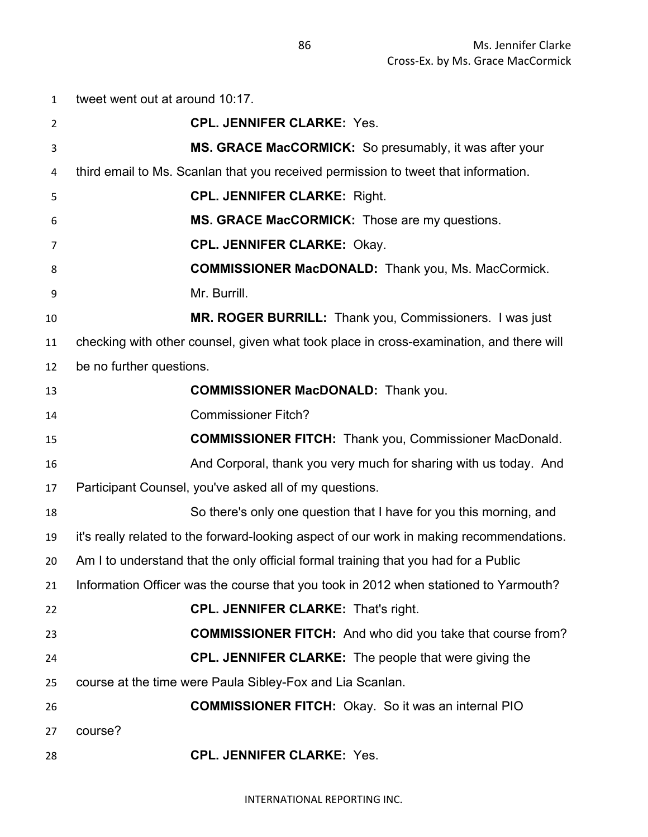tweet went out at around 10:17. **CPL. JENNIFER CLARKE:** Yes. **MS. GRACE MacCORMICK:** So presumably, it was after your third email to Ms. Scanlan that you received permission to tweet that information. **CPL. JENNIFER CLARKE:** Right. **MS. GRACE MacCORMICK:** Those are my questions. **CPL. JENNIFER CLARKE:** Okay. **COMMISSIONER MacDONALD:** Thank you, Ms. MacCormick. Mr. Burrill. **MR. ROGER BURRILL:** Thank you, Commissioners. I was just checking with other counsel, given what took place in cross-examination, and there will be no further questions. **COMMISSIONER MacDONALD:** Thank you. Commissioner Fitch? **COMMISSIONER FITCH:** Thank you, Commissioner MacDonald. And Corporal, thank you very much for sharing with us today. And Participant Counsel, you've asked all of my questions. So there's only one question that I have for you this morning, and it's really related to the forward-looking aspect of our work in making recommendations. Am I to understand that the only official formal training that you had for a Public Information Officer was the course that you took in 2012 when stationed to Yarmouth? **CPL. JENNIFER CLARKE:** That's right. **COMMISSIONER FITCH:** And who did you take that course from? **CPL. JENNIFER CLARKE:** The people that were giving the course at the time were Paula Sibley-Fox and Lia Scanlan. **COMMISSIONER FITCH:** Okay. So it was an internal PIO course? **CPL. JENNIFER CLARKE:** Yes.

INTERNATIONAL REPORTING INC.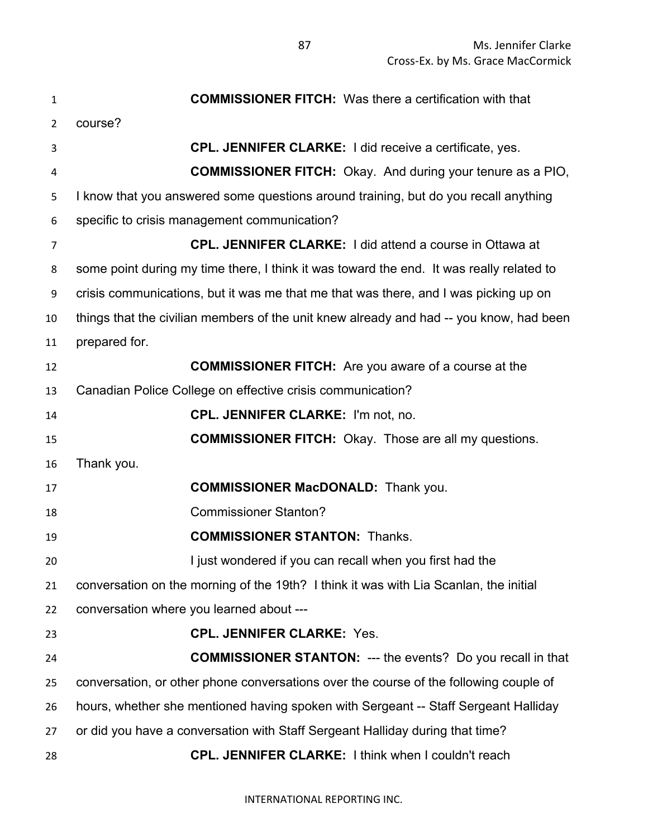| 1  | <b>COMMISSIONER FITCH:</b> Was there a certification with that                           |
|----|------------------------------------------------------------------------------------------|
| 2  | course?                                                                                  |
| 3  | <b>CPL. JENNIFER CLARKE:</b> I did receive a certificate, yes.                           |
| 4  | <b>COMMISSIONER FITCH:</b> Okay. And during your tenure as a PIO,                        |
| 5  | I know that you answered some questions around training, but do you recall anything      |
| 6  | specific to crisis management communication?                                             |
| 7  | <b>CPL. JENNIFER CLARKE: I did attend a course in Ottawa at</b>                          |
| 8  | some point during my time there, I think it was toward the end. It was really related to |
| 9  | crisis communications, but it was me that me that was there, and I was picking up on     |
| 10 | things that the civilian members of the unit knew already and had -- you know, had been  |
| 11 | prepared for.                                                                            |
| 12 | <b>COMMISSIONER FITCH:</b> Are you aware of a course at the                              |
| 13 | Canadian Police College on effective crisis communication?                               |
| 14 | <b>CPL. JENNIFER CLARKE: I'm not, no.</b>                                                |
| 15 | <b>COMMISSIONER FITCH:</b> Okay. Those are all my questions.                             |
| 16 | Thank you.                                                                               |
| 17 | <b>COMMISSIONER MacDONALD:</b> Thank you.                                                |
| 18 | <b>Commissioner Stanton?</b>                                                             |
| 19 | <b>COMMISSIONER STANTON: Thanks.</b>                                                     |
| 20 | I just wondered if you can recall when you first had the                                 |
| 21 | conversation on the morning of the 19th? I think it was with Lia Scanlan, the initial    |
| 22 | conversation where you learned about ---                                                 |
| 23 | <b>CPL. JENNIFER CLARKE: Yes.</b>                                                        |
| 24 | <b>COMMISSIONER STANTON: --- the events?</b> Do you recall in that                       |
| 25 | conversation, or other phone conversations over the course of the following couple of    |
| 26 | hours, whether she mentioned having spoken with Sergeant -- Staff Sergeant Halliday      |
| 27 | or did you have a conversation with Staff Sergeant Halliday during that time?            |
| 28 | <b>CPL. JENNIFER CLARKE: I think when I couldn't reach</b>                               |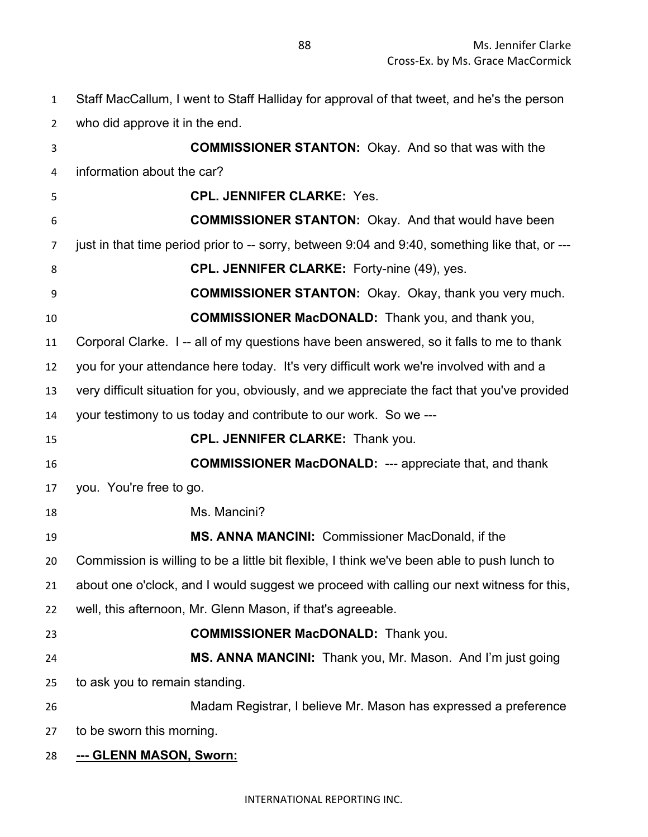Staff MacCallum, I went to Staff Halliday for approval of that tweet, and he's the person

who did approve it in the end. **COMMISSIONER STANTON:** Okay. And so that was with the information about the car? **CPL. JENNIFER CLARKE:** Yes. **COMMISSIONER STANTON:** Okay. And that would have been 7 just in that time period prior to -- sorry, between 9:04 and 9:40, something like that, or ---**CPL. JENNIFER CLARKE:** Forty-nine (49), yes. **COMMISSIONER STANTON:** Okay. Okay, thank you very much. **COMMISSIONER MacDONALD:** Thank you, and thank you, Corporal Clarke. I -- all of my questions have been answered, so it falls to me to thank you for your attendance here today. It's very difficult work we're involved with and a very difficult situation for you, obviously, and we appreciate the fact that you've provided your testimony to us today and contribute to our work. So we --- **CPL. JENNIFER CLARKE:** Thank you. **COMMISSIONER MacDONALD:** --- appreciate that, and thank you. You're free to go. 18 Ms. Mancini? **MS. ANNA MANCINI:** Commissioner MacDonald, if the Commission is willing to be a little bit flexible, I think we've been able to push lunch to about one o'clock, and I would suggest we proceed with calling our next witness for this, well, this afternoon, Mr. Glenn Mason, if that's agreeable.

- 
- **COMMISSIONER MacDONALD:** Thank you.
- **MS. ANNA MANCINI:** Thank you, Mr. Mason. And I'm just going to ask you to remain standing.
- Madam Registrar, I believe Mr. Mason has expressed a preference
- to be sworn this morning.
- **--- GLENN MASON, Sworn:**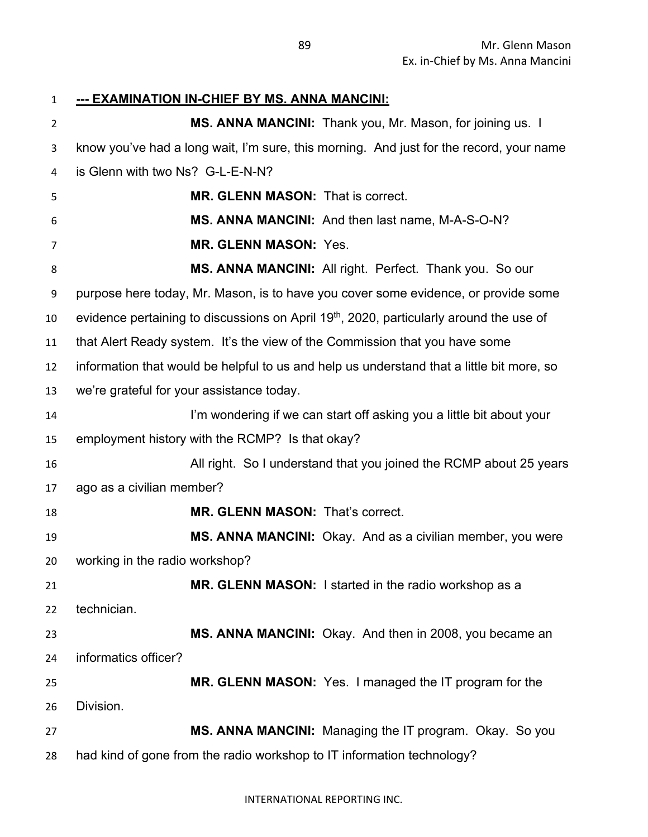## **--- EXAMINATION IN-CHIEF BY MS. ANNA MANCINI:**

| $\overline{2}$ | MS. ANNA MANCINI: Thank you, Mr. Mason, for joining us. I                                           |
|----------------|-----------------------------------------------------------------------------------------------------|
| 3              | know you've had a long wait, I'm sure, this morning. And just for the record, your name             |
| 4              | is Glenn with two Ns? G-L-E-N-N?                                                                    |
| 5              | MR. GLENN MASON: That is correct.                                                                   |
| 6              | MS. ANNA MANCINI: And then last name, M-A-S-O-N?                                                    |
| 7              | <b>MR. GLENN MASON: Yes.</b>                                                                        |
| 8              | MS. ANNA MANCINI: All right. Perfect. Thank you. So our                                             |
| 9              | purpose here today, Mr. Mason, is to have you cover some evidence, or provide some                  |
| 10             | evidence pertaining to discussions on April 19 <sup>th</sup> , 2020, particularly around the use of |
| 11             | that Alert Ready system. It's the view of the Commission that you have some                         |
| 12             | information that would be helpful to us and help us understand that a little bit more, so           |
| 13             | we're grateful for your assistance today.                                                           |
| 14             | I'm wondering if we can start off asking you a little bit about your                                |
| 15             | employment history with the RCMP? Is that okay?                                                     |
| 16             | All right. So I understand that you joined the RCMP about 25 years                                  |
| 17             | ago as a civilian member?                                                                           |
| 18             | <b>MR. GLENN MASON: That's correct.</b>                                                             |
| 19             | MS. ANNA MANCINI: Okay. And as a civilian member, you were                                          |
| 20             | working in the radio workshop?                                                                      |
| 21             | MR. GLENN MASON: I started in the radio workshop as a                                               |
| 22             | technician.                                                                                         |
| 23             | MS. ANNA MANCINI: Okay. And then in 2008, you became an                                             |
| 24             | informatics officer?                                                                                |
| 25             | MR. GLENN MASON: Yes. I managed the IT program for the                                              |
| 26             | Division.                                                                                           |
| 27             | MS. ANNA MANCINI: Managing the IT program. Okay. So you                                             |
| 28             | had kind of gone from the radio workshop to IT information technology?                              |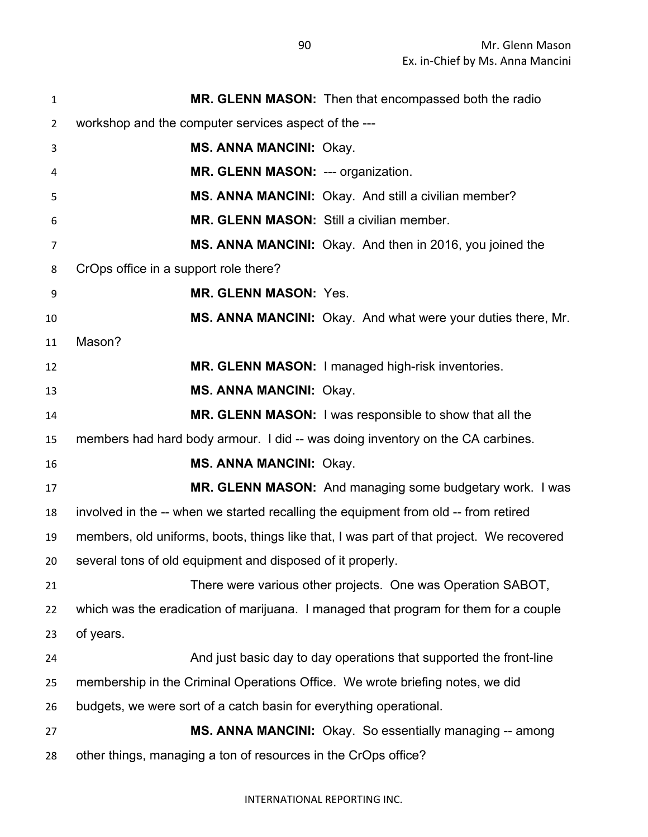| $\mathbf{1}$   | MR. GLENN MASON: Then that encompassed both the radio                                    |
|----------------|------------------------------------------------------------------------------------------|
| $\overline{2}$ | workshop and the computer services aspect of the ---                                     |
| 3              | <b>MS. ANNA MANCINI: Okay.</b>                                                           |
| 4              | MR. GLENN MASON: --- organization.                                                       |
| 5              | MS. ANNA MANCINI: Okay. And still a civilian member?                                     |
| 6              | MR. GLENN MASON: Still a civilian member.                                                |
| $\overline{7}$ | MS. ANNA MANCINI: Okay. And then in 2016, you joined the                                 |
| 8              | CrOps office in a support role there?                                                    |
| 9              | <b>MR. GLENN MASON: Yes.</b>                                                             |
| 10             | MS. ANNA MANCINI: Okay. And what were your duties there, Mr.                             |
| 11             | Mason?                                                                                   |
| 12             | MR. GLENN MASON: I managed high-risk inventories.                                        |
| 13             | <b>MS. ANNA MANCINI: Okay.</b>                                                           |
| 14             | <b>MR. GLENN MASON:</b> I was responsible to show that all the                           |
| 15             | members had hard body armour. I did -- was doing inventory on the CA carbines.           |
| 16             | <b>MS. ANNA MANCINI: Okay.</b>                                                           |
| 17             | MR. GLENN MASON: And managing some budgetary work. I was                                 |
| 18             | involved in the -- when we started recalling the equipment from old -- from retired      |
| 19             | members, old uniforms, boots, things like that, I was part of that project. We recovered |
| 20             | several tons of old equipment and disposed of it properly.                               |
| 21             | There were various other projects. One was Operation SABOT,                              |
| 22             | which was the eradication of marijuana. I managed that program for them for a couple     |
| 23             | of years.                                                                                |
| 24             | And just basic day to day operations that supported the front-line                       |
| 25             | membership in the Criminal Operations Office. We wrote briefing notes, we did            |
| 26             | budgets, we were sort of a catch basin for everything operational.                       |
| 27             | MS. ANNA MANCINI: Okay. So essentially managing -- among                                 |
| 28             | other things, managing a ton of resources in the CrOps office?                           |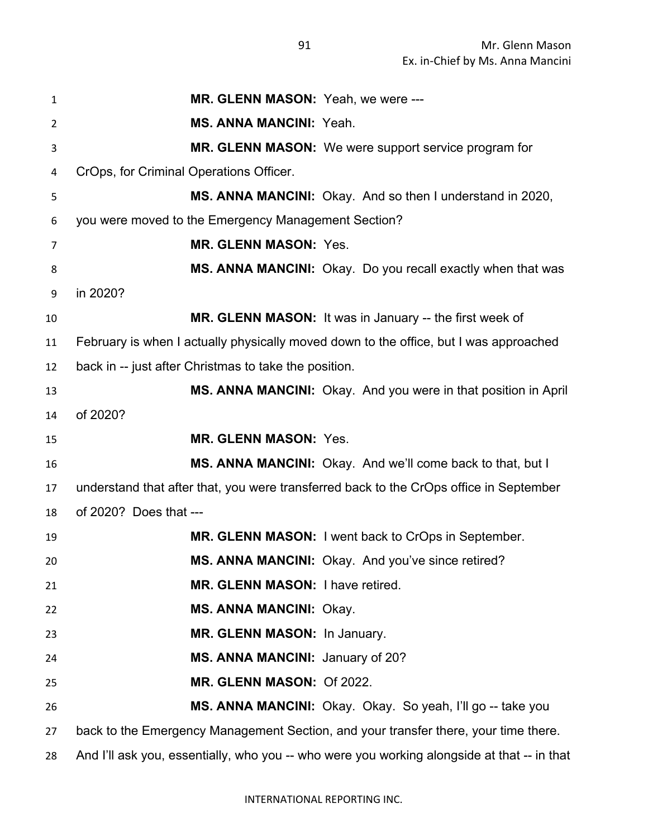| 1              | MR. GLENN MASON: Yeah, we were ---                                                          |
|----------------|---------------------------------------------------------------------------------------------|
| $\overline{2}$ | <b>MS. ANNA MANCINI: Yeah.</b>                                                              |
| 3              | MR. GLENN MASON: We were support service program for                                        |
| 4              | CrOps, for Criminal Operations Officer.                                                     |
| 5              | MS. ANNA MANCINI: Okay. And so then I understand in 2020,                                   |
| 6              | you were moved to the Emergency Management Section?                                         |
| 7              | <b>MR. GLENN MASON: Yes.</b>                                                                |
| 8              | MS. ANNA MANCINI: Okay. Do you recall exactly when that was                                 |
| 9              | in 2020?                                                                                    |
| 10             | MR. GLENN MASON: It was in January -- the first week of                                     |
| 11             | February is when I actually physically moved down to the office, but I was approached       |
| 12             | back in -- just after Christmas to take the position.                                       |
| 13             | MS. ANNA MANCINI: Okay. And you were in that position in April                              |
| 14             | of 2020?                                                                                    |
| 15             | <b>MR. GLENN MASON: Yes.</b>                                                                |
| 16             | MS. ANNA MANCINI: Okay. And we'll come back to that, but I                                  |
| 17             | understand that after that, you were transferred back to the CrOps office in September      |
| 18             | of 2020? Does that ---                                                                      |
| 19             | MR. GLENN MASON: I went back to CrOps in September.                                         |
| 20             | MS. ANNA MANCINI: Okay. And you've since retired?                                           |
| 21             | MR. GLENN MASON: I have retired.                                                            |
| 22             | <b>MS. ANNA MANCINI: Okay.</b>                                                              |
| 23             | MR. GLENN MASON: In January.                                                                |
| 24             | MS. ANNA MANCINI: January of 20?                                                            |
| 25             | MR. GLENN MASON: Of 2022.                                                                   |
| 26             | MS. ANNA MANCINI: Okay. Okay. So yeah, I'll go -- take you                                  |
| 27             | back to the Emergency Management Section, and your transfer there, your time there.         |
| 28             | And I'll ask you, essentially, who you -- who were you working alongside at that -- in that |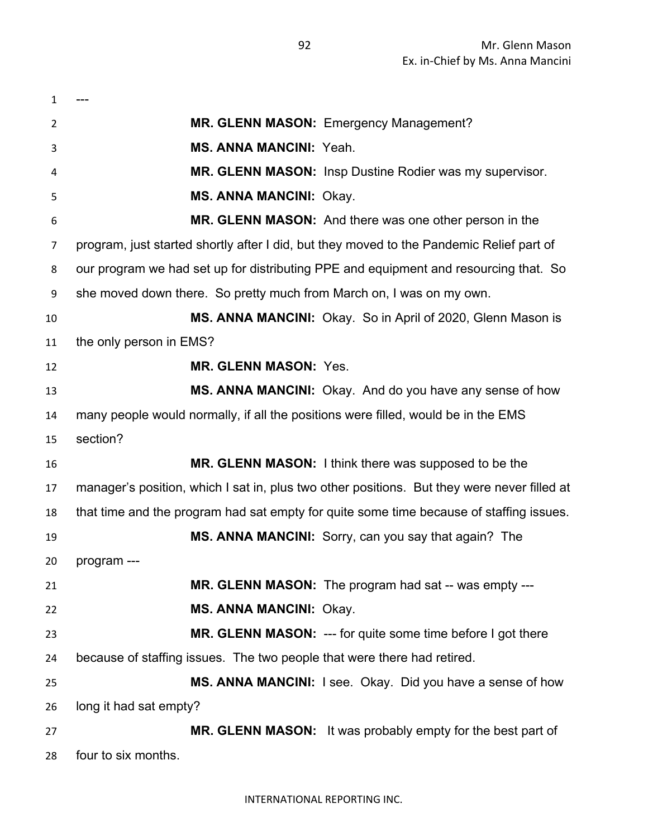| $\mathbf{1}$ |                                                                                             |
|--------------|---------------------------------------------------------------------------------------------|
| 2            | <b>MR. GLENN MASON: Emergency Management?</b>                                               |
| 3            | <b>MS. ANNA MANCINI: Yeah.</b>                                                              |
| 4            | MR. GLENN MASON: Insp Dustine Rodier was my supervisor.                                     |
| 5            | <b>MS. ANNA MANCINI: Okay.</b>                                                              |
| 6            | MR. GLENN MASON: And there was one other person in the                                      |
| 7            | program, just started shortly after I did, but they moved to the Pandemic Relief part of    |
| 8            | our program we had set up for distributing PPE and equipment and resourcing that. So        |
| 9            | she moved down there. So pretty much from March on, I was on my own.                        |
| 10           | MS. ANNA MANCINI: Okay. So in April of 2020, Glenn Mason is                                 |
| 11           | the only person in EMS?                                                                     |
| 12           | <b>MR. GLENN MASON: Yes.</b>                                                                |
| 13           | MS. ANNA MANCINI: Okay. And do you have any sense of how                                    |
| 14           | many people would normally, if all the positions were filled, would be in the EMS           |
| 15           | section?                                                                                    |
| 16           | <b>MR. GLENN MASON:</b> I think there was supposed to be the                                |
| 17           | manager's position, which I sat in, plus two other positions. But they were never filled at |
| 18           | that time and the program had sat empty for quite some time because of staffing issues.     |
| 19           | MS. ANNA MANCINI: Sorry, can you say that again? The                                        |
| 20           | program ---                                                                                 |
| 21           | MR. GLENN MASON: The program had sat -- was empty ---                                       |
| 22           | <b>MS. ANNA MANCINI: Okay.</b>                                                              |
| 23           | MR. GLENN MASON: --- for quite some time before I got there                                 |
| 24           | because of staffing issues. The two people that were there had retired.                     |
| 25           | MS. ANNA MANCINI: I see. Okay. Did you have a sense of how                                  |
| 26           | long it had sat empty?                                                                      |
| 27           | MR. GLENN MASON: It was probably empty for the best part of                                 |
| 28           | four to six months.                                                                         |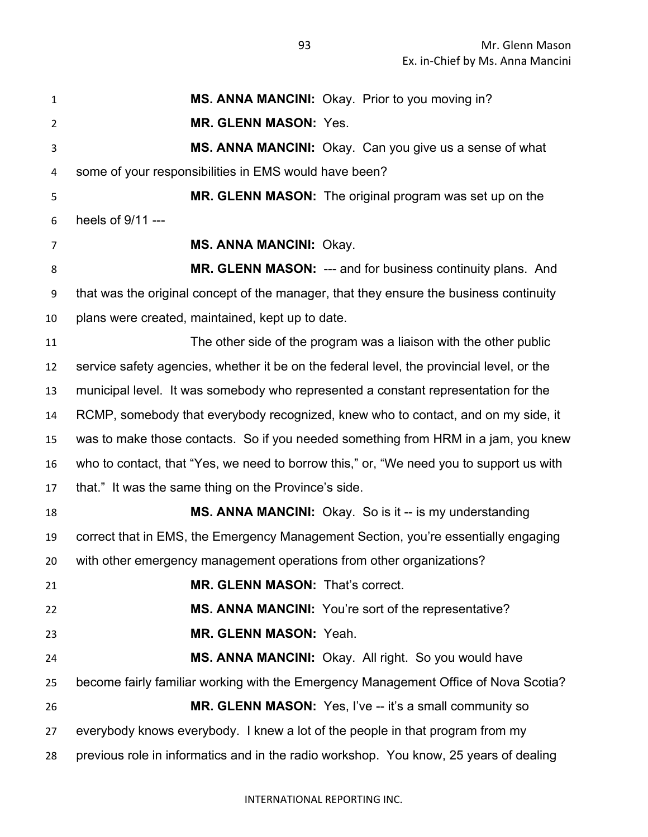| $\mathbf{1}$   | MS. ANNA MANCINI: Okay. Prior to you moving in?                                           |
|----------------|-------------------------------------------------------------------------------------------|
| $\overline{2}$ | <b>MR. GLENN MASON: Yes.</b>                                                              |
| 3              | MS. ANNA MANCINI: Okay. Can you give us a sense of what                                   |
| 4              | some of your responsibilities in EMS would have been?                                     |
| 5              | MR. GLENN MASON: The original program was set up on the                                   |
| 6              | heels of 9/11 ---                                                                         |
| 7              | <b>MS. ANNA MANCINI: Okay.</b>                                                            |
| 8              | MR. GLENN MASON: --- and for business continuity plans. And                               |
| 9              | that was the original concept of the manager, that they ensure the business continuity    |
| 10             | plans were created, maintained, kept up to date.                                          |
| 11             | The other side of the program was a liaison with the other public                         |
| 12             | service safety agencies, whether it be on the federal level, the provincial level, or the |
| 13             | municipal level. It was somebody who represented a constant representation for the        |
| 14             | RCMP, somebody that everybody recognized, knew who to contact, and on my side, it         |
| 15             | was to make those contacts. So if you needed something from HRM in a jam, you knew        |
| 16             | who to contact, that "Yes, we need to borrow this," or, "We need you to support us with   |
| 17             | that." It was the same thing on the Province's side.                                      |
| 18             | MS. ANNA MANCINI: Okay. So is it -- is my understanding                                   |
| 19             | correct that in EMS, the Emergency Management Section, you're essentially engaging        |
| 20             | with other emergency management operations from other organizations?                      |
| 21             | MR. GLENN MASON: That's correct.                                                          |
| 22             | MS. ANNA MANCINI: You're sort of the representative?                                      |
| 23             | MR. GLENN MASON: Yeah.                                                                    |
| 24             | MS. ANNA MANCINI: Okay. All right. So you would have                                      |
| 25             | become fairly familiar working with the Emergency Management Office of Nova Scotia?       |
| 26             | MR. GLENN MASON: Yes, I've -- it's a small community so                                   |
| 27             | everybody knows everybody. I knew a lot of the people in that program from my             |
| 28             | previous role in informatics and in the radio workshop. You know, 25 years of dealing     |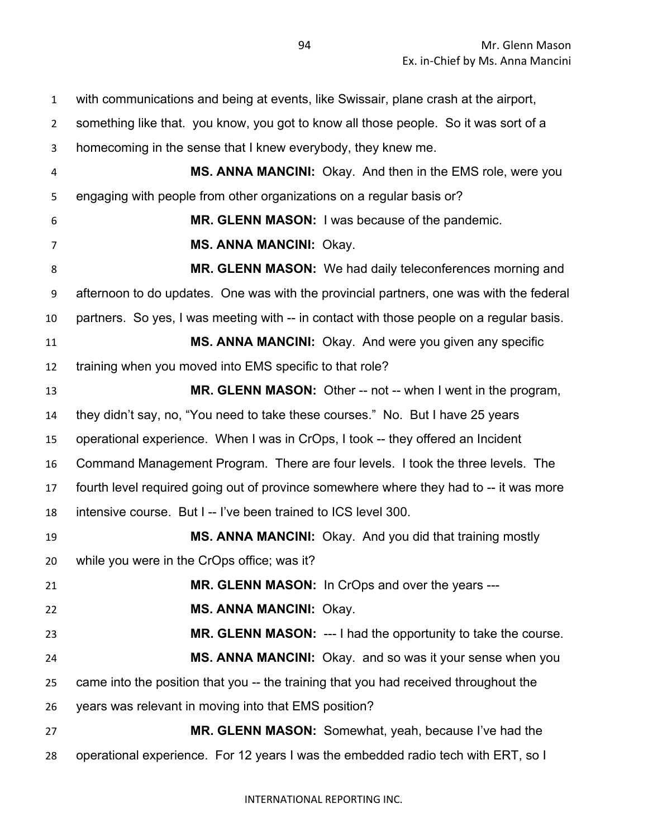with communications and being at events, like Swissair, plane crash at the airport, something like that. you know, you got to know all those people. So it was sort of a homecoming in the sense that I knew everybody, they knew me. **MS. ANNA MANCINI:** Okay. And then in the EMS role, were you engaging with people from other organizations on a regular basis or? **MR. GLENN MASON:** I was because of the pandemic. **MS. ANNA MANCINI:** Okay. **MR. GLENN MASON:** We had daily teleconferences morning and afternoon to do updates. One was with the provincial partners, one was with the federal partners. So yes, I was meeting with -- in contact with those people on a regular basis. **MS. ANNA MANCINI:** Okay. And were you given any specific training when you moved into EMS specific to that role? **MR. GLENN MASON:** Other -- not -- when I went in the program, they didn't say, no, "You need to take these courses." No. But I have 25 years operational experience. When I was in CrOps, I took -- they offered an Incident Command Management Program. There are four levels. I took the three levels. The fourth level required going out of province somewhere where they had to -- it was more intensive course. But I -- I've been trained to ICS level 300. **MS. ANNA MANCINI:** Okay. And you did that training mostly while you were in the CrOps office; was it? **MR. GLENN MASON:** In CrOps and over the years --- **MS. ANNA MANCINI:** Okay. **MR. GLENN MASON:** --- I had the opportunity to take the course. **MS. ANNA MANCINI:** Okay. and so was it your sense when you came into the position that you -- the training that you had received throughout the years was relevant in moving into that EMS position? **MR. GLENN MASON:** Somewhat, yeah, because I've had the operational experience. For 12 years I was the embedded radio tech with ERT, so I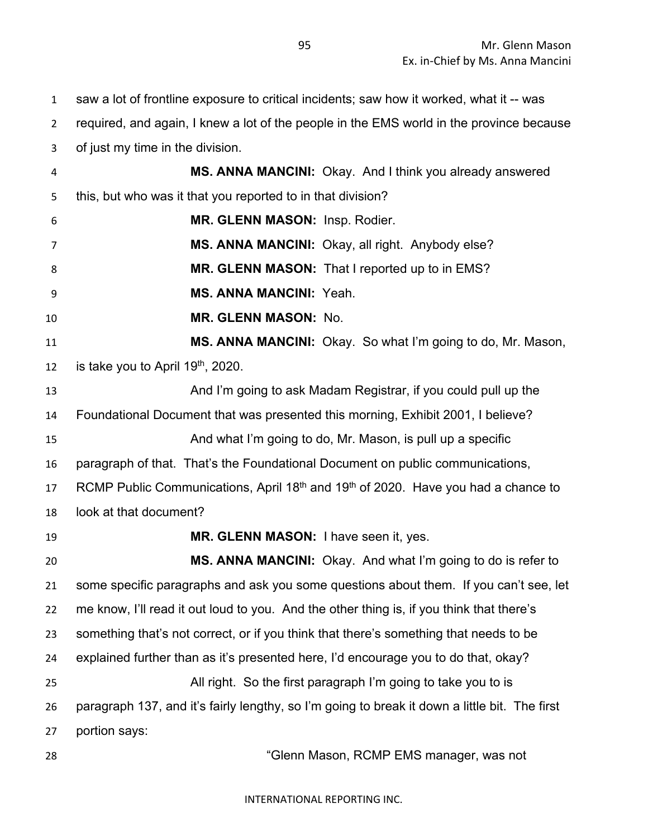saw a lot of frontline exposure to critical incidents; saw how it worked, what it -- was

 required, and again, I knew a lot of the people in the EMS world in the province because of just my time in the division.

- **MS. ANNA MANCINI:** Okay. And I think you already answered this, but who was it that you reported to in that division?
- **MR. GLENN MASON:** Insp. Rodier.
- **MS. ANNA MANCINI:** Okay, all right. Anybody else?
- **MR. GLENN MASON:** That I reported up to in EMS?
- **MS. ANNA MANCINI:** Yeah.
- **MR. GLENN MASON:** No.
- **MS. ANNA MANCINI:** Okay. So what I'm going to do, Mr. Mason, 12 is take you to April  $19<sup>th</sup>$ , 2020.
- And I'm going to ask Madam Registrar, if you could pull up the Foundational Document that was presented this morning, Exhibit 2001, I believe? And what I'm going to do, Mr. Mason, is pull up a specific paragraph of that. That's the Foundational Document on public communications, 17 RCMP Public Communications, April 18<sup>th</sup> and 19<sup>th</sup> of 2020. Have you had a chance to
- look at that document?
- **MR. GLENN MASON:** I have seen it, yes.

 **MS. ANNA MANCINI:** Okay. And what I'm going to do is refer to some specific paragraphs and ask you some questions about them. If you can't see, let me know, I'll read it out loud to you. And the other thing is, if you think that there's something that's not correct, or if you think that there's something that needs to be explained further than as it's presented here, I'd encourage you to do that, okay? All right. So the first paragraph I'm going to take you to is paragraph 137, and it's fairly lengthy, so I'm going to break it down a little bit. The first portion says:

"Glenn Mason, RCMP EMS manager, was not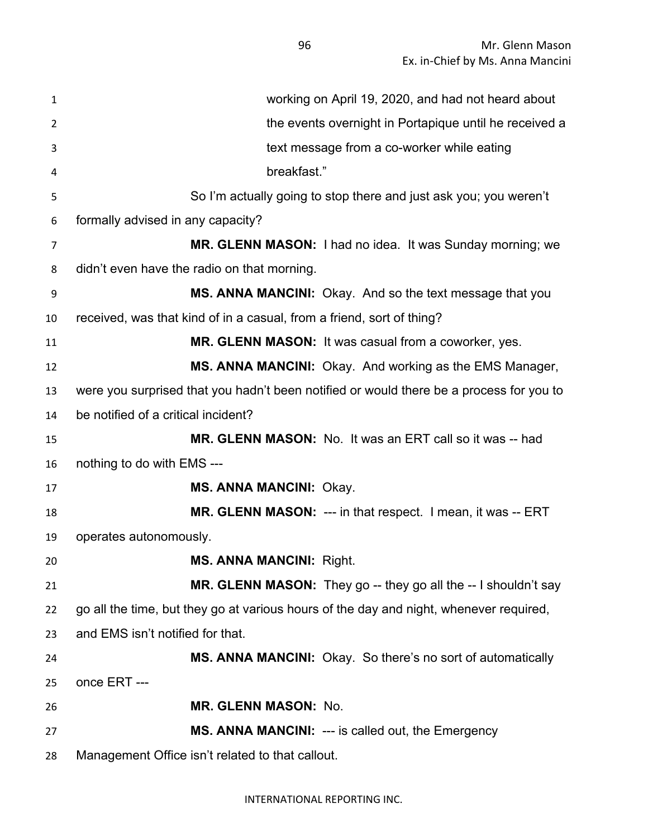Mr. Glenn Mason Ex. in-Chief by Ms. Anna Mancini

| 1              | working on April 19, 2020, and had not heard about                                      |
|----------------|-----------------------------------------------------------------------------------------|
| $\overline{2}$ | the events overnight in Portapique until he received a                                  |
| 3              | text message from a co-worker while eating                                              |
| 4              | breakfast."                                                                             |
| 5              | So I'm actually going to stop there and just ask you; you weren't                       |
| 6              | formally advised in any capacity?                                                       |
| 7              | MR. GLENN MASON: I had no idea. It was Sunday morning; we                               |
| 8              | didn't even have the radio on that morning.                                             |
| 9              | MS. ANNA MANCINI: Okay. And so the text message that you                                |
| 10             | received, was that kind of in a casual, from a friend, sort of thing?                   |
| 11             | MR. GLENN MASON: It was casual from a coworker, yes.                                    |
| 12             | MS. ANNA MANCINI: Okay. And working as the EMS Manager,                                 |
| 13             | were you surprised that you hadn't been notified or would there be a process for you to |
| 14             | be notified of a critical incident?                                                     |
| 15             | MR. GLENN MASON: No. It was an ERT call so it was -- had                                |
| 16             | nothing to do with EMS ---                                                              |
| 17             | <b>MS. ANNA MANCINI: Okay.</b>                                                          |
| 18             | MR. GLENN MASON: --- in that respect. I mean, it was -- ERT                             |
| 19             | operates autonomously.                                                                  |
| 20             | <b>MS. ANNA MANCINI: Right.</b>                                                         |
| 21             | MR. GLENN MASON: They go -- they go all the -- I shouldn't say                          |
| 22             | go all the time, but they go at various hours of the day and night, whenever required,  |
| 23             | and EMS isn't notified for that.                                                        |
| 24             | <b>MS. ANNA MANCINI:</b> Okay. So there's no sort of automatically                      |
| 25             | once ERT ---                                                                            |
| 26             | <b>MR. GLENN MASON: No.</b>                                                             |
| 27             | <b>MS. ANNA MANCINI: --- is called out, the Emergency</b>                               |
| 28             | Management Office isn't related to that callout.                                        |

INTERNATIONAL REPORTING INC.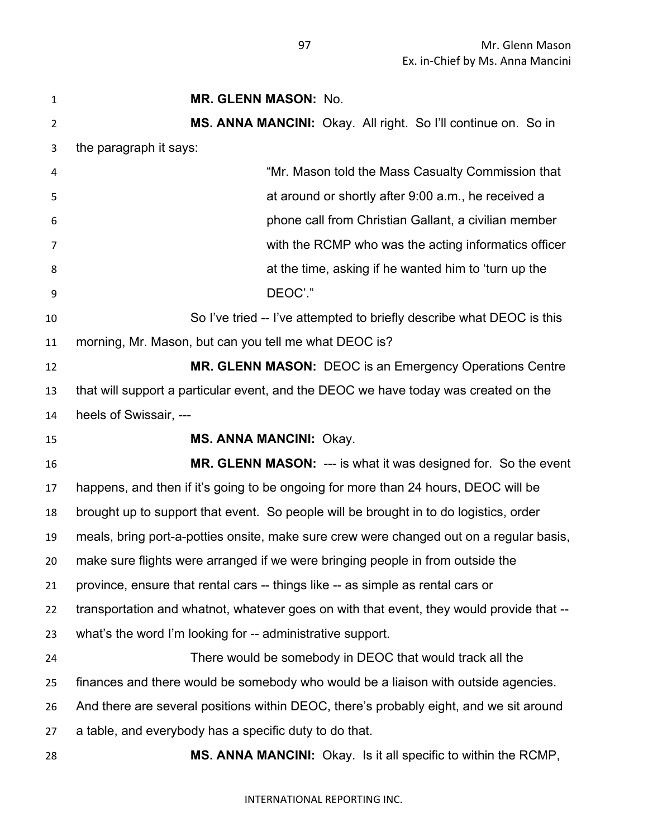| 1              | <b>MR. GLENN MASON: No.</b>                                                              |
|----------------|------------------------------------------------------------------------------------------|
| $\overline{2}$ | MS. ANNA MANCINI: Okay. All right. So I'll continue on. So in                            |
| 3              | the paragraph it says:                                                                   |
| 4              | "Mr. Mason told the Mass Casualty Commission that                                        |
| 5              | at around or shortly after 9:00 a.m., he received a                                      |
| 6              | phone call from Christian Gallant, a civilian member                                     |
| 7              | with the RCMP who was the acting informatics officer                                     |
| 8              | at the time, asking if he wanted him to 'turn up the                                     |
| 9              | DEOC'."                                                                                  |
| 10             | So I've tried -- I've attempted to briefly describe what DEOC is this                    |
| 11             | morning, Mr. Mason, but can you tell me what DEOC is?                                    |
| 12             | MR. GLENN MASON: DEOC is an Emergency Operations Centre                                  |
| 13             | that will support a particular event, and the DEOC we have today was created on the      |
| 14             | heels of Swissair, ---                                                                   |
| 15             | <b>MS. ANNA MANCINI: Okay.</b>                                                           |
| 16             | MR. GLENN MASON: --- is what it was designed for. So the event                           |
| 17             | happens, and then if it's going to be ongoing for more than 24 hours, DEOC will be       |
| 18             | brought up to support that event. So people will be brought in to do logistics, order    |
| 19             | meals, bring port-a-potties onsite, make sure crew were changed out on a regular basis,  |
| 20             | make sure flights were arranged if we were bringing people in from outside the           |
| 21             | province, ensure that rental cars -- things like -- as simple as rental cars or          |
| 22             | transportation and whatnot, whatever goes on with that event, they would provide that -- |
| 23             | what's the word I'm looking for -- administrative support.                               |
| 24             | There would be somebody in DEOC that would track all the                                 |
| 25             | finances and there would be somebody who would be a liaison with outside agencies.       |
| 26             | And there are several positions within DEOC, there's probably eight, and we sit around   |
| 27             | a table, and everybody has a specific duty to do that.                                   |
| 28             | MS. ANNA MANCINI: Okay. Is it all specific to within the RCMP,                           |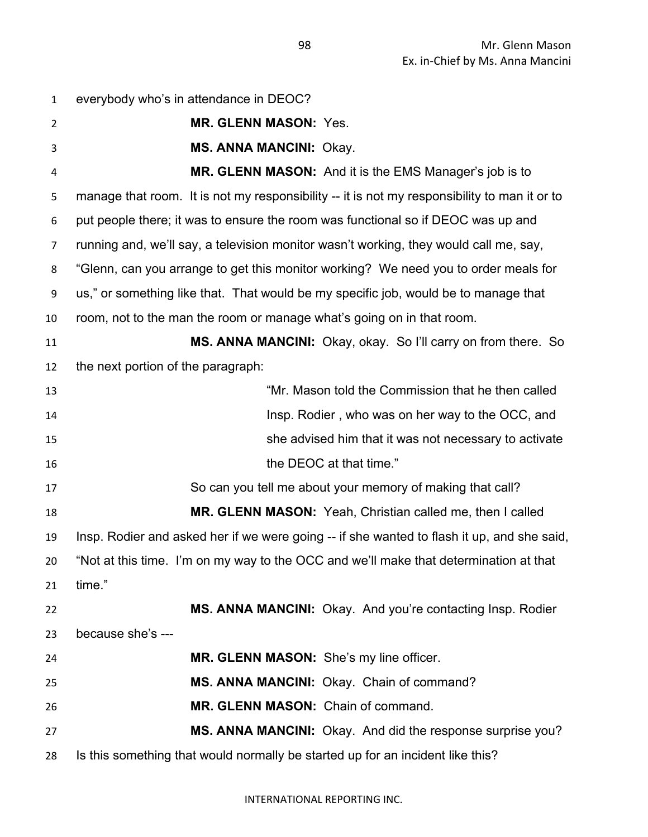| $\mathbf{1}$   | everybody who's in attendance in DEOC?                                                       |
|----------------|----------------------------------------------------------------------------------------------|
| $\overline{2}$ | MR. GLENN MASON: Yes.                                                                        |
| 3              | <b>MS. ANNA MANCINI: Okay.</b>                                                               |
| 4              | MR. GLENN MASON: And it is the EMS Manager's job is to                                       |
| 5              | manage that room. It is not my responsibility -- it is not my responsibility to man it or to |
| 6              | put people there; it was to ensure the room was functional so if DEOC was up and             |
| 7              | running and, we'll say, a television monitor wasn't working, they would call me, say,        |
| 8              | "Glenn, can you arrange to get this monitor working? We need you to order meals for          |
| 9              | us," or something like that. That would be my specific job, would be to manage that          |
| 10             | room, not to the man the room or manage what's going on in that room.                        |
| 11             | <b>MS. ANNA MANCINI:</b> Okay, okay. So I'll carry on from there. So                         |
| 12             | the next portion of the paragraph:                                                           |
| 13             | "Mr. Mason told the Commission that he then called                                           |
| 14             | Insp. Rodier, who was on her way to the OCC, and                                             |
| 15             | she advised him that it was not necessary to activate                                        |
| 16             | the DEOC at that time."                                                                      |
| 17             | So can you tell me about your memory of making that call?                                    |
| 18             | <b>MR. GLENN MASON:</b> Yeah, Christian called me, then I called                             |
| 19             | Insp. Rodier and asked her if we were going -- if she wanted to flash it up, and she said,   |
| 20             | "Not at this time. I'm on my way to the OCC and we'll make that determination at that        |
| 21             | time."                                                                                       |
| 22             | MS. ANNA MANCINI: Okay. And you're contacting Insp. Rodier                                   |
| 23             | because she's ---                                                                            |
| 24             | MR. GLENN MASON: She's my line officer.                                                      |
| 25             | MS. ANNA MANCINI: Okay. Chain of command?                                                    |
| 26             | MR. GLENN MASON: Chain of command.                                                           |
| 27             | MS. ANNA MANCINI: Okay. And did the response surprise you?                                   |
| 28             | Is this something that would normally be started up for an incident like this?               |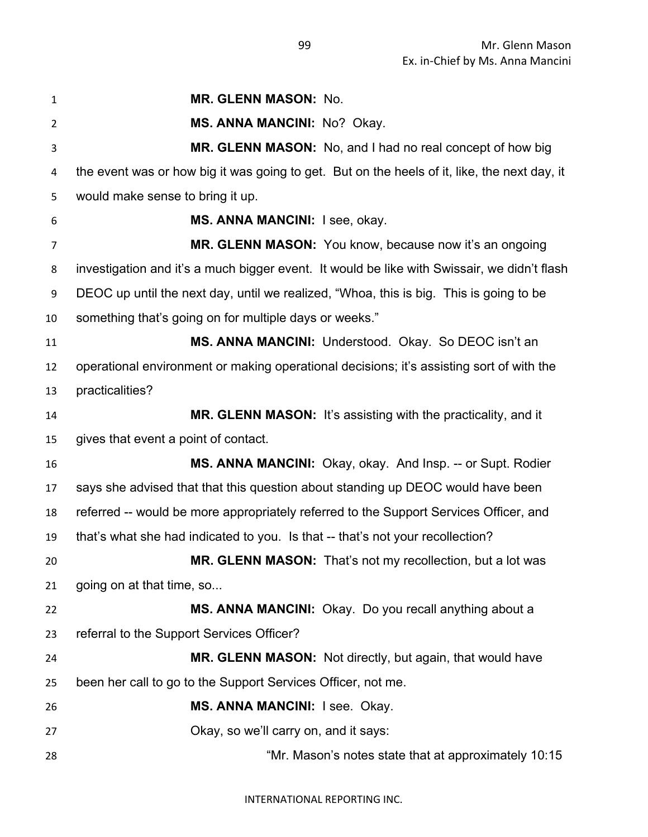**MR. GLENN MASON:** No. **MS. ANNA MANCINI:** No? Okay. **MR. GLENN MASON:** No, and I had no real concept of how big the event was or how big it was going to get. But on the heels of it, like, the next day, it would make sense to bring it up. **MS. ANNA MANCINI:** I see, okay. **MR. GLENN MASON:** You know, because now it's an ongoing investigation and it's a much bigger event. It would be like with Swissair, we didn't flash DEOC up until the next day, until we realized, "Whoa, this is big. This is going to be something that's going on for multiple days or weeks." **MS. ANNA MANCINI:** Understood. Okay. So DEOC isn't an operational environment or making operational decisions; it's assisting sort of with the practicalities? **MR. GLENN MASON:** It's assisting with the practicality, and it gives that event a point of contact. **MS. ANNA MANCINI:** Okay, okay. And Insp. -- or Supt. Rodier says she advised that that this question about standing up DEOC would have been referred -- would be more appropriately referred to the Support Services Officer, and that's what she had indicated to you. Is that -- that's not your recollection? **MR. GLENN MASON:** That's not my recollection, but a lot was going on at that time, so... **MS. ANNA MANCINI:** Okay. Do you recall anything about a referral to the Support Services Officer? **MR. GLENN MASON:** Not directly, but again, that would have been her call to go to the Support Services Officer, not me. **MS. ANNA MANCINI:** I see. Okay. Okay, so we'll carry on, and it says: "Mr. Mason's notes state that at approximately 10:15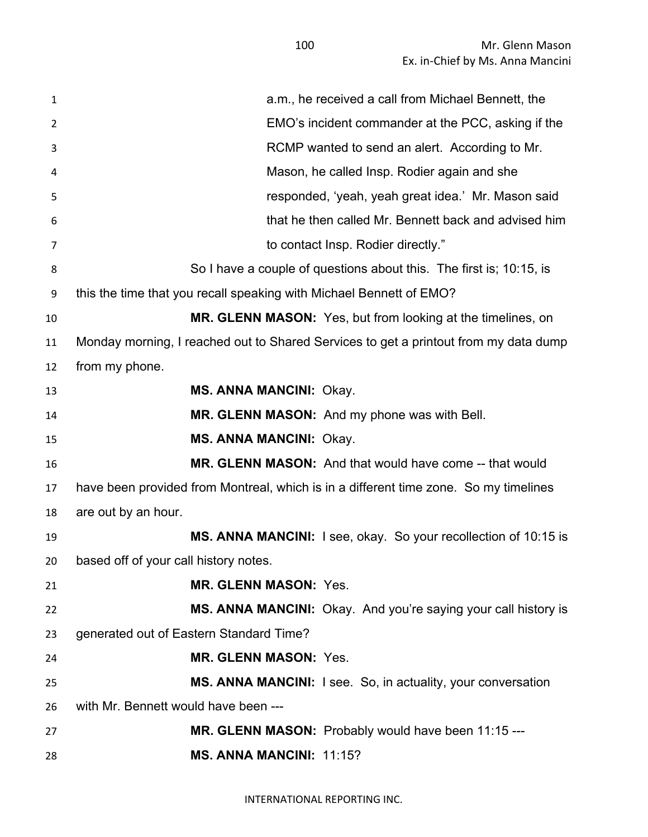| $\mathbf{1}$ | a.m., he received a call from Michael Bennett, the                                   |
|--------------|--------------------------------------------------------------------------------------|
| 2            | EMO's incident commander at the PCC, asking if the                                   |
| 3            | RCMP wanted to send an alert. According to Mr.                                       |
| 4            | Mason, he called Insp. Rodier again and she                                          |
| 5            | responded, 'yeah, yeah great idea.' Mr. Mason said                                   |
| 6            | that he then called Mr. Bennett back and advised him                                 |
| 7            | to contact Insp. Rodier directly."                                                   |
| 8            | So I have a couple of questions about this. The first is; 10:15, is                  |
| 9            | this the time that you recall speaking with Michael Bennett of EMO?                  |
| 10           | MR. GLENN MASON: Yes, but from looking at the timelines, on                          |
| 11           | Monday morning, I reached out to Shared Services to get a printout from my data dump |
| 12           | from my phone.                                                                       |
| 13           | <b>MS. ANNA MANCINI: Okay.</b>                                                       |
| 14           | MR. GLENN MASON: And my phone was with Bell.                                         |
| 15           | <b>MS. ANNA MANCINI: Okay.</b>                                                       |
| 16           | <b>MR. GLENN MASON:</b> And that would have come -- that would                       |
| 17           | have been provided from Montreal, which is in a different time zone. So my timelines |
| 18           | are out by an hour.                                                                  |
| 19           | MS. ANNA MANCINI: I see, okay. So your recollection of 10:15 is                      |
|              | 20 based off of your call history notes.                                             |
| 21           | <b>MR. GLENN MASON: Yes.</b>                                                         |
| 22           | MS. ANNA MANCINI: Okay. And you're saying your call history is                       |
| 23           | generated out of Eastern Standard Time?                                              |
| 24           | <b>MR. GLENN MASON: Yes.</b>                                                         |
| 25           | MS. ANNA MANCINI: I see. So, in actuality, your conversation                         |
| 26           | with Mr. Bennett would have been ---                                                 |
| 27           | MR. GLENN MASON: Probably would have been 11:15 ---                                  |
| 28           | <b>MS. ANNA MANCINI: 11:15?</b>                                                      |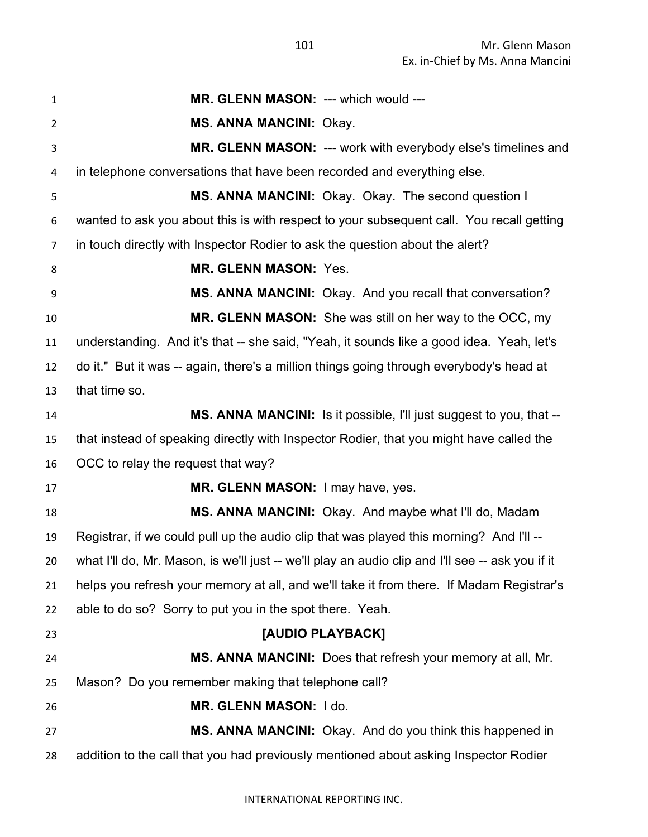| $\mathbf{1}$   | MR. GLENN MASON: --- which would ---                                                             |
|----------------|--------------------------------------------------------------------------------------------------|
| $\overline{2}$ | <b>MS. ANNA MANCINI: Okay.</b>                                                                   |
| $\mathbf{3}$   | <b>MR. GLENN MASON: --- work with everybody else's timelines and</b>                             |
| $\overline{4}$ | in telephone conversations that have been recorded and everything else.                          |
| 5              | MS. ANNA MANCINI: Okay. Okay. The second question I                                              |
| 6              | wanted to ask you about this is with respect to your subsequent call. You recall getting         |
| $\overline{7}$ | in touch directly with Inspector Rodier to ask the question about the alert?                     |
| 8              | <b>MR. GLENN MASON: Yes.</b>                                                                     |
| 9              | MS. ANNA MANCINI: Okay. And you recall that conversation?                                        |
| 10             | MR. GLENN MASON: She was still on her way to the OCC, my                                         |
| 11             | understanding. And it's that -- she said, "Yeah, it sounds like a good idea. Yeah, let's         |
| 12             | do it." But it was -- again, there's a million things going through everybody's head at          |
| 13             | that time so.                                                                                    |
| 14             | <b>MS. ANNA MANCINI:</b> Is it possible, I'll just suggest to you, that --                       |
| 15             | that instead of speaking directly with Inspector Rodier, that you might have called the          |
| 16             | OCC to relay the request that way?                                                               |
| 17             | MR. GLENN MASON: I may have, yes.                                                                |
| 18             | MS. ANNA MANCINI: Okay. And maybe what I'll do, Madam                                            |
| 19             | Registrar, if we could pull up the audio clip that was played this morning? And I'll --          |
| 20             | what I'll do, Mr. Mason, is we'll just -- we'll play an audio clip and I'll see -- ask you if it |
| 21             | helps you refresh your memory at all, and we'll take it from there. If Madam Registrar's         |
| 22             | able to do so? Sorry to put you in the spot there. Yeah.                                         |
| 23             | [AUDIO PLAYBACK]                                                                                 |
| 24             | MS. ANNA MANCINI: Does that refresh your memory at all, Mr.                                      |
| 25             | Mason? Do you remember making that telephone call?                                               |
| 26             | MR. GLENN MASON: I do.                                                                           |
| 27             | MS. ANNA MANCINI: Okay. And do you think this happened in                                        |
| 28             | addition to the call that you had previously mentioned about asking Inspector Rodier             |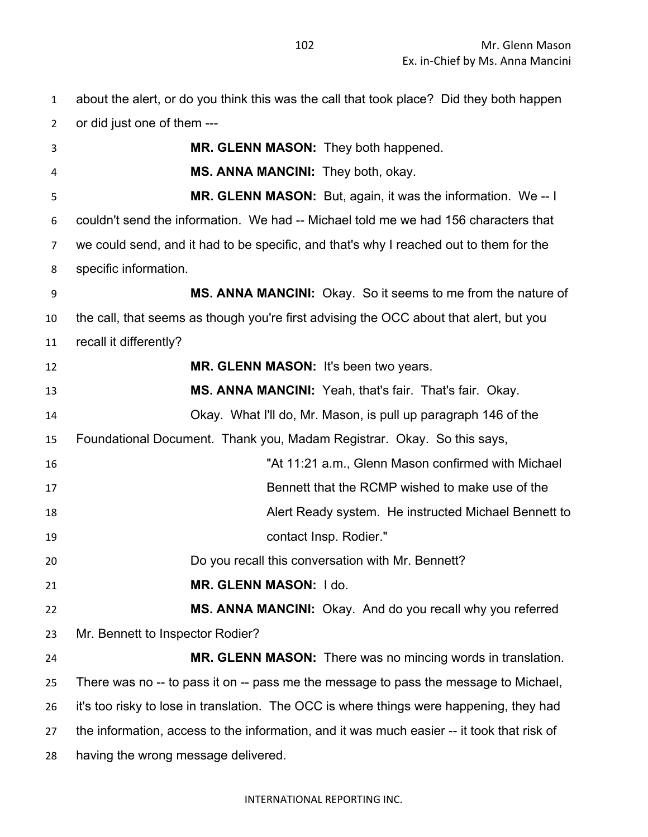about the alert, or do you think this was the call that took place? Did they both happen or did just one of them ---

| 3  | MR. GLENN MASON: They both happened.                                                       |
|----|--------------------------------------------------------------------------------------------|
| 4  | MS. ANNA MANCINI: They both, okay.                                                         |
| 5  | MR. GLENN MASON: But, again, it was the information. We-- I                                |
| 6  | couldn't send the information. We had -- Michael told me we had 156 characters that        |
| 7  | we could send, and it had to be specific, and that's why I reached out to them for the     |
| 8  | specific information.                                                                      |
| 9  | MS. ANNA MANCINI: Okay. So it seems to me from the nature of                               |
| 10 | the call, that seems as though you're first advising the OCC about that alert, but you     |
| 11 | recall it differently?                                                                     |
| 12 | MR. GLENN MASON: It's been two years.                                                      |
| 13 | MS. ANNA MANCINI: Yeah, that's fair. That's fair. Okay.                                    |
| 14 | Okay. What I'll do, Mr. Mason, is pull up paragraph 146 of the                             |
| 15 | Foundational Document. Thank you, Madam Registrar. Okay. So this says,                     |
| 16 | "At 11:21 a.m., Glenn Mason confirmed with Michael                                         |
| 17 | Bennett that the RCMP wished to make use of the                                            |
| 18 | Alert Ready system. He instructed Michael Bennett to                                       |
| 19 | contact Insp. Rodier."                                                                     |
| 20 | Do you recall this conversation with Mr. Bennett?                                          |
| 21 | MR. GLENN MASON: I do.                                                                     |
| 22 | MS. ANNA MANCINI: Okay. And do you recall why you referred                                 |
| 23 | Mr. Bennett to Inspector Rodier?                                                           |
| 24 | <b>MR. GLENN MASON:</b> There was no mincing words in translation.                         |
| 25 | There was no -- to pass it on -- pass me the message to pass the message to Michael,       |
| 26 | it's too risky to lose in translation. The OCC is where things were happening, they had    |
| 27 | the information, access to the information, and it was much easier -- it took that risk of |
| 28 | having the wrong message delivered.                                                        |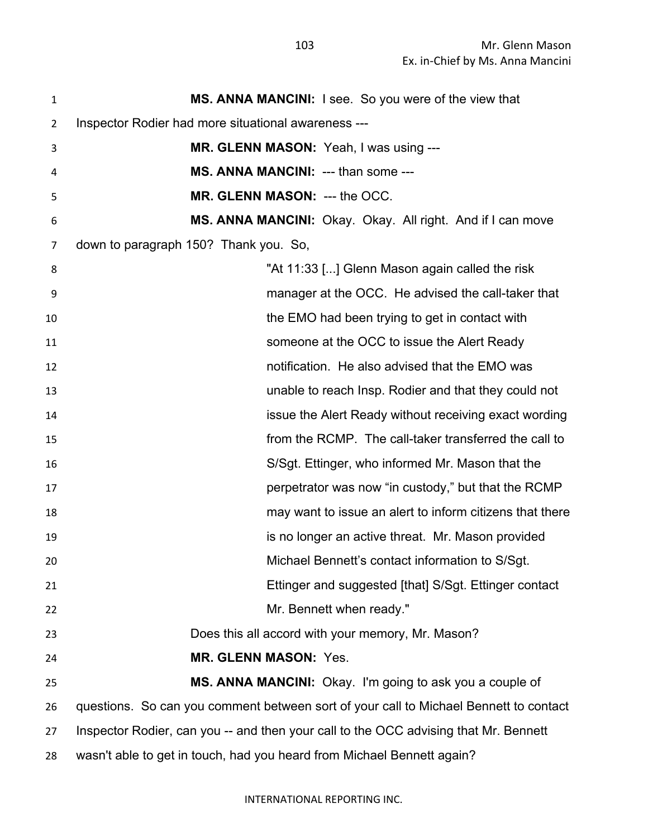**MS. ANNA MANCINI:** I see. So you were of the view that Inspector Rodier had more situational awareness --- **MR. GLENN MASON:** Yeah, I was using --- **MS. ANNA MANCINI:** --- than some --- **MR. GLENN MASON:** --- the OCC. **MS. ANNA MANCINI:** Okay. Okay. All right. And if I can move down to paragraph 150? Thank you. So, "At 11:33 [...] Glenn Mason again called the risk manager at the OCC. He advised the call-taker that the EMO had been trying to get in contact with someone at the OCC to issue the Alert Ready notification. He also advised that the EMO was unable to reach Insp. Rodier and that they could not issue the Alert Ready without receiving exact wording from the RCMP. The call-taker transferred the call to S/Sgt. Ettinger, who informed Mr. Mason that the perpetrator was now "in custody," but that the RCMP may want to issue an alert to inform citizens that there is no longer an active threat. Mr. Mason provided Michael Bennett's contact information to S/Sgt. Ettinger and suggested [that] S/Sgt. Ettinger contact Mr. Bennett when ready." Does this all accord with your memory, Mr. Mason? **MR. GLENN MASON:** Yes. **MS. ANNA MANCINI:** Okay. I'm going to ask you a couple of questions. So can you comment between sort of your call to Michael Bennett to contact Inspector Rodier, can you -- and then your call to the OCC advising that Mr. Bennett wasn't able to get in touch, had you heard from Michael Bennett again?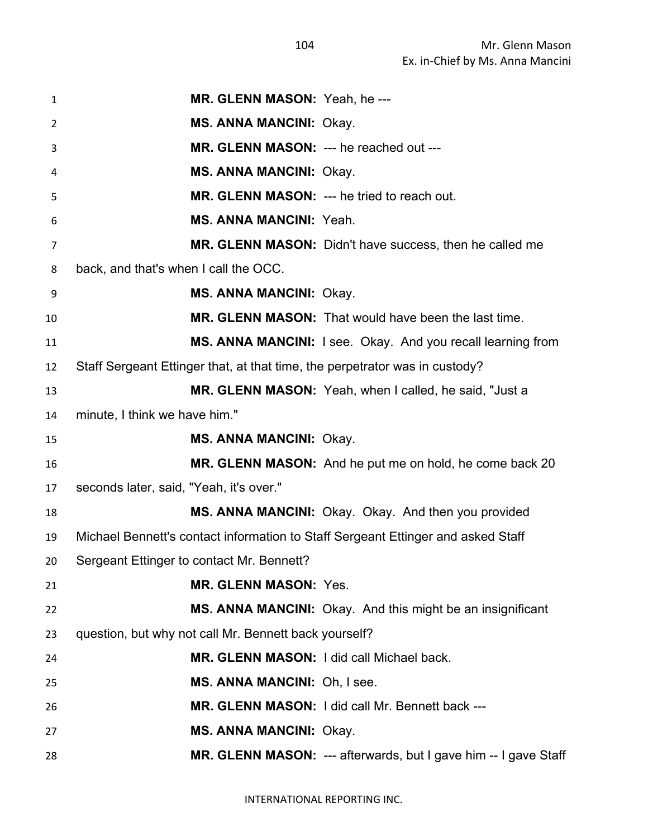| 1  | MR. GLENN MASON: Yeah, he ---                                                    |
|----|----------------------------------------------------------------------------------|
| 2  | <b>MS. ANNA MANCINI: Okay.</b>                                                   |
| 3  | MR. GLENN MASON: --- he reached out ---                                          |
| 4  | <b>MS. ANNA MANCINI: Okay.</b>                                                   |
| 5  | MR. GLENN MASON: --- he tried to reach out.                                      |
| 6  | <b>MS. ANNA MANCINI: Yeah.</b>                                                   |
| 7  | MR. GLENN MASON: Didn't have success, then he called me                          |
| 8  | back, and that's when I call the OCC.                                            |
| 9  | <b>MS. ANNA MANCINI: Okay.</b>                                                   |
| 10 | MR. GLENN MASON: That would have been the last time.                             |
| 11 | MS. ANNA MANCINI: I see. Okay. And you recall learning from                      |
| 12 | Staff Sergeant Ettinger that, at that time, the perpetrator was in custody?      |
| 13 | MR. GLENN MASON: Yeah, when I called, he said, "Just a                           |
| 14 | minute, I think we have him."                                                    |
| 15 | <b>MS. ANNA MANCINI: Okay.</b>                                                   |
| 16 | MR. GLENN MASON: And he put me on hold, he come back 20                          |
| 17 | seconds later, said, "Yeah, it's over."                                          |
| 18 | MS. ANNA MANCINI: Okay. Okay. And then you provided                              |
| 19 | Michael Bennett's contact information to Staff Sergeant Ettinger and asked Staff |
| 20 | Sergeant Ettinger to contact Mr. Bennett?                                        |
| 21 | <b>MR. GLENN MASON: Yes.</b>                                                     |
| 22 | MS. ANNA MANCINI: Okay. And this might be an insignificant                       |
| 23 | question, but why not call Mr. Bennett back yourself?                            |
| 24 | MR. GLENN MASON: I did call Michael back.                                        |
| 25 | MS. ANNA MANCINI: Oh, I see.                                                     |
| 26 | MR. GLENN MASON: I did call Mr. Bennett back ---                                 |
| 27 | <b>MS. ANNA MANCINI: Okay.</b>                                                   |
| 28 | MR. GLENN MASON: --- afterwards, but I gave him -- I gave Staff                  |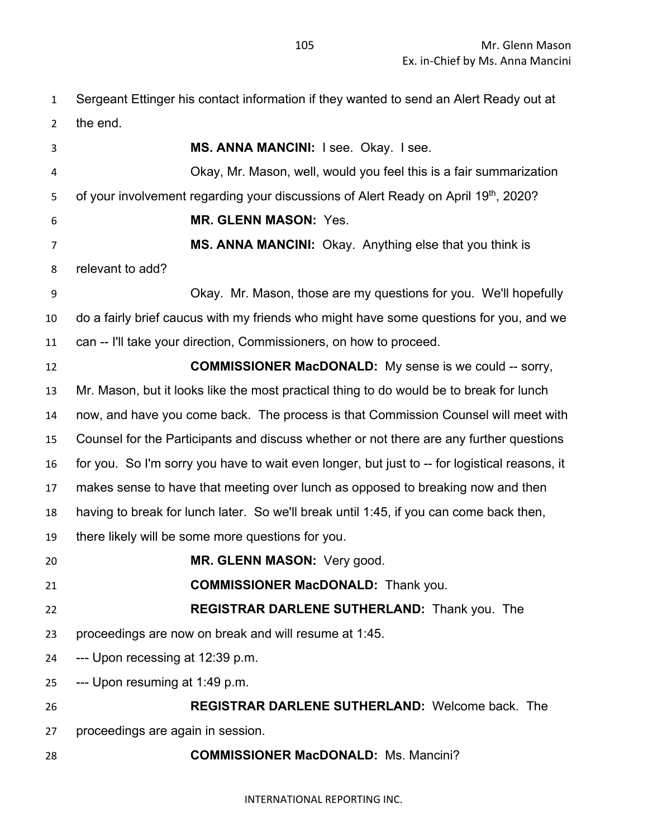Sergeant Ettinger his contact information if they wanted to send an Alert Ready out at the end.

 **MS. ANNA MANCINI:** I see. Okay. I see. Okay, Mr. Mason, well, would you feel this is a fair summarization 5 of your involvement regarding your discussions of Alert Ready on April 19th, 2020? **MR. GLENN MASON:** Yes. **MS. ANNA MANCINI:** Okay. Anything else that you think is relevant to add? Okay. Mr. Mason, those are my questions for you. We'll hopefully do a fairly brief caucus with my friends who might have some questions for you, and we can -- I'll take your direction, Commissioners, on how to proceed. **COMMISSIONER MacDONALD:** My sense is we could -- sorry, Mr. Mason, but it looks like the most practical thing to do would be to break for lunch now, and have you come back. The process is that Commission Counsel will meet with Counsel for the Participants and discuss whether or not there are any further questions for you. So I'm sorry you have to wait even longer, but just to -- for logistical reasons, it makes sense to have that meeting over lunch as opposed to breaking now and then having to break for lunch later. So we'll break until 1:45, if you can come back then, there likely will be some more questions for you. **MR. GLENN MASON:** Very good. **COMMISSIONER MacDONALD:** Thank you. **REGISTRAR DARLENE SUTHERLAND:** Thank you. The proceedings are now on break and will resume at 1:45. --- Upon recessing at 12:39 p.m. --- Upon resuming at 1:49 p.m. **REGISTRAR DARLENE SUTHERLAND:** Welcome back. The proceedings are again in session. **COMMISSIONER MacDONALD:** Ms. Mancini?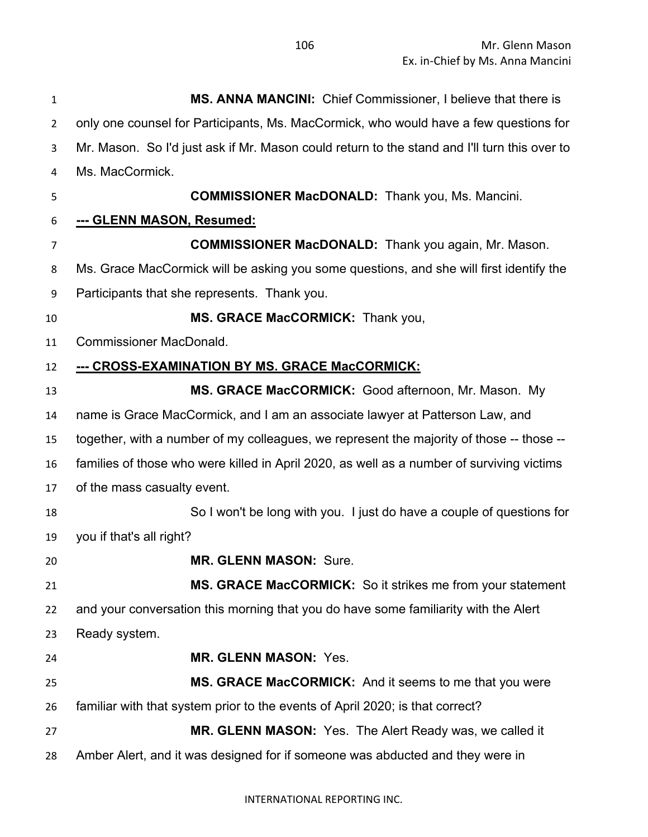| 1              | MS. ANNA MANCINI: Chief Commissioner, I believe that there is                                |
|----------------|----------------------------------------------------------------------------------------------|
| $\overline{2}$ | only one counsel for Participants, Ms. MacCormick, who would have a few questions for        |
| 3              | Mr. Mason. So I'd just ask if Mr. Mason could return to the stand and I'll turn this over to |
| 4              | Ms. MacCormick.                                                                              |
| 5              | <b>COMMISSIONER MacDONALD:</b> Thank you, Ms. Mancini.                                       |
| 6              | --- GLENN MASON, Resumed:                                                                    |
| $\overline{7}$ | <b>COMMISSIONER MacDONALD:</b> Thank you again, Mr. Mason.                                   |
| 8              | Ms. Grace MacCormick will be asking you some questions, and she will first identify the      |
| 9              | Participants that she represents. Thank you.                                                 |
| 10             | MS. GRACE MacCORMICK: Thank you,                                                             |
| 11             | <b>Commissioner MacDonald.</b>                                                               |
| 12             | --- CROSS-EXAMINATION BY MS. GRACE MacCORMICK:                                               |
| 13             | MS. GRACE MacCORMICK: Good afternoon, Mr. Mason. My                                          |
| 14             | name is Grace MacCormick, and I am an associate lawyer at Patterson Law, and                 |
| 15             | together, with a number of my colleagues, we represent the majority of those -- those --     |
| 16             | families of those who were killed in April 2020, as well as a number of surviving victims    |
| 17             | of the mass casualty event.                                                                  |
| 18             | So I won't be long with you. I just do have a couple of questions for                        |
| 19             | you if that's all right?                                                                     |
| 20             | <b>MR. GLENN MASON: Sure</b>                                                                 |
| 21             | MS. GRACE MacCORMICK: So it strikes me from your statement                                   |
| 22             | and your conversation this morning that you do have some familiarity with the Alert          |
| 23             | Ready system.                                                                                |
| 24             | <b>MR. GLENN MASON: Yes.</b>                                                                 |
| 25             | MS. GRACE MacCORMICK: And it seems to me that you were                                       |
| 26             | familiar with that system prior to the events of April 2020; is that correct?                |
| 27             | MR. GLENN MASON: Yes. The Alert Ready was, we called it                                      |
| 28             | Amber Alert, and it was designed for if someone was abducted and they were in                |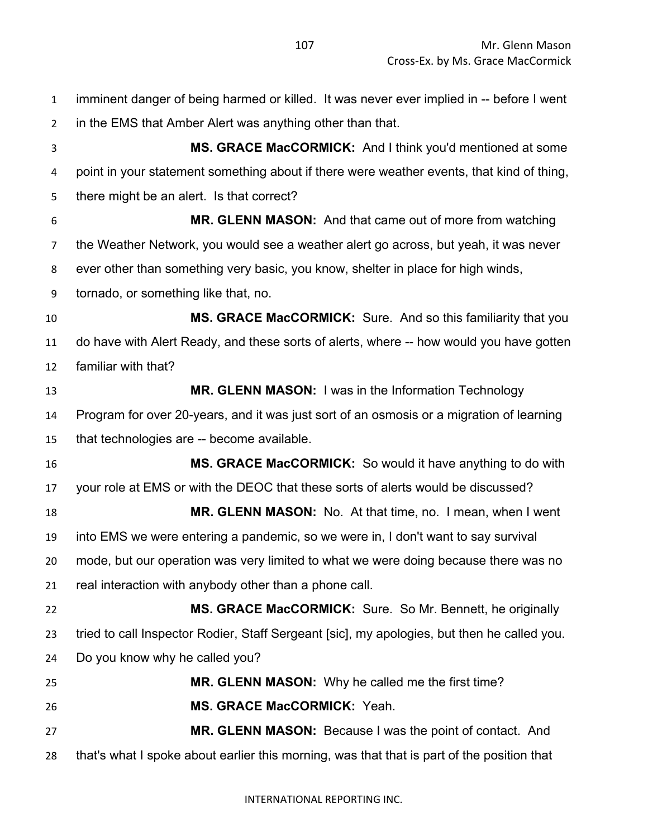imminent danger of being harmed or killed. It was never ever implied in -- before I went in the EMS that Amber Alert was anything other than that. **MS. GRACE MacCORMICK:** And I think you'd mentioned at some point in your statement something about if there were weather events, that kind of thing, there might be an alert. Is that correct? **MR. GLENN MASON:** And that came out of more from watching the Weather Network, you would see a weather alert go across, but yeah, it was never ever other than something very basic, you know, shelter in place for high winds, tornado, or something like that, no. **MS. GRACE MacCORMICK:** Sure. And so this familiarity that you do have with Alert Ready, and these sorts of alerts, where -- how would you have gotten familiar with that? **MR. GLENN MASON:** I was in the Information Technology Program for over 20-years, and it was just sort of an osmosis or a migration of learning that technologies are -- become available. **MS. GRACE MacCORMICK:** So would it have anything to do with your role at EMS or with the DEOC that these sorts of alerts would be discussed? **MR. GLENN MASON:** No. At that time, no. I mean, when I went into EMS we were entering a pandemic, so we were in, I don't want to say survival mode, but our operation was very limited to what we were doing because there was no real interaction with anybody other than a phone call. **MS. GRACE MacCORMICK:** Sure. So Mr. Bennett, he originally tried to call Inspector Rodier, Staff Sergeant [sic], my apologies, but then he called you. Do you know why he called you? **MR. GLENN MASON:** Why he called me the first time? **MS. GRACE MacCORMICK:** Yeah. **MR. GLENN MASON:** Because I was the point of contact. And that's what I spoke about earlier this morning, was that that is part of the position that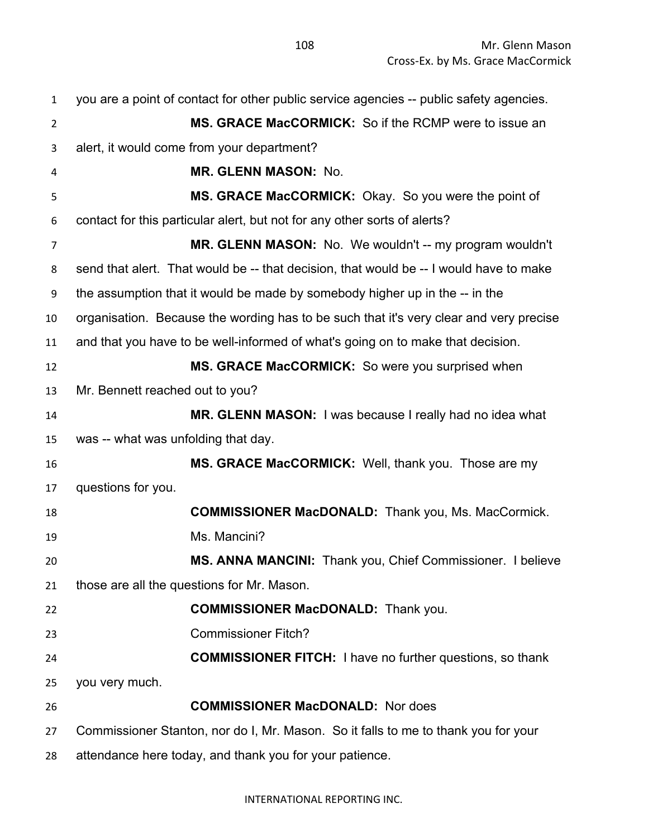| $\mathbf{1}$   | you are a point of contact for other public service agencies -- public safety agencies. |
|----------------|-----------------------------------------------------------------------------------------|
| $\overline{2}$ | <b>MS. GRACE MacCORMICK:</b> So if the RCMP were to issue an                            |
| 3              | alert, it would come from your department?                                              |
| 4              | <b>MR. GLENN MASON: No.</b>                                                             |
| 5              | MS. GRACE MacCORMICK: Okay. So you were the point of                                    |
| 6              | contact for this particular alert, but not for any other sorts of alerts?               |
| $\overline{7}$ | MR. GLENN MASON: No. We wouldn't -- my program wouldn't                                 |
| 8              | send that alert. That would be -- that decision, that would be -- I would have to make  |
| 9              | the assumption that it would be made by somebody higher up in the -- in the             |
| 10             | organisation. Because the wording has to be such that it's very clear and very precise  |
| 11             | and that you have to be well-informed of what's going on to make that decision.         |
| 12             | MS. GRACE MacCORMICK: So were you surprised when                                        |
| 13             | Mr. Bennett reached out to you?                                                         |
| 14             | MR. GLENN MASON: I was because I really had no idea what                                |
| 15             | was -- what was unfolding that day.                                                     |
| 16             | MS. GRACE MacCORMICK: Well, thank you. Those are my                                     |
| 17             | questions for you.                                                                      |
| 18             | <b>COMMISSIONER MacDONALD:</b> Thank you, Ms. MacCormick.                               |
| 19             | Ms. Mancini?                                                                            |
| 20             | MS. ANNA MANCINI: Thank you, Chief Commissioner. I believe                              |
| 21             | those are all the questions for Mr. Mason.                                              |
| 22             | <b>COMMISSIONER MacDONALD:</b> Thank you.                                               |
| 23             | <b>Commissioner Fitch?</b>                                                              |
| 24             | <b>COMMISSIONER FITCH:</b> I have no further questions, so thank                        |
| 25             | you very much.                                                                          |
| 26             | <b>COMMISSIONER MacDONALD:</b> Nor does                                                 |
| 27             | Commissioner Stanton, nor do I, Mr. Mason. So it falls to me to thank you for your      |
| 28             | attendance here today, and thank you for your patience.                                 |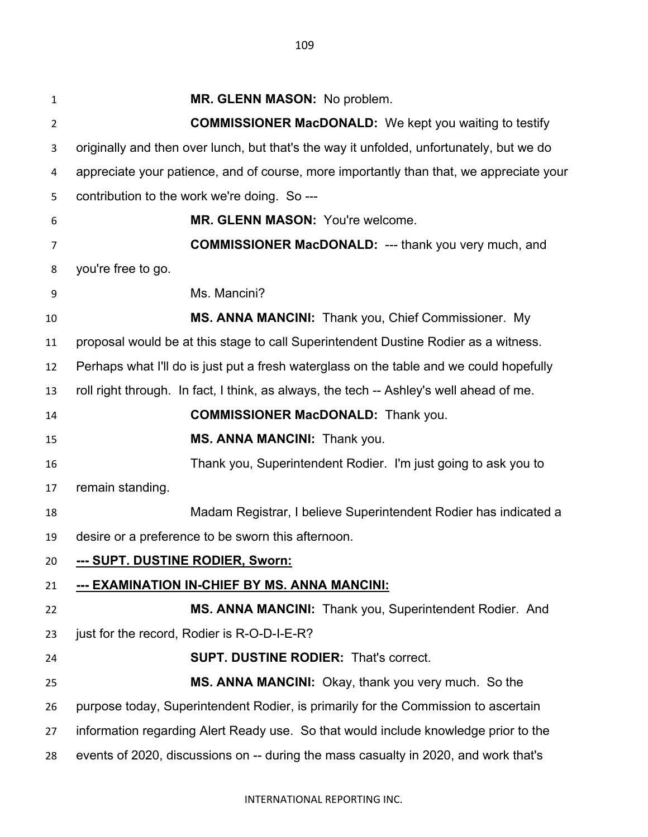**MR. GLENN MASON:** No problem. **COMMISSIONER MacDONALD:** We kept you waiting to testify originally and then over lunch, but that's the way it unfolded, unfortunately, but we do appreciate your patience, and of course, more importantly than that, we appreciate your contribution to the work we're doing. So --- **MR. GLENN MASON:** You're welcome. **COMMISSIONER MacDONALD:** --- thank you very much, and you're free to go. Ms. Mancini? **MS. ANNA MANCINI:** Thank you, Chief Commissioner. My proposal would be at this stage to call Superintendent Dustine Rodier as a witness. Perhaps what I'll do is just put a fresh waterglass on the table and we could hopefully roll right through. In fact, I think, as always, the tech -- Ashley's well ahead of me. **COMMISSIONER MacDONALD:** Thank you. **MS. ANNA MANCINI:** Thank you. Thank you, Superintendent Rodier. I'm just going to ask you to remain standing. Madam Registrar, I believe Superintendent Rodier has indicated a desire or a preference to be sworn this afternoon.

**--- SUPT. DUSTINE RODIER, Sworn:**

# **--- EXAMINATION IN-CHIEF BY MS. ANNA MANCINI:**

 **MS. ANNA MANCINI:** Thank you, Superintendent Rodier. And 23 just for the record, Rodier is R-O-D-I-E-R?

# **SUPT. DUSTINE RODIER:** That's correct.

 **MS. ANNA MANCINI:** Okay, thank you very much. So the purpose today, Superintendent Rodier, is primarily for the Commission to ascertain information regarding Alert Ready use. So that would include knowledge prior to the

events of 2020, discussions on -- during the mass casualty in 2020, and work that's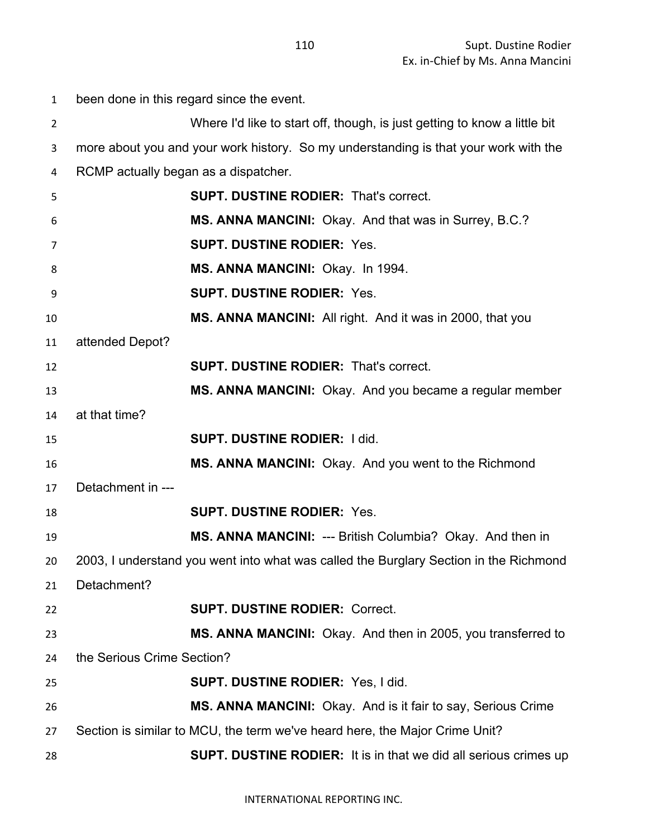| $\mathbf{1}$ | been done in this regard since the event. |                                                                                       |
|--------------|-------------------------------------------|---------------------------------------------------------------------------------------|
| 2            |                                           | Where I'd like to start off, though, is just getting to know a little bit             |
| 3            |                                           | more about you and your work history. So my understanding is that your work with the  |
| 4            | RCMP actually began as a dispatcher.      |                                                                                       |
| 5            |                                           | <b>SUPT. DUSTINE RODIER: That's correct.</b>                                          |
| 6            |                                           | MS. ANNA MANCINI: Okay. And that was in Surrey, B.C.?                                 |
| 7            |                                           | <b>SUPT. DUSTINE RODIER: Yes.</b>                                                     |
| 8            |                                           | MS. ANNA MANCINI: Okay. In 1994.                                                      |
| 9            |                                           | <b>SUPT. DUSTINE RODIER: Yes.</b>                                                     |
| 10           |                                           | MS. ANNA MANCINI: All right. And it was in 2000, that you                             |
| 11           | attended Depot?                           |                                                                                       |
| 12           |                                           | <b>SUPT. DUSTINE RODIER: That's correct.</b>                                          |
| 13           |                                           | MS. ANNA MANCINI: Okay. And you became a regular member                               |
| 14           | at that time?                             |                                                                                       |
| 15           |                                           | <b>SUPT. DUSTINE RODIER: I did.</b>                                                   |
| 16           |                                           | MS. ANNA MANCINI: Okay. And you went to the Richmond                                  |
| 17           | Detachment in ---                         |                                                                                       |
| 18           |                                           | <b>SUPT. DUSTINE RODIER: Yes.</b>                                                     |
| 19           |                                           | MS. ANNA MANCINI: --- British Columbia? Okay. And then in                             |
| 20           |                                           | 2003, I understand you went into what was called the Burglary Section in the Richmond |
| 21           | Detachment?                               |                                                                                       |
| 22           |                                           | <b>SUPT. DUSTINE RODIER: Correct.</b>                                                 |
| 23           |                                           | MS. ANNA MANCINI: Okay. And then in 2005, you transferred to                          |
| 24           | the Serious Crime Section?                |                                                                                       |
| 25           |                                           | <b>SUPT. DUSTINE RODIER: Yes, I did.</b>                                              |
| 26           |                                           | MS. ANNA MANCINI: Okay. And is it fair to say, Serious Crime                          |
| 27           |                                           | Section is similar to MCU, the term we've heard here, the Major Crime Unit?           |
| 28           |                                           | <b>SUPT. DUSTINE RODIER:</b> It is in that we did all serious crimes up               |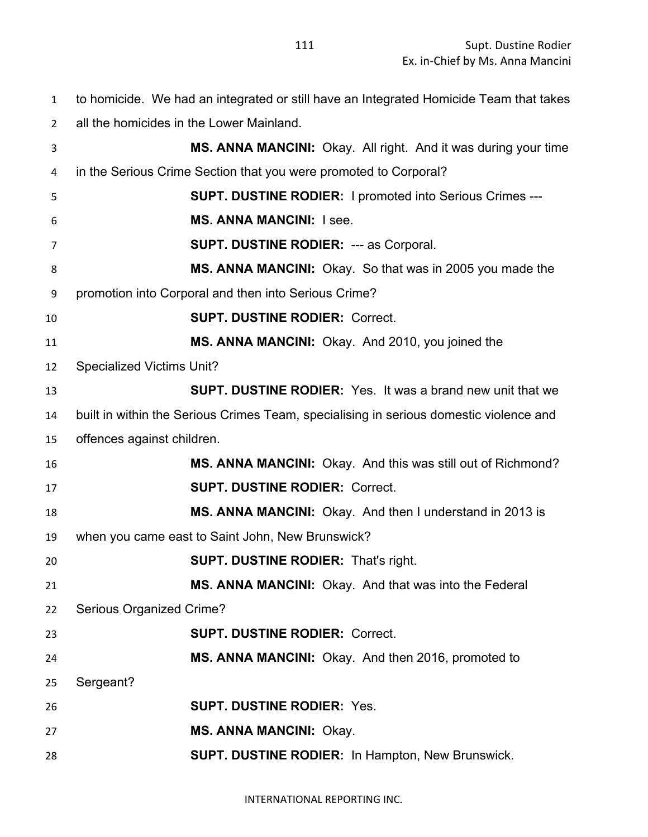to homicide. We had an integrated or still have an Integrated Homicide Team that takes

all the homicides in the Lower Mainland.

 **MS. ANNA MANCINI:** Okay. All right. And it was during your time in the Serious Crime Section that you were promoted to Corporal? **SUPT. DUSTINE RODIER:** I promoted into Serious Crimes --- **MS. ANNA MANCINI:** I see. **SUPT. DUSTINE RODIER:** --- as Corporal. **MS. ANNA MANCINI:** Okay. So that was in 2005 you made the promotion into Corporal and then into Serious Crime? **SUPT. DUSTINE RODIER:** Correct. **MS. ANNA MANCINI:** Okay. And 2010, you joined the Specialized Victims Unit? **SUPT. DUSTINE RODIER:** Yes. It was a brand new unit that we built in within the Serious Crimes Team, specialising in serious domestic violence and offences against children. **MS. ANNA MANCINI:** Okay. And this was still out of Richmond? **SUPT. DUSTINE RODIER:** Correct. **MS. ANNA MANCINI:** Okay. And then I understand in 2013 is when you came east to Saint John, New Brunswick? **SUPT. DUSTINE RODIER:** That's right. **MS. ANNA MANCINI:** Okay. And that was into the Federal Serious Organized Crime? **SUPT. DUSTINE RODIER:** Correct. **MS. ANNA MANCINI:** Okay. And then 2016, promoted to Sergeant? **SUPT. DUSTINE RODIER:** Yes. **MS. ANNA MANCINI:** Okay. **SUPT. DUSTINE RODIER:** In Hampton, New Brunswick.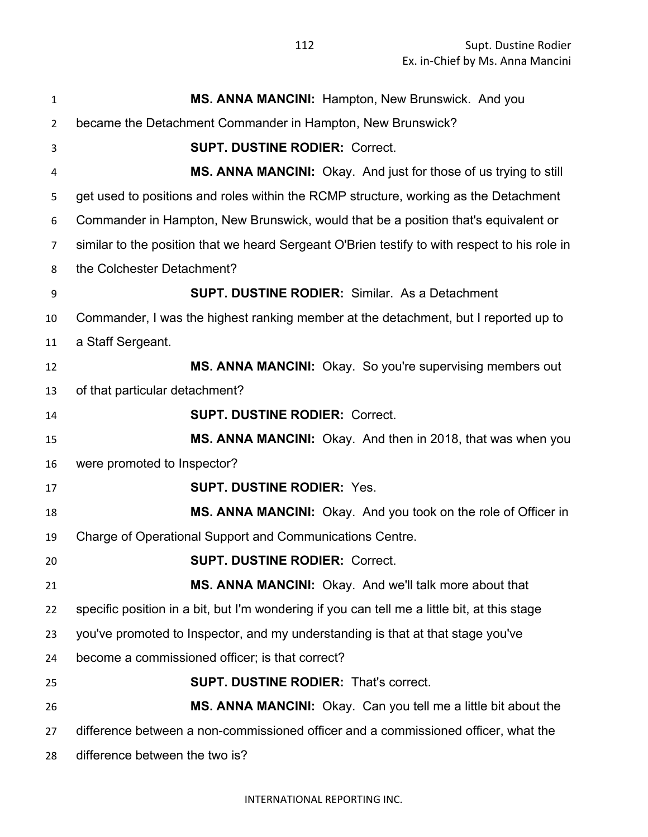| $\mathbf{1}$   | MS. ANNA MANCINI: Hampton, New Brunswick. And you                                             |
|----------------|-----------------------------------------------------------------------------------------------|
| $\overline{2}$ | became the Detachment Commander in Hampton, New Brunswick?                                    |
| 3              | <b>SUPT. DUSTINE RODIER: Correct.</b>                                                         |
| 4              | MS. ANNA MANCINI: Okay. And just for those of us trying to still                              |
| 5              | get used to positions and roles within the RCMP structure, working as the Detachment          |
| 6              | Commander in Hampton, New Brunswick, would that be a position that's equivalent or            |
| $\overline{7}$ | similar to the position that we heard Sergeant O'Brien testify to with respect to his role in |
| 8              | the Colchester Detachment?                                                                    |
| 9              | <b>SUPT. DUSTINE RODIER: Similar. As a Detachment</b>                                         |
| 10             | Commander, I was the highest ranking member at the detachment, but I reported up to           |
| 11             | a Staff Sergeant.                                                                             |
| 12             | MS. ANNA MANCINI: Okay. So you're supervising members out                                     |
| 13             | of that particular detachment?                                                                |
| 14             | <b>SUPT. DUSTINE RODIER: Correct.</b>                                                         |
| 15             | MS. ANNA MANCINI: Okay. And then in 2018, that was when you                                   |
| 16             | were promoted to Inspector?                                                                   |
| 17             | <b>SUPT. DUSTINE RODIER: Yes.</b>                                                             |
| 18             | MS. ANNA MANCINI: Okay. And you took on the role of Officer in                                |
| 19             | Charge of Operational Support and Communications Centre.                                      |
| 20             | <b>SUPT. DUSTINE RODIER: Correct.</b>                                                         |
| 21             | MS. ANNA MANCINI: Okay. And we'll talk more about that                                        |
| 22             | specific position in a bit, but I'm wondering if you can tell me a little bit, at this stage  |
| 23             | you've promoted to Inspector, and my understanding is that at that stage you've               |
| 24             | become a commissioned officer; is that correct?                                               |
| 25             | <b>SUPT. DUSTINE RODIER: That's correct.</b>                                                  |
| 26             | <b>MS. ANNA MANCINI:</b> Okay. Can you tell me a little bit about the                         |
| 27             | difference between a non-commissioned officer and a commissioned officer, what the            |
| 28             | difference between the two is?                                                                |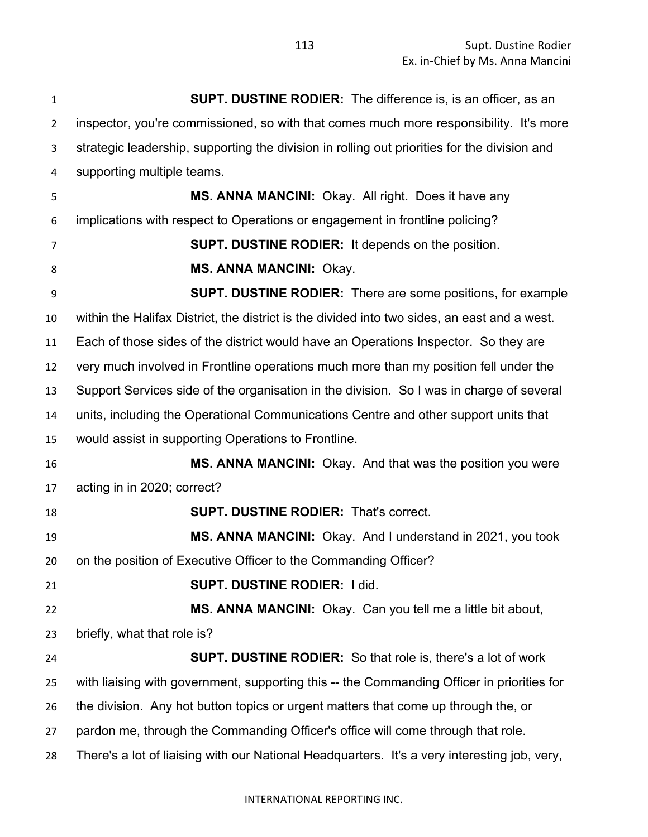| $\mathbf{1}$   | <b>SUPT. DUSTINE RODIER:</b> The difference is, is an officer, as an                         |
|----------------|----------------------------------------------------------------------------------------------|
| $\overline{2}$ | inspector, you're commissioned, so with that comes much more responsibility. It's more       |
| 3              | strategic leadership, supporting the division in rolling out priorities for the division and |
| 4              | supporting multiple teams.                                                                   |
| 5              | MS. ANNA MANCINI: Okay. All right. Does it have any                                          |
| 6              | implications with respect to Operations or engagement in frontline policing?                 |
| 7              | <b>SUPT. DUSTINE RODIER:</b> It depends on the position.                                     |
| 8              | <b>MS. ANNA MANCINI: Okay.</b>                                                               |
| 9              | <b>SUPT. DUSTINE RODIER:</b> There are some positions, for example                           |
| 10             | within the Halifax District, the district is the divided into two sides, an east and a west. |
| 11             | Each of those sides of the district would have an Operations Inspector. So they are          |
| 12             | very much involved in Frontline operations much more than my position fell under the         |
| 13             | Support Services side of the organisation in the division. So I was in charge of several     |
| 14             | units, including the Operational Communications Centre and other support units that          |
| 15             | would assist in supporting Operations to Frontline.                                          |
| 16             | <b>MS. ANNA MANCINI:</b> Okay. And that was the position you were                            |
| 17             | acting in in 2020; correct?                                                                  |
| 18             | <b>SUPT. DUSTINE RODIER: That's correct.</b>                                                 |
| 19             | MS. ANNA MANCINI: Okay. And I understand in 2021, you took                                   |
| 20             | on the position of Executive Officer to the Commanding Officer?                              |
| 21             | <b>SUPT. DUSTINE RODIER: I did.</b>                                                          |
| 22             | MS. ANNA MANCINI: Okay. Can you tell me a little bit about,                                  |
| 23             | briefly, what that role is?                                                                  |
| 24             | <b>SUPT. DUSTINE RODIER:</b> So that role is, there's a lot of work                          |
| 25             | with liaising with government, supporting this -- the Commanding Officer in priorities for   |
| 26             | the division. Any hot button topics or urgent matters that come up through the, or           |
| 27             | pardon me, through the Commanding Officer's office will come through that role.              |
| 28             | There's a lot of liaising with our National Headquarters. It's a very interesting job, very, |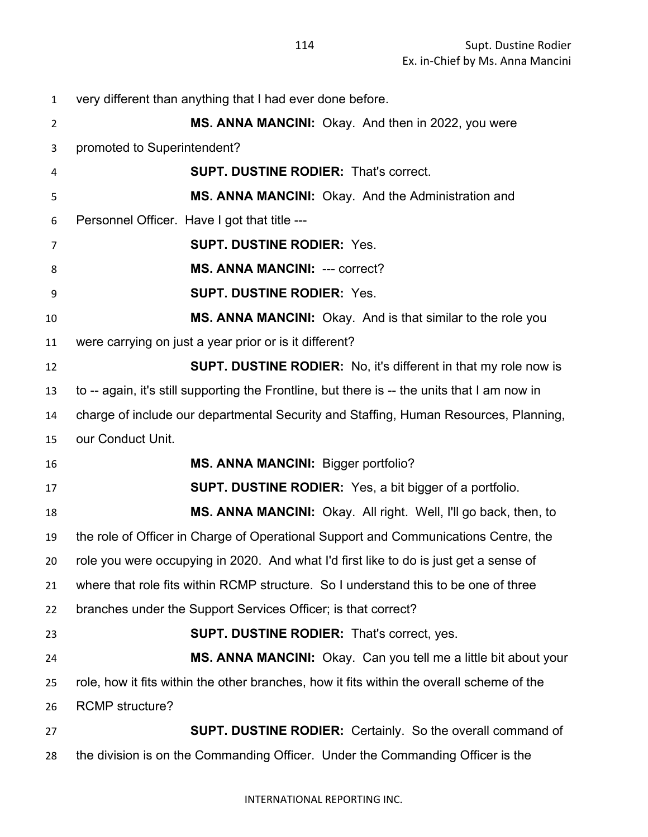very different than anything that I had ever done before. **MS. ANNA MANCINI:** Okay. And then in 2022, you were promoted to Superintendent? **SUPT. DUSTINE RODIER:** That's correct. **MS. ANNA MANCINI:** Okay. And the Administration and Personnel Officer. Have I got that title --- **SUPT. DUSTINE RODIER:** Yes. **MS. ANNA MANCINI:** --- correct? **SUPT. DUSTINE RODIER:** Yes. **MS. ANNA MANCINI:** Okay. And is that similar to the role you were carrying on just a year prior or is it different? **SUPT. DUSTINE RODIER:** No, it's different in that my role now is to -- again, it's still supporting the Frontline, but there is -- the units that I am now in charge of include our departmental Security and Staffing, Human Resources, Planning, our Conduct Unit. **MS. ANNA MANCINI:** Bigger portfolio? **SUPT. DUSTINE RODIER:** Yes, a bit bigger of a portfolio. **MS. ANNA MANCINI:** Okay. All right. Well, I'll go back, then, to the role of Officer in Charge of Operational Support and Communications Centre, the role you were occupying in 2020. And what I'd first like to do is just get a sense of where that role fits within RCMP structure. So I understand this to be one of three branches under the Support Services Officer; is that correct? **SUPT. DUSTINE RODIER:** That's correct, yes. **MS. ANNA MANCINI:** Okay. Can you tell me a little bit about your role, how it fits within the other branches, how it fits within the overall scheme of the RCMP structure? **SUPT. DUSTINE RODIER:** Certainly. So the overall command of the division is on the Commanding Officer. Under the Commanding Officer is the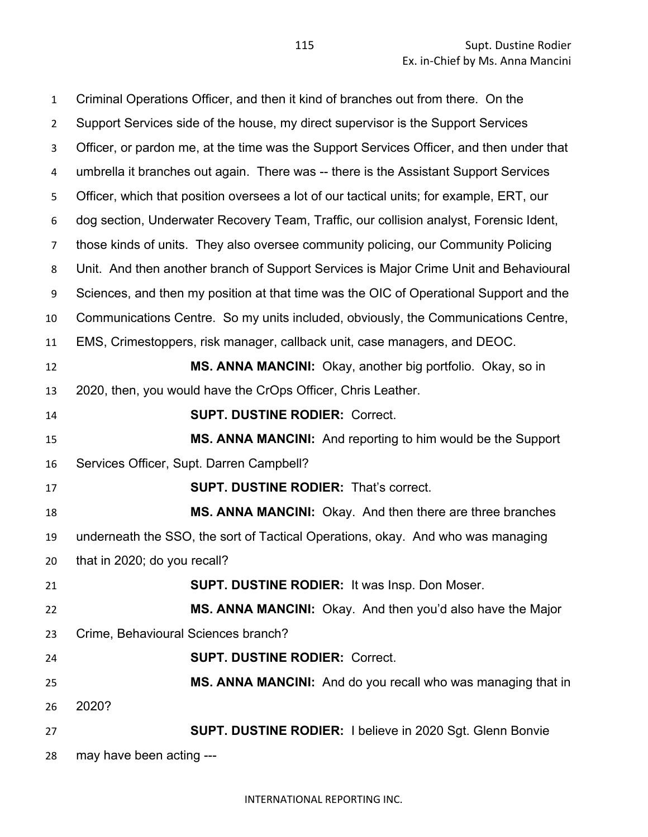Criminal Operations Officer, and then it kind of branches out from there. On the Support Services side of the house, my direct supervisor is the Support Services Officer, or pardon me, at the time was the Support Services Officer, and then under that umbrella it branches out again. There was -- there is the Assistant Support Services Officer, which that position oversees a lot of our tactical units; for example, ERT, our dog section, Underwater Recovery Team, Traffic, our collision analyst, Forensic Ident, those kinds of units. They also oversee community policing, our Community Policing Unit. And then another branch of Support Services is Major Crime Unit and Behavioural Sciences, and then my position at that time was the OIC of Operational Support and the Communications Centre. So my units included, obviously, the Communications Centre, EMS, Crimestoppers, risk manager, callback unit, case managers, and DEOC. **MS. ANNA MANCINI:** Okay, another big portfolio. Okay, so in 2020, then, you would have the CrOps Officer, Chris Leather. **SUPT. DUSTINE RODIER:** Correct. **MS. ANNA MANCINI:** And reporting to him would be the Support Services Officer, Supt. Darren Campbell? **SUPT. DUSTINE RODIER:** That's correct. **MS. ANNA MANCINI:** Okay. And then there are three branches underneath the SSO, the sort of Tactical Operations, okay. And who was managing that in 2020; do you recall? **SUPT. DUSTINE RODIER:** It was Insp. Don Moser. **MS. ANNA MANCINI:** Okay. And then you'd also have the Major Crime, Behavioural Sciences branch? **SUPT. DUSTINE RODIER:** Correct. **MS. ANNA MANCINI:** And do you recall who was managing that in 2020? **SUPT. DUSTINE RODIER:** I believe in 2020 Sgt. Glenn Bonvie may have been acting ---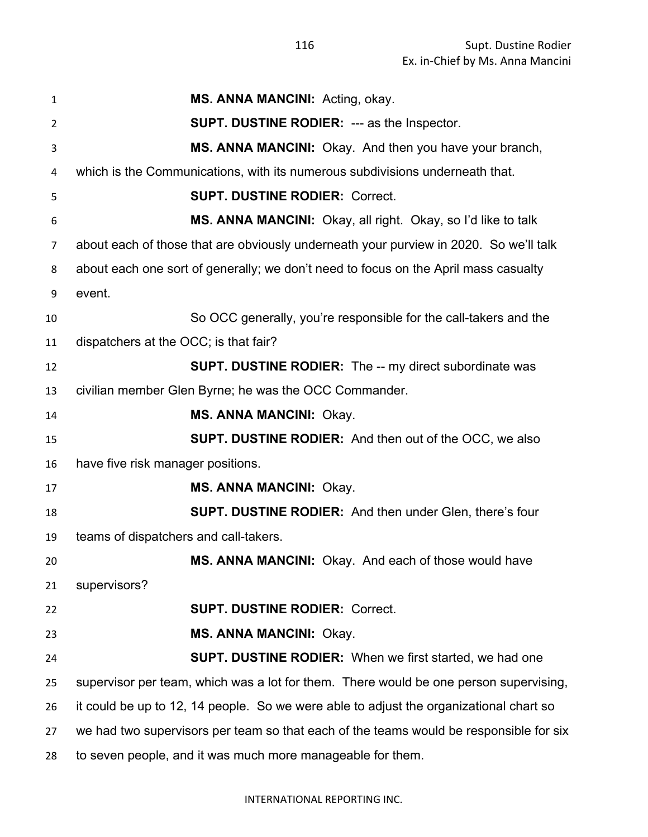| $\mathbf{1}$ | MS. ANNA MANCINI: Acting, okay.                                                        |
|--------------|----------------------------------------------------------------------------------------|
| 2            | <b>SUPT. DUSTINE RODIER: --- as the Inspector.</b>                                     |
| 3            | MS. ANNA MANCINI: Okay. And then you have your branch,                                 |
| 4            | which is the Communications, with its numerous subdivisions underneath that.           |
| 5            | <b>SUPT. DUSTINE RODIER: Correct.</b>                                                  |
| 6            | MS. ANNA MANCINI: Okay, all right. Okay, so I'd like to talk                           |
| 7            | about each of those that are obviously underneath your purview in 2020. So we'll talk  |
| 8            | about each one sort of generally; we don't need to focus on the April mass casualty    |
| 9            | event.                                                                                 |
| 10           | So OCC generally, you're responsible for the call-takers and the                       |
| 11           | dispatchers at the OCC; is that fair?                                                  |
| 12           | <b>SUPT. DUSTINE RODIER:</b> The -- my direct subordinate was                          |
| 13           | civilian member Glen Byrne; he was the OCC Commander.                                  |
| 14           | <b>MS. ANNA MANCINI: Okay.</b>                                                         |
| 15           | <b>SUPT. DUSTINE RODIER:</b> And then out of the OCC, we also                          |
| 16           | have five risk manager positions.                                                      |
| 17           | <b>MS. ANNA MANCINI: Okay.</b>                                                         |
| 18           | <b>SUPT. DUSTINE RODIER:</b> And then under Glen, there's four                         |
| 19           | teams of dispatchers and call-takers.                                                  |
| 20           | MS. ANNA MANCINI: Okay. And each of those would have                                   |
| 21           | supervisors?                                                                           |
| 22           | <b>SUPT. DUSTINE RODIER: Correct.</b>                                                  |
| 23           | <b>MS. ANNA MANCINI: Okay.</b>                                                         |
| 24           | <b>SUPT. DUSTINE RODIER:</b> When we first started, we had one                         |
| 25           | supervisor per team, which was a lot for them. There would be one person supervising,  |
| 26           | it could be up to 12, 14 people. So we were able to adjust the organizational chart so |
| 27           | we had two supervisors per team so that each of the teams would be responsible for six |
| 28           | to seven people, and it was much more manageable for them.                             |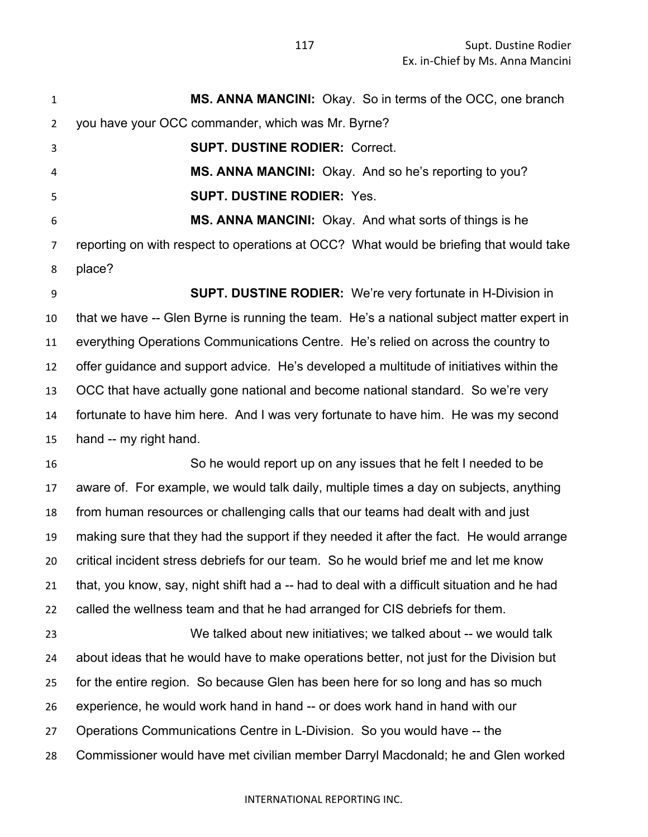| $\mathbf{1}$   | MS. ANNA MANCINI: Okay. So in terms of the OCC, one branch                                  |
|----------------|---------------------------------------------------------------------------------------------|
| $\overline{2}$ | you have your OCC commander, which was Mr. Byrne?                                           |
| 3              | <b>SUPT. DUSTINE RODIER: Correct.</b>                                                       |
| 4              | MS. ANNA MANCINI: Okay. And so he's reporting to you?                                       |
| 5              | <b>SUPT. DUSTINE RODIER: Yes.</b>                                                           |
| 6              | MS. ANNA MANCINI: Okay. And what sorts of things is he                                      |
| 7              | reporting on with respect to operations at OCC? What would be briefing that would take      |
| 8              | place?                                                                                      |
| 9              | SUPT. DUSTINE RODIER: We're very fortunate in H-Division in                                 |
| 10             | that we have -- Glen Byrne is running the team. He's a national subject matter expert in    |
| 11             | everything Operations Communications Centre. He's relied on across the country to           |
| 12             | offer guidance and support advice. He's developed a multitude of initiatives within the     |
| 13             | OCC that have actually gone national and become national standard. So we're very            |
| 14             | fortunate to have him here. And I was very fortunate to have him. He was my second          |
| 15             | hand -- my right hand.                                                                      |
| 16             | So he would report up on any issues that he felt I needed to be                             |
| 17             | aware of. For example, we would talk daily, multiple times a day on subjects, anything      |
| 18             | from human resources or challenging calls that our teams had dealt with and just            |
| 19             | making sure that they had the support if they needed it after the fact. He would arrange    |
| 20             | critical incident stress debriefs for our team. So he would brief me and let me know        |
| 21             | that, you know, say, night shift had a -- had to deal with a difficult situation and he had |
| 22             | called the wellness team and that he had arranged for CIS debriefs for them.                |
| 23             | We talked about new initiatives; we talked about -- we would talk                           |
| 24             | about ideas that he would have to make operations better, not just for the Division but     |
| 25             | for the entire region. So because Glen has been here for so long and has so much            |
| 26             | experience, he would work hand in hand -- or does work hand in hand with our                |
| 27             | Operations Communications Centre in L-Division. So you would have -- the                    |
| 28             | Commissioner would have met civilian member Darryl Macdonald; he and Glen worked            |
|                |                                                                                             |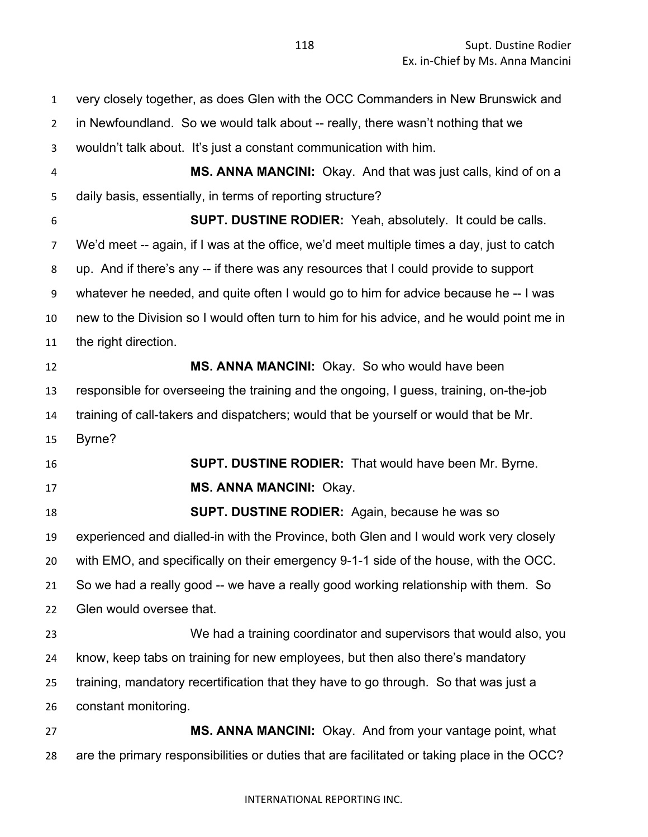Supt. Dustine Rodier Ex. in-Chief by Ms. Anna Mancini

 very closely together, as does Glen with the OCC Commanders in New Brunswick and in Newfoundland. So we would talk about -- really, there wasn't nothing that we wouldn't talk about. It's just a constant communication with him. **MS. ANNA MANCINI:** Okay. And that was just calls, kind of on a daily basis, essentially, in terms of reporting structure? **SUPT. DUSTINE RODIER:** Yeah, absolutely. It could be calls. We'd meet -- again, if I was at the office, we'd meet multiple times a day, just to catch up. And if there's any -- if there was any resources that I could provide to support whatever he needed, and quite often I would go to him for advice because he -- I was new to the Division so I would often turn to him for his advice, and he would point me in the right direction. **MS. ANNA MANCINI:** Okay. So who would have been responsible for overseeing the training and the ongoing, I guess, training, on-the-job training of call-takers and dispatchers; would that be yourself or would that be Mr. Byrne? **SUPT. DUSTINE RODIER:** That would have been Mr. Byrne. **MS. ANNA MANCINI:** Okay. **SUPT. DUSTINE RODIER:** Again, because he was so experienced and dialled-in with the Province, both Glen and I would work very closely with EMO, and specifically on their emergency 9-1-1 side of the house, with the OCC. So we had a really good -- we have a really good working relationship with them. So Glen would oversee that. We had a training coordinator and supervisors that would also, you know, keep tabs on training for new employees, but then also there's mandatory training, mandatory recertification that they have to go through. So that was just a constant monitoring. **MS. ANNA MANCINI:** Okay. And from your vantage point, what are the primary responsibilities or duties that are facilitated or taking place in the OCC?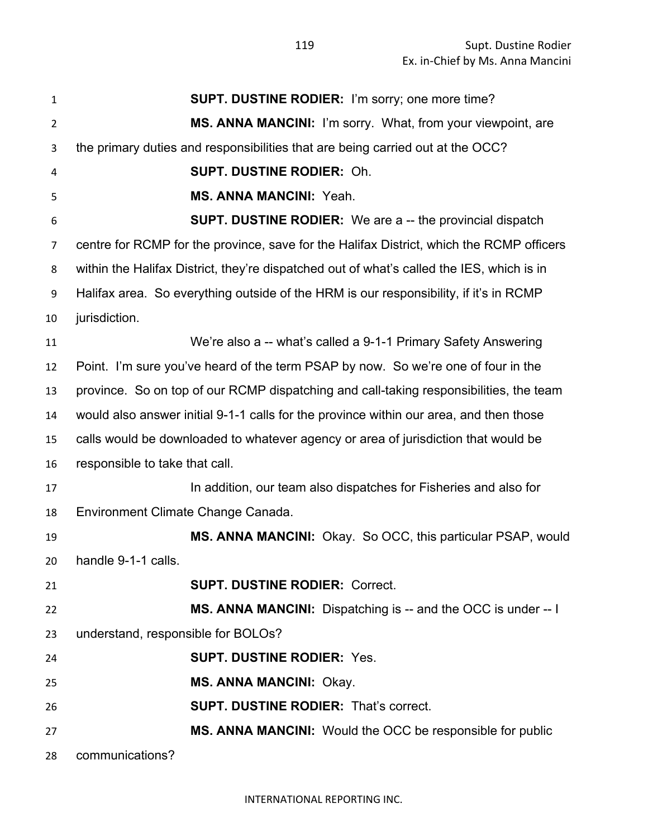| $\mathbf{1}$   | <b>SUPT. DUSTINE RODIER:</b> I'm sorry; one more time?                                    |
|----------------|-------------------------------------------------------------------------------------------|
| $\overline{2}$ | MS. ANNA MANCINI: I'm sorry. What, from your viewpoint, are                               |
| 3              | the primary duties and responsibilities that are being carried out at the OCC?            |
| 4              | <b>SUPT. DUSTINE RODIER: Oh.</b>                                                          |
| 5              | <b>MS. ANNA MANCINI: Yeah.</b>                                                            |
| 6              | <b>SUPT. DUSTINE RODIER:</b> We are a -- the provincial dispatch                          |
| $\overline{7}$ | centre for RCMP for the province, save for the Halifax District, which the RCMP officers  |
| 8              | within the Halifax District, they're dispatched out of what's called the IES, which is in |
| 9              | Halifax area. So everything outside of the HRM is our responsibility, if it's in RCMP     |
| 10             | jurisdiction.                                                                             |
| 11             | We're also a -- what's called a 9-1-1 Primary Safety Answering                            |
| 12             | Point. I'm sure you've heard of the term PSAP by now. So we're one of four in the         |
| 13             | province. So on top of our RCMP dispatching and call-taking responsibilities, the team    |
| 14             | would also answer initial 9-1-1 calls for the province within our area, and then those    |
| 15             | calls would be downloaded to whatever agency or area of jurisdiction that would be        |
| 16             | responsible to take that call.                                                            |
| 17             | In addition, our team also dispatches for Fisheries and also for                          |
| 18             | Environment Climate Change Canada.                                                        |
| 19             | MS. ANNA MANCINI: Okay. So OCC, this particular PSAP, would                               |
| 20             | handle 9-1-1 calls.                                                                       |
| 21             | <b>SUPT. DUSTINE RODIER: Correct.</b>                                                     |
| 22             | MS. ANNA MANCINI: Dispatching is -- and the OCC is under -- I                             |
| 23             | understand, responsible for BOLOs?                                                        |
| 24             | <b>SUPT. DUSTINE RODIER: Yes.</b>                                                         |
| 25             | <b>MS. ANNA MANCINI: Okay.</b>                                                            |
| 26             | <b>SUPT. DUSTINE RODIER: That's correct.</b>                                              |
| 27             | MS. ANNA MANCINI: Would the OCC be responsible for public                                 |
| 28             | communications?                                                                           |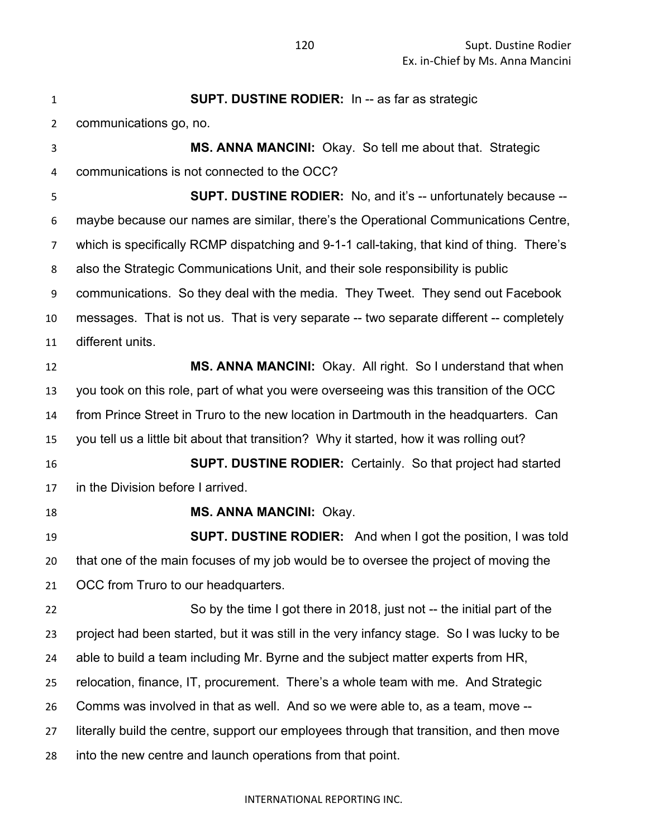**SUPT. DUSTINE RODIER:** In -- as far as strategic communications go, no. **MS. ANNA MANCINI:** Okay. So tell me about that. Strategic communications is not connected to the OCC? **SUPT. DUSTINE RODIER:** No, and it's -- unfortunately because -- maybe because our names are similar, there's the Operational Communications Centre, which is specifically RCMP dispatching and 9-1-1 call-taking, that kind of thing. There's also the Strategic Communications Unit, and their sole responsibility is public communications. So they deal with the media. They Tweet. They send out Facebook messages. That is not us. That is very separate -- two separate different -- completely different units. **MS. ANNA MANCINI:** Okay. All right. So I understand that when you took on this role, part of what you were overseeing was this transition of the OCC from Prince Street in Truro to the new location in Dartmouth in the headquarters. Can you tell us a little bit about that transition? Why it started, how it was rolling out? **SUPT. DUSTINE RODIER:** Certainly. So that project had started in the Division before I arrived. **MS. ANNA MANCINI:** Okay. **SUPT. DUSTINE RODIER:** And when I got the position, I was told that one of the main focuses of my job would be to oversee the project of moving the OCC from Truro to our headquarters. So by the time I got there in 2018, just not -- the initial part of the project had been started, but it was still in the very infancy stage. So I was lucky to be able to build a team including Mr. Byrne and the subject matter experts from HR, relocation, finance, IT, procurement. There's a whole team with me. And Strategic Comms was involved in that as well. And so we were able to, as a team, move -- literally build the centre, support our employees through that transition, and then move into the new centre and launch operations from that point.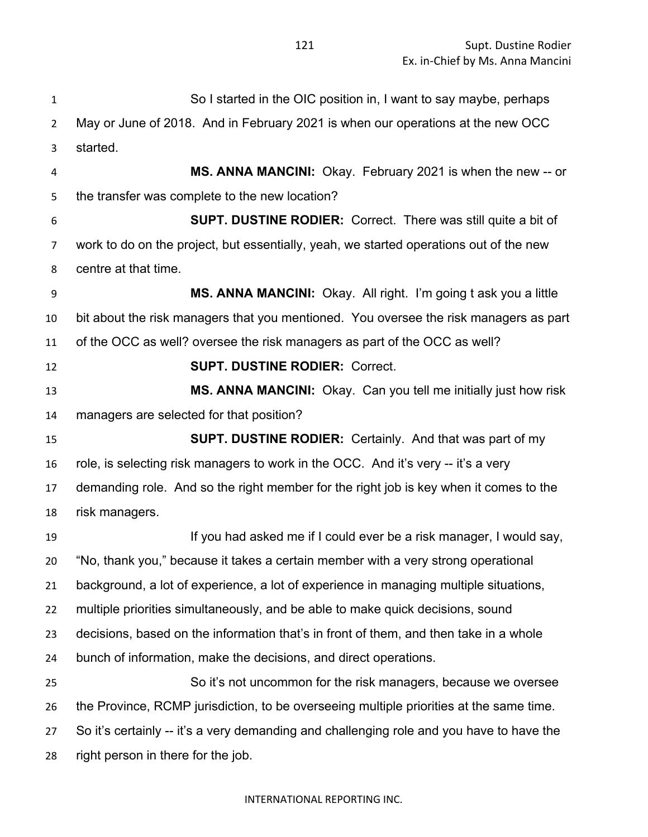So I started in the OIC position in, I want to say maybe, perhaps May or June of 2018. And in February 2021 is when our operations at the new OCC started. **MS. ANNA MANCINI:** Okay. February 2021 is when the new -- or the transfer was complete to the new location? **SUPT. DUSTINE RODIER:** Correct. There was still quite a bit of work to do on the project, but essentially, yeah, we started operations out of the new centre at that time. **MS. ANNA MANCINI:** Okay. All right. I'm going t ask you a little bit about the risk managers that you mentioned. You oversee the risk managers as part of the OCC as well? oversee the risk managers as part of the OCC as well? **SUPT. DUSTINE RODIER:** Correct. **MS. ANNA MANCINI:** Okay. Can you tell me initially just how risk managers are selected for that position? **SUPT. DUSTINE RODIER:** Certainly. And that was part of my role, is selecting risk managers to work in the OCC. And it's very -- it's a very demanding role. And so the right member for the right job is key when it comes to the risk managers. **If you had asked me if I could ever be a risk manager, I would say,**  "No, thank you," because it takes a certain member with a very strong operational background, a lot of experience, a lot of experience in managing multiple situations, multiple priorities simultaneously, and be able to make quick decisions, sound decisions, based on the information that's in front of them, and then take in a whole bunch of information, make the decisions, and direct operations. So it's not uncommon for the risk managers, because we oversee the Province, RCMP jurisdiction, to be overseeing multiple priorities at the same time. So it's certainly -- it's a very demanding and challenging role and you have to have the right person in there for the job.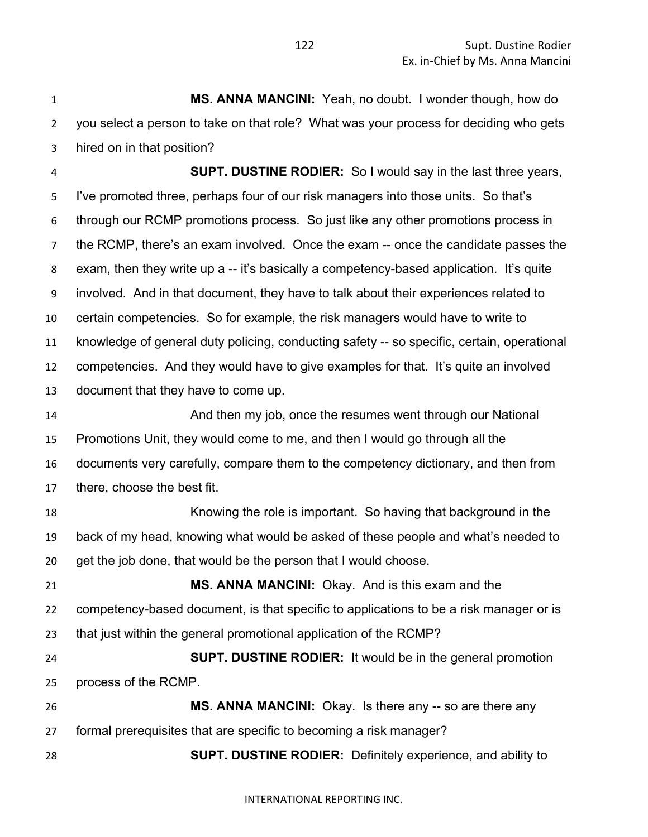**MS. ANNA MANCINI:** Yeah, no doubt. I wonder though, how do you select a person to take on that role? What was your process for deciding who gets hired on in that position?

 **SUPT. DUSTINE RODIER:** So I would say in the last three years, I've promoted three, perhaps four of our risk managers into those units. So that's through our RCMP promotions process. So just like any other promotions process in the RCMP, there's an exam involved. Once the exam -- once the candidate passes the exam, then they write up a -- it's basically a competency-based application. It's quite involved. And in that document, they have to talk about their experiences related to certain competencies. So for example, the risk managers would have to write to knowledge of general duty policing, conducting safety -- so specific, certain, operational competencies. And they would have to give examples for that. It's quite an involved document that they have to come up.

 And then my job, once the resumes went through our National Promotions Unit, they would come to me, and then I would go through all the documents very carefully, compare them to the competency dictionary, and then from there, choose the best fit.

 Knowing the role is important. So having that background in the back of my head, knowing what would be asked of these people and what's needed to get the job done, that would be the person that I would choose.

 **MS. ANNA MANCINI:** Okay. And is this exam and the competency-based document, is that specific to applications to be a risk manager or is that just within the general promotional application of the RCMP?

 **SUPT. DUSTINE RODIER:** It would be in the general promotion process of the RCMP.

 **MS. ANNA MANCINI:** Okay. Is there any -- so are there any formal prerequisites that are specific to becoming a risk manager?

**SUPT. DUSTINE RODIER:** Definitely experience, and ability to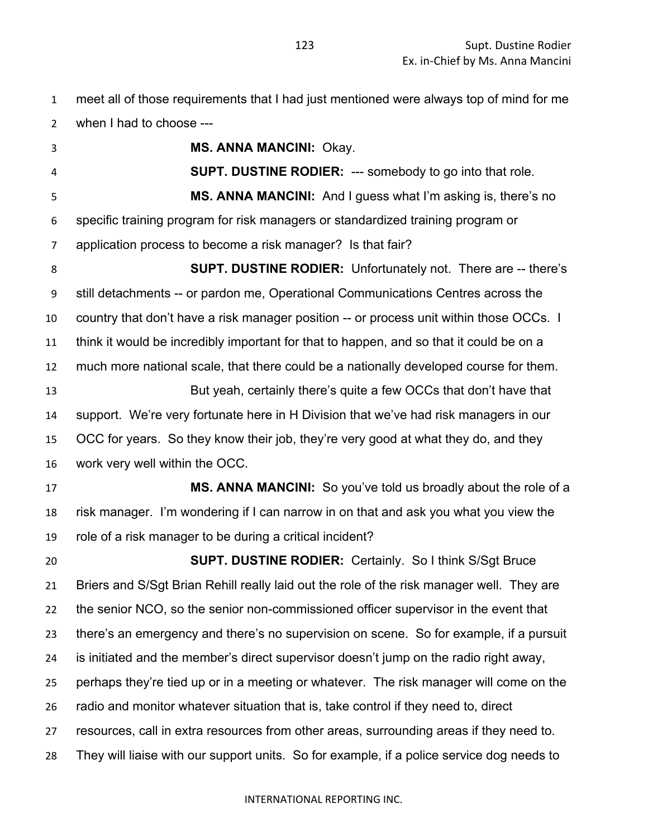meet all of those requirements that I had just mentioned were always top of mind for me when I had to choose ---

 **MS. ANNA MANCINI:** Okay. **SUPT. DUSTINE RODIER:** --- somebody to go into that role. **MS. ANNA MANCINI:** And I guess what I'm asking is, there's no specific training program for risk managers or standardized training program or application process to become a risk manager? Is that fair? **SUPT. DUSTINE RODIER:** Unfortunately not. There are -- there's still detachments -- or pardon me, Operational Communications Centres across the country that don't have a risk manager position -- or process unit within those OCCs. I think it would be incredibly important for that to happen, and so that it could be on a much more national scale, that there could be a nationally developed course for them. But yeah, certainly there's quite a few OCCs that don't have that support. We're very fortunate here in H Division that we've had risk managers in our OCC for years. So they know their job, they're very good at what they do, and they work very well within the OCC. **MS. ANNA MANCINI:** So you've told us broadly about the role of a risk manager. I'm wondering if I can narrow in on that and ask you what you view the role of a risk manager to be during a critical incident? **SUPT. DUSTINE RODIER:** Certainly. So I think S/Sgt Bruce Briers and S/Sgt Brian Rehill really laid out the role of the risk manager well. They are the senior NCO, so the senior non-commissioned officer supervisor in the event that there's an emergency and there's no supervision on scene. So for example, if a pursuit is initiated and the member's direct supervisor doesn't jump on the radio right away, perhaps they're tied up or in a meeting or whatever. The risk manager will come on the radio and monitor whatever situation that is, take control if they need to, direct resources, call in extra resources from other areas, surrounding areas if they need to. They will liaise with our support units. So for example, if a police service dog needs to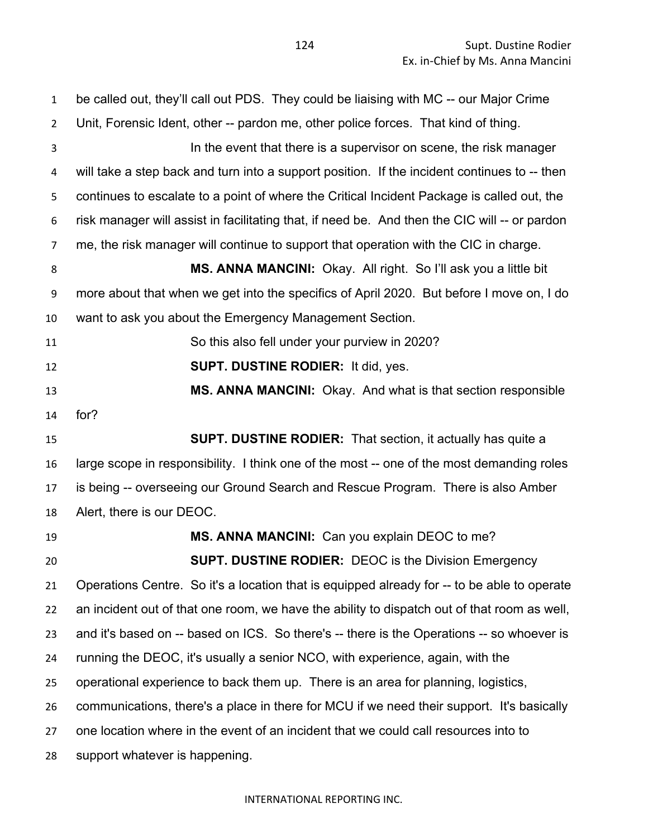be called out, they'll call out PDS. They could be liaising with MC -- our Major Crime Unit, Forensic Ident, other -- pardon me, other police forces. That kind of thing. In the event that there is a supervisor on scene, the risk manager will take a step back and turn into a support position. If the incident continues to -- then continues to escalate to a point of where the Critical Incident Package is called out, the risk manager will assist in facilitating that, if need be. And then the CIC will -- or pardon me, the risk manager will continue to support that operation with the CIC in charge. **MS. ANNA MANCINI:** Okay. All right. So I'll ask you a little bit more about that when we get into the specifics of April 2020. But before I move on, I do want to ask you about the Emergency Management Section. So this also fell under your purview in 2020? **SUPT. DUSTINE RODIER:** It did, yes. **MS. ANNA MANCINI:** Okay. And what is that section responsible for? **SUPT. DUSTINE RODIER:** That section, it actually has quite a large scope in responsibility. I think one of the most -- one of the most demanding roles is being -- overseeing our Ground Search and Rescue Program. There is also Amber Alert, there is our DEOC. **MS. ANNA MANCINI:** Can you explain DEOC to me? **SUPT. DUSTINE RODIER:** DEOC is the Division Emergency Operations Centre. So it's a location that is equipped already for -- to be able to operate an incident out of that one room, we have the ability to dispatch out of that room as well, and it's based on -- based on ICS. So there's -- there is the Operations -- so whoever is running the DEOC, it's usually a senior NCO, with experience, again, with the operational experience to back them up. There is an area for planning, logistics, communications, there's a place in there for MCU if we need their support. It's basically one location where in the event of an incident that we could call resources into to support whatever is happening.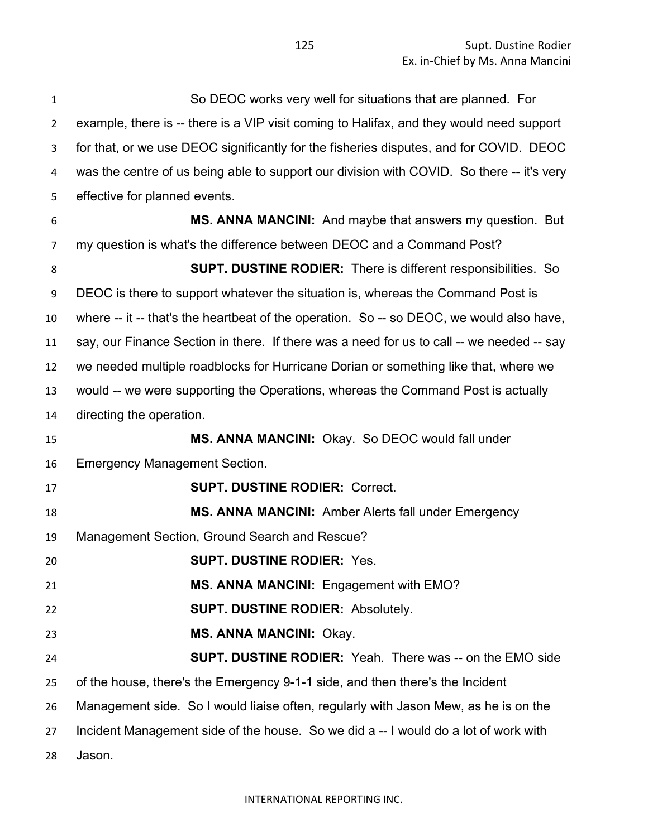| $\mathbf{1}$   | So DEOC works very well for situations that are planned. For                              |
|----------------|-------------------------------------------------------------------------------------------|
| $\overline{2}$ | example, there is -- there is a VIP visit coming to Halifax, and they would need support  |
| 3              | for that, or we use DEOC significantly for the fisheries disputes, and for COVID. DEOC    |
| 4              | was the centre of us being able to support our division with COVID. So there -- it's very |
| 5              | effective for planned events.                                                             |
| 6              | MS. ANNA MANCINI: And maybe that answers my question. But                                 |
| 7              | my question is what's the difference between DEOC and a Command Post?                     |
| 8              | <b>SUPT. DUSTINE RODIER:</b> There is different responsibilities. So                      |
| 9              | DEOC is there to support whatever the situation is, whereas the Command Post is           |
| 10             | where -- it -- that's the heartbeat of the operation. So -- so DEOC, we would also have,  |
| 11             | say, our Finance Section in there. If there was a need for us to call -- we needed -- say |
| 12             | we needed multiple roadblocks for Hurricane Dorian or something like that, where we       |
| 13             | would -- we were supporting the Operations, whereas the Command Post is actually          |
| 14             | directing the operation.                                                                  |
| 15             | MS. ANNA MANCINI: Okay. So DEOC would fall under                                          |
| 16             | <b>Emergency Management Section.</b>                                                      |
| 17             | <b>SUPT. DUSTINE RODIER: Correct.</b>                                                     |
| 18             | <b>MS. ANNA MANCINI:</b> Amber Alerts fall under Emergency                                |
| 19             | Management Section, Ground Search and Rescue?                                             |
| 20             | <b>SUPT. DUSTINE RODIER: Yes.</b>                                                         |
| 21             | MS. ANNA MANCINI: Engagement with EMO?                                                    |
| 22             | <b>SUPT. DUSTINE RODIER: Absolutely.</b>                                                  |
| 23             | <b>MS. ANNA MANCINI: Okay.</b>                                                            |
| 24             | <b>SUPT. DUSTINE RODIER:</b> Yeah. There was -- on the EMO side                           |
| 25             | of the house, there's the Emergency 9-1-1 side, and then there's the Incident             |
| 26             | Management side. So I would liaise often, regularly with Jason Mew, as he is on the       |
| 27             | Incident Management side of the house. So we did a -- I would do a lot of work with       |
| 28             | Jason.                                                                                    |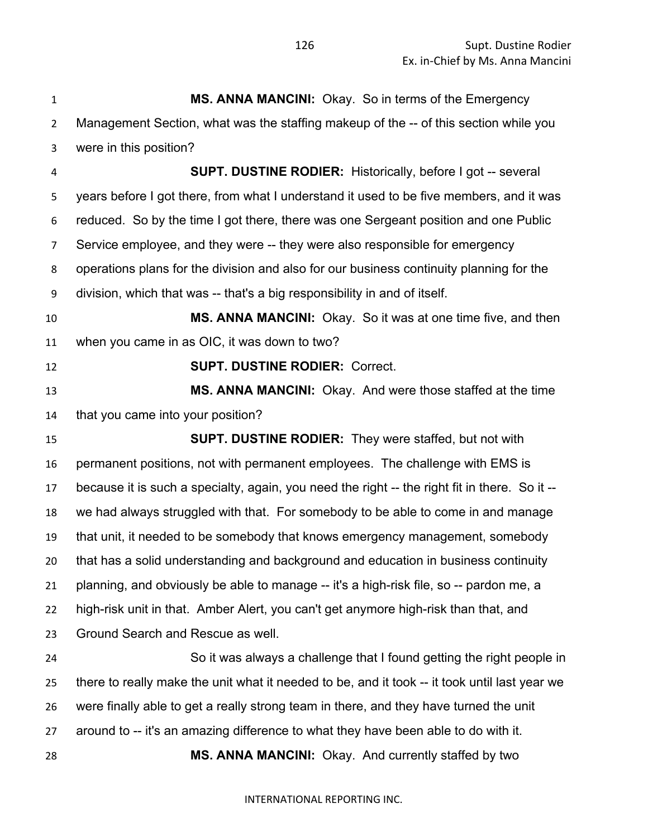**MS. ANNA MANCINI:** Okay. So in terms of the Emergency Management Section, what was the staffing makeup of the -- of this section while you were in this position? **SUPT. DUSTINE RODIER:** Historically, before I got -- several years before I got there, from what I understand it used to be five members, and it was reduced. So by the time I got there, there was one Sergeant position and one Public Service employee, and they were -- they were also responsible for emergency operations plans for the division and also for our business continuity planning for the division, which that was -- that's a big responsibility in and of itself. **MS. ANNA MANCINI:** Okay. So it was at one time five, and then when you came in as OIC, it was down to two? **SUPT. DUSTINE RODIER:** Correct. **MS. ANNA MANCINI:** Okay. And were those staffed at the time that you came into your position? **SUPT. DUSTINE RODIER:** They were staffed, but not with permanent positions, not with permanent employees. The challenge with EMS is because it is such a specialty, again, you need the right -- the right fit in there. So it -- we had always struggled with that. For somebody to be able to come in and manage that unit, it needed to be somebody that knows emergency management, somebody that has a solid understanding and background and education in business continuity planning, and obviously be able to manage -- it's a high-risk file, so -- pardon me, a high-risk unit in that. Amber Alert, you can't get anymore high-risk than that, and Ground Search and Rescue as well. So it was always a challenge that I found getting the right people in there to really make the unit what it needed to be, and it took -- it took until last year we were finally able to get a really strong team in there, and they have turned the unit

around to -- it's an amazing difference to what they have been able to do with it.

**MS. ANNA MANCINI:** Okay. And currently staffed by two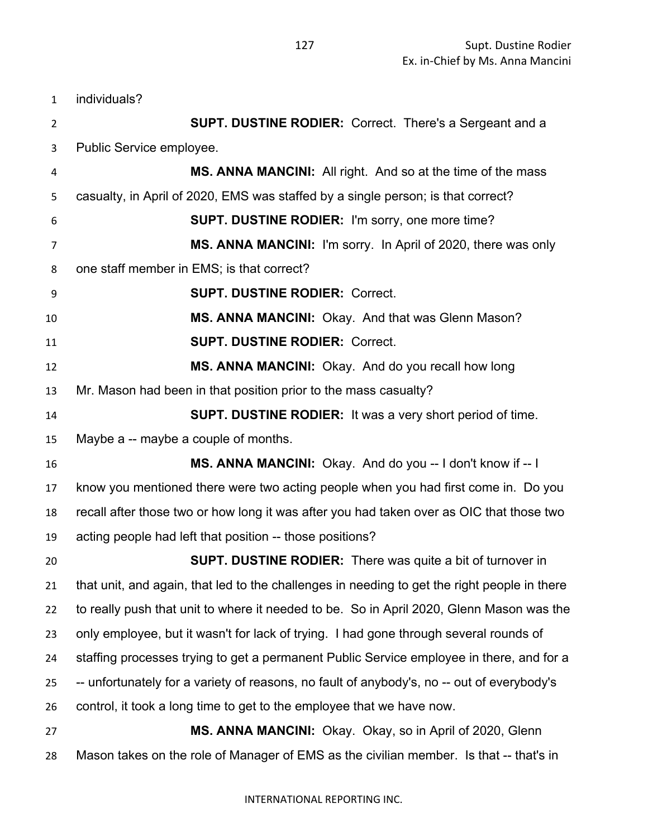individuals? **SUPT. DUSTINE RODIER:** Correct. There's a Sergeant and a Public Service employee. **MS. ANNA MANCINI:** All right. And so at the time of the mass casualty, in April of 2020, EMS was staffed by a single person; is that correct? **SUPT. DUSTINE RODIER:** I'm sorry, one more time? **MS. ANNA MANCINI:** I'm sorry. In April of 2020, there was only one staff member in EMS; is that correct? **SUPT. DUSTINE RODIER:** Correct. **MS. ANNA MANCINI:** Okay. And that was Glenn Mason? **SUPT. DUSTINE RODIER:** Correct. **MS. ANNA MANCINI:** Okay. And do you recall how long Mr. Mason had been in that position prior to the mass casualty? **SUPT. DUSTINE RODIER:** It was a very short period of time. Maybe a -- maybe a couple of months. **MS. ANNA MANCINI:** Okay. And do you -- I don't know if -- I know you mentioned there were two acting people when you had first come in. Do you recall after those two or how long it was after you had taken over as OIC that those two acting people had left that position -- those positions? **SUPT. DUSTINE RODIER:** There was quite a bit of turnover in that unit, and again, that led to the challenges in needing to get the right people in there to really push that unit to where it needed to be. So in April 2020, Glenn Mason was the only employee, but it wasn't for lack of trying. I had gone through several rounds of staffing processes trying to get a permanent Public Service employee in there, and for a -- unfortunately for a variety of reasons, no fault of anybody's, no -- out of everybody's control, it took a long time to get to the employee that we have now. **MS. ANNA MANCINI:** Okay. Okay, so in April of 2020, Glenn Mason takes on the role of Manager of EMS as the civilian member. Is that -- that's in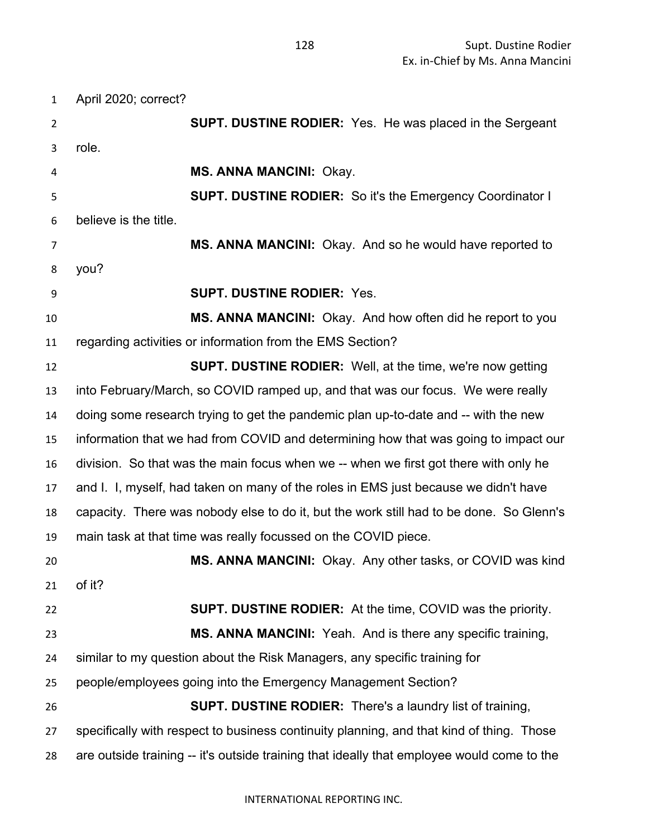April 2020; correct? **SUPT. DUSTINE RODIER:** Yes. He was placed in the Sergeant role. **MS. ANNA MANCINI:** Okay. **SUPT. DUSTINE RODIER:** So it's the Emergency Coordinator I believe is the title. **MS. ANNA MANCINI:** Okay. And so he would have reported to you? **SUPT. DUSTINE RODIER:** Yes. **MS. ANNA MANCINI:** Okay. And how often did he report to you regarding activities or information from the EMS Section? **SUPT. DUSTINE RODIER:** Well, at the time, we're now getting into February/March, so COVID ramped up, and that was our focus. We were really doing some research trying to get the pandemic plan up-to-date and -- with the new information that we had from COVID and determining how that was going to impact our division. So that was the main focus when we -- when we first got there with only he and I. I, myself, had taken on many of the roles in EMS just because we didn't have capacity. There was nobody else to do it, but the work still had to be done. So Glenn's main task at that time was really focussed on the COVID piece. **MS. ANNA MANCINI:** Okay. Any other tasks, or COVID was kind of it? **SUPT. DUSTINE RODIER:** At the time, COVID was the priority. **MS. ANNA MANCINI:** Yeah. And is there any specific training, similar to my question about the Risk Managers, any specific training for people/employees going into the Emergency Management Section? **SUPT. DUSTINE RODIER:** There's a laundry list of training, specifically with respect to business continuity planning, and that kind of thing. Those are outside training -- it's outside training that ideally that employee would come to the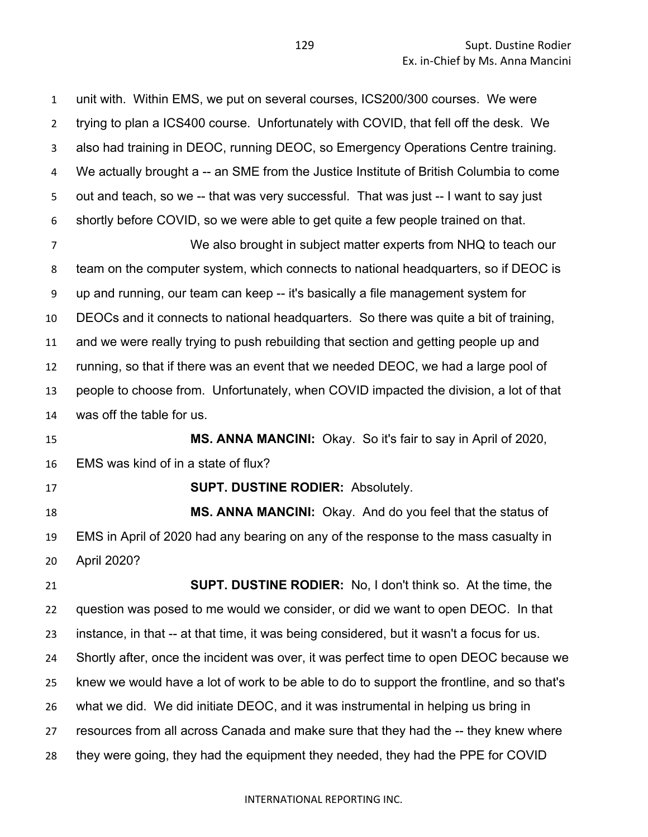unit with. Within EMS, we put on several courses, ICS200/300 courses. We were trying to plan a ICS400 course. Unfortunately with COVID, that fell off the desk. We also had training in DEOC, running DEOC, so Emergency Operations Centre training. We actually brought a -- an SME from the Justice Institute of British Columbia to come out and teach, so we -- that was very successful. That was just -- I want to say just shortly before COVID, so we were able to get quite a few people trained on that. We also brought in subject matter experts from NHQ to teach our team on the computer system, which connects to national headquarters, so if DEOC is up and running, our team can keep -- it's basically a file management system for

 DEOCs and it connects to national headquarters. So there was quite a bit of training, and we were really trying to push rebuilding that section and getting people up and running, so that if there was an event that we needed DEOC, we had a large pool of people to choose from. Unfortunately, when COVID impacted the division, a lot of that

was off the table for us.

 **MS. ANNA MANCINI:** Okay. So it's fair to say in April of 2020, EMS was kind of in a state of flux?

**SUPT. DUSTINE RODIER:** Absolutely.

 **MS. ANNA MANCINI:** Okay. And do you feel that the status of EMS in April of 2020 had any bearing on any of the response to the mass casualty in April 2020?

 **SUPT. DUSTINE RODIER:** No, I don't think so. At the time, the question was posed to me would we consider, or did we want to open DEOC. In that instance, in that -- at that time, it was being considered, but it wasn't a focus for us. Shortly after, once the incident was over, it was perfect time to open DEOC because we knew we would have a lot of work to be able to do to support the frontline, and so that's what we did. We did initiate DEOC, and it was instrumental in helping us bring in resources from all across Canada and make sure that they had the -- they knew where they were going, they had the equipment they needed, they had the PPE for COVID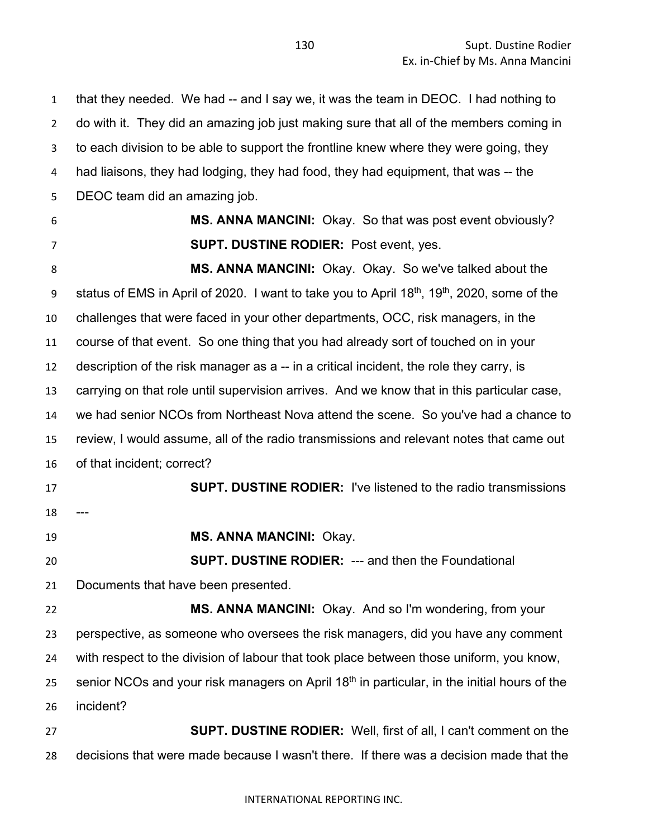that they needed. We had -- and I say we, it was the team in DEOC. I had nothing to do with it. They did an amazing job just making sure that all of the members coming in to each division to be able to support the frontline knew where they were going, they had liaisons, they had lodging, they had food, they had equipment, that was -- the DEOC team did an amazing job.

 **MS. ANNA MANCINI:** Okay. So that was post event obviously? **SUPT. DUSTINE RODIER:** Post event, yes.

 **MS. ANNA MANCINI:** Okay. Okay. So we've talked about the 9 status of EMS in April of 2020. I want to take you to April  $18<sup>th</sup>$ ,  $19<sup>th</sup>$ , 2020, some of the challenges that were faced in your other departments, OCC, risk managers, in the course of that event. So one thing that you had already sort of touched on in your description of the risk manager as a -- in a critical incident, the role they carry, is carrying on that role until supervision arrives. And we know that in this particular case, we had senior NCOs from Northeast Nova attend the scene. So you've had a chance to review, I would assume, all of the radio transmissions and relevant notes that came out of that incident; correct?

 **SUPT. DUSTINE RODIER:** I've listened to the radio transmissions 

**MS. ANNA MANCINI:** Okay.

 **SUPT. DUSTINE RODIER:** --- and then the Foundational Documents that have been presented.

 **MS. ANNA MANCINI:** Okay. And so I'm wondering, from your perspective, as someone who oversees the risk managers, did you have any comment with respect to the division of labour that took place between those uniform, you know, senior NCOs and your risk managers on April  $18<sup>th</sup>$  in particular, in the initial hours of the incident?

 **SUPT. DUSTINE RODIER:** Well, first of all, I can't comment on the decisions that were made because I wasn't there. If there was a decision made that the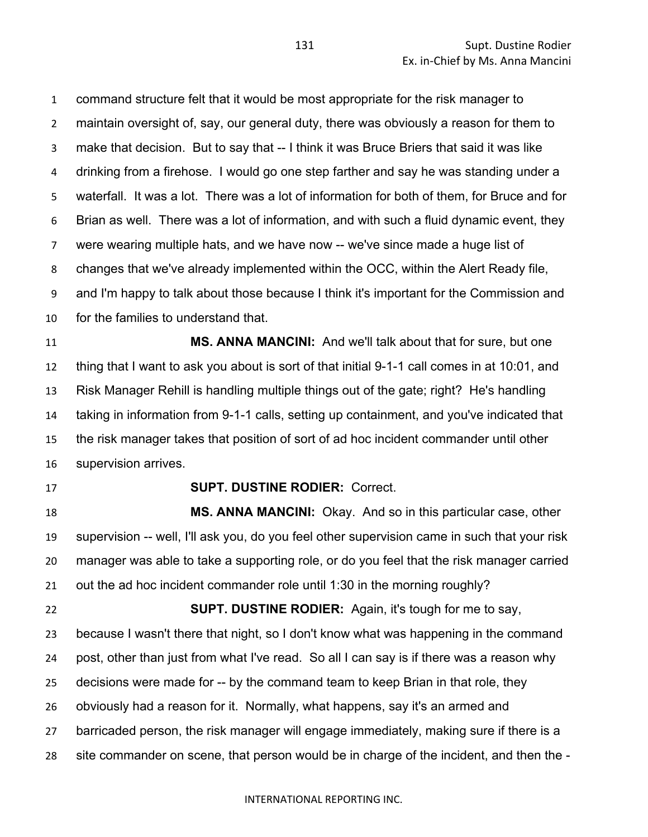command structure felt that it would be most appropriate for the risk manager to maintain oversight of, say, our general duty, there was obviously a reason for them to make that decision. But to say that -- I think it was Bruce Briers that said it was like drinking from a firehose. I would go one step farther and say he was standing under a waterfall. It was a lot. There was a lot of information for both of them, for Bruce and for Brian as well. There was a lot of information, and with such a fluid dynamic event, they were wearing multiple hats, and we have now -- we've since made a huge list of changes that we've already implemented within the OCC, within the Alert Ready file, and I'm happy to talk about those because I think it's important for the Commission and for the families to understand that.

 **MS. ANNA MANCINI:** And we'll talk about that for sure, but one thing that I want to ask you about is sort of that initial 9-1-1 call comes in at 10:01, and Risk Manager Rehill is handling multiple things out of the gate; right? He's handling taking in information from 9-1-1 calls, setting up containment, and you've indicated that the risk manager takes that position of sort of ad hoc incident commander until other supervision arrives.

### **SUPT. DUSTINE RODIER:** Correct.

 **MS. ANNA MANCINI:** Okay. And so in this particular case, other supervision -- well, I'll ask you, do you feel other supervision came in such that your risk manager was able to take a supporting role, or do you feel that the risk manager carried out the ad hoc incident commander role until 1:30 in the morning roughly?

 **SUPT. DUSTINE RODIER:** Again, it's tough for me to say, because I wasn't there that night, so I don't know what was happening in the command post, other than just from what I've read. So all I can say is if there was a reason why decisions were made for -- by the command team to keep Brian in that role, they obviously had a reason for it. Normally, what happens, say it's an armed and barricaded person, the risk manager will engage immediately, making sure if there is a site commander on scene, that person would be in charge of the incident, and then the -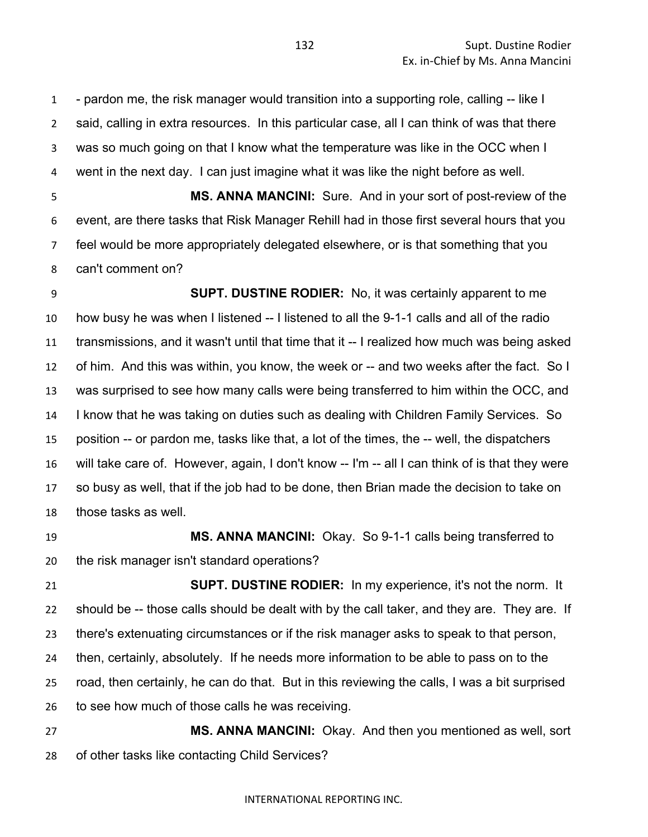- pardon me, the risk manager would transition into a supporting role, calling -- like I said, calling in extra resources. In this particular case, all I can think of was that there was so much going on that I know what the temperature was like in the OCC when I went in the next day. I can just imagine what it was like the night before as well.

 **MS. ANNA MANCINI:** Sure. And in your sort of post-review of the event, are there tasks that Risk Manager Rehill had in those first several hours that you feel would be more appropriately delegated elsewhere, or is that something that you can't comment on?

 **SUPT. DUSTINE RODIER:** No, it was certainly apparent to me how busy he was when I listened -- I listened to all the 9-1-1 calls and all of the radio transmissions, and it wasn't until that time that it -- I realized how much was being asked of him. And this was within, you know, the week or -- and two weeks after the fact. So I was surprised to see how many calls were being transferred to him within the OCC, and I know that he was taking on duties such as dealing with Children Family Services. So position -- or pardon me, tasks like that, a lot of the times, the -- well, the dispatchers will take care of. However, again, I don't know -- I'm -- all I can think of is that they were so busy as well, that if the job had to be done, then Brian made the decision to take on those tasks as well.

 **MS. ANNA MANCINI:** Okay. So 9-1-1 calls being transferred to the risk manager isn't standard operations?

 **SUPT. DUSTINE RODIER:** In my experience, it's not the norm. It should be -- those calls should be dealt with by the call taker, and they are. They are. If there's extenuating circumstances or if the risk manager asks to speak to that person, then, certainly, absolutely. If he needs more information to be able to pass on to the road, then certainly, he can do that. But in this reviewing the calls, I was a bit surprised to see how much of those calls he was receiving.

 **MS. ANNA MANCINI:** Okay. And then you mentioned as well, sort of other tasks like contacting Child Services?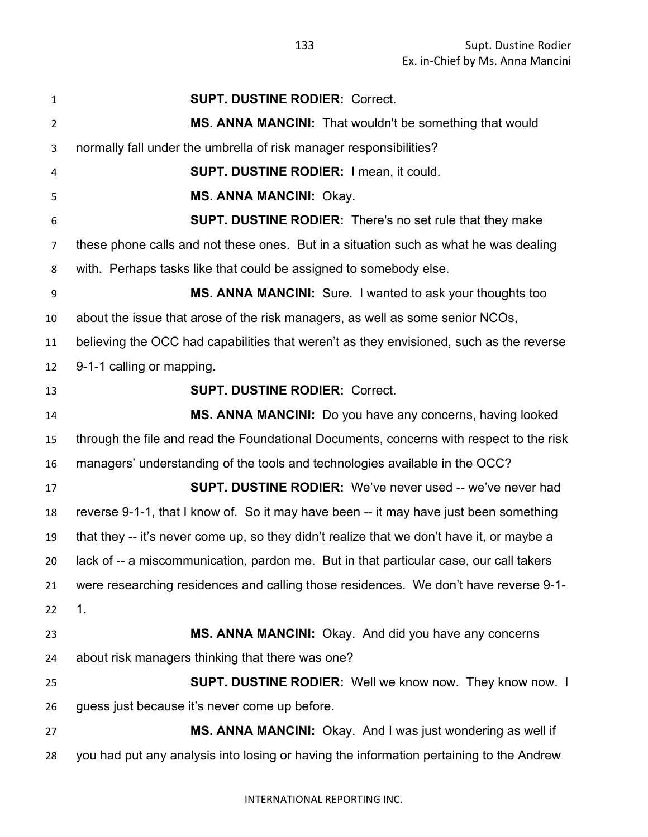| $\mathbf{1}$   | <b>SUPT. DUSTINE RODIER: Correct.</b>                                                     |
|----------------|-------------------------------------------------------------------------------------------|
| $\overline{2}$ | MS. ANNA MANCINI: That wouldn't be something that would                                   |
| 3              | normally fall under the umbrella of risk manager responsibilities?                        |
| 4              | <b>SUPT. DUSTINE RODIER: I mean, it could.</b>                                            |
| 5              | <b>MS. ANNA MANCINI: Okay.</b>                                                            |
| 6              | <b>SUPT. DUSTINE RODIER:</b> There's no set rule that they make                           |
| 7              | these phone calls and not these ones. But in a situation such as what he was dealing      |
| 8              | with. Perhaps tasks like that could be assigned to somebody else.                         |
| 9              | <b>MS. ANNA MANCINI:</b> Sure. I wanted to ask your thoughts too                          |
| 10             | about the issue that arose of the risk managers, as well as some senior NCOs,             |
| 11             | believing the OCC had capabilities that weren't as they envisioned, such as the reverse   |
| 12             | 9-1-1 calling or mapping.                                                                 |
| 13             | <b>SUPT. DUSTINE RODIER: Correct.</b>                                                     |
| 14             | MS. ANNA MANCINI: Do you have any concerns, having looked                                 |
| 15             | through the file and read the Foundational Documents, concerns with respect to the risk   |
| 16             | managers' understanding of the tools and technologies available in the OCC?               |
| 17             | <b>SUPT. DUSTINE RODIER:</b> We've never used -- we've never had                          |
| 18             | reverse 9-1-1, that I know of. So it may have been -- it may have just been something     |
| 19             | that they -- it's never come up, so they didn't realize that we don't have it, or maybe a |
| 20             | lack of -- a miscommunication, pardon me. But in that particular case, our call takers    |
| 21             | were researching residences and calling those residences. We don't have reverse 9-1-      |
| 22             | 1 <sub>1</sub>                                                                            |
| 23             | MS. ANNA MANCINI: Okay. And did you have any concerns                                     |
| 24             | about risk managers thinking that there was one?                                          |
| 25             | <b>SUPT. DUSTINE RODIER:</b> Well we know now. They know now. I                           |
| 26             | guess just because it's never come up before.                                             |
| 27             | MS. ANNA MANCINI: Okay. And I was just wondering as well if                               |
| 28             | you had put any analysis into losing or having the information pertaining to the Andrew   |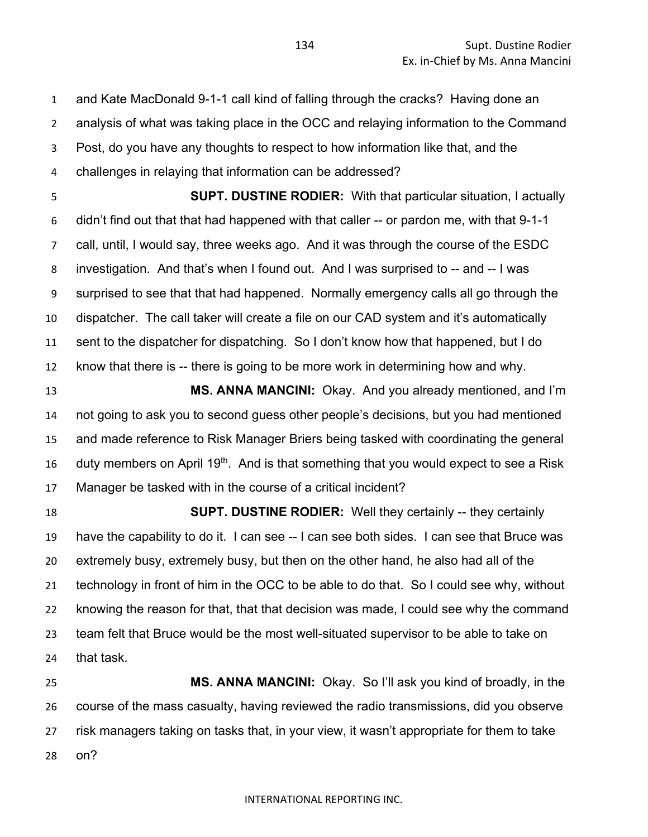and Kate MacDonald 9-1-1 call kind of falling through the cracks? Having done an analysis of what was taking place in the OCC and relaying information to the Command Post, do you have any thoughts to respect to how information like that, and the challenges in relaying that information can be addressed?

 **SUPT. DUSTINE RODIER:** With that particular situation, I actually didn't find out that that had happened with that caller -- or pardon me, with that 9-1-1 call, until, I would say, three weeks ago. And it was through the course of the ESDC investigation. And that's when I found out. And I was surprised to -- and -- I was surprised to see that that had happened. Normally emergency calls all go through the dispatcher. The call taker will create a file on our CAD system and it's automatically sent to the dispatcher for dispatching. So I don't know how that happened, but I do know that there is -- there is going to be more work in determining how and why.

 **MS. ANNA MANCINI:** Okay. And you already mentioned, and I'm not going to ask you to second guess other people's decisions, but you had mentioned and made reference to Risk Manager Briers being tasked with coordinating the general 16 duty members on April 19<sup>th</sup>. And is that something that you would expect to see a Risk Manager be tasked with in the course of a critical incident?

 **SUPT. DUSTINE RODIER:** Well they certainly -- they certainly have the capability to do it. I can see -- I can see both sides. I can see that Bruce was extremely busy, extremely busy, but then on the other hand, he also had all of the technology in front of him in the OCC to be able to do that. So I could see why, without knowing the reason for that, that that decision was made, I could see why the command team felt that Bruce would be the most well-situated supervisor to be able to take on that task.

 **MS. ANNA MANCINI:** Okay. So I'll ask you kind of broadly, in the course of the mass casualty, having reviewed the radio transmissions, did you observe risk managers taking on tasks that, in your view, it wasn't appropriate for them to take on?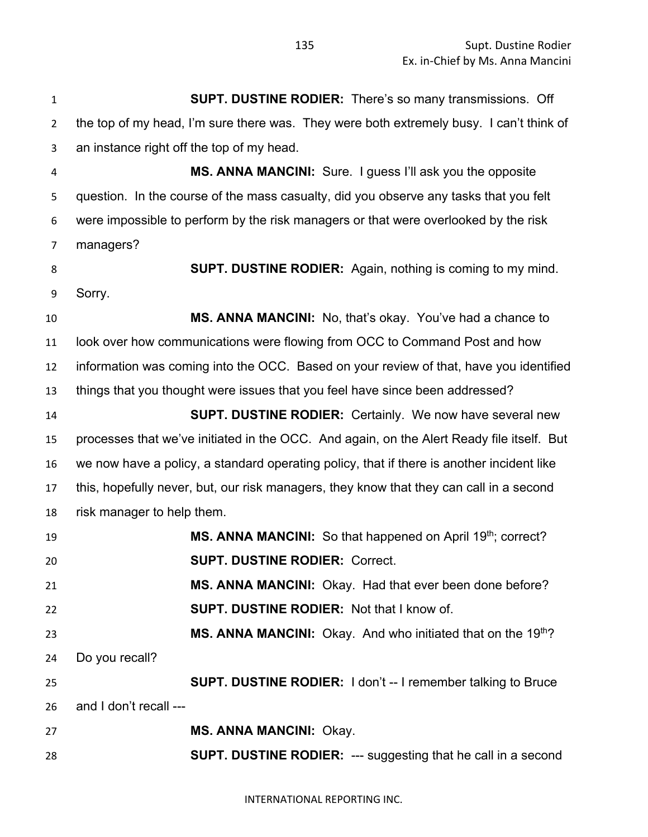INTERNATIONAL REPORTING INC. **SUPT. DUSTINE RODIER:** There's so many transmissions. Off the top of my head, I'm sure there was. They were both extremely busy. I can't think of an instance right off the top of my head. **MS. ANNA MANCINI:** Sure. I guess I'll ask you the opposite question. In the course of the mass casualty, did you observe any tasks that you felt were impossible to perform by the risk managers or that were overlooked by the risk managers? **SUPT. DUSTINE RODIER:** Again, nothing is coming to my mind. Sorry. **MS. ANNA MANCINI:** No, that's okay. You've had a chance to look over how communications were flowing from OCC to Command Post and how information was coming into the OCC. Based on your review of that, have you identified things that you thought were issues that you feel have since been addressed? **SUPT. DUSTINE RODIER:** Certainly. We now have several new processes that we've initiated in the OCC. And again, on the Alert Ready file itself. But we now have a policy, a standard operating policy, that if there is another incident like this, hopefully never, but, our risk managers, they know that they can call in a second risk manager to help them. **MS. ANNA MANCINI:** So that happened on April 19<sup>th</sup>; correct? **SUPT. DUSTINE RODIER:** Correct. **MS. ANNA MANCINI:** Okay. Had that ever been done before? **SUPT. DUSTINE RODIER:** Not that I know of. **MS. ANNA MANCINI:** Okay. And who initiated that on the 19<sup>th</sup>? Do you recall? **SUPT. DUSTINE RODIER:** I don't -- I remember talking to Bruce and I don't recall --- **MS. ANNA MANCINI:** Okay. **SUPT. DUSTINE RODIER:** --- suggesting that he call in a second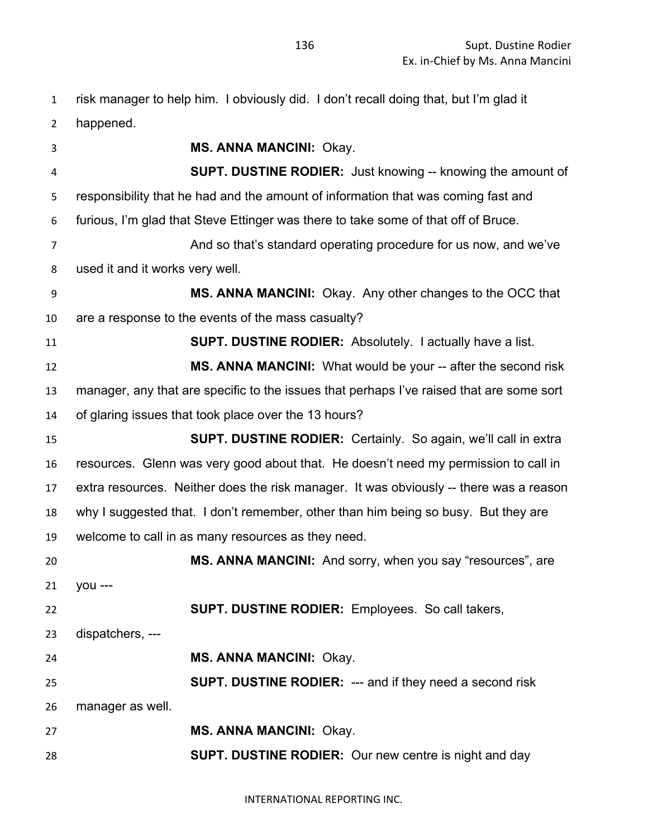risk manager to help him. I obviously did. I don't recall doing that, but I'm glad it

happened.

 **MS. ANNA MANCINI:** Okay. **SUPT. DUSTINE RODIER:** Just knowing -- knowing the amount of responsibility that he had and the amount of information that was coming fast and furious, I'm glad that Steve Ettinger was there to take some of that off of Bruce. And so that's standard operating procedure for us now, and we've used it and it works very well. **MS. ANNA MANCINI:** Okay. Any other changes to the OCC that are a response to the events of the mass casualty? **SUPT. DUSTINE RODIER:** Absolutely. I actually have a list. **MS. ANNA MANCINI:** What would be your -- after the second risk manager, any that are specific to the issues that perhaps I've raised that are some sort of glaring issues that took place over the 13 hours? **SUPT. DUSTINE RODIER:** Certainly. So again, we'll call in extra resources. Glenn was very good about that. He doesn't need my permission to call in extra resources. Neither does the risk manager. It was obviously -- there was a reason why I suggested that. I don't remember, other than him being so busy. But they are welcome to call in as many resources as they need. **MS. ANNA MANCINI:** And sorry, when you say "resources", are you --- **SUPT. DUSTINE RODIER:** Employees. So call takers, dispatchers, --- **MS. ANNA MANCINI:** Okay. **SUPT. DUSTINE RODIER:** --- and if they need a second risk manager as well. **MS. ANNA MANCINI:** Okay. **SUPT. DUSTINE RODIER:** Our new centre is night and day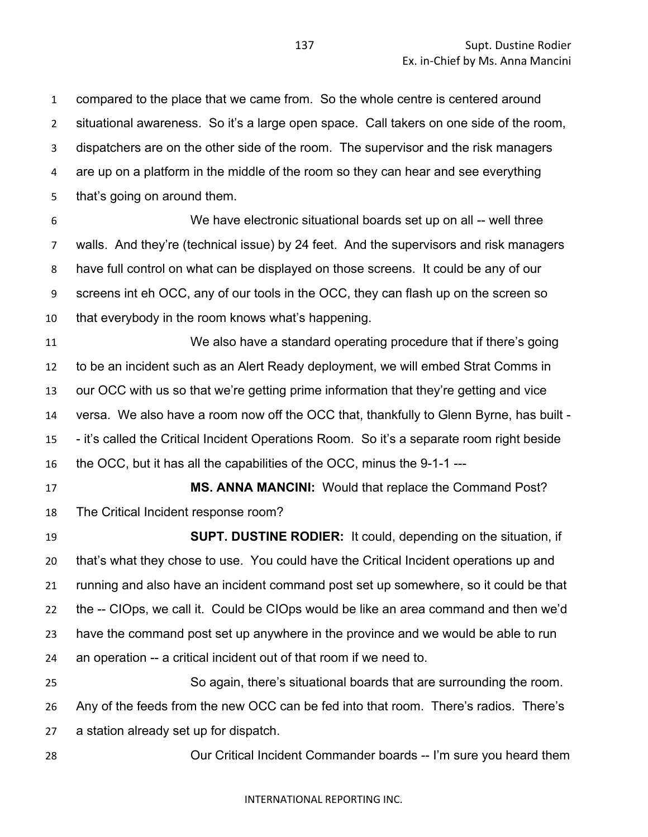compared to the place that we came from. So the whole centre is centered around situational awareness. So it's a large open space. Call takers on one side of the room, dispatchers are on the other side of the room. The supervisor and the risk managers are up on a platform in the middle of the room so they can hear and see everything that's going on around them.

 We have electronic situational boards set up on all -- well three walls. And they're (technical issue) by 24 feet. And the supervisors and risk managers have full control on what can be displayed on those screens. It could be any of our screens int eh OCC, any of our tools in the OCC, they can flash up on the screen so that everybody in the room knows what's happening.

 We also have a standard operating procedure that if there's going to be an incident such as an Alert Ready deployment, we will embed Strat Comms in our OCC with us so that we're getting prime information that they're getting and vice versa. We also have a room now off the OCC that, thankfully to Glenn Byrne, has built - - it's called the Critical Incident Operations Room. So it's a separate room right beside the OCC, but it has all the capabilities of the OCC, minus the 9-1-1 ---

 **MS. ANNA MANCINI:** Would that replace the Command Post? The Critical Incident response room?

 **SUPT. DUSTINE RODIER:** It could, depending on the situation, if that's what they chose to use. You could have the Critical Incident operations up and running and also have an incident command post set up somewhere, so it could be that the -- CIOps, we call it. Could be CIOps would be like an area command and then we'd have the command post set up anywhere in the province and we would be able to run an operation -- a critical incident out of that room if we need to.

 So again, there's situational boards that are surrounding the room. Any of the feeds from the new OCC can be fed into that room. There's radios. There's a station already set up for dispatch.

Our Critical Incident Commander boards -- I'm sure you heard them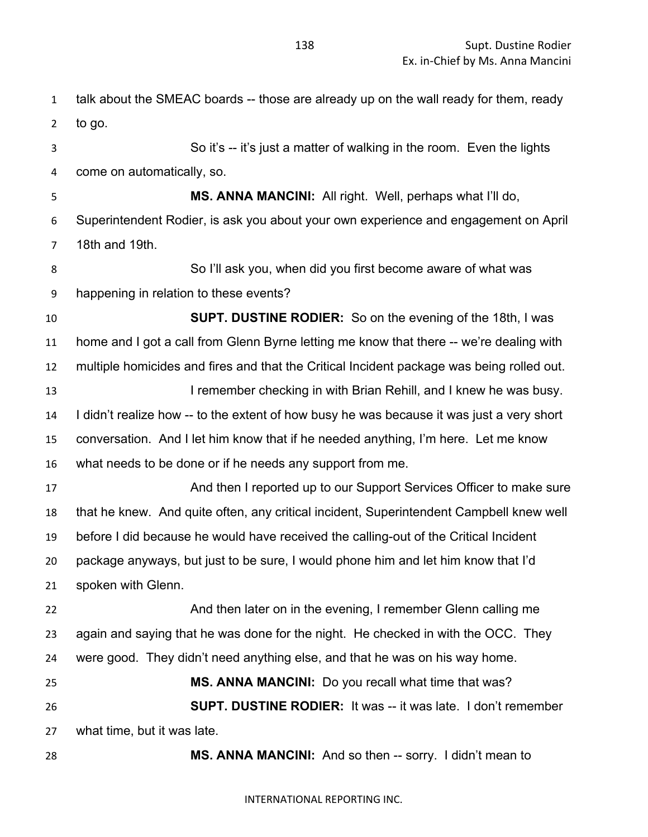talk about the SMEAC boards -- those are already up on the wall ready for them, ready to go. So it's -- it's just a matter of walking in the room. Even the lights come on automatically, so. **MS. ANNA MANCINI:** All right. Well, perhaps what I'll do, Superintendent Rodier, is ask you about your own experience and engagement on April 18th and 19th. So I'll ask you, when did you first become aware of what was happening in relation to these events? **SUPT. DUSTINE RODIER:** So on the evening of the 18th, I was home and I got a call from Glenn Byrne letting me know that there -- we're dealing with multiple homicides and fires and that the Critical Incident package was being rolled out. **I remember checking in with Brian Rehill, and I knew he was busy.**  I didn't realize how -- to the extent of how busy he was because it was just a very short conversation. And I let him know that if he needed anything, I'm here. Let me know what needs to be done or if he needs any support from me. And then I reported up to our Support Services Officer to make sure that he knew. And quite often, any critical incident, Superintendent Campbell knew well before I did because he would have received the calling-out of the Critical Incident package anyways, but just to be sure, I would phone him and let him know that I'd spoken with Glenn. **And then later on in the evening, I remember Glenn calling me**  again and saying that he was done for the night. He checked in with the OCC. They were good. They didn't need anything else, and that he was on his way home. **MS. ANNA MANCINI:** Do you recall what time that was? **SUPT. DUSTINE RODIER:** It was -- it was late. I don't remember what time, but it was late. **MS. ANNA MANCINI:** And so then -- sorry. I didn't mean to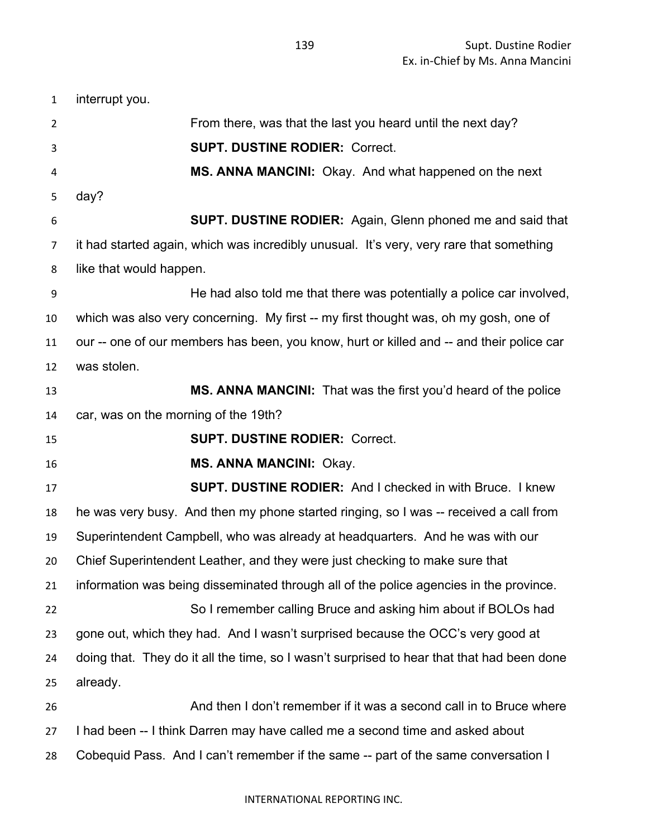interrupt you. From there, was that the last you heard until the next day? **SUPT. DUSTINE RODIER:** Correct. **MS. ANNA MANCINI:** Okay. And what happened on the next day? **SUPT. DUSTINE RODIER:** Again, Glenn phoned me and said that it had started again, which was incredibly unusual. It's very, very rare that something like that would happen. He had also told me that there was potentially a police car involved, which was also very concerning. My first -- my first thought was, oh my gosh, one of our -- one of our members has been, you know, hurt or killed and -- and their police car was stolen. **MS. ANNA MANCINI:** That was the first you'd heard of the police car, was on the morning of the 19th? **SUPT. DUSTINE RODIER:** Correct. **MS. ANNA MANCINI:** Okay. **SUPT. DUSTINE RODIER:** And I checked in with Bruce. I knew he was very busy. And then my phone started ringing, so I was -- received a call from Superintendent Campbell, who was already at headquarters. And he was with our Chief Superintendent Leather, and they were just checking to make sure that information was being disseminated through all of the police agencies in the province. So I remember calling Bruce and asking him about if BOLOs had gone out, which they had. And I wasn't surprised because the OCC's very good at doing that. They do it all the time, so I wasn't surprised to hear that that had been done already. And then I don't remember if it was a second call in to Bruce where I had been -- I think Darren may have called me a second time and asked about

Cobequid Pass. And I can't remember if the same -- part of the same conversation I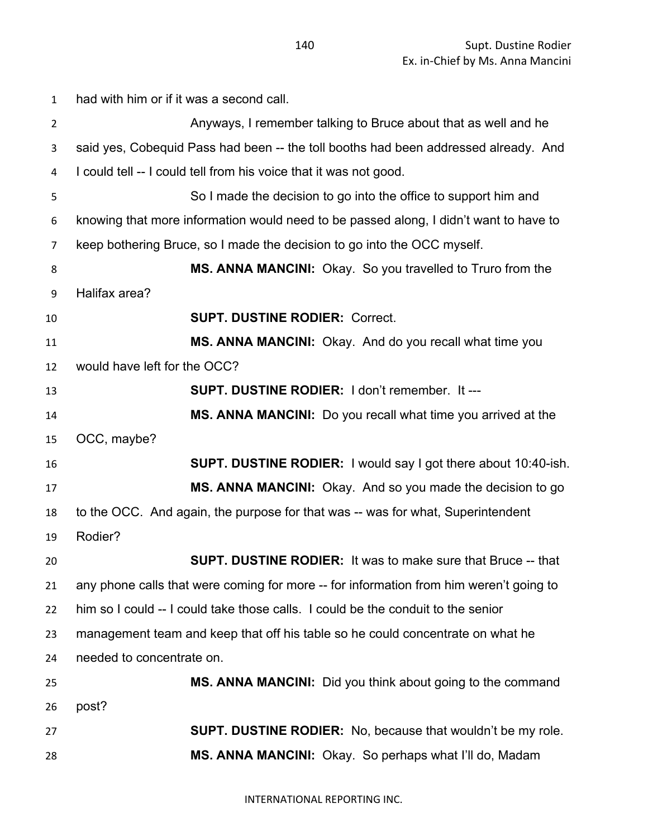had with him or if it was a second call. Anyways, I remember talking to Bruce about that as well and he said yes, Cobequid Pass had been -- the toll booths had been addressed already. And I could tell -- I could tell from his voice that it was not good. So I made the decision to go into the office to support him and knowing that more information would need to be passed along, I didn't want to have to keep bothering Bruce, so I made the decision to go into the OCC myself. **MS. ANNA MANCINI:** Okay. So you travelled to Truro from the Halifax area? **SUPT. DUSTINE RODIER:** Correct. **MS. ANNA MANCINI:** Okay. And do you recall what time you would have left for the OCC? **SUPT. DUSTINE RODIER:** I don't remember. It --- **MS. ANNA MANCINI:** Do you recall what time you arrived at the OCC, maybe? **SUPT. DUSTINE RODIER:** I would say I got there about 10:40-ish. **MS. ANNA MANCINI:** Okay. And so you made the decision to go to the OCC. And again, the purpose for that was -- was for what, Superintendent Rodier? **SUPT. DUSTINE RODIER:** It was to make sure that Bruce -- that any phone calls that were coming for more -- for information from him weren't going to him so I could -- I could take those calls. I could be the conduit to the senior management team and keep that off his table so he could concentrate on what he needed to concentrate on. **MS. ANNA MANCINI:** Did you think about going to the command post? **SUPT. DUSTINE RODIER:** No, because that wouldn't be my role. **MS. ANNA MANCINI:** Okay. So perhaps what I'll do, Madam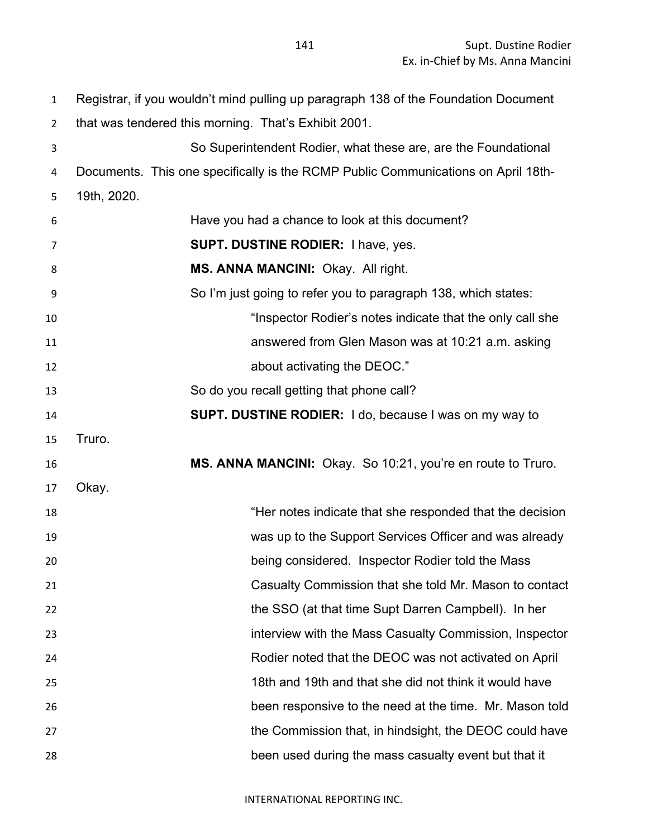Registrar, if you wouldn't mind pulling up paragraph 138 of the Foundation Document that was tendered this morning. That's Exhibit 2001. So Superintendent Rodier, what these are, are the Foundational Documents. This one specifically is the RCMP Public Communications on April 18th- 19th, 2020. Have you had a chance to look at this document? **SUPT. DUSTINE RODIER:** I have, yes. **MS. ANNA MANCINI:** Okay. All right. So I'm just going to refer you to paragraph 138, which states: "Inspector Rodier's notes indicate that the only call she answered from Glen Mason was at 10:21 a.m. asking **about activating the DEOC.**" So do you recall getting that phone call? **SUPT. DUSTINE RODIER:** I do, because I was on my way to Truro. **MS. ANNA MANCINI:** Okay. So 10:21, you're en route to Truro. Okay. "Her notes indicate that she responded that the decision was up to the Support Services Officer and was already being considered. Inspector Rodier told the Mass Casualty Commission that she told Mr. Mason to contact the SSO (at that time Supt Darren Campbell). In her interview with the Mass Casualty Commission, Inspector Rodier noted that the DEOC was not activated on April 18th and 19th and that she did not think it would have been responsive to the need at the time. Mr. Mason told 27 the Commission that, in hindsight, the DEOC could have been used during the mass casualty event but that it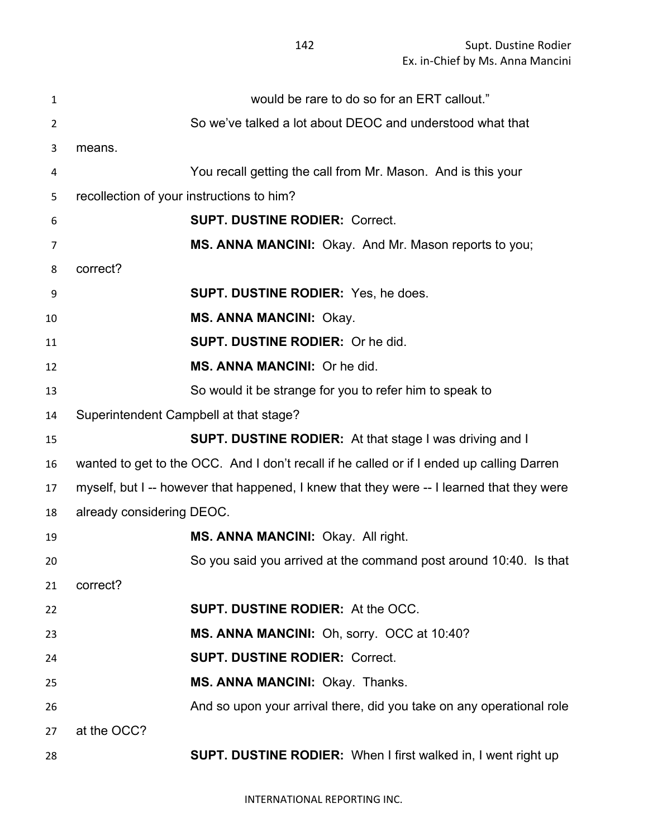| $\mathbf{1}$   | would be rare to do so for an ERT callout."                                               |
|----------------|-------------------------------------------------------------------------------------------|
| $\overline{2}$ | So we've talked a lot about DEOC and understood what that                                 |
| 3              | means.                                                                                    |
| 4              | You recall getting the call from Mr. Mason. And is this your                              |
| 5              | recollection of your instructions to him?                                                 |
| 6              | <b>SUPT. DUSTINE RODIER: Correct.</b>                                                     |
| 7              | MS. ANNA MANCINI: Okay. And Mr. Mason reports to you;                                     |
| 8              | correct?                                                                                  |
| 9              | <b>SUPT. DUSTINE RODIER:</b> Yes, he does.                                                |
| 10             | <b>MS. ANNA MANCINI: Okay.</b>                                                            |
| 11             | <b>SUPT. DUSTINE RODIER: Or he did.</b>                                                   |
| 12             | MS. ANNA MANCINI: Or he did.                                                              |
| 13             | So would it be strange for you to refer him to speak to                                   |
| 14             | Superintendent Campbell at that stage?                                                    |
| 15             | <b>SUPT. DUSTINE RODIER:</b> At that stage I was driving and I                            |
| 16             | wanted to get to the OCC. And I don't recall if he called or if I ended up calling Darren |
| 17             | myself, but I -- however that happened, I knew that they were -- I learned that they were |
| 18             | already considering DEOC.                                                                 |
| 19             | MS. ANNA MANCINI: Okay. All right.                                                        |
| 20             | So you said you arrived at the command post around 10:40. Is that                         |
| 21             | correct?                                                                                  |
| 22             | <b>SUPT. DUSTINE RODIER: At the OCC.</b>                                                  |
| 23             | MS. ANNA MANCINI: Oh, sorry. OCC at 10:40?                                                |
| 24             | <b>SUPT. DUSTINE RODIER: Correct.</b>                                                     |
| 25             | MS. ANNA MANCINI: Okay. Thanks.                                                           |
| 26             | And so upon your arrival there, did you take on any operational role                      |
| 27             | at the OCC?                                                                               |
| 28             | <b>SUPT. DUSTINE RODIER:</b> When I first walked in, I went right up                      |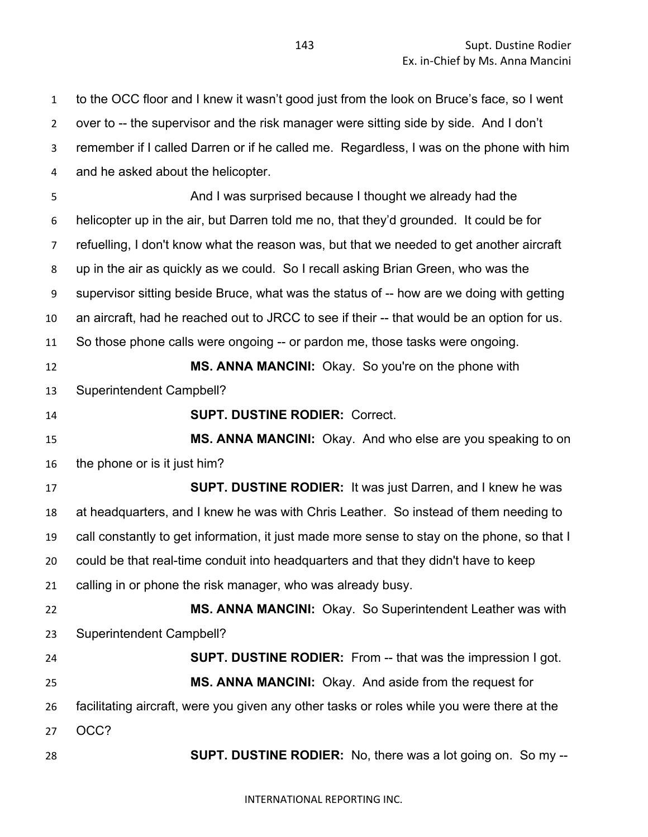to the OCC floor and I knew it wasn't good just from the look on Bruce's face, so I went over to -- the supervisor and the risk manager were sitting side by side. And I don't remember if I called Darren or if he called me. Regardless, I was on the phone with him and he asked about the helicopter.

 And I was surprised because I thought we already had the helicopter up in the air, but Darren told me no, that they'd grounded. It could be for refuelling, I don't know what the reason was, but that we needed to get another aircraft up in the air as quickly as we could. So I recall asking Brian Green, who was the supervisor sitting beside Bruce, what was the status of -- how are we doing with getting an aircraft, had he reached out to JRCC to see if their -- that would be an option for us. So those phone calls were ongoing -- or pardon me, those tasks were ongoing.

 **MS. ANNA MANCINI:** Okay. So you're on the phone with Superintendent Campbell?

**SUPT. DUSTINE RODIER:** Correct.

 **MS. ANNA MANCINI:** Okay. And who else are you speaking to on the phone or is it just him?

 **SUPT. DUSTINE RODIER:** It was just Darren, and I knew he was at headquarters, and I knew he was with Chris Leather. So instead of them needing to call constantly to get information, it just made more sense to stay on the phone, so that I could be that real-time conduit into headquarters and that they didn't have to keep calling in or phone the risk manager, who was already busy.

 **MS. ANNA MANCINI:** Okay. So Superintendent Leather was with Superintendent Campbell?

 **SUPT. DUSTINE RODIER:** From -- that was the impression I got. **MS. ANNA MANCINI:** Okay. And aside from the request for facilitating aircraft, were you given any other tasks or roles while you were there at the OCC?

**SUPT. DUSTINE RODIER:** No, there was a lot going on. So my --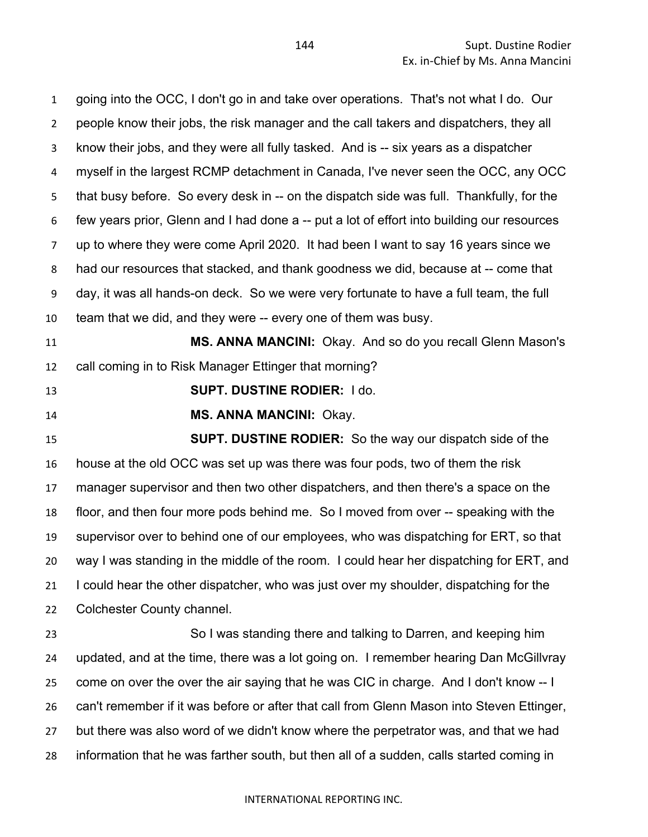going into the OCC, I don't go in and take over operations. That's not what I do. Our people know their jobs, the risk manager and the call takers and dispatchers, they all know their jobs, and they were all fully tasked. And is -- six years as a dispatcher myself in the largest RCMP detachment in Canada, I've never seen the OCC, any OCC that busy before. So every desk in -- on the dispatch side was full. Thankfully, for the few years prior, Glenn and I had done a -- put a lot of effort into building our resources up to where they were come April 2020. It had been I want to say 16 years since we had our resources that stacked, and thank goodness we did, because at -- come that day, it was all hands-on deck. So we were very fortunate to have a full team, the full team that we did, and they were -- every one of them was busy.

 **MS. ANNA MANCINI:** Okay. And so do you recall Glenn Mason's call coming in to Risk Manager Ettinger that morning?

**SUPT. DUSTINE RODIER:** I do.

**MS. ANNA MANCINI:** Okay.

 **SUPT. DUSTINE RODIER:** So the way our dispatch side of the house at the old OCC was set up was there was four pods, two of them the risk manager supervisor and then two other dispatchers, and then there's a space on the floor, and then four more pods behind me. So I moved from over -- speaking with the supervisor over to behind one of our employees, who was dispatching for ERT, so that way I was standing in the middle of the room. I could hear her dispatching for ERT, and I could hear the other dispatcher, who was just over my shoulder, dispatching for the Colchester County channel.

 So I was standing there and talking to Darren, and keeping him updated, and at the time, there was a lot going on. I remember hearing Dan McGillvray come on over the over the air saying that he was CIC in charge. And I don't know -- I can't remember if it was before or after that call from Glenn Mason into Steven Ettinger, but there was also word of we didn't know where the perpetrator was, and that we had information that he was farther south, but then all of a sudden, calls started coming in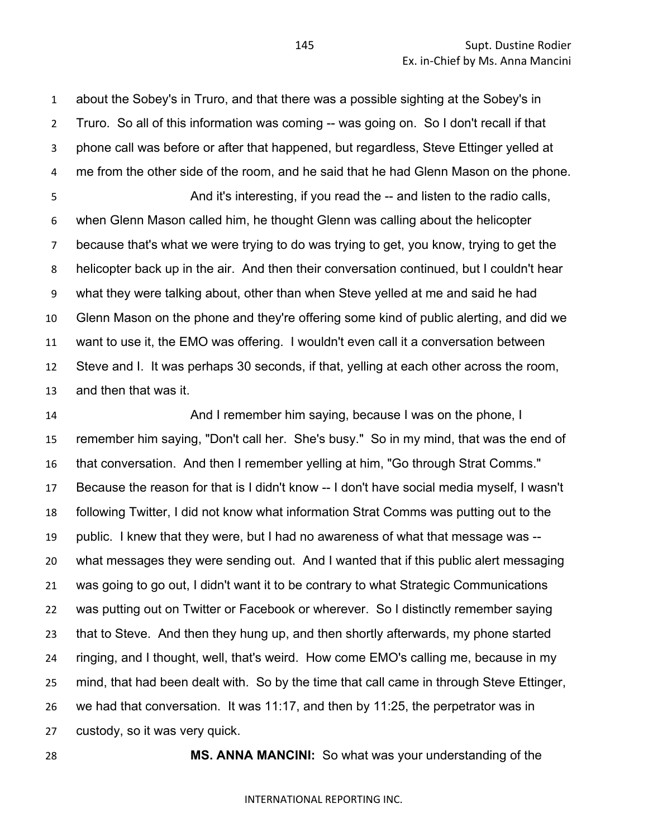about the Sobey's in Truro, and that there was a possible sighting at the Sobey's in Truro. So all of this information was coming -- was going on. So I don't recall if that phone call was before or after that happened, but regardless, Steve Ettinger yelled at me from the other side of the room, and he said that he had Glenn Mason on the phone. And it's interesting, if you read the -- and listen to the radio calls, when Glenn Mason called him, he thought Glenn was calling about the helicopter because that's what we were trying to do was trying to get, you know, trying to get the helicopter back up in the air. And then their conversation continued, but I couldn't hear what they were talking about, other than when Steve yelled at me and said he had Glenn Mason on the phone and they're offering some kind of public alerting, and did we want to use it, the EMO was offering. I wouldn't even call it a conversation between Steve and I. It was perhaps 30 seconds, if that, yelling at each other across the room, and then that was it.

 And I remember him saying, because I was on the phone, I remember him saying, "Don't call her. She's busy." So in my mind, that was the end of that conversation. And then I remember yelling at him, "Go through Strat Comms." Because the reason for that is I didn't know -- I don't have social media myself, I wasn't following Twitter, I did not know what information Strat Comms was putting out to the public. I knew that they were, but I had no awareness of what that message was -- what messages they were sending out. And I wanted that if this public alert messaging was going to go out, I didn't want it to be contrary to what Strategic Communications was putting out on Twitter or Facebook or wherever. So I distinctly remember saying that to Steve. And then they hung up, and then shortly afterwards, my phone started ringing, and I thought, well, that's weird. How come EMO's calling me, because in my mind, that had been dealt with. So by the time that call came in through Steve Ettinger, we had that conversation. It was 11:17, and then by 11:25, the perpetrator was in custody, so it was very quick.

**MS. ANNA MANCINI:** So what was your understanding of the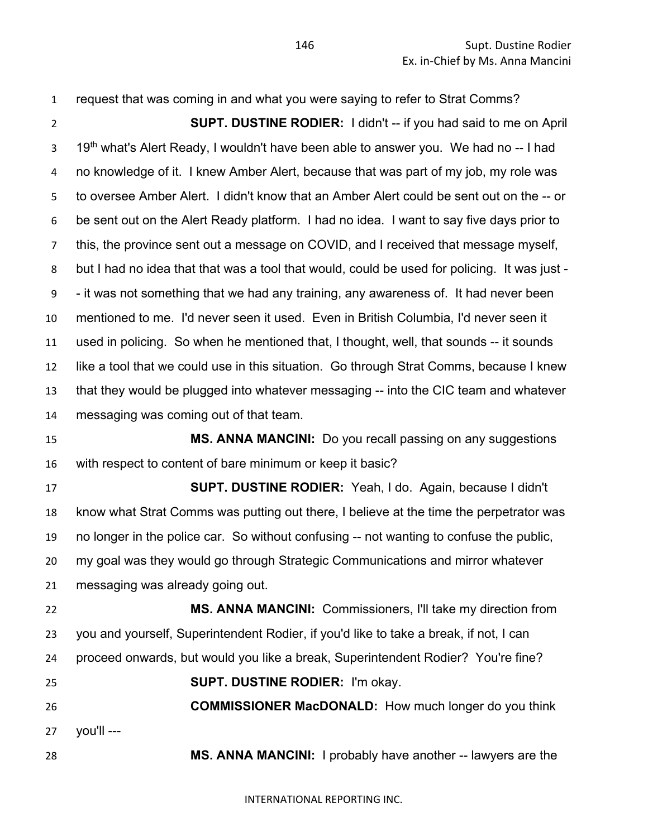request that was coming in and what you were saying to refer to Strat Comms? **SUPT. DUSTINE RODIER:** I didn't -- if you had said to me on April  $19<sup>th</sup>$  what's Alert Ready, I wouldn't have been able to answer you. We had no -- I had no knowledge of it. I knew Amber Alert, because that was part of my job, my role was to oversee Amber Alert. I didn't know that an Amber Alert could be sent out on the -- or be sent out on the Alert Ready platform. I had no idea. I want to say five days prior to this, the province sent out a message on COVID, and I received that message myself, but I had no idea that that was a tool that would, could be used for policing. It was just - - it was not something that we had any training, any awareness of. It had never been mentioned to me. I'd never seen it used. Even in British Columbia, I'd never seen it used in policing. So when he mentioned that, I thought, well, that sounds -- it sounds like a tool that we could use in this situation. Go through Strat Comms, because I knew that they would be plugged into whatever messaging -- into the CIC team and whatever messaging was coming out of that team. **MS. ANNA MANCINI:** Do you recall passing on any suggestions with respect to content of bare minimum or keep it basic? **SUPT. DUSTINE RODIER:** Yeah, I do. Again, because I didn't know what Strat Comms was putting out there, I believe at the time the perpetrator was no longer in the police car. So without confusing -- not wanting to confuse the public, my goal was they would go through Strategic Communications and mirror whatever messaging was already going out. **MS. ANNA MANCINI:** Commissioners, I'll take my direction from you and yourself, Superintendent Rodier, if you'd like to take a break, if not, I can proceed onwards, but would you like a break, Superintendent Rodier? You're fine? **SUPT. DUSTINE RODIER:** I'm okay. **COMMISSIONER MacDONALD:** How much longer do you think you'll --- **MS. ANNA MANCINI:** I probably have another -- lawyers are the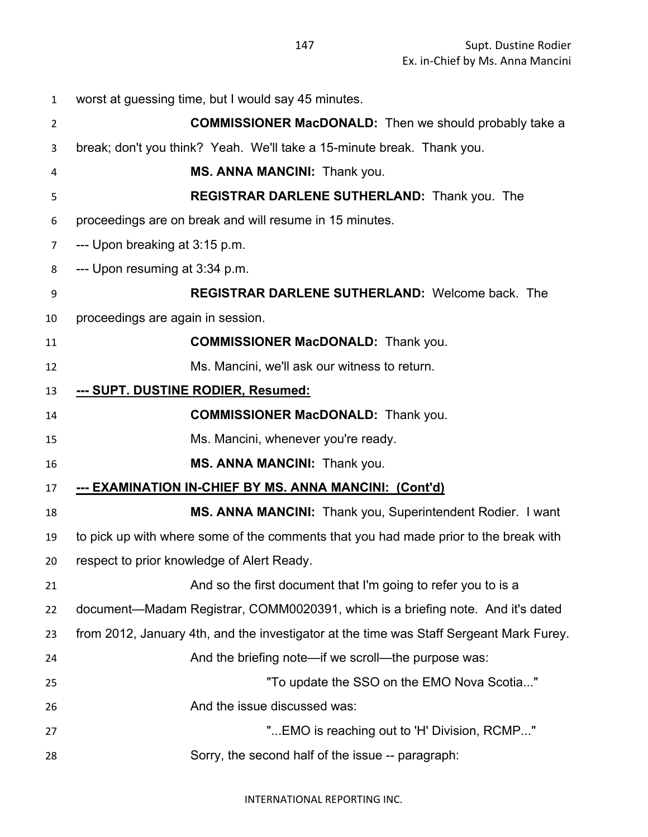| $\mathbf{1}$ | worst at guessing time, but I would say 45 minutes.                                     |
|--------------|-----------------------------------------------------------------------------------------|
| 2            | <b>COMMISSIONER MacDONALD:</b> Then we should probably take a                           |
| 3            | break; don't you think? Yeah. We'll take a 15-minute break. Thank you.                  |
| 4            | MS. ANNA MANCINI: Thank you.                                                            |
| 5            | <b>REGISTRAR DARLENE SUTHERLAND:</b> Thank you. The                                     |
| 6            | proceedings are on break and will resume in 15 minutes.                                 |
| 7            | --- Upon breaking at 3:15 p.m.                                                          |
| 8            | --- Upon resuming at 3:34 p.m.                                                          |
| 9            | <b>REGISTRAR DARLENE SUTHERLAND: Welcome back. The</b>                                  |
| 10           | proceedings are again in session.                                                       |
| 11           | <b>COMMISSIONER MacDONALD:</b> Thank you.                                               |
| 12           | Ms. Mancini, we'll ask our witness to return.                                           |
| 13           | --- SUPT. DUSTINE RODIER, Resumed:                                                      |
| 14           | <b>COMMISSIONER MacDONALD:</b> Thank you.                                               |
| 15           | Ms. Mancini, whenever you're ready.                                                     |
| 16           | MS. ANNA MANCINI: Thank you.                                                            |
| 17           | --- EXAMINATION IN-CHIEF BY MS. ANNA MANCINI: (Cont'd)                                  |
| 18           | MS. ANNA MANCINI: Thank you, Superintendent Rodier. I want                              |
| 19           | to pick up with where some of the comments that you had made prior to the break with    |
| 20           | respect to prior knowledge of Alert Ready.                                              |
| 21           | And so the first document that I'm going to refer you to is a                           |
| 22           | document—Madam Registrar, COMM0020391, which is a briefing note. And it's dated         |
| 23           | from 2012, January 4th, and the investigator at the time was Staff Sergeant Mark Furey. |
| 24           | And the briefing note—if we scroll—the purpose was:                                     |
| 25           | "To update the SSO on the EMO Nova Scotia"                                              |
| 26           | And the issue discussed was:                                                            |
| 27           | "EMO is reaching out to 'H' Division, RCMP"                                             |
| 28           | Sorry, the second half of the issue -- paragraph:                                       |
|              |                                                                                         |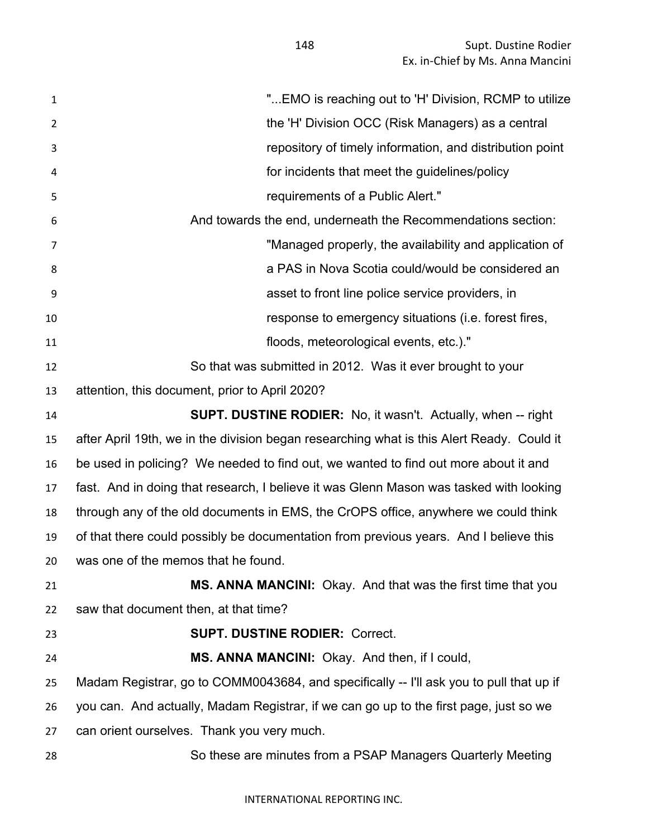| $\mathbf{1}$   | " EMO is reaching out to 'H' Division, RCMP to utilize                                    |
|----------------|-------------------------------------------------------------------------------------------|
| $\overline{2}$ | the 'H' Division OCC (Risk Managers) as a central                                         |
| 3              | repository of timely information, and distribution point                                  |
| 4              | for incidents that meet the guidelines/policy                                             |
| 5              | requirements of a Public Alert."                                                          |
| 6              | And towards the end, underneath the Recommendations section:                              |
| 7              | "Managed properly, the availability and application of                                    |
| 8              | a PAS in Nova Scotia could/would be considered an                                         |
| 9              | asset to front line police service providers, in                                          |
| 10             | response to emergency situations (i.e. forest fires,                                      |
| 11             | floods, meteorological events, etc.)."                                                    |
| 12             | So that was submitted in 2012. Was it ever brought to your                                |
| 13             | attention, this document, prior to April 2020?                                            |
| 14             | <b>SUPT. DUSTINE RODIER:</b> No, it wasn't. Actually, when -- right                       |
| 15             | after April 19th, we in the division began researching what is this Alert Ready. Could it |
| 16             | be used in policing? We needed to find out, we wanted to find out more about it and       |
| 17             | fast. And in doing that research, I believe it was Glenn Mason was tasked with looking    |
| 18             | through any of the old documents in EMS, the CrOPS office, anywhere we could think        |
| 19             | of that there could possibly be documentation from previous years. And I believe this     |
| 20             | was one of the memos that he found.                                                       |
| 21             | <b>MS. ANNA MANCINI:</b> Okay. And that was the first time that you                       |
| 22             | saw that document then, at that time?                                                     |
| 23             | <b>SUPT. DUSTINE RODIER: Correct.</b>                                                     |
| 24             | MS. ANNA MANCINI: Okay. And then, if I could,                                             |
| 25             | Madam Registrar, go to COMM0043684, and specifically -- I'll ask you to pull that up if   |
| 26             | you can. And actually, Madam Registrar, if we can go up to the first page, just so we     |
| 27             | can orient ourselves. Thank you very much.                                                |
| 28             | So these are minutes from a PSAP Managers Quarterly Meeting                               |
|                |                                                                                           |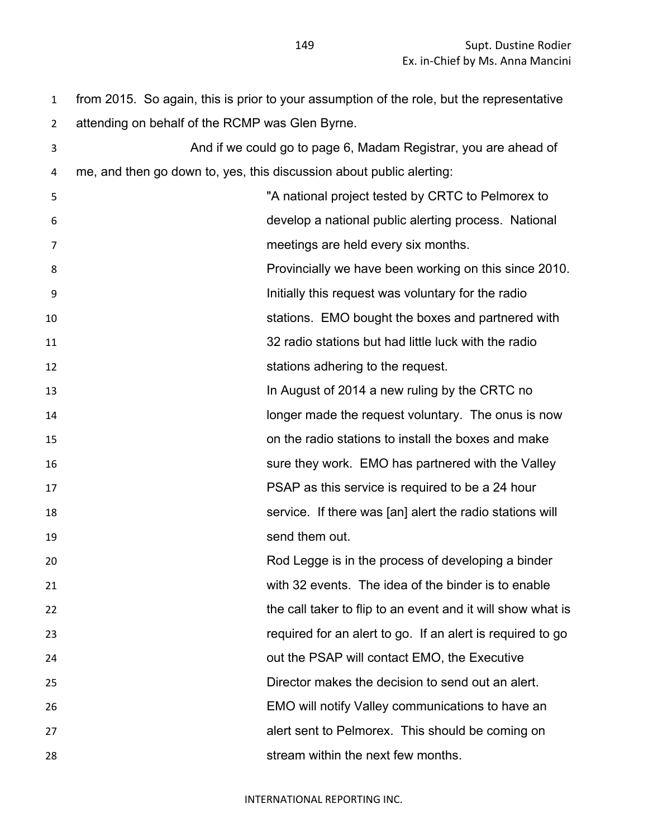from 2015. So again, this is prior to your assumption of the role, but the representative attending on behalf of the RCMP was Glen Byrne.

| 3  |                                                                      | And if we could go to page 6, Madam Registrar, you are ahead of |
|----|----------------------------------------------------------------------|-----------------------------------------------------------------|
| 4  | me, and then go down to, yes, this discussion about public alerting: |                                                                 |
| 5  |                                                                      | "A national project tested by CRTC to Pelmorex to               |
| 6  |                                                                      | develop a national public alerting process. National            |
| 7  |                                                                      | meetings are held every six months.                             |
| 8  |                                                                      | Provincially we have been working on this since 2010.           |
| 9  |                                                                      | Initially this request was voluntary for the radio              |
| 10 |                                                                      | stations. EMO bought the boxes and partnered with               |
| 11 |                                                                      | 32 radio stations but had little luck with the radio            |
| 12 |                                                                      | stations adhering to the request.                               |
| 13 |                                                                      | In August of 2014 a new ruling by the CRTC no                   |
| 14 |                                                                      | longer made the request voluntary. The onus is now              |
| 15 |                                                                      | on the radio stations to install the boxes and make             |
| 16 |                                                                      | sure they work. EMO has partnered with the Valley               |
| 17 |                                                                      | PSAP as this service is required to be a 24 hour                |
| 18 |                                                                      | service. If there was [an] alert the radio stations will        |
| 19 |                                                                      | send them out.                                                  |
| 20 |                                                                      | Rod Legge is in the process of developing a binder              |
| 21 |                                                                      | with 32 events. The idea of the binder is to enable             |
| 22 |                                                                      | the call taker to flip to an event and it will show what is     |
| 23 |                                                                      | required for an alert to go. If an alert is required to go      |
| 24 |                                                                      | out the PSAP will contact EMO, the Executive                    |
| 25 |                                                                      | Director makes the decision to send out an alert.               |
| 26 |                                                                      | EMO will notify Valley communications to have an                |
| 27 |                                                                      | alert sent to Pelmorex. This should be coming on                |
| 28 |                                                                      | stream within the next few months.                              |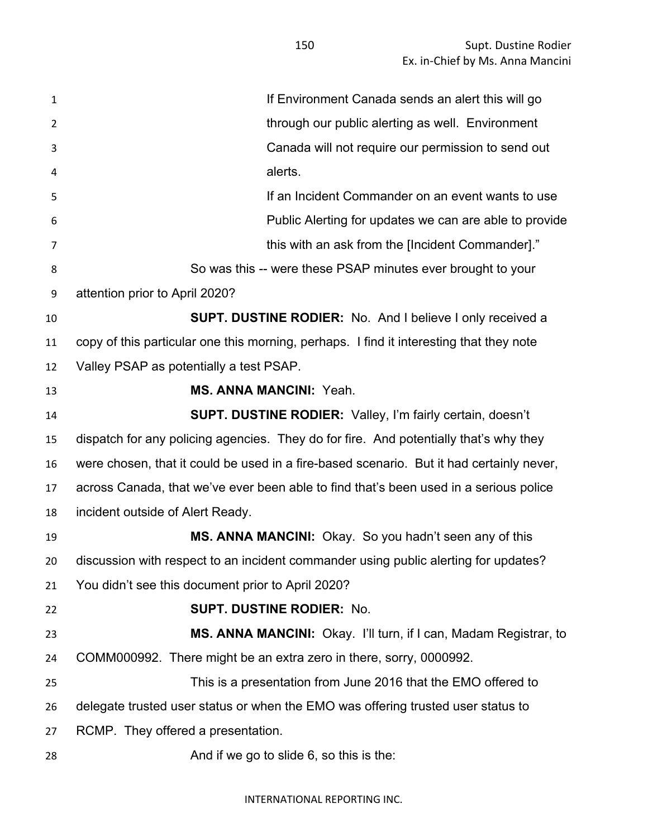| $\mathbf{1}$ | If Environment Canada sends an alert this will go                                        |
|--------------|------------------------------------------------------------------------------------------|
| 2            | through our public alerting as well. Environment                                         |
| 3            | Canada will not require our permission to send out                                       |
| 4            | alerts.                                                                                  |
| 5            | If an Incident Commander on an event wants to use                                        |
| 6            | Public Alerting for updates we can are able to provide                                   |
| 7            | this with an ask from the [Incident Commander]."                                         |
| 8            | So was this -- were these PSAP minutes ever brought to your                              |
| 9            | attention prior to April 2020?                                                           |
| 10           | <b>SUPT. DUSTINE RODIER:</b> No. And I believe I only received a                         |
| 11           | copy of this particular one this morning, perhaps. I find it interesting that they note  |
| 12           | Valley PSAP as potentially a test PSAP.                                                  |
| 13           | <b>MS. ANNA MANCINI: Yeah.</b>                                                           |
| 14           | <b>SUPT. DUSTINE RODIER:</b> Valley, I'm fairly certain, doesn't                         |
| 15           | dispatch for any policing agencies. They do for fire. And potentially that's why they    |
| 16           | were chosen, that it could be used in a fire-based scenario. But it had certainly never, |
| 17           | across Canada, that we've ever been able to find that's been used in a serious police    |
| 18           | incident outside of Alert Ready.                                                         |
| 19           | MS. ANNA MANCINI: Okay. So you hadn't seen any of this                                   |
| 20           | discussion with respect to an incident commander using public alerting for updates?      |
| 21           | You didn't see this document prior to April 2020?                                        |
| 22           | <b>SUPT. DUSTINE RODIER: No.</b>                                                         |
| 23           | MS. ANNA MANCINI: Okay. I'll turn, if I can, Madam Registrar, to                         |
| 24           | COMM000992. There might be an extra zero in there, sorry, 0000992.                       |
| 25           | This is a presentation from June 2016 that the EMO offered to                            |
| 26           | delegate trusted user status or when the EMO was offering trusted user status to         |
| 27           | RCMP. They offered a presentation.                                                       |
| 28           | And if we go to slide 6, so this is the:                                                 |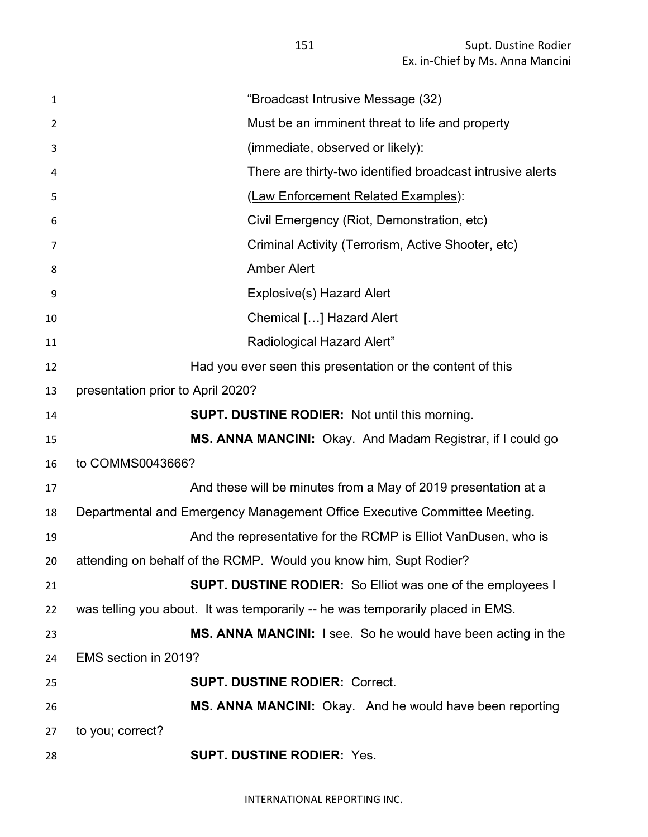| $\mathbf{1}$    | "Broadcast Intrusive Message (32)                                              |
|-----------------|--------------------------------------------------------------------------------|
| $\overline{2}$  | Must be an imminent threat to life and property                                |
| 3               | (immediate, observed or likely):                                               |
| 4               | There are thirty-two identified broadcast intrusive alerts                     |
| 5               | (Law Enforcement Related Examples):                                            |
| 6               | Civil Emergency (Riot, Demonstration, etc)                                     |
| 7               | Criminal Activity (Terrorism, Active Shooter, etc)                             |
| 8               | <b>Amber Alert</b>                                                             |
| 9               | Explosive(s) Hazard Alert                                                      |
| 10              | Chemical [] Hazard Alert                                                       |
| 11              | Radiological Hazard Alert"                                                     |
| 12              | Had you ever seen this presentation or the content of this                     |
| 13              | presentation prior to April 2020?                                              |
| 14              | <b>SUPT. DUSTINE RODIER:</b> Not until this morning.                           |
| 15              | MS. ANNA MANCINI: Okay. And Madam Registrar, if I could go                     |
| 16              | to COMMS0043666?                                                               |
| 17              | And these will be minutes from a May of 2019 presentation at a                 |
| 18              | Departmental and Emergency Management Office Executive Committee Meeting.      |
| 19              | And the representative for the RCMP is Elliot VanDusen, who is                 |
| 20 <sub>2</sub> | attending on behalf of the RCMP. Would you know him, Supt Rodier?              |
| 21              | <b>SUPT. DUSTINE RODIER:</b> So Elliot was one of the employees I              |
| 22              | was telling you about. It was temporarily -- he was temporarily placed in EMS. |
| 23              | MS. ANNA MANCINI: I see. So he would have been acting in the                   |
| 24              | EMS section in 2019?                                                           |
| 25              | <b>SUPT. DUSTINE RODIER: Correct.</b>                                          |
| 26              | MS. ANNA MANCINI: Okay. And he would have been reporting                       |
| 27              | to you; correct?                                                               |
| 28              | <b>SUPT. DUSTINE RODIER: Yes.</b>                                              |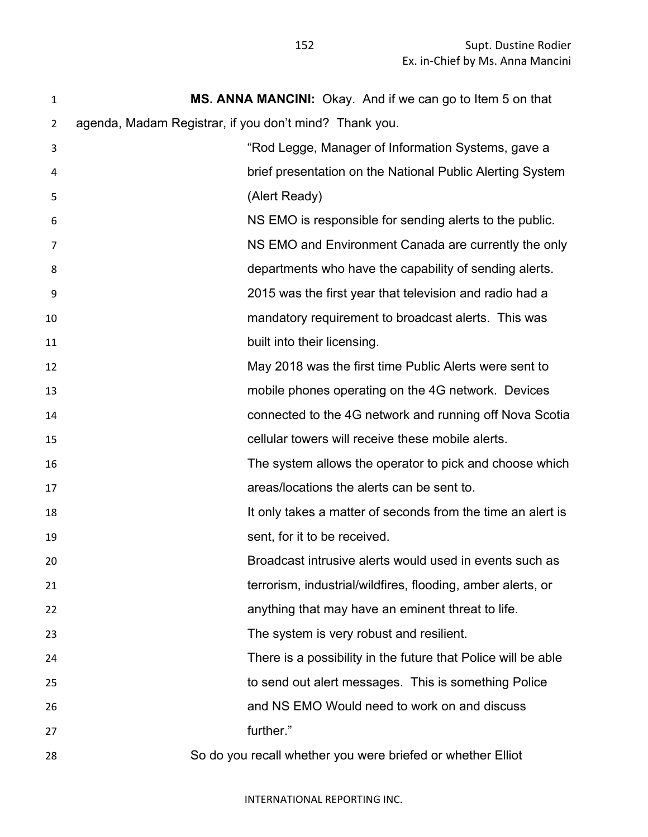| $\mathbf{1}$ | MS. ANNA MANCINI: Okay. And if we can go to Item 5 on that    |
|--------------|---------------------------------------------------------------|
| 2            | agenda, Madam Registrar, if you don't mind? Thank you.        |
| 3            | "Rod Legge, Manager of Information Systems, gave a            |
| 4            | brief presentation on the National Public Alerting System     |
| 5            | (Alert Ready)                                                 |
| 6            | NS EMO is responsible for sending alerts to the public.       |
| 7            | NS EMO and Environment Canada are currently the only          |
| 8            | departments who have the capability of sending alerts.        |
| 9            | 2015 was the first year that television and radio had a       |
| 10           | mandatory requirement to broadcast alerts. This was           |
| 11           | built into their licensing.                                   |
| 12           | May 2018 was the first time Public Alerts were sent to        |
| 13           | mobile phones operating on the 4G network. Devices            |
| 14           | connected to the 4G network and running off Nova Scotia       |
| 15           | cellular towers will receive these mobile alerts.             |
| 16           | The system allows the operator to pick and choose which       |
| 17           | areas/locations the alerts can be sent to.                    |
| 18           | It only takes a matter of seconds from the time an alert is   |
| 19           | sent, for it to be received.                                  |
| 20           | Broadcast intrusive alerts would used in events such as       |
| 21           | terrorism, industrial/wildfires, flooding, amber alerts, or   |
| 22           | anything that may have an eminent threat to life.             |
| 23           | The system is very robust and resilient.                      |
| 24           | There is a possibility in the future that Police will be able |
| 25           | to send out alert messages. This is something Police          |
| 26           | and NS EMO Would need to work on and discuss                  |
| 27           | further."                                                     |
| 28           | So do you recall whether you were briefed or whether Elliot   |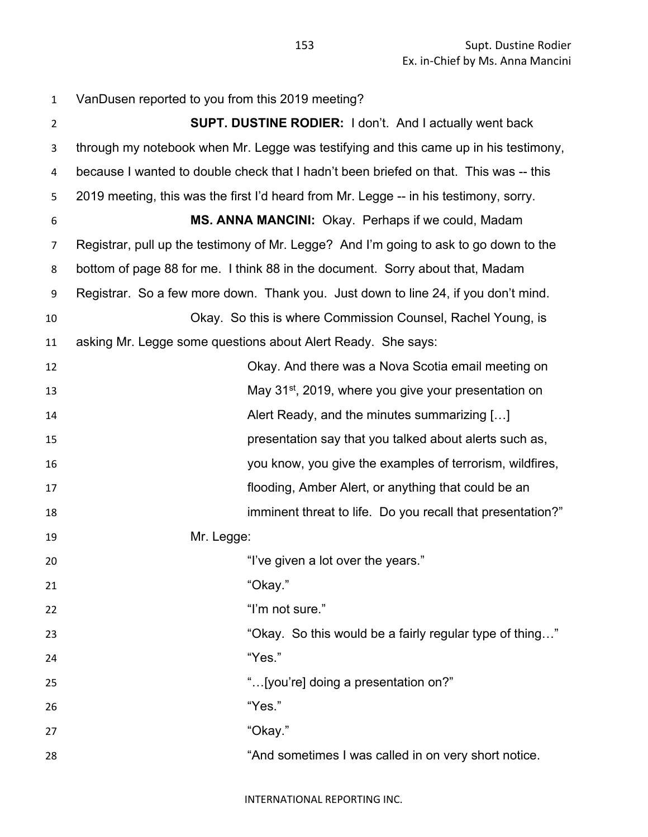| $\mathbf{1}$   | VanDusen reported to you from this 2019 meeting?                                      |
|----------------|---------------------------------------------------------------------------------------|
| $\overline{2}$ | <b>SUPT. DUSTINE RODIER:</b> I don't. And I actually went back                        |
| 3              | through my notebook when Mr. Legge was testifying and this came up in his testimony,  |
| 4              | because I wanted to double check that I hadn't been briefed on that. This was -- this |
| 5              | 2019 meeting, this was the first I'd heard from Mr. Legge -- in his testimony, sorry. |
| 6              | MS. ANNA MANCINI: Okay. Perhaps if we could, Madam                                    |
| $\overline{7}$ | Registrar, pull up the testimony of Mr. Legge? And I'm going to ask to go down to the |
| 8              | bottom of page 88 for me. I think 88 in the document. Sorry about that, Madam         |
| 9              | Registrar. So a few more down. Thank you. Just down to line 24, if you don't mind.    |
| 10             | Okay. So this is where Commission Counsel, Rachel Young, is                           |
| 11             | asking Mr. Legge some questions about Alert Ready. She says:                          |
| 12             | Okay. And there was a Nova Scotia email meeting on                                    |
| 13             | May 31 <sup>st</sup> , 2019, where you give your presentation on                      |
| 14             | Alert Ready, and the minutes summarizing []                                           |
| 15             | presentation say that you talked about alerts such as,                                |
| 16             | you know, you give the examples of terrorism, wildfires,                              |
| 17             | flooding, Amber Alert, or anything that could be an                                   |
| 18             | imminent threat to life. Do you recall that presentation?"                            |
| 19             | Mr. Legge:                                                                            |
| 20             | "I've given a lot over the years."                                                    |
| 21             | "Okay."                                                                               |
| 22             | "I'm not sure."                                                                       |
| 23             | "Okay. So this would be a fairly regular type of thing"                               |
| 24             | "Yes."                                                                                |
| 25             | "[you're] doing a presentation on?"                                                   |
| 26             | "Yes."                                                                                |
| 27             | "Okay."                                                                               |
| 28             | "And sometimes I was called in on very short notice.                                  |
|                |                                                                                       |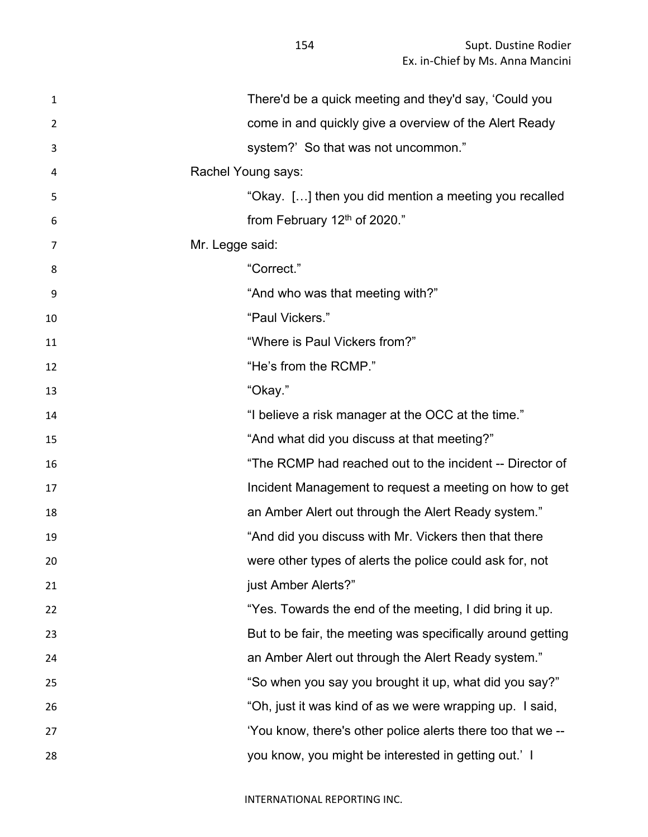| $\mathbf{1}$   | There'd be a quick meeting and they'd say, 'Could you       |
|----------------|-------------------------------------------------------------|
| $\overline{2}$ | come in and quickly give a overview of the Alert Ready      |
| 3              | system?' So that was not uncommon."                         |
| 4              | Rachel Young says:                                          |
| 5              | "Okay. [] then you did mention a meeting you recalled       |
| 6              | from February $12th$ of 2020."                              |
| 7              | Mr. Legge said:                                             |
| 8              | "Correct."                                                  |
| 9              | "And who was that meeting with?"                            |
| 10             | "Paul Vickers."                                             |
| 11             | "Where is Paul Vickers from?"                               |
| 12             | "He's from the RCMP."                                       |
| 13             | "Okay."                                                     |
| 14             | "I believe a risk manager at the OCC at the time."          |
| 15             | "And what did you discuss at that meeting?"                 |
| 16             | "The RCMP had reached out to the incident -- Director of    |
| 17             | Incident Management to request a meeting on how to get      |
| 18             | an Amber Alert out through the Alert Ready system."         |
| 19             | "And did you discuss with Mr. Vickers then that there       |
| 20             | were other types of alerts the police could ask for, not    |
| 21             | just Amber Alerts?"                                         |
| 22             | "Yes. Towards the end of the meeting, I did bring it up.    |
| 23             | But to be fair, the meeting was specifically around getting |
| 24             | an Amber Alert out through the Alert Ready system."         |
| 25             | "So when you say you brought it up, what did you say?"      |
| 26             | "Oh, just it was kind of as we were wrapping up. I said,    |
| 27             | 'You know, there's other police alerts there too that we -- |
| 28             | you know, you might be interested in getting out.' I        |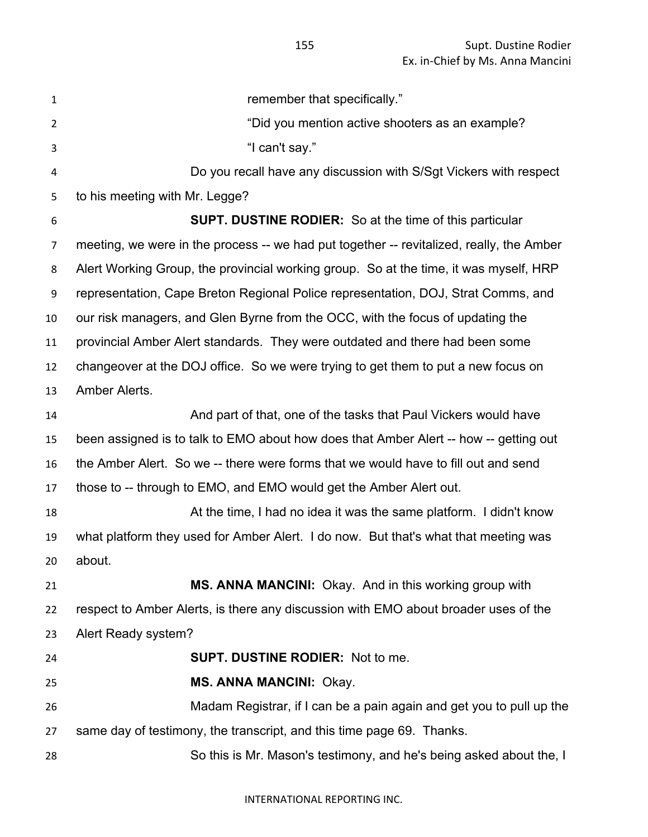| $\mathbf{1}$   | remember that specifically."                                                             |
|----------------|------------------------------------------------------------------------------------------|
| $\overline{2}$ | "Did you mention active shooters as an example?                                          |
| 3              | "I can't say."                                                                           |
| 4              | Do you recall have any discussion with S/Sgt Vickers with respect                        |
| 5              | to his meeting with Mr. Legge?                                                           |
| 6              | <b>SUPT. DUSTINE RODIER:</b> So at the time of this particular                           |
| 7              | meeting, we were in the process -- we had put together -- revitalized, really, the Amber |
| 8              | Alert Working Group, the provincial working group. So at the time, it was myself, HRP    |
| 9              | representation, Cape Breton Regional Police representation, DOJ, Strat Comms, and        |
| 10             | our risk managers, and Glen Byrne from the OCC, with the focus of updating the           |
| 11             | provincial Amber Alert standards. They were outdated and there had been some             |
| 12             | changeover at the DOJ office. So we were trying to get them to put a new focus on        |
| 13             | Amber Alerts.                                                                            |
| 14             | And part of that, one of the tasks that Paul Vickers would have                          |
| 15             | been assigned is to talk to EMO about how does that Amber Alert -- how -- getting out    |
| 16             | the Amber Alert. So we -- there were forms that we would have to fill out and send       |
| 17             | those to -- through to EMO, and EMO would get the Amber Alert out.                       |
| 18             | At the time, I had no idea it was the same platform. I didn't know                       |
| 19             | what platform they used for Amber Alert. I do now. But that's what that meeting was      |
| 20             | about.                                                                                   |
| 21             | MS. ANNA MANCINI: Okay. And in this working group with                                   |
| 22             | respect to Amber Alerts, is there any discussion with EMO about broader uses of the      |
| 23             | Alert Ready system?                                                                      |
| 24             | <b>SUPT. DUSTINE RODIER: Not to me.</b>                                                  |
| 25             | <b>MS. ANNA MANCINI: Okay.</b>                                                           |
| 26             | Madam Registrar, if I can be a pain again and get you to pull up the                     |
| 27             | same day of testimony, the transcript, and this time page 69. Thanks.                    |
| 28             | So this is Mr. Mason's testimony, and he's being asked about the, I                      |
|                |                                                                                          |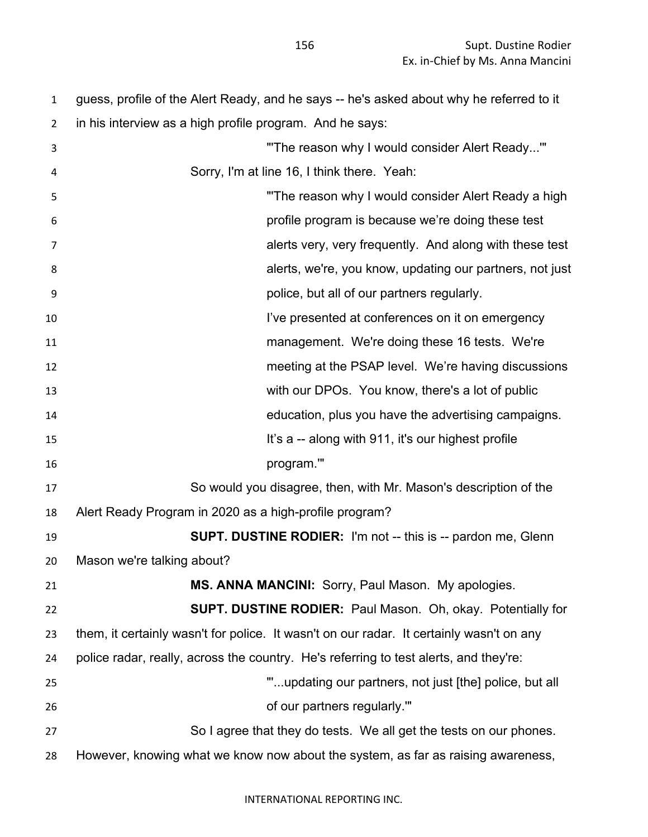guess, profile of the Alert Ready, and he says -- he's asked about why he referred to it in his interview as a high profile program. And he says: "'The reason why I would consider Alert Ready...'" Sorry, I'm at line 16, I think there. Yeah: 5 "The reason why I would consider Alert Ready a high profile program is because we're doing these test alerts very, very frequently. And along with these test alerts, we're, you know, updating our partners, not just police, but all of our partners regularly. **I've presented at conferences on it on emergency**  management. We're doing these 16 tests. We're meeting at the PSAP level. We're having discussions with our DPOs. You know, there's a lot of public education, plus you have the advertising campaigns. It's a -- along with 911, it's our highest profile program.'" So would you disagree, then, with Mr. Mason's description of the Alert Ready Program in 2020 as a high-profile program? **SUPT. DUSTINE RODIER:** I'm not -- this is -- pardon me, Glenn Mason we're talking about? **MS. ANNA MANCINI:** Sorry, Paul Mason. My apologies. **SUPT. DUSTINE RODIER:** Paul Mason. Oh, okay. Potentially for them, it certainly wasn't for police. It wasn't on our radar. It certainly wasn't on any police radar, really, across the country. He's referring to test alerts, and they're: "'...updating our partners, not just [the] police, but all of our partners regularly.'" So I agree that they do tests. We all get the tests on our phones. However, knowing what we know now about the system, as far as raising awareness,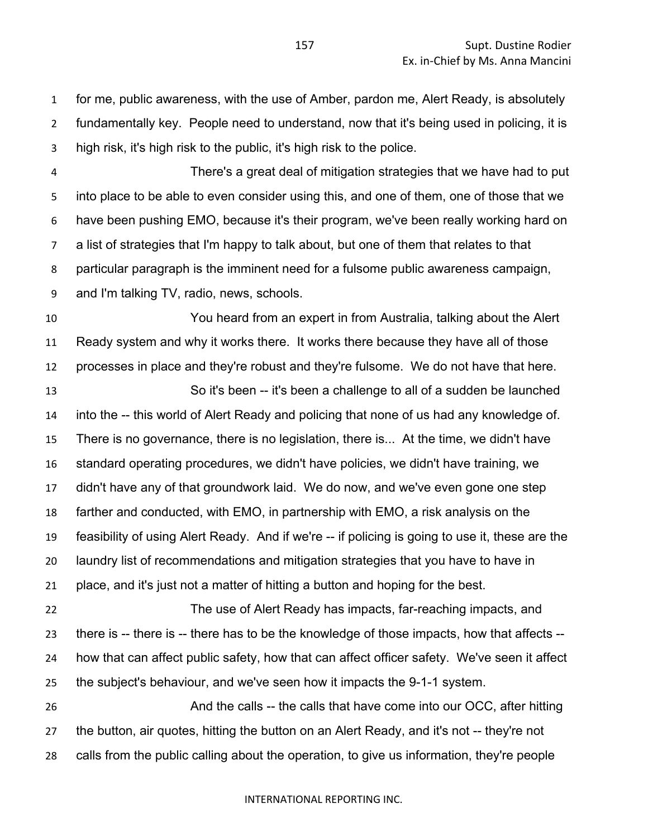for me, public awareness, with the use of Amber, pardon me, Alert Ready, is absolutely fundamentally key. People need to understand, now that it's being used in policing, it is high risk, it's high risk to the public, it's high risk to the police.

 There's a great deal of mitigation strategies that we have had to put into place to be able to even consider using this, and one of them, one of those that we have been pushing EMO, because it's their program, we've been really working hard on a list of strategies that I'm happy to talk about, but one of them that relates to that particular paragraph is the imminent need for a fulsome public awareness campaign, and I'm talking TV, radio, news, schools.

 You heard from an expert in from Australia, talking about the Alert Ready system and why it works there. It works there because they have all of those processes in place and they're robust and they're fulsome. We do not have that here.

 So it's been -- it's been a challenge to all of a sudden be launched into the -- this world of Alert Ready and policing that none of us had any knowledge of. There is no governance, there is no legislation, there is... At the time, we didn't have standard operating procedures, we didn't have policies, we didn't have training, we didn't have any of that groundwork laid. We do now, and we've even gone one step farther and conducted, with EMO, in partnership with EMO, a risk analysis on the feasibility of using Alert Ready. And if we're -- if policing is going to use it, these are the laundry list of recommendations and mitigation strategies that you have to have in place, and it's just not a matter of hitting a button and hoping for the best.

 The use of Alert Ready has impacts, far-reaching impacts, and there is -- there is -- there has to be the knowledge of those impacts, how that affects -- how that can affect public safety, how that can affect officer safety. We've seen it affect the subject's behaviour, and we've seen how it impacts the 9-1-1 system.

26 And the calls -- the calls that have come into our OCC, after hitting the button, air quotes, hitting the button on an Alert Ready, and it's not -- they're not calls from the public calling about the operation, to give us information, they're people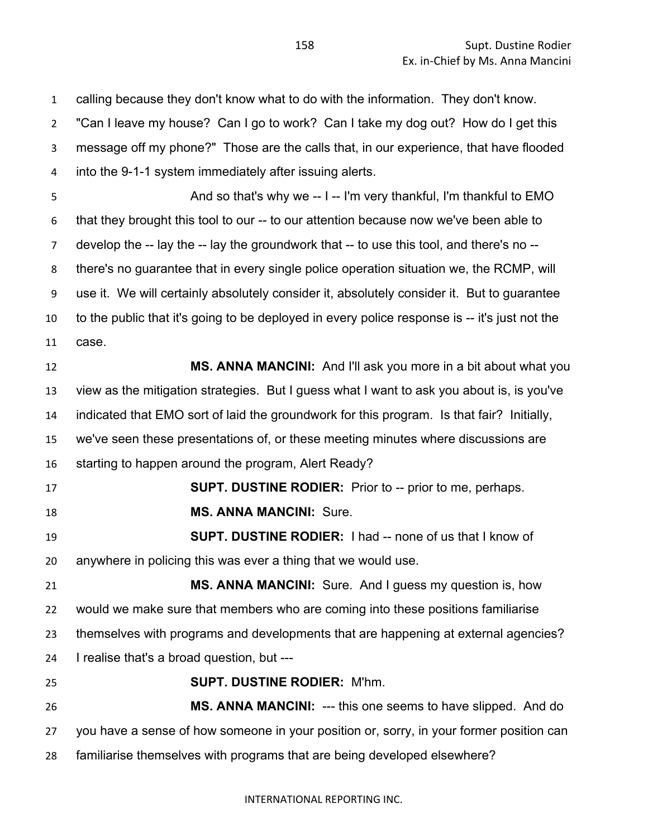calling because they don't know what to do with the information. They don't know. "Can I leave my house? Can I go to work? Can I take my dog out? How do I get this message off my phone?" Those are the calls that, in our experience, that have flooded into the 9-1-1 system immediately after issuing alerts. 5 And so that's why we -- I -- I'm very thankful, I'm thankful to EMO that they brought this tool to our -- to our attention because now we've been able to develop the -- lay the -- lay the groundwork that -- to use this tool, and there's no -- there's no guarantee that in every single police operation situation we, the RCMP, will use it. We will certainly absolutely consider it, absolutely consider it. But to guarantee to the public that it's going to be deployed in every police response is -- it's just not the case. **MS. ANNA MANCINI:** And I'll ask you more in a bit about what you view as the mitigation strategies. But I guess what I want to ask you about is, is you've indicated that EMO sort of laid the groundwork for this program. Is that fair? Initially, we've seen these presentations of, or these meeting minutes where discussions are starting to happen around the program, Alert Ready? **SUPT. DUSTINE RODIER:** Prior to -- prior to me, perhaps. **MS. ANNA MANCINI:** Sure. **SUPT. DUSTINE RODIER:** I had -- none of us that I know of anywhere in policing this was ever a thing that we would use. **MS. ANNA MANCINI:** Sure. And I guess my question is, how would we make sure that members who are coming into these positions familiarise themselves with programs and developments that are happening at external agencies? I realise that's a broad question, but --- **SUPT. DUSTINE RODIER:** M'hm. **MS. ANNA MANCINI:** --- this one seems to have slipped. And do you have a sense of how someone in your position or, sorry, in your former position can familiarise themselves with programs that are being developed elsewhere?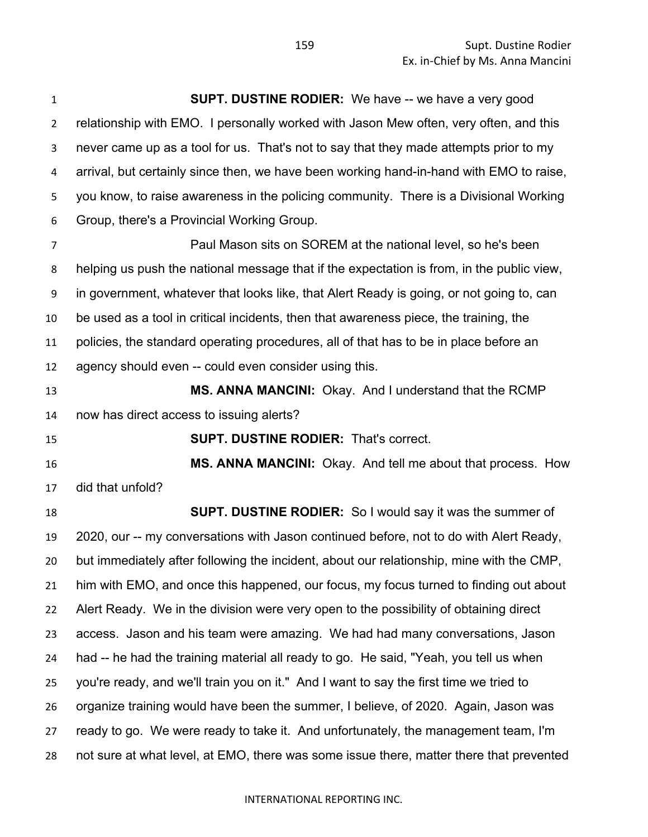**SUPT. DUSTINE RODIER:** We have -- we have a very good relationship with EMO. I personally worked with Jason Mew often, very often, and this never came up as a tool for us. That's not to say that they made attempts prior to my arrival, but certainly since then, we have been working hand-in-hand with EMO to raise, you know, to raise awareness in the policing community. There is a Divisional Working Group, there's a Provincial Working Group.

 Paul Mason sits on SOREM at the national level, so he's been helping us push the national message that if the expectation is from, in the public view, in government, whatever that looks like, that Alert Ready is going, or not going to, can be used as a tool in critical incidents, then that awareness piece, the training, the policies, the standard operating procedures, all of that has to be in place before an agency should even -- could even consider using this.

 **MS. ANNA MANCINI:** Okay. And I understand that the RCMP now has direct access to issuing alerts?

**SUPT. DUSTINE RODIER:** That's correct.

 **MS. ANNA MANCINI:** Okay. And tell me about that process. How did that unfold?

 **SUPT. DUSTINE RODIER:** So I would say it was the summer of 2020, our -- my conversations with Jason continued before, not to do with Alert Ready, but immediately after following the incident, about our relationship, mine with the CMP, him with EMO, and once this happened, our focus, my focus turned to finding out about Alert Ready. We in the division were very open to the possibility of obtaining direct access. Jason and his team were amazing. We had had many conversations, Jason had -- he had the training material all ready to go. He said, "Yeah, you tell us when you're ready, and we'll train you on it." And I want to say the first time we tried to organize training would have been the summer, I believe, of 2020. Again, Jason was ready to go. We were ready to take it. And unfortunately, the management team, I'm not sure at what level, at EMO, there was some issue there, matter there that prevented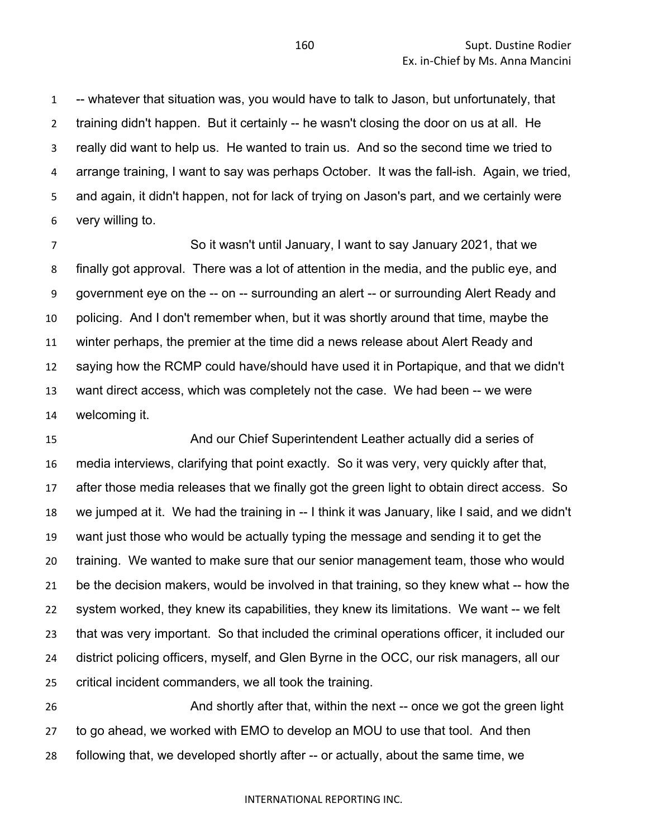-- whatever that situation was, you would have to talk to Jason, but unfortunately, that training didn't happen. But it certainly -- he wasn't closing the door on us at all. He really did want to help us. He wanted to train us. And so the second time we tried to arrange training, I want to say was perhaps October. It was the fall-ish. Again, we tried, and again, it didn't happen, not for lack of trying on Jason's part, and we certainly were very willing to.

 So it wasn't until January, I want to say January 2021, that we finally got approval. There was a lot of attention in the media, and the public eye, and government eye on the -- on -- surrounding an alert -- or surrounding Alert Ready and policing. And I don't remember when, but it was shortly around that time, maybe the winter perhaps, the premier at the time did a news release about Alert Ready and saying how the RCMP could have/should have used it in Portapique, and that we didn't want direct access, which was completely not the case. We had been -- we were welcoming it.

 And our Chief Superintendent Leather actually did a series of media interviews, clarifying that point exactly. So it was very, very quickly after that, after those media releases that we finally got the green light to obtain direct access. So we jumped at it. We had the training in -- I think it was January, like I said, and we didn't want just those who would be actually typing the message and sending it to get the training. We wanted to make sure that our senior management team, those who would be the decision makers, would be involved in that training, so they knew what -- how the system worked, they knew its capabilities, they knew its limitations. We want -- we felt that was very important. So that included the criminal operations officer, it included our district policing officers, myself, and Glen Byrne in the OCC, our risk managers, all our critical incident commanders, we all took the training.

**And shortly after that, within the next** -- once we got the green light to go ahead, we worked with EMO to develop an MOU to use that tool. And then following that, we developed shortly after -- or actually, about the same time, we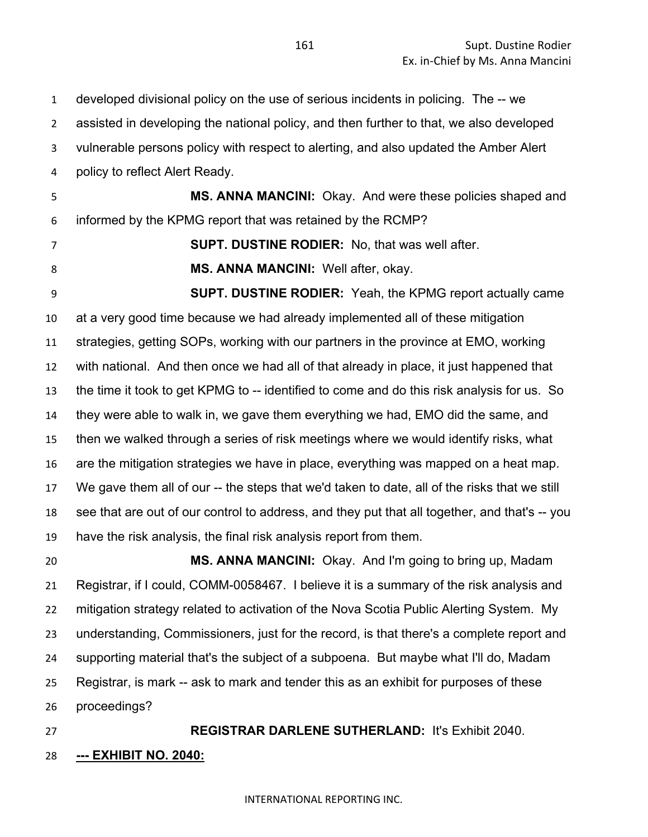developed divisional policy on the use of serious incidents in policing. The -- we assisted in developing the national policy, and then further to that, we also developed vulnerable persons policy with respect to alerting, and also updated the Amber Alert policy to reflect Alert Ready. **MS. ANNA MANCINI:** Okay. And were these policies shaped and

informed by the KPMG report that was retained by the RCMP?

**SUPT. DUSTINE RODIER:** No, that was well after.

**MS. ANNA MANCINI:** Well after, okay.

**SUPT. DUSTINE RODIER:** Yeah, the KPMG report actually came at a very good time because we had already implemented all of these mitigation strategies, getting SOPs, working with our partners in the province at EMO, working with national. And then once we had all of that already in place, it just happened that the time it took to get KPMG to -- identified to come and do this risk analysis for us. So they were able to walk in, we gave them everything we had, EMO did the same, and then we walked through a series of risk meetings where we would identify risks, what are the mitigation strategies we have in place, everything was mapped on a heat map. We gave them all of our -- the steps that we'd taken to date, all of the risks that we still see that are out of our control to address, and they put that all together, and that's -- you have the risk analysis, the final risk analysis report from them.

 **MS. ANNA MANCINI:** Okay. And I'm going to bring up, Madam Registrar, if I could, COMM-0058467. I believe it is a summary of the risk analysis and mitigation strategy related to activation of the Nova Scotia Public Alerting System. My understanding, Commissioners, just for the record, is that there's a complete report and supporting material that's the subject of a subpoena. But maybe what I'll do, Madam Registrar, is mark -- ask to mark and tender this as an exhibit for purposes of these proceedings?

 **REGISTRAR DARLENE SUTHERLAND:** It's Exhibit 2040. **--- EXHIBIT NO. 2040:**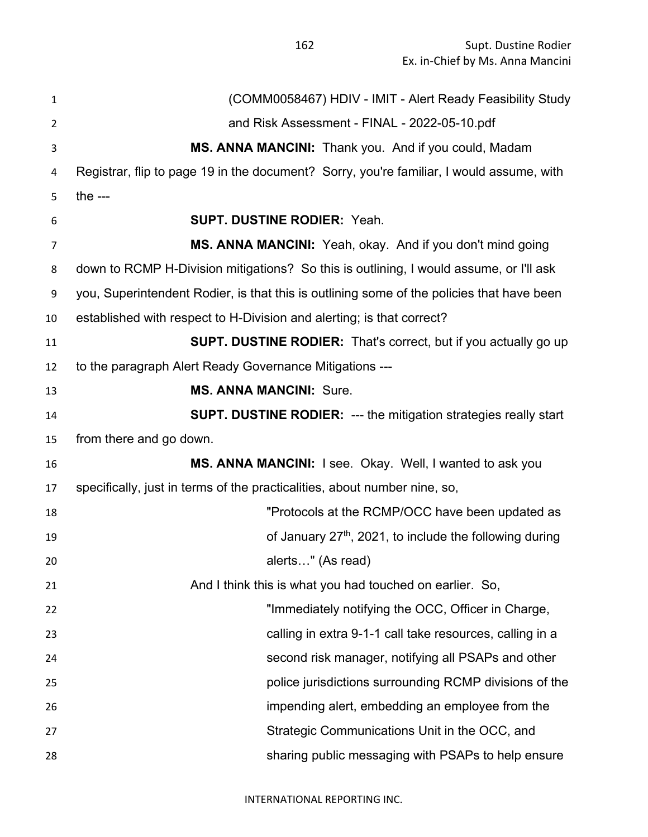Supt. Dustine Rodier Ex. in-Chief by Ms. Anna Mancini

 (COMM0058467) HDIV - IMIT - Alert Ready Feasibility Study and Risk Assessment - FINAL - 2022-05-10.pdf **MS. ANNA MANCINI:** Thank you. And if you could, Madam Registrar, flip to page 19 in the document? Sorry, you're familiar, I would assume, with the --- **SUPT. DUSTINE RODIER:** Yeah. **MS. ANNA MANCINI:** Yeah, okay. And if you don't mind going down to RCMP H-Division mitigations? So this is outlining, I would assume, or I'll ask you, Superintendent Rodier, is that this is outlining some of the policies that have been established with respect to H-Division and alerting; is that correct? **SUPT. DUSTINE RODIER:** That's correct, but if you actually go up to the paragraph Alert Ready Governance Mitigations --- **MS. ANNA MANCINI:** Sure. **SUPT. DUSTINE RODIER:** --- the mitigation strategies really start from there and go down. **MS. ANNA MANCINI:** I see. Okay. Well, I wanted to ask you specifically, just in terms of the practicalities, about number nine, so, "Protocols at the RCMP/OCC have been updated as of January 27th , 2021, to include the following during alerts…" (As read) And I think this is what you had touched on earlier. So, "Immediately notifying the OCC, Officer in Charge, calling in extra 9-1-1 call take resources, calling in a second risk manager, notifying all PSAPs and other police jurisdictions surrounding RCMP divisions of the impending alert, embedding an employee from the Strategic Communications Unit in the OCC, and sharing public messaging with PSAPs to help ensure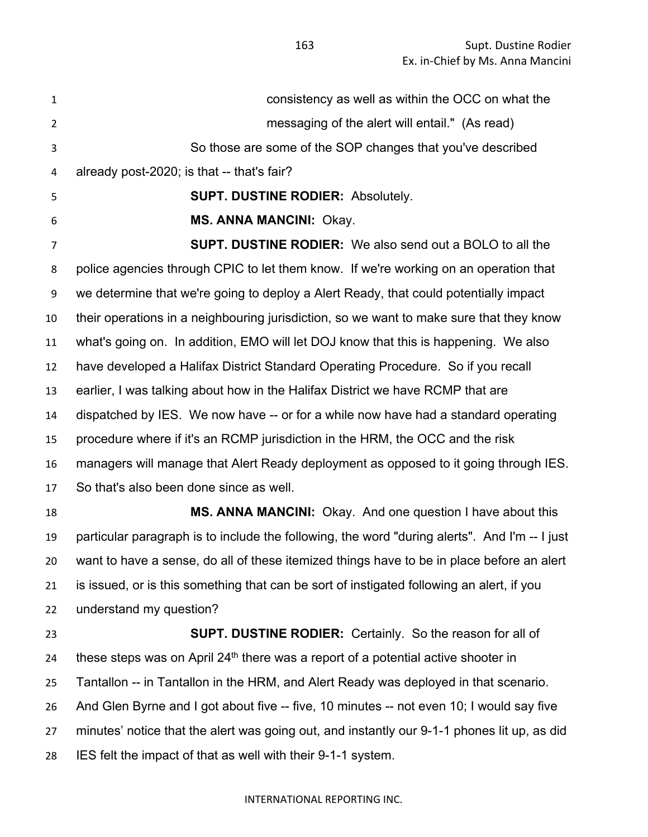consistency as well as within the OCC on what the messaging of the alert will entail." (As read) So those are some of the SOP changes that you've described already post-2020; is that -- that's fair? **SUPT. DUSTINE RODIER:** Absolutely. **MS. ANNA MANCINI:** Okay. **SUPT. DUSTINE RODIER:** We also send out a BOLO to all the police agencies through CPIC to let them know. If we're working on an operation that we determine that we're going to deploy a Alert Ready, that could potentially impact their operations in a neighbouring jurisdiction, so we want to make sure that they know what's going on. In addition, EMO will let DOJ know that this is happening. We also have developed a Halifax District Standard Operating Procedure. So if you recall earlier, I was talking about how in the Halifax District we have RCMP that are dispatched by IES. We now have -- or for a while now have had a standard operating procedure where if it's an RCMP jurisdiction in the HRM, the OCC and the risk managers will manage that Alert Ready deployment as opposed to it going through IES. So that's also been done since as well. **MS. ANNA MANCINI:** Okay. And one question I have about this particular paragraph is to include the following, the word "during alerts". And I'm -- I just want to have a sense, do all of these itemized things have to be in place before an alert is issued, or is this something that can be sort of instigated following an alert, if you understand my question? **SUPT. DUSTINE RODIER:** Certainly. So the reason for all of 24 these steps was on April  $24<sup>th</sup>$  there was a report of a potential active shooter in Tantallon -- in Tantallon in the HRM, and Alert Ready was deployed in that scenario. And Glen Byrne and I got about five -- five, 10 minutes -- not even 10; I would say five minutes' notice that the alert was going out, and instantly our 9-1-1 phones lit up, as did IES felt the impact of that as well with their 9-1-1 system.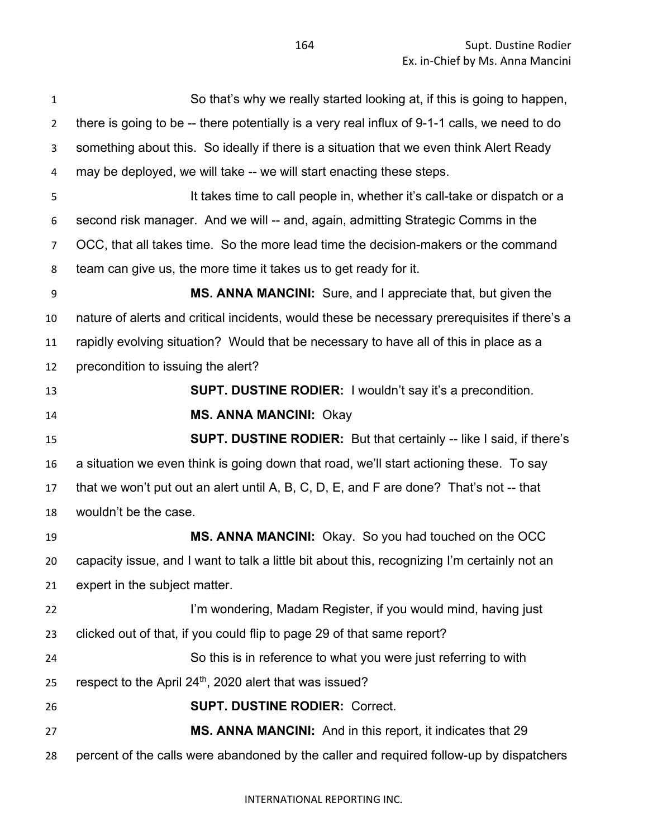| $\mathbf{1}$   | So that's why we really started looking at, if this is going to happen,                       |
|----------------|-----------------------------------------------------------------------------------------------|
| $\overline{2}$ | there is going to be -- there potentially is a very real influx of 9-1-1 calls, we need to do |
| 3              | something about this. So ideally if there is a situation that we even think Alert Ready       |
| 4              | may be deployed, we will take -- we will start enacting these steps.                          |
| 5              | It takes time to call people in, whether it's call-take or dispatch or a                      |
| 6              | second risk manager. And we will -- and, again, admitting Strategic Comms in the              |
| 7              | OCC, that all takes time. So the more lead time the decision-makers or the command            |
| 8              | team can give us, the more time it takes us to get ready for it.                              |
| 9              | <b>MS. ANNA MANCINI:</b> Sure, and I appreciate that, but given the                           |
| 10             | nature of alerts and critical incidents, would these be necessary prerequisites if there's a  |
| 11             | rapidly evolving situation? Would that be necessary to have all of this in place as a         |
| 12             | precondition to issuing the alert?                                                            |
| 13             | SUPT. DUSTINE RODIER: I wouldn't say it's a precondition.                                     |
| 14             | <b>MS. ANNA MANCINI: Okay</b>                                                                 |
| 15             | <b>SUPT. DUSTINE RODIER:</b> But that certainly -- like I said, if there's                    |
| 16             | a situation we even think is going down that road, we'll start actioning these. To say        |
| 17             | that we won't put out an alert until A, B, C, D, E, and F are done? That's not -- that        |
| 18             | wouldn't be the case.                                                                         |
| 19             | MS. ANNA MANCINI: Okay. So you had touched on the OCC                                         |
| 20             | capacity issue, and I want to talk a little bit about this, recognizing I'm certainly not an  |
| 21             | expert in the subject matter.                                                                 |
| 22             | I'm wondering, Madam Register, if you would mind, having just                                 |
| 23             | clicked out of that, if you could flip to page 29 of that same report?                        |
| 24             | So this is in reference to what you were just referring to with                               |
| 25             | respect to the April 24 <sup>th</sup> , 2020 alert that was issued?                           |
| 26             | <b>SUPT. DUSTINE RODIER: Correct.</b>                                                         |
| 27             | MS. ANNA MANCINI: And in this report, it indicates that 29                                    |
| 28             | percent of the calls were abandoned by the caller and required follow-up by dispatchers       |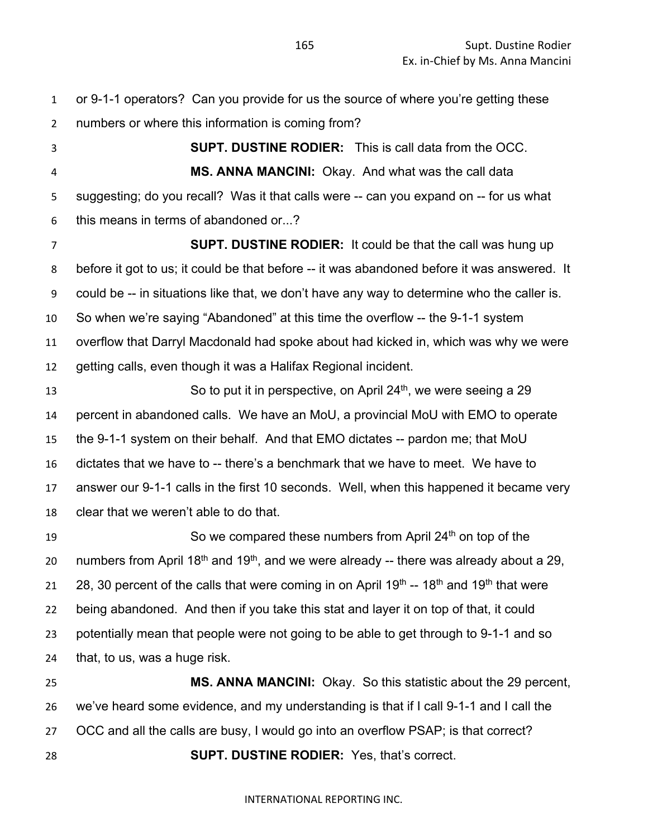or 9-1-1 operators? Can you provide for us the source of where you're getting these numbers or where this information is coming from?

 **SUPT. DUSTINE RODIER:** This is call data from the OCC. **MS. ANNA MANCINI:** Okay. And what was the call data suggesting; do you recall? Was it that calls were -- can you expand on -- for us what this means in terms of abandoned or...?

 **SUPT. DUSTINE RODIER:** It could be that the call was hung up before it got to us; it could be that before -- it was abandoned before it was answered. It could be -- in situations like that, we don't have any way to determine who the caller is. So when we're saying "Abandoned" at this time the overflow -- the 9-1-1 system overflow that Darryl Macdonald had spoke about had kicked in, which was why we were getting calls, even though it was a Halifax Regional incident.

 So to put it in perspective, on April  $24<sup>th</sup>$ , we were seeing a 29 percent in abandoned calls. We have an MoU, a provincial MoU with EMO to operate the 9-1-1 system on their behalf. And that EMO dictates -- pardon me; that MoU dictates that we have to -- there's a benchmark that we have to meet. We have to answer our 9-1-1 calls in the first 10 seconds. Well, when this happened it became very clear that we weren't able to do that.

19 So we compared these numbers from April 24<sup>th</sup> on top of the 20 numbers from April  $18<sup>th</sup>$  and  $19<sup>th</sup>$ , and we were already -- there was already about a 29, 21 28, 30 percent of the calls that were coming in on April 19<sup>th</sup> -- 18<sup>th</sup> and 19<sup>th</sup> that were being abandoned. And then if you take this stat and layer it on top of that, it could potentially mean that people were not going to be able to get through to 9-1-1 and so that, to us, was a huge risk.

 **MS. ANNA MANCINI:** Okay. So this statistic about the 29 percent, we've heard some evidence, and my understanding is that if I call 9-1-1 and I call the OCC and all the calls are busy, I would go into an overflow PSAP; is that correct? **SUPT. DUSTINE RODIER:** Yes, that's correct.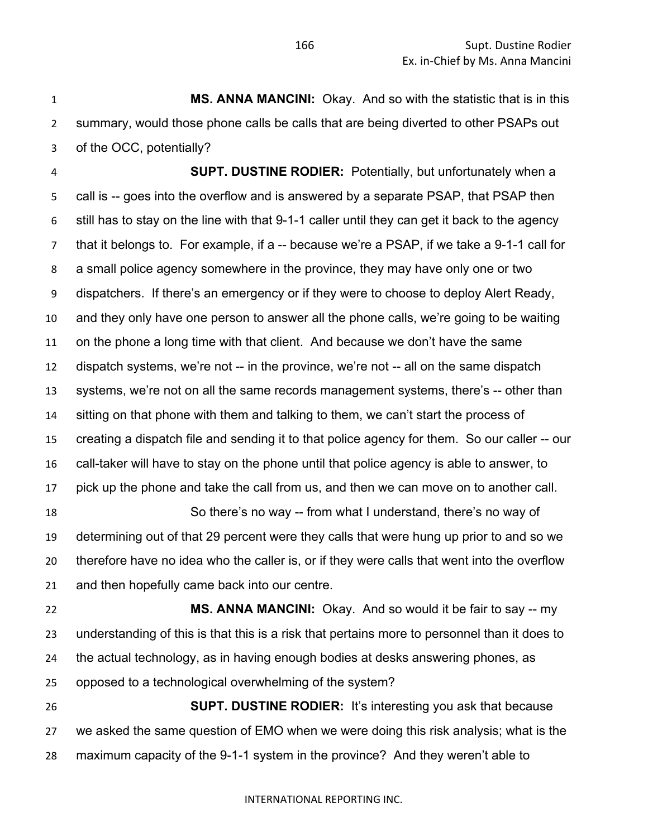**MS. ANNA MANCINI:** Okay. And so with the statistic that is in this summary, would those phone calls be calls that are being diverted to other PSAPs out of the OCC, potentially?

 **SUPT. DUSTINE RODIER:** Potentially, but unfortunately when a call is -- goes into the overflow and is answered by a separate PSAP, that PSAP then still has to stay on the line with that 9-1-1 caller until they can get it back to the agency that it belongs to. For example, if a -- because we're a PSAP, if we take a 9-1-1 call for a small police agency somewhere in the province, they may have only one or two dispatchers. If there's an emergency or if they were to choose to deploy Alert Ready, and they only have one person to answer all the phone calls, we're going to be waiting on the phone a long time with that client. And because we don't have the same dispatch systems, we're not -- in the province, we're not -- all on the same dispatch systems, we're not on all the same records management systems, there's -- other than sitting on that phone with them and talking to them, we can't start the process of creating a dispatch file and sending it to that police agency for them. So our caller -- our call-taker will have to stay on the phone until that police agency is able to answer, to pick up the phone and take the call from us, and then we can move on to another call. So there's no way -- from what I understand, there's no way of

 determining out of that 29 percent were they calls that were hung up prior to and so we therefore have no idea who the caller is, or if they were calls that went into the overflow and then hopefully came back into our centre.

 **MS. ANNA MANCINI:** Okay. And so would it be fair to say -- my understanding of this is that this is a risk that pertains more to personnel than it does to the actual technology, as in having enough bodies at desks answering phones, as opposed to a technological overwhelming of the system?

 **SUPT. DUSTINE RODIER:** It's interesting you ask that because we asked the same question of EMO when we were doing this risk analysis; what is the maximum capacity of the 9-1-1 system in the province? And they weren't able to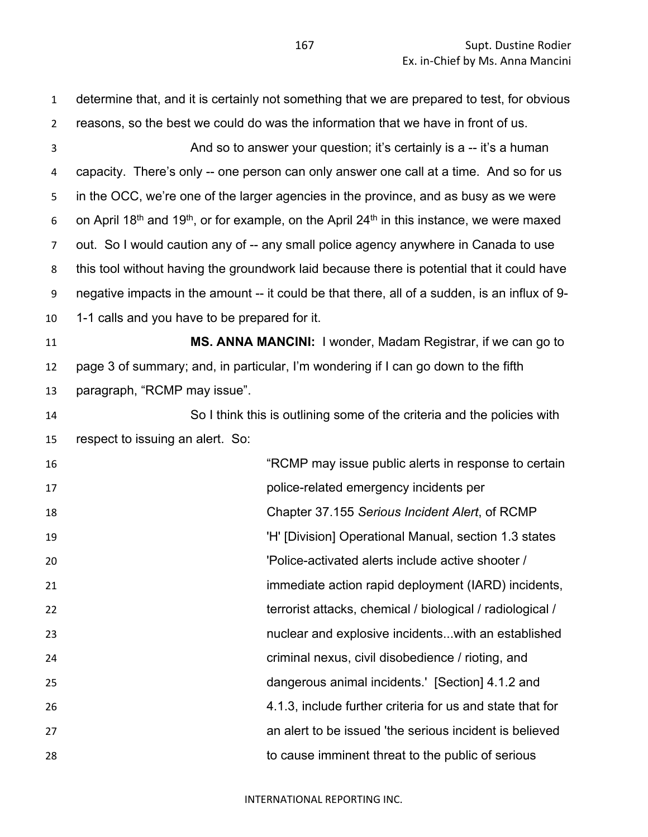determine that, and it is certainly not something that we are prepared to test, for obvious reasons, so the best we could do was the information that we have in front of us. And so to answer your question; it's certainly is a -- it's a human capacity. There's only -- one person can only answer one call at a time. And so for us in the OCC, we're one of the larger agencies in the province, and as busy as we were 6 on April 18<sup>th</sup> and 19<sup>th</sup>, or for example, on the April 24<sup>th</sup> in this instance, we were maxed out. So I would caution any of -- any small police agency anywhere in Canada to use this tool without having the groundwork laid because there is potential that it could have negative impacts in the amount -- it could be that there, all of a sudden, is an influx of 9- 1-1 calls and you have to be prepared for it. **MS. ANNA MANCINI:** I wonder, Madam Registrar, if we can go to page 3 of summary; and, in particular, I'm wondering if I can go down to the fifth paragraph, "RCMP may issue". So I think this is outlining some of the criteria and the policies with respect to issuing an alert. So: "RCMP may issue public alerts in response to certain police-related emergency incidents per Chapter 37.155 *Serious Incident Alert*, of RCMP **19 The Contract Contract Contract Contract Contract Contract Contract Contract Contract Contract Contract Control Contract Contract Contract Contract Contract Contract Contract Contract Contract Contract Contract Contr**  'Police-activated alerts include active shooter / immediate action rapid deployment (IARD) incidents, terrorist attacks, chemical / biological / radiological / nuclear and explosive incidents...with an established criminal nexus, civil disobedience / rioting, and dangerous animal incidents.' [Section] 4.1.2 and 4.1.3, include further criteria for us and state that for an alert to be issued 'the serious incident is believed to cause imminent threat to the public of serious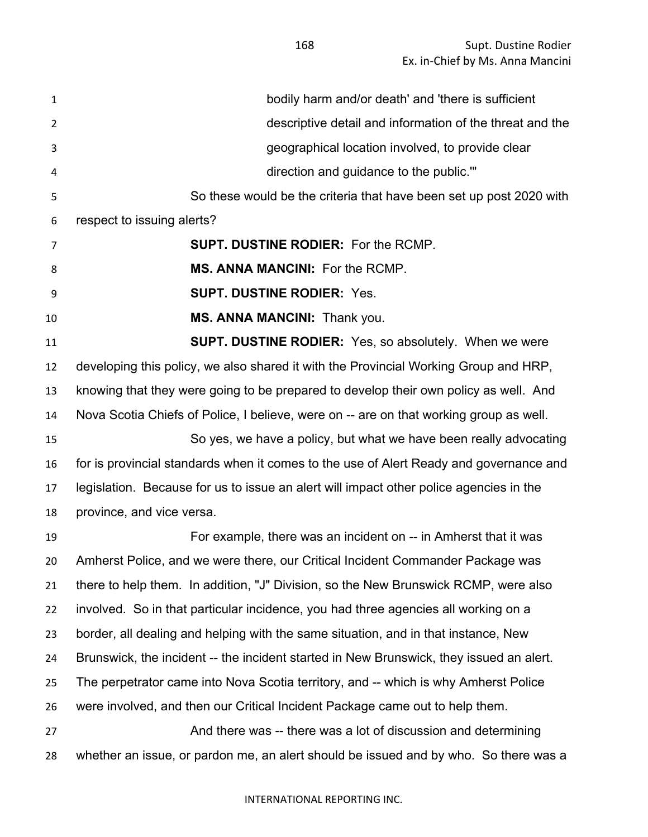Supt. Dustine Rodier Ex. in-Chief by Ms. Anna Mancini

| $\mathbf{1}$ | bodily harm and/or death' and 'there is sufficient                                      |
|--------------|-----------------------------------------------------------------------------------------|
| 2            | descriptive detail and information of the threat and the                                |
| 3            | geographical location involved, to provide clear                                        |
| 4            | direction and guidance to the public.""                                                 |
| 5            | So these would be the criteria that have been set up post 2020 with                     |
| 6            | respect to issuing alerts?                                                              |
| 7            | <b>SUPT. DUSTINE RODIER: For the RCMP.</b>                                              |
| 8            | <b>MS. ANNA MANCINI: For the RCMP.</b>                                                  |
| 9            | <b>SUPT. DUSTINE RODIER: Yes.</b>                                                       |
| 10           | MS. ANNA MANCINI: Thank you.                                                            |
| 11           | <b>SUPT. DUSTINE RODIER:</b> Yes, so absolutely. When we were                           |
| 12           | developing this policy, we also shared it with the Provincial Working Group and HRP,    |
| 13           | knowing that they were going to be prepared to develop their own policy as well. And    |
| 14           | Nova Scotia Chiefs of Police, I believe, were on -- are on that working group as well.  |
| 15           | So yes, we have a policy, but what we have been really advocating                       |
| 16           | for is provincial standards when it comes to the use of Alert Ready and governance and  |
| 17           | legislation. Because for us to issue an alert will impact other police agencies in the  |
| 18           | province, and vice versa.                                                               |
| 19           | For example, there was an incident on -- in Amherst that it was                         |
| 20           | Amherst Police, and we were there, our Critical Incident Commander Package was          |
| 21           | there to help them. In addition, "J" Division, so the New Brunswick RCMP, were also     |
| 22           | involved. So in that particular incidence, you had three agencies all working on a      |
| 23           | border, all dealing and helping with the same situation, and in that instance, New      |
| 24           | Brunswick, the incident -- the incident started in New Brunswick, they issued an alert. |
| 25           | The perpetrator came into Nova Scotia territory, and -- which is why Amherst Police     |
| 26           | were involved, and then our Critical Incident Package came out to help them.            |
| 27           | And there was -- there was a lot of discussion and determining                          |
| 28           | whether an issue, or pardon me, an alert should be issued and by who. So there was a    |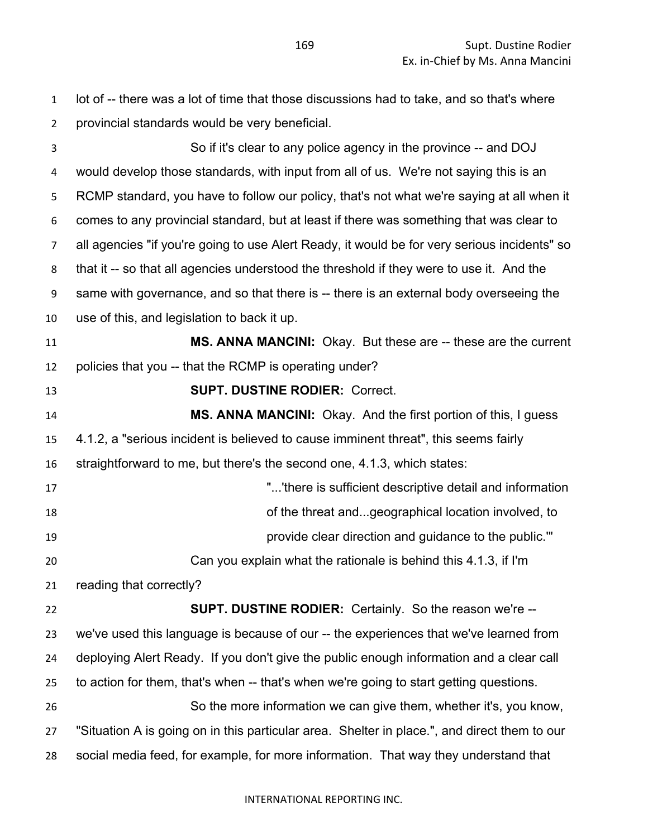lot of -- there was a lot of time that those discussions had to take, and so that's where provincial standards would be very beneficial.

 So if it's clear to any police agency in the province -- and DOJ would develop those standards, with input from all of us. We're not saying this is an RCMP standard, you have to follow our policy, that's not what we're saying at all when it comes to any provincial standard, but at least if there was something that was clear to all agencies "if you're going to use Alert Ready, it would be for very serious incidents" so that it -- so that all agencies understood the threshold if they were to use it. And the same with governance, and so that there is -- there is an external body overseeing the use of this, and legislation to back it up. **MS. ANNA MANCINI:** Okay. But these are -- these are the current policies that you -- that the RCMP is operating under? **SUPT. DUSTINE RODIER:** Correct. **MS. ANNA MANCINI:** Okay. And the first portion of this, I guess 4.1.2, a "serious incident is believed to cause imminent threat", this seems fairly straightforward to me, but there's the second one, 4.1.3, which states: "...'there is sufficient descriptive detail and information of the threat and...geographical location involved, to provide clear direction and guidance to the public.'" Can you explain what the rationale is behind this 4.1.3, if I'm reading that correctly? **SUPT. DUSTINE RODIER:** Certainly. So the reason we're -- we've used this language is because of our -- the experiences that we've learned from deploying Alert Ready. If you don't give the public enough information and a clear call to action for them, that's when -- that's when we're going to start getting questions. So the more information we can give them, whether it's, you know, "Situation A is going on in this particular area. Shelter in place.", and direct them to our social media feed, for example, for more information. That way they understand that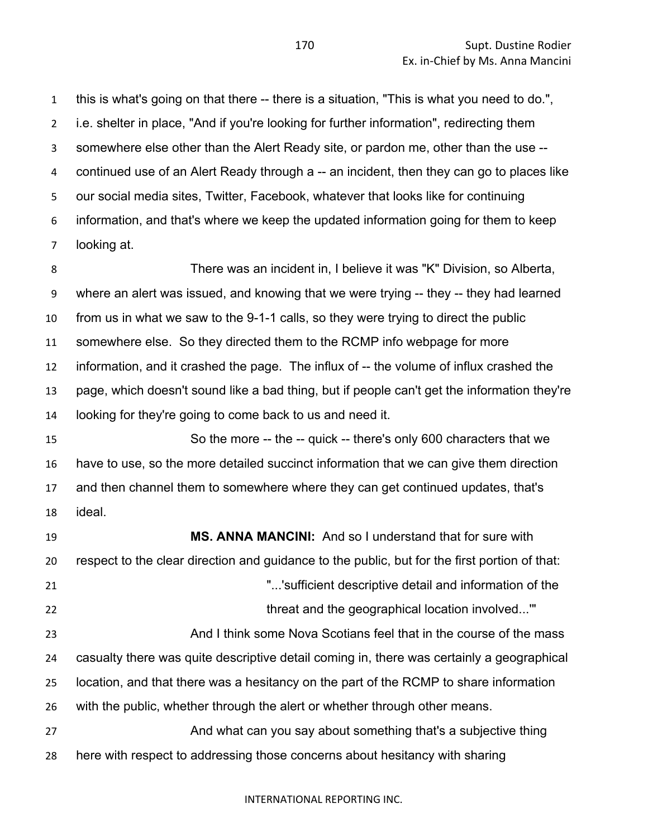this is what's going on that there -- there is a situation, "This is what you need to do.", i.e. shelter in place, "And if you're looking for further information", redirecting them somewhere else other than the Alert Ready site, or pardon me, other than the use -- continued use of an Alert Ready through a -- an incident, then they can go to places like our social media sites, Twitter, Facebook, whatever that looks like for continuing information, and that's where we keep the updated information going for them to keep looking at.

 There was an incident in, I believe it was "K" Division, so Alberta, where an alert was issued, and knowing that we were trying -- they -- they had learned from us in what we saw to the 9-1-1 calls, so they were trying to direct the public somewhere else. So they directed them to the RCMP info webpage for more information, and it crashed the page. The influx of -- the volume of influx crashed the page, which doesn't sound like a bad thing, but if people can't get the information they're looking for they're going to come back to us and need it.

 So the more -- the -- quick -- there's only 600 characters that we have to use, so the more detailed succinct information that we can give them direction and then channel them to somewhere where they can get continued updates, that's ideal.

 **MS. ANNA MANCINI:** And so I understand that for sure with respect to the clear direction and guidance to the public, but for the first portion of that: "...'sufficient descriptive detail and information of the 22 threat and the geographical location involved..." And I think some Nova Scotians feel that in the course of the mass casualty there was quite descriptive detail coming in, there was certainly a geographical location, and that there was a hesitancy on the part of the RCMP to share information with the public, whether through the alert or whether through other means. And what can you say about something that's a subjective thing here with respect to addressing those concerns about hesitancy with sharing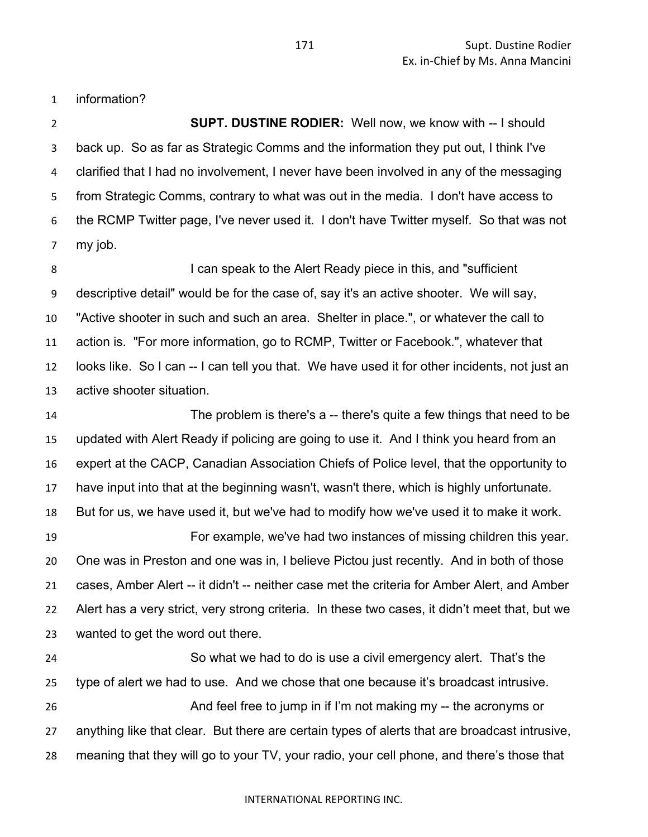information?

 **SUPT. DUSTINE RODIER:** Well now, we know with -- I should back up. So as far as Strategic Comms and the information they put out, I think I've clarified that I had no involvement, I never have been involved in any of the messaging from Strategic Comms, contrary to what was out in the media. I don't have access to the RCMP Twitter page, I've never used it. I don't have Twitter myself. So that was not my job.

**I can speak to the Alert Ready piece in this, and "sufficient**  descriptive detail" would be for the case of, say it's an active shooter. We will say, "Active shooter in such and such an area. Shelter in place.", or whatever the call to action is. "For more information, go to RCMP, Twitter or Facebook.", whatever that looks like. So I can -- I can tell you that. We have used it for other incidents, not just an active shooter situation.

 The problem is there's a -- there's quite a few things that need to be updated with Alert Ready if policing are going to use it. And I think you heard from an expert at the CACP, Canadian Association Chiefs of Police level, that the opportunity to have input into that at the beginning wasn't, wasn't there, which is highly unfortunate. But for us, we have used it, but we've had to modify how we've used it to make it work. For example, we've had two instances of missing children this year. One was in Preston and one was in, I believe Pictou just recently. And in both of those cases, Amber Alert -- it didn't -- neither case met the criteria for Amber Alert, and Amber Alert has a very strict, very strong criteria. In these two cases, it didn't meet that, but we wanted to get the word out there.

 So what we had to do is use a civil emergency alert. That's the type of alert we had to use. And we chose that one because it's broadcast intrusive. And feel free to jump in if I'm not making my -- the acronyms or anything like that clear. But there are certain types of alerts that are broadcast intrusive, meaning that they will go to your TV, your radio, your cell phone, and there's those that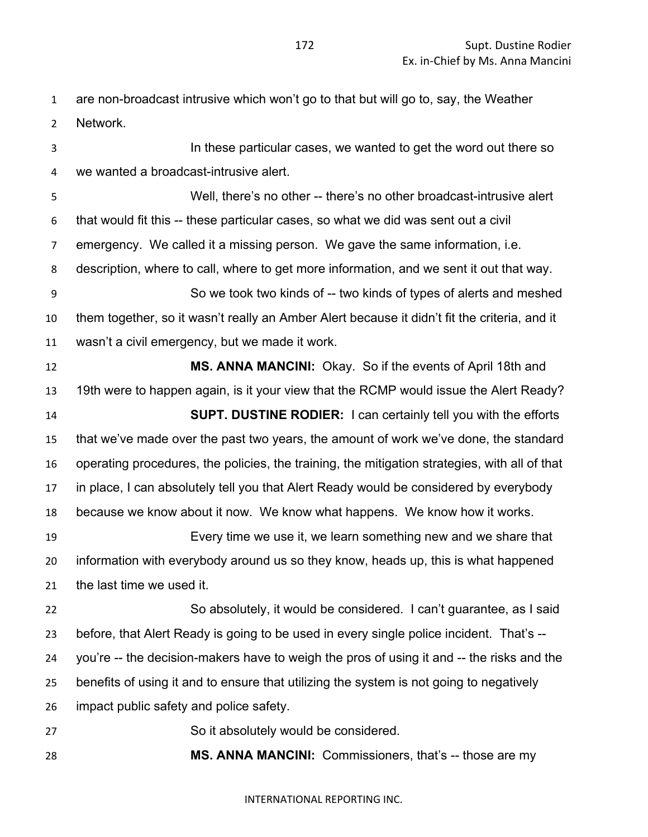are non-broadcast intrusive which won't go to that but will go to, say, the Weather Network.

 In these particular cases, we wanted to get the word out there so we wanted a broadcast-intrusive alert. Well, there's no other -- there's no other broadcast-intrusive alert that would fit this -- these particular cases, so what we did was sent out a civil emergency. We called it a missing person. We gave the same information, i.e. description, where to call, where to get more information, and we sent it out that way. So we took two kinds of -- two kinds of types of alerts and meshed them together, so it wasn't really an Amber Alert because it didn't fit the criteria, and it wasn't a civil emergency, but we made it work. **MS. ANNA MANCINI:** Okay. So if the events of April 18th and 19th were to happen again, is it your view that the RCMP would issue the Alert Ready? **SUPT. DUSTINE RODIER:** I can certainly tell you with the efforts that we've made over the past two years, the amount of work we've done, the standard operating procedures, the policies, the training, the mitigation strategies, with all of that in place, I can absolutely tell you that Alert Ready would be considered by everybody because we know about it now. We know what happens. We know how it works. Every time we use it, we learn something new and we share that information with everybody around us so they know, heads up, this is what happened the last time we used it. So absolutely, it would be considered. I can't guarantee, as I said before, that Alert Ready is going to be used in every single police incident. That's -- you're -- the decision-makers have to weigh the pros of using it and -- the risks and the benefits of using it and to ensure that utilizing the system is not going to negatively impact public safety and police safety. So it absolutely would be considered. **MS. ANNA MANCINI:** Commissioners, that's -- those are my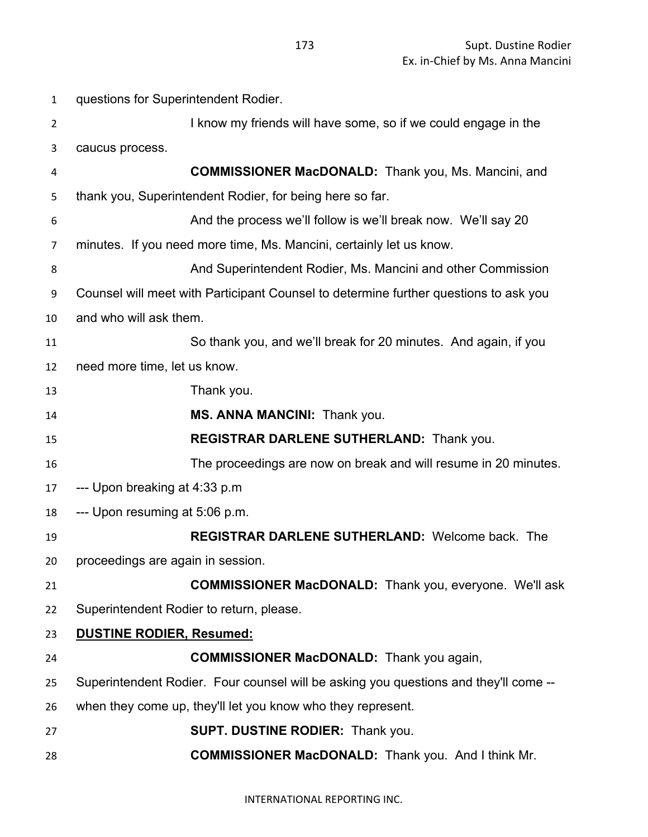| $\mathbf{1}$   | questions for Superintendent Rodier.                                                 |
|----------------|--------------------------------------------------------------------------------------|
| $\overline{2}$ | I know my friends will have some, so if we could engage in the                       |
| 3              | caucus process.                                                                      |
| 4              | <b>COMMISSIONER MacDONALD:</b> Thank you, Ms. Mancini, and                           |
| 5              | thank you, Superintendent Rodier, for being here so far.                             |
| 6              | And the process we'll follow is we'll break now. We'll say 20                        |
| 7              | minutes. If you need more time, Ms. Mancini, certainly let us know.                  |
| 8              | And Superintendent Rodier, Ms. Mancini and other Commission                          |
| 9              | Counsel will meet with Participant Counsel to determine further questions to ask you |
| 10             | and who will ask them.                                                               |
| 11             | So thank you, and we'll break for 20 minutes. And again, if you                      |
| 12             | need more time, let us know.                                                         |
| 13             | Thank you.                                                                           |
| 14             | MS. ANNA MANCINI: Thank you.                                                         |
| 15             | REGISTRAR DARLENE SUTHERLAND: Thank you.                                             |
| 16             | The proceedings are now on break and will resume in 20 minutes.                      |
| 17             | --- Upon breaking at 4:33 p.m                                                        |
| 18             | --- Upon resuming at 5:06 p.m.                                                       |
| 19             | <b>REGISTRAR DARLENE SUTHERLAND: Welcome back. The</b>                               |
| 20             | proceedings are again in session.                                                    |
| 21             | <b>COMMISSIONER MacDONALD:</b> Thank you, everyone. We'll ask                        |
| 22             | Superintendent Rodier to return, please.                                             |
| 23             | <b>DUSTINE RODIER, Resumed:</b>                                                      |
| 24             | <b>COMMISSIONER MacDONALD:</b> Thank you again,                                      |
| 25             | Superintendent Rodier. Four counsel will be asking you questions and they'll come -- |
| 26             | when they come up, they'll let you know who they represent.                          |
| 27             | <b>SUPT. DUSTINE RODIER: Thank you.</b>                                              |
| 28             | <b>COMMISSIONER MacDONALD:</b> Thank you. And I think Mr.                            |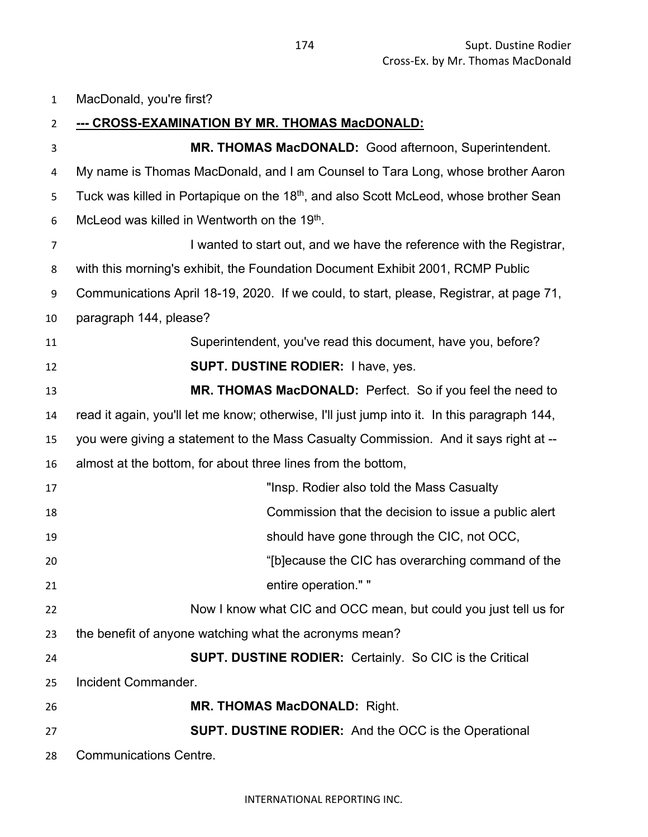MacDonald, you're first?

| $\overline{2}$ | <u>--- CROSS-EXAMINATION BY MR. THOMAS MacDONALD:</u>                                             |
|----------------|---------------------------------------------------------------------------------------------------|
| 3              | MR. THOMAS MacDONALD: Good afternoon, Superintendent.                                             |
| 4              | My name is Thomas MacDonald, and I am Counsel to Tara Long, whose brother Aaron                   |
| 5              | Tuck was killed in Portapique on the 18 <sup>th</sup> , and also Scott McLeod, whose brother Sean |
| 6              | McLeod was killed in Wentworth on the 19 <sup>th</sup> .                                          |
| $\overline{7}$ | I wanted to start out, and we have the reference with the Registrar,                              |
| 8              | with this morning's exhibit, the Foundation Document Exhibit 2001, RCMP Public                    |
| 9              | Communications April 18-19, 2020. If we could, to start, please, Registrar, at page 71,           |
| 10             | paragraph 144, please?                                                                            |
| 11             | Superintendent, you've read this document, have you, before?                                      |
| 12             | <b>SUPT. DUSTINE RODIER: I have, yes.</b>                                                         |
| 13             | MR. THOMAS MacDONALD: Perfect. So if you feel the need to                                         |
| 14             | read it again, you'll let me know; otherwise, I'll just jump into it. In this paragraph 144,      |
| 15             | you were giving a statement to the Mass Casualty Commission. And it says right at --              |
| 16             | almost at the bottom, for about three lines from the bottom,                                      |
| 17             | "Insp. Rodier also told the Mass Casualty                                                         |
| 18             | Commission that the decision to issue a public alert                                              |
| 19             | should have gone through the CIC, not OCC,                                                        |
| 20             | "[b]ecause the CIC has overarching command of the                                                 |
| 21             | entire operation." "                                                                              |
| 22             | Now I know what CIC and OCC mean, but could you just tell us for                                  |
| 23             | the benefit of anyone watching what the acronyms mean?                                            |
| 24             | <b>SUPT. DUSTINE RODIER: Certainly. So CIC is the Critical</b>                                    |
| 25             | Incident Commander.                                                                               |
| 26             | <b>MR. THOMAS MacDONALD: Right.</b>                                                               |
| 27             | <b>SUPT. DUSTINE RODIER:</b> And the OCC is the Operational                                       |
| 28             | <b>Communications Centre.</b>                                                                     |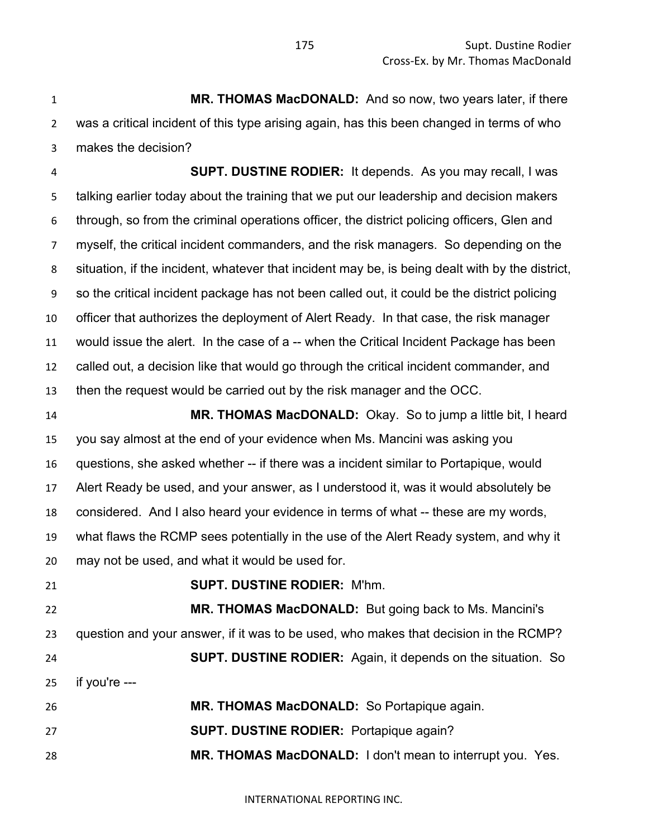**MR. THOMAS MacDONALD:** And so now, two years later, if there was a critical incident of this type arising again, has this been changed in terms of who makes the decision?

 **SUPT. DUSTINE RODIER:** It depends. As you may recall, I was talking earlier today about the training that we put our leadership and decision makers through, so from the criminal operations officer, the district policing officers, Glen and myself, the critical incident commanders, and the risk managers. So depending on the situation, if the incident, whatever that incident may be, is being dealt with by the district, so the critical incident package has not been called out, it could be the district policing officer that authorizes the deployment of Alert Ready. In that case, the risk manager would issue the alert. In the case of a -- when the Critical Incident Package has been called out, a decision like that would go through the critical incident commander, and then the request would be carried out by the risk manager and the OCC.

 **MR. THOMAS MacDONALD:** Okay. So to jump a little bit, I heard you say almost at the end of your evidence when Ms. Mancini was asking you questions, she asked whether -- if there was a incident similar to Portapique, would Alert Ready be used, and your answer, as I understood it, was it would absolutely be considered. And I also heard your evidence in terms of what -- these are my words, what flaws the RCMP sees potentially in the use of the Alert Ready system, and why it may not be used, and what it would be used for.

**SUPT. DUSTINE RODIER:** M'hm.

 **MR. THOMAS MacDONALD:** But going back to Ms. Mancini's question and your answer, if it was to be used, who makes that decision in the RCMP? **SUPT. DUSTINE RODIER:** Again, it depends on the situation. So if you're --- **MR. THOMAS MacDONALD:** So Portapique again.

**SUPT. DUSTINE RODIER:** Portapique again?

**MR. THOMAS MacDONALD:** I don't mean to interrupt you. Yes.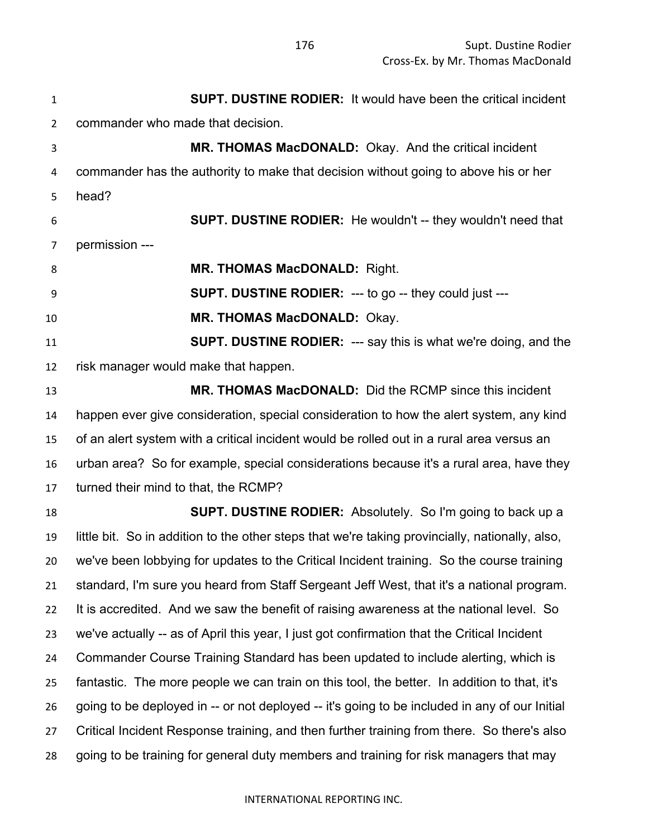**SUPT. DUSTINE RODIER:** It would have been the critical incident commander who made that decision. **MR. THOMAS MacDONALD:** Okay. And the critical incident commander has the authority to make that decision without going to above his or her head? **SUPT. DUSTINE RODIER:** He wouldn't -- they wouldn't need that permission --- **MR. THOMAS MacDONALD:** Right. **SUPT. DUSTINE RODIER:** --- to go -- they could just --- **MR. THOMAS MacDONALD:** Okay. **SUPT. DUSTINE RODIER:** --- say this is what we're doing, and the risk manager would make that happen. **MR. THOMAS MacDONALD:** Did the RCMP since this incident happen ever give consideration, special consideration to how the alert system, any kind of an alert system with a critical incident would be rolled out in a rural area versus an urban area? So for example, special considerations because it's a rural area, have they turned their mind to that, the RCMP? **SUPT. DUSTINE RODIER:** Absolutely. So I'm going to back up a little bit. So in addition to the other steps that we're taking provincially, nationally, also, we've been lobbying for updates to the Critical Incident training. So the course training standard, I'm sure you heard from Staff Sergeant Jeff West, that it's a national program. It is accredited. And we saw the benefit of raising awareness at the national level. So we've actually -- as of April this year, I just got confirmation that the Critical Incident Commander Course Training Standard has been updated to include alerting, which is fantastic. The more people we can train on this tool, the better. In addition to that, it's going to be deployed in -- or not deployed -- it's going to be included in any of our Initial Critical Incident Response training, and then further training from there. So there's also going to be training for general duty members and training for risk managers that may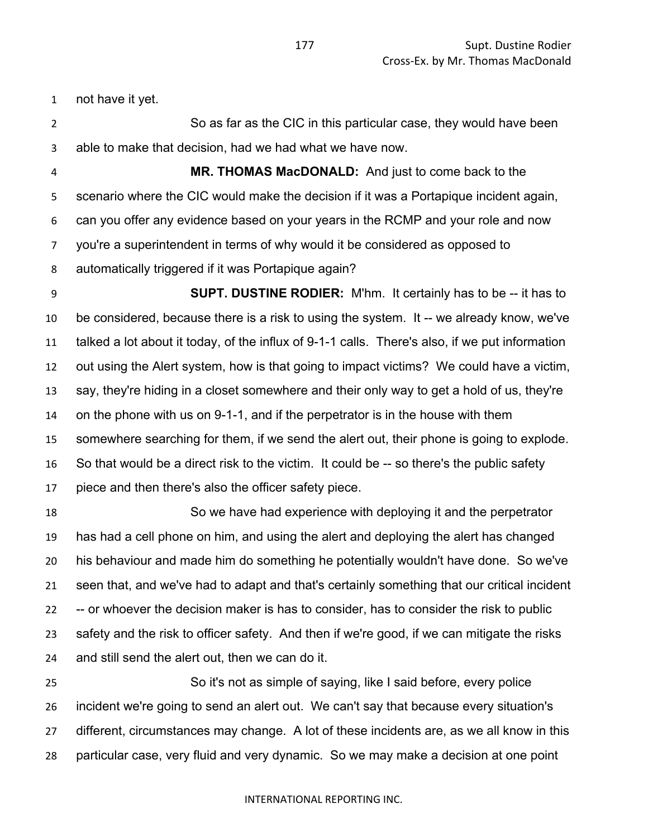not have it yet.

 So as far as the CIC in this particular case, they would have been able to make that decision, had we had what we have now.

 **MR. THOMAS MacDONALD:** And just to come back to the scenario where the CIC would make the decision if it was a Portapique incident again, can you offer any evidence based on your years in the RCMP and your role and now you're a superintendent in terms of why would it be considered as opposed to automatically triggered if it was Portapique again?

 **SUPT. DUSTINE RODIER:** M'hm. It certainly has to be -- it has to be considered, because there is a risk to using the system. It -- we already know, we've talked a lot about it today, of the influx of 9-1-1 calls. There's also, if we put information out using the Alert system, how is that going to impact victims? We could have a victim, say, they're hiding in a closet somewhere and their only way to get a hold of us, they're on the phone with us on 9-1-1, and if the perpetrator is in the house with them somewhere searching for them, if we send the alert out, their phone is going to explode. So that would be a direct risk to the victim. It could be -- so there's the public safety piece and then there's also the officer safety piece.

 So we have had experience with deploying it and the perpetrator has had a cell phone on him, and using the alert and deploying the alert has changed his behaviour and made him do something he potentially wouldn't have done. So we've seen that, and we've had to adapt and that's certainly something that our critical incident -- or whoever the decision maker is has to consider, has to consider the risk to public safety and the risk to officer safety. And then if we're good, if we can mitigate the risks and still send the alert out, then we can do it.

 So it's not as simple of saying, like I said before, every police incident we're going to send an alert out. We can't say that because every situation's different, circumstances may change. A lot of these incidents are, as we all know in this particular case, very fluid and very dynamic. So we may make a decision at one point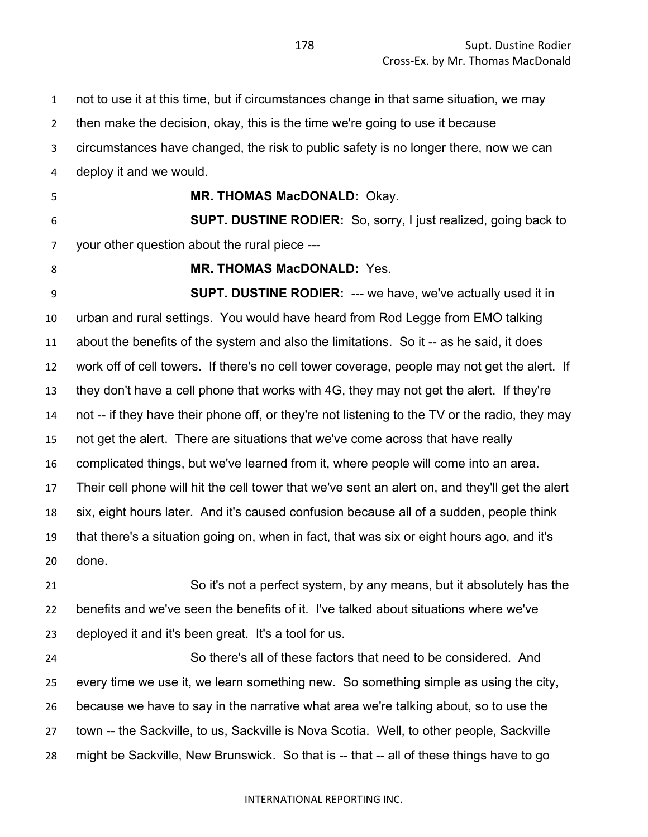not to use it at this time, but if circumstances change in that same situation, we may then make the decision, okay, this is the time we're going to use it because circumstances have changed, the risk to public safety is no longer there, now we can deploy it and we would. **MR. THOMAS MacDONALD:** Okay. **SUPT. DUSTINE RODIER:** So, sorry, I just realized, going back to your other question about the rural piece --- **MR. THOMAS MacDONALD:** Yes. **SUPT. DUSTINE RODIER:** --- we have, we've actually used it in urban and rural settings. You would have heard from Rod Legge from EMO talking about the benefits of the system and also the limitations. So it -- as he said, it does work off of cell towers. If there's no cell tower coverage, people may not get the alert. If they don't have a cell phone that works with 4G, they may not get the alert. If they're not -- if they have their phone off, or they're not listening to the TV or the radio, they may not get the alert. There are situations that we've come across that have really complicated things, but we've learned from it, where people will come into an area. Their cell phone will hit the cell tower that we've sent an alert on, and they'll get the alert six, eight hours later. And it's caused confusion because all of a sudden, people think that there's a situation going on, when in fact, that was six or eight hours ago, and it's done. So it's not a perfect system, by any means, but it absolutely has the benefits and we've seen the benefits of it. I've talked about situations where we've deployed it and it's been great. It's a tool for us. So there's all of these factors that need to be considered. And every time we use it, we learn something new. So something simple as using the city,

because we have to say in the narrative what area we're talking about, so to use the

 town -- the Sackville, to us, Sackville is Nova Scotia. Well, to other people, Sackville might be Sackville, New Brunswick. So that is -- that -- all of these things have to go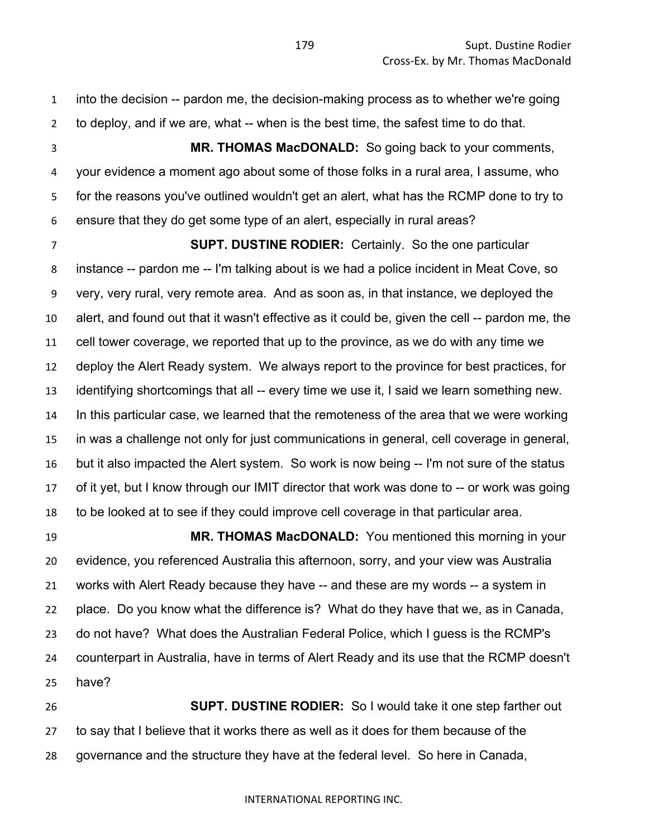into the decision -- pardon me, the decision-making process as to whether we're going to deploy, and if we are, what -- when is the best time, the safest time to do that.

 **MR. THOMAS MacDONALD:** So going back to your comments, your evidence a moment ago about some of those folks in a rural area, I assume, who for the reasons you've outlined wouldn't get an alert, what has the RCMP done to try to ensure that they do get some type of an alert, especially in rural areas?

 **SUPT. DUSTINE RODIER:** Certainly. So the one particular instance -- pardon me -- I'm talking about is we had a police incident in Meat Cove, so very, very rural, very remote area. And as soon as, in that instance, we deployed the alert, and found out that it wasn't effective as it could be, given the cell -- pardon me, the cell tower coverage, we reported that up to the province, as we do with any time we deploy the Alert Ready system. We always report to the province for best practices, for identifying shortcomings that all -- every time we use it, I said we learn something new. In this particular case, we learned that the remoteness of the area that we were working in was a challenge not only for just communications in general, cell coverage in general, but it also impacted the Alert system. So work is now being -- I'm not sure of the status of it yet, but I know through our IMIT director that work was done to -- or work was going to be looked at to see if they could improve cell coverage in that particular area.

 **MR. THOMAS MacDONALD:** You mentioned this morning in your evidence, you referenced Australia this afternoon, sorry, and your view was Australia works with Alert Ready because they have -- and these are my words -- a system in place. Do you know what the difference is? What do they have that we, as in Canada, do not have? What does the Australian Federal Police, which I guess is the RCMP's counterpart in Australia, have in terms of Alert Ready and its use that the RCMP doesn't have?

 **SUPT. DUSTINE RODIER:** So I would take it one step farther out to say that I believe that it works there as well as it does for them because of the governance and the structure they have at the federal level. So here in Canada,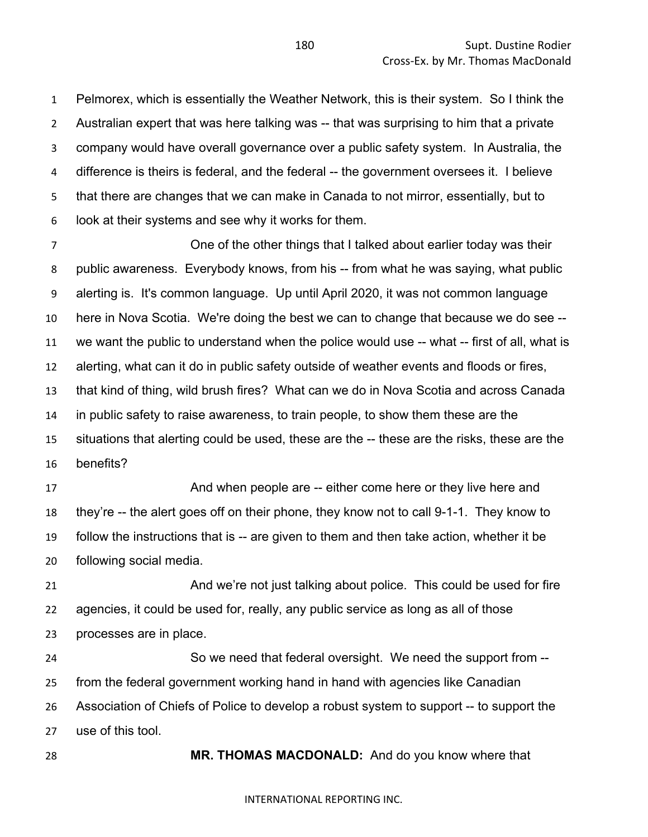Pelmorex, which is essentially the Weather Network, this is their system. So I think the Australian expert that was here talking was -- that was surprising to him that a private company would have overall governance over a public safety system. In Australia, the difference is theirs is federal, and the federal -- the government oversees it. I believe that there are changes that we can make in Canada to not mirror, essentially, but to look at their systems and see why it works for them.

 One of the other things that I talked about earlier today was their public awareness. Everybody knows, from his -- from what he was saying, what public alerting is. It's common language. Up until April 2020, it was not common language here in Nova Scotia. We're doing the best we can to change that because we do see -- we want the public to understand when the police would use -- what -- first of all, what is alerting, what can it do in public safety outside of weather events and floods or fires, that kind of thing, wild brush fires? What can we do in Nova Scotia and across Canada in public safety to raise awareness, to train people, to show them these are the situations that alerting could be used, these are the -- these are the risks, these are the benefits?

17 And when people are -- either come here or they live here and they're -- the alert goes off on their phone, they know not to call 9-1-1. They know to follow the instructions that is -- are given to them and then take action, whether it be following social media.

 And we're not just talking about police. This could be used for fire agencies, it could be used for, really, any public service as long as all of those processes are in place.

 So we need that federal oversight. We need the support from -- from the federal government working hand in hand with agencies like Canadian Association of Chiefs of Police to develop a robust system to support -- to support the use of this tool.

**MR. THOMAS MACDONALD:** And do you know where that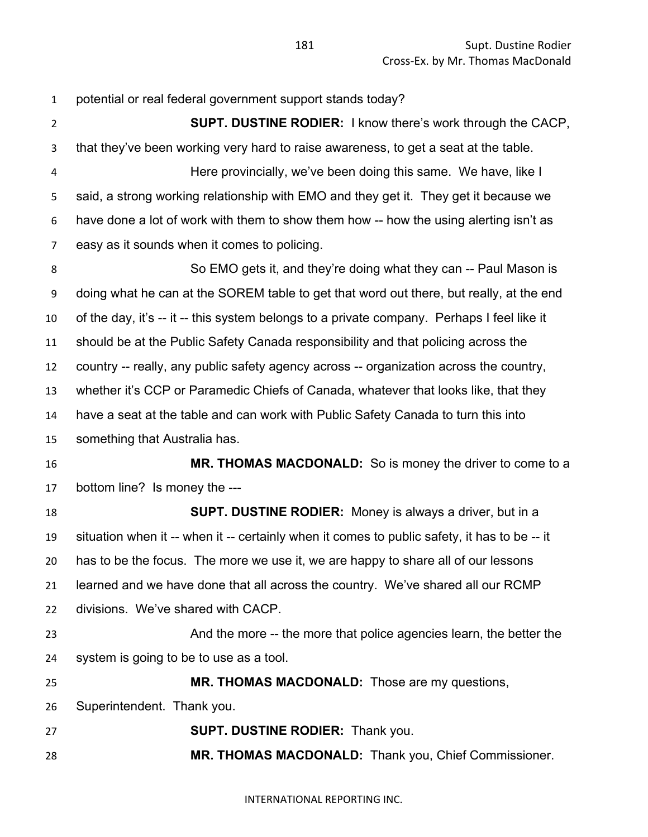potential or real federal government support stands today? **SUPT. DUSTINE RODIER:** I know there's work through the CACP, that they've been working very hard to raise awareness, to get a seat at the table. Here provincially, we've been doing this same. We have, like I said, a strong working relationship with EMO and they get it. They get it because we have done a lot of work with them to show them how -- how the using alerting isn't as easy as it sounds when it comes to policing. So EMO gets it, and they're doing what they can -- Paul Mason is doing what he can at the SOREM table to get that word out there, but really, at the end of the day, it's -- it -- this system belongs to a private company. Perhaps I feel like it should be at the Public Safety Canada responsibility and that policing across the country -- really, any public safety agency across -- organization across the country, whether it's CCP or Paramedic Chiefs of Canada, whatever that looks like, that they have a seat at the table and can work with Public Safety Canada to turn this into something that Australia has. **MR. THOMAS MACDONALD:** So is money the driver to come to a bottom line? Is money the --- **SUPT. DUSTINE RODIER:** Money is always a driver, but in a situation when it -- when it -- certainly when it comes to public safety, it has to be -- it has to be the focus. The more we use it, we are happy to share all of our lessons learned and we have done that all across the country. We've shared all our RCMP divisions. We've shared with CACP. And the more -- the more that police agencies learn, the better the system is going to be to use as a tool. **MR. THOMAS MACDONALD:** Those are my questions, Superintendent. Thank you. **SUPT. DUSTINE RODIER:** Thank you. **MR. THOMAS MACDONALD:** Thank you, Chief Commissioner.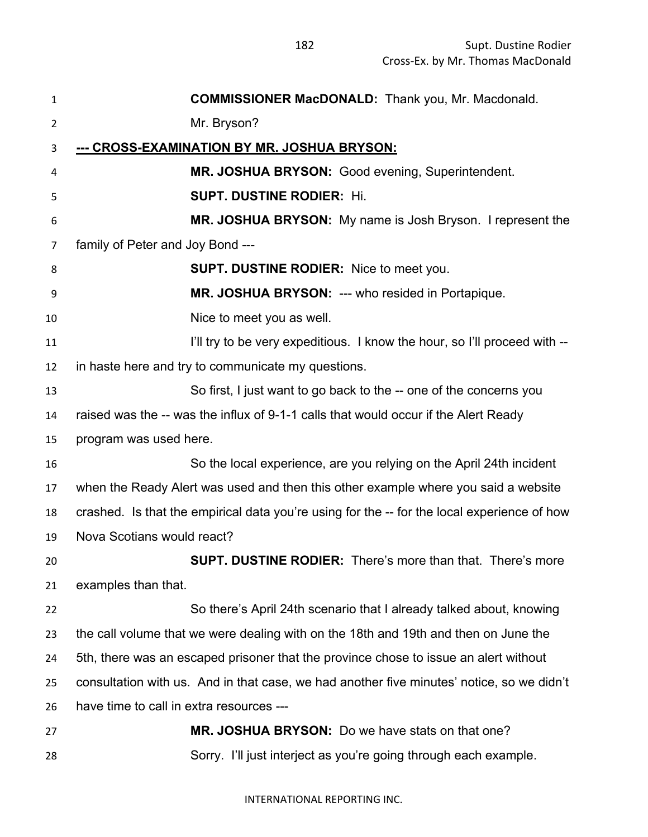| $\mathbf{1}$   | <b>COMMISSIONER MacDONALD:</b> Thank you, Mr. Macdonald.                                    |
|----------------|---------------------------------------------------------------------------------------------|
| $\overline{2}$ | Mr. Bryson?                                                                                 |
| 3              | <u>--- CROSS-EXAMINATION BY MR. JOSHUA BRYSON:</u>                                          |
| 4              | MR. JOSHUA BRYSON: Good evening, Superintendent.                                            |
| 5              | <b>SUPT. DUSTINE RODIER: Hi.</b>                                                            |
| 6              | MR. JOSHUA BRYSON: My name is Josh Bryson. I represent the                                  |
| 7              | family of Peter and Joy Bond ---                                                            |
| 8              | <b>SUPT. DUSTINE RODIER:</b> Nice to meet you.                                              |
| 9              | MR. JOSHUA BRYSON: --- who resided in Portapique.                                           |
| 10             | Nice to meet you as well.                                                                   |
| 11             | I'll try to be very expeditious. I know the hour, so I'll proceed with --                   |
| 12             | in haste here and try to communicate my questions.                                          |
| 13             | So first, I just want to go back to the -- one of the concerns you                          |
| 14             | raised was the -- was the influx of 9-1-1 calls that would occur if the Alert Ready         |
| 15             | program was used here.                                                                      |
| 16             | So the local experience, are you relying on the April 24th incident                         |
| 17             | when the Ready Alert was used and then this other example where you said a website          |
| 18             | crashed. Is that the empirical data you're using for the -- for the local experience of how |
| 19             | Nova Scotians would react?                                                                  |
| 20             | <b>SUPT. DUSTINE RODIER:</b> There's more than that. There's more                           |
| 21             | examples than that.                                                                         |
| 22             | So there's April 24th scenario that I already talked about, knowing                         |
| 23             | the call volume that we were dealing with on the 18th and 19th and then on June the         |
| 24             | 5th, there was an escaped prisoner that the province chose to issue an alert without        |
| 25             | consultation with us. And in that case, we had another five minutes' notice, so we didn't   |
| 26             | have time to call in extra resources ---                                                    |
| 27             | MR. JOSHUA BRYSON: Do we have stats on that one?                                            |
| 28             | Sorry. I'll just interject as you're going through each example.                            |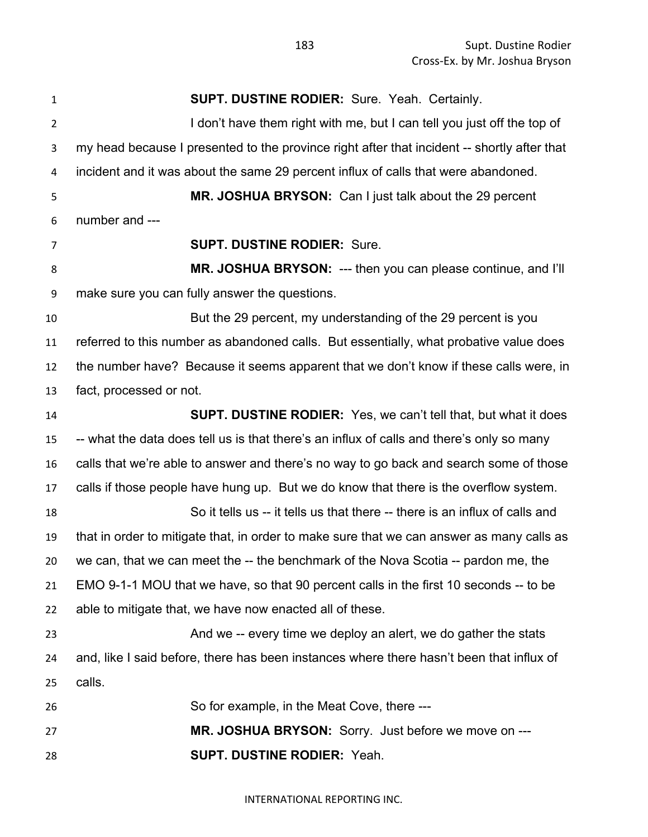**SUPT. DUSTINE RODIER:** Sure. Yeah. Certainly. 2 I don't have them right with me, but I can tell you just off the top of my head because I presented to the province right after that incident -- shortly after that incident and it was about the same 29 percent influx of calls that were abandoned. **MR. JOSHUA BRYSON:** Can I just talk about the 29 percent number and --- **SUPT. DUSTINE RODIER:** Sure. **MR. JOSHUA BRYSON:** --- then you can please continue, and I'll make sure you can fully answer the questions. But the 29 percent, my understanding of the 29 percent is you referred to this number as abandoned calls. But essentially, what probative value does the number have? Because it seems apparent that we don't know if these calls were, in fact, processed or not. **SUPT. DUSTINE RODIER:** Yes, we can't tell that, but what it does -- what the data does tell us is that there's an influx of calls and there's only so many calls that we're able to answer and there's no way to go back and search some of those calls if those people have hung up. But we do know that there is the overflow system. So it tells us -- it tells us that there -- there is an influx of calls and that in order to mitigate that, in order to make sure that we can answer as many calls as we can, that we can meet the -- the benchmark of the Nova Scotia -- pardon me, the EMO 9-1-1 MOU that we have, so that 90 percent calls in the first 10 seconds -- to be able to mitigate that, we have now enacted all of these. And we -- every time we deploy an alert, we do gather the stats and, like I said before, there has been instances where there hasn't been that influx of calls. So for example, in the Meat Cove, there --- **MR. JOSHUA BRYSON:** Sorry. Just before we move on --- **SUPT. DUSTINE RODIER:** Yeah.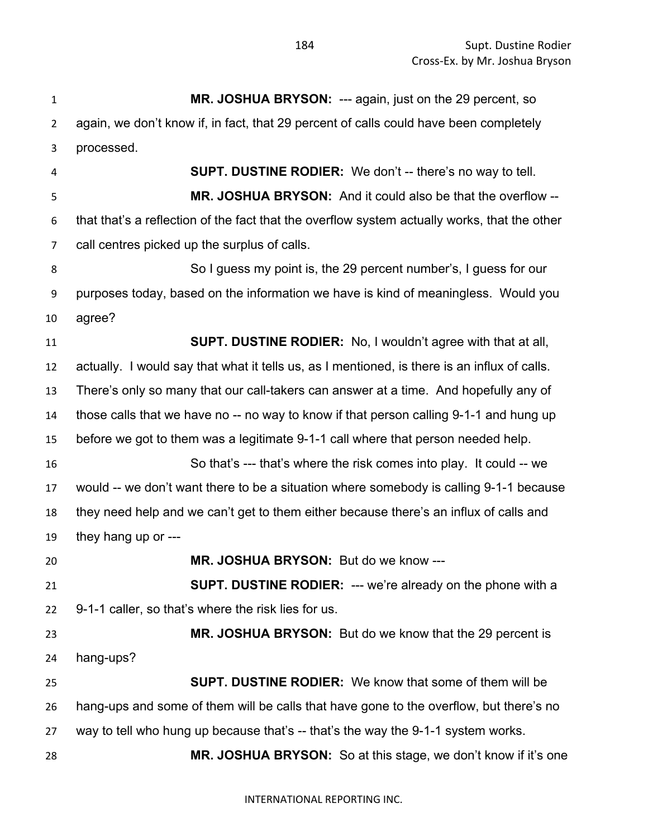**MR. JOSHUA BRYSON:** --- again, just on the 29 percent, so again, we don't know if, in fact, that 29 percent of calls could have been completely processed. **SUPT. DUSTINE RODIER:** We don't -- there's no way to tell. **MR. JOSHUA BRYSON:** And it could also be that the overflow -- that that's a reflection of the fact that the overflow system actually works, that the other call centres picked up the surplus of calls. So I guess my point is, the 29 percent number's, I guess for our purposes today, based on the information we have is kind of meaningless. Would you agree? **SUPT. DUSTINE RODIER:** No, I wouldn't agree with that at all, actually. I would say that what it tells us, as I mentioned, is there is an influx of calls. There's only so many that our call-takers can answer at a time. And hopefully any of those calls that we have no -- no way to know if that person calling 9-1-1 and hung up before we got to them was a legitimate 9-1-1 call where that person needed help. So that's --- that's where the risk comes into play. It could -- we would -- we don't want there to be a situation where somebody is calling 9-1-1 because they need help and we can't get to them either because there's an influx of calls and they hang up or --- **MR. JOSHUA BRYSON:** But do we know --- **SUPT. DUSTINE RODIER:** --- we're already on the phone with a 9-1-1 caller, so that's where the risk lies for us. **MR. JOSHUA BRYSON:** But do we know that the 29 percent is hang-ups? **SUPT. DUSTINE RODIER:** We know that some of them will be hang-ups and some of them will be calls that have gone to the overflow, but there's no way to tell who hung up because that's -- that's the way the 9-1-1 system works. **MR. JOSHUA BRYSON:** So at this stage, we don't know if it's one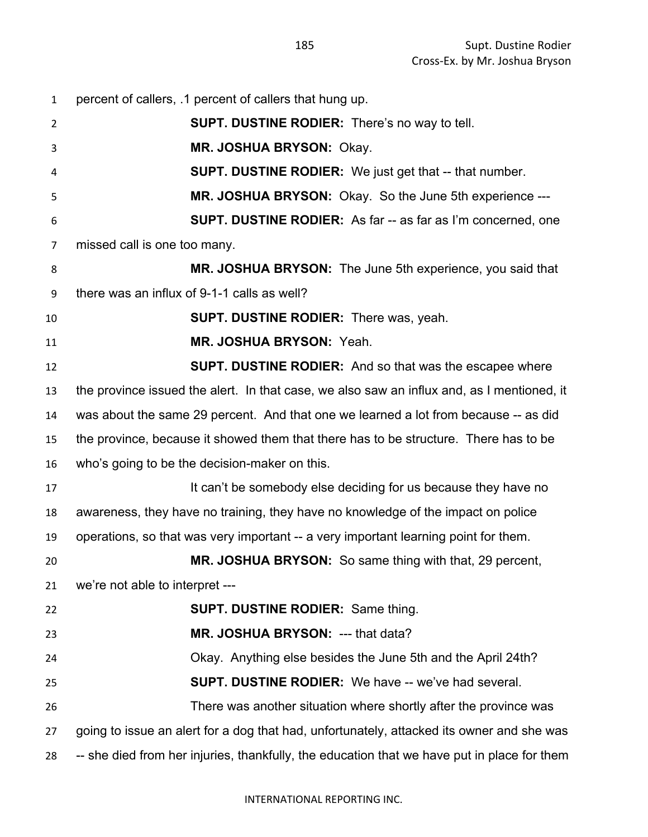| $\mathbf{1}$   | percent of callers, .1 percent of callers that hung up.                                     |
|----------------|---------------------------------------------------------------------------------------------|
| $\overline{2}$ | <b>SUPT. DUSTINE RODIER:</b> There's no way to tell.                                        |
| 3              | MR. JOSHUA BRYSON: Okay.                                                                    |
| 4              | <b>SUPT. DUSTINE RODIER:</b> We just get that -- that number.                               |
| 5              | MR. JOSHUA BRYSON: Okay. So the June 5th experience ---                                     |
| 6              | <b>SUPT. DUSTINE RODIER:</b> As far -- as far as I'm concerned, one                         |
| 7              | missed call is one too many.                                                                |
| 8              | MR. JOSHUA BRYSON: The June 5th experience, you said that                                   |
| 9              | there was an influx of 9-1-1 calls as well?                                                 |
| 10             | <b>SUPT. DUSTINE RODIER:</b> There was, yeah.                                               |
| 11             | MR. JOSHUA BRYSON: Yeah.                                                                    |
| 12             | <b>SUPT. DUSTINE RODIER:</b> And so that was the escapee where                              |
| 13             | the province issued the alert. In that case, we also saw an influx and, as I mentioned, it  |
| 14             | was about the same 29 percent. And that one we learned a lot from because -- as did         |
| 15             | the province, because it showed them that there has to be structure. There has to be        |
| 16             | who's going to be the decision-maker on this.                                               |
| 17             | It can't be somebody else deciding for us because they have no                              |
| 18             | awareness, they have no training, they have no knowledge of the impact on police            |
| 19             | operations, so that was very important -- a very important learning point for them.         |
| 20             | <b>MR. JOSHUA BRYSON:</b> So same thing with that, 29 percent,                              |
| 21             | we're not able to interpret ---                                                             |
| 22             | <b>SUPT. DUSTINE RODIER: Same thing.</b>                                                    |
| 23             | MR. JOSHUA BRYSON: --- that data?                                                           |
| 24             | Okay. Anything else besides the June 5th and the April 24th?                                |
| 25             | <b>SUPT. DUSTINE RODIER:</b> We have -- we've had several.                                  |
| 26             | There was another situation where shortly after the province was                            |
| 27             | going to issue an alert for a dog that had, unfortunately, attacked its owner and she was   |
| 28             | -- she died from her injuries, thankfully, the education that we have put in place for them |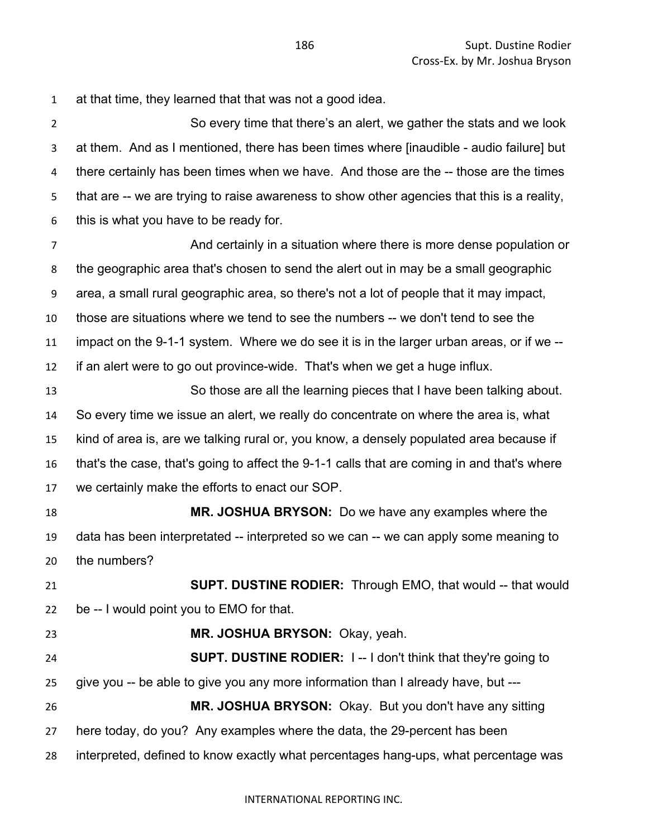at that time, they learned that that was not a good idea.

 So every time that there's an alert, we gather the stats and we look at them. And as I mentioned, there has been times where [inaudible - audio failure] but 4 there certainly has been times when we have. And those are the -- those are the times that are -- we are trying to raise awareness to show other agencies that this is a reality, this is what you have to be ready for.

 And certainly in a situation where there is more dense population or the geographic area that's chosen to send the alert out in may be a small geographic area, a small rural geographic area, so there's not a lot of people that it may impact, those are situations where we tend to see the numbers -- we don't tend to see the impact on the 9-1-1 system. Where we do see it is in the larger urban areas, or if we -- if an alert were to go out province-wide. That's when we get a huge influx.

 So those are all the learning pieces that I have been talking about. So every time we issue an alert, we really do concentrate on where the area is, what kind of area is, are we talking rural or, you know, a densely populated area because if that's the case, that's going to affect the 9-1-1 calls that are coming in and that's where we certainly make the efforts to enact our SOP.

 **MR. JOSHUA BRYSON:** Do we have any examples where the data has been interpretated -- interpreted so we can -- we can apply some meaning to the numbers?

 **SUPT. DUSTINE RODIER:** Through EMO, that would -- that would be -- I would point you to EMO for that.

- **MR. JOSHUA BRYSON:** Okay, yeah. **SUPT. DUSTINE RODIER:** I -- I don't think that they're going to give you -- be able to give you any more information than I already have, but --- **MR. JOSHUA BRYSON:** Okay. But you don't have any sitting
- here today, do you? Any examples where the data, the 29-percent has been
- interpreted, defined to know exactly what percentages hang-ups, what percentage was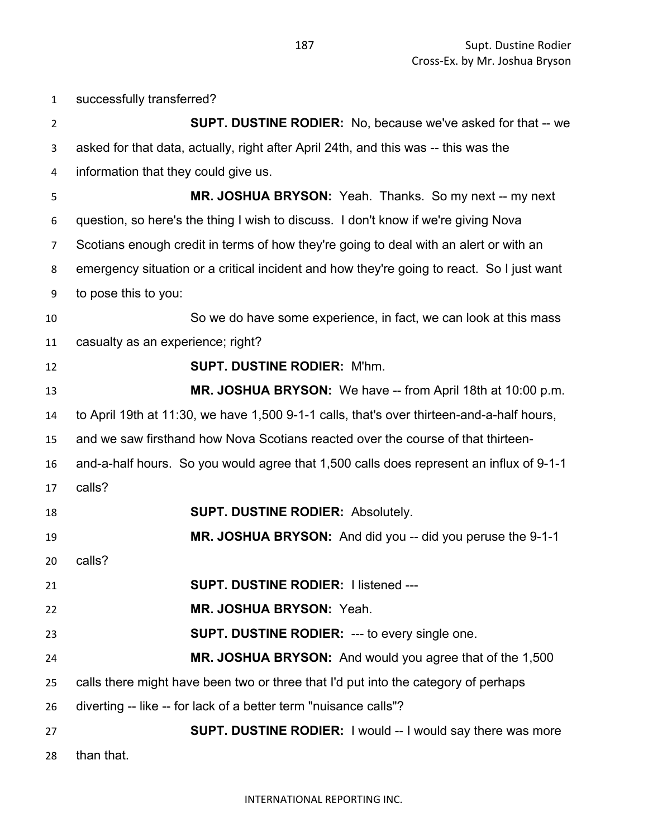successfully transferred? **SUPT. DUSTINE RODIER:** No, because we've asked for that -- we asked for that data, actually, right after April 24th, and this was -- this was the information that they could give us. **MR. JOSHUA BRYSON:** Yeah. Thanks. So my next -- my next question, so here's the thing I wish to discuss. I don't know if we're giving Nova Scotians enough credit in terms of how they're going to deal with an alert or with an emergency situation or a critical incident and how they're going to react. So I just want to pose this to you: So we do have some experience, in fact, we can look at this mass casualty as an experience; right? **SUPT. DUSTINE RODIER:** M'hm. **MR. JOSHUA BRYSON:** We have -- from April 18th at 10:00 p.m. to April 19th at 11:30, we have 1,500 9-1-1 calls, that's over thirteen-and-a-half hours, and we saw firsthand how Nova Scotians reacted over the course of that thirteen- and-a-half hours. So you would agree that 1,500 calls does represent an influx of 9-1-1 calls? **SUPT. DUSTINE RODIER:** Absolutely. **MR. JOSHUA BRYSON:** And did you -- did you peruse the 9-1-1 calls? **SUPT. DUSTINE RODIER:** I listened --- **MR. JOSHUA BRYSON:** Yeah. **SUPT. DUSTINE RODIER:** --- to every single one. **MR. JOSHUA BRYSON:** And would you agree that of the 1,500 calls there might have been two or three that I'd put into the category of perhaps diverting -- like -- for lack of a better term "nuisance calls"? **SUPT. DUSTINE RODIER:** I would -- I would say there was more than that.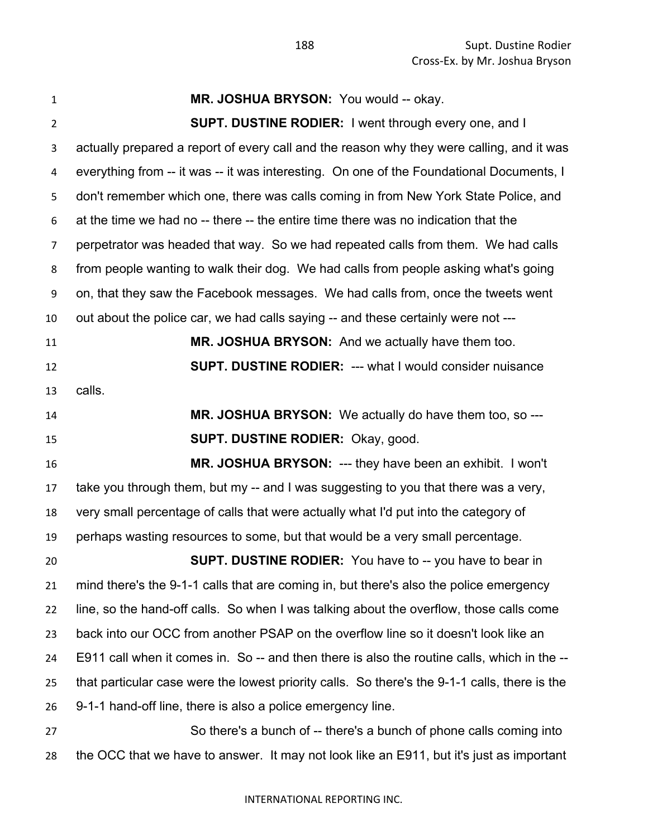| $\mathbf{1}$   | MR. JOSHUA BRYSON: You would -- okay.                                                         |
|----------------|-----------------------------------------------------------------------------------------------|
| $\overline{2}$ | <b>SUPT. DUSTINE RODIER:</b> I went through every one, and I                                  |
| 3              | actually prepared a report of every call and the reason why they were calling, and it was     |
| 4              | everything from -- it was -- it was interesting. On one of the Foundational Documents, I      |
| 5              | don't remember which one, there was calls coming in from New York State Police, and           |
| 6              | at the time we had no -- there -- the entire time there was no indication that the            |
| $\overline{7}$ | perpetrator was headed that way. So we had repeated calls from them. We had calls             |
| 8              | from people wanting to walk their dog. We had calls from people asking what's going           |
| 9              | on, that they saw the Facebook messages. We had calls from, once the tweets went              |
| 10             | out about the police car, we had calls saying -- and these certainly were not ---             |
| 11             | MR. JOSHUA BRYSON: And we actually have them too.                                             |
| 12             | <b>SUPT. DUSTINE RODIER: --- what I would consider nuisance</b>                               |
| 13             | calls.                                                                                        |
| 14             | MR. JOSHUA BRYSON: We actually do have them too, so ---                                       |
| 15             | <b>SUPT. DUSTINE RODIER: Okay, good.</b>                                                      |
| 16             | MR. JOSHUA BRYSON: --- they have been an exhibit. I won't                                     |
| 17             | take you through them, but my -- and I was suggesting to you that there was a very,           |
| 18             | very small percentage of calls that were actually what I'd put into the category of           |
| 19             | perhaps wasting resources to some, but that would be a very small percentage.                 |
| 20             | <b>SUPT. DUSTINE RODIER:</b> You have to -- you have to bear in                               |
| 21             | mind there's the 9-1-1 calls that are coming in, but there's also the police emergency        |
| 22             | line, so the hand-off calls. So when I was talking about the overflow, those calls come       |
| 23             | back into our OCC from another PSAP on the overflow line so it doesn't look like an           |
| 24             | E911 call when it comes in. So -- and then there is also the routine calls, which in the --   |
| 25             | that particular case were the lowest priority calls. So there's the 9-1-1 calls, there is the |
| 26             | 9-1-1 hand-off line, there is also a police emergency line.                                   |
| 27             | So there's a bunch of -- there's a bunch of phone calls coming into                           |
| 28             | the OCC that we have to answer. It may not look like an E911, but it's just as important      |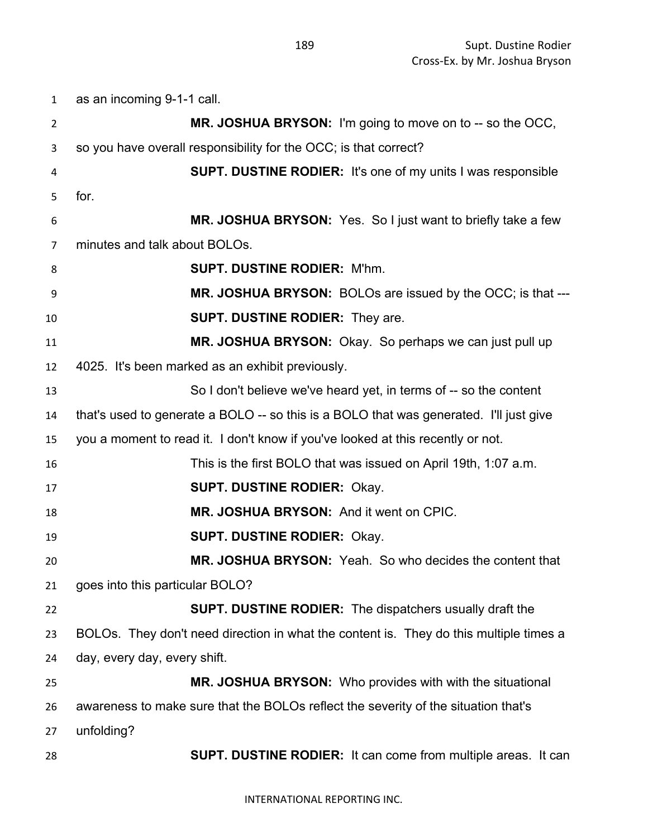as an incoming 9-1-1 call. **MR. JOSHUA BRYSON:** I'm going to move on to -- so the OCC, so you have overall responsibility for the OCC; is that correct? **SUPT. DUSTINE RODIER:** It's one of my units I was responsible for. **MR. JOSHUA BRYSON:** Yes. So I just want to briefly take a few minutes and talk about BOLOs. **SUPT. DUSTINE RODIER:** M'hm. **MR. JOSHUA BRYSON:** BOLOs are issued by the OCC; is that --- **SUPT. DUSTINE RODIER:** They are. **MR. JOSHUA BRYSON:** Okay. So perhaps we can just pull up 4025. It's been marked as an exhibit previously. So I don't believe we've heard yet, in terms of -- so the content that's used to generate a BOLO -- so this is a BOLO that was generated. I'll just give you a moment to read it. I don't know if you've looked at this recently or not. This is the first BOLO that was issued on April 19th, 1:07 a.m. **SUPT. DUSTINE RODIER:** Okay. **MR. JOSHUA BRYSON:** And it went on CPIC. **SUPT. DUSTINE RODIER:** Okay. **MR. JOSHUA BRYSON:** Yeah. So who decides the content that goes into this particular BOLO? **SUPT. DUSTINE RODIER:** The dispatchers usually draft the BOLOs. They don't need direction in what the content is. They do this multiple times a day, every day, every shift. **MR. JOSHUA BRYSON:** Who provides with with the situational awareness to make sure that the BOLOs reflect the severity of the situation that's unfolding? **SUPT. DUSTINE RODIER:** It can come from multiple areas. It can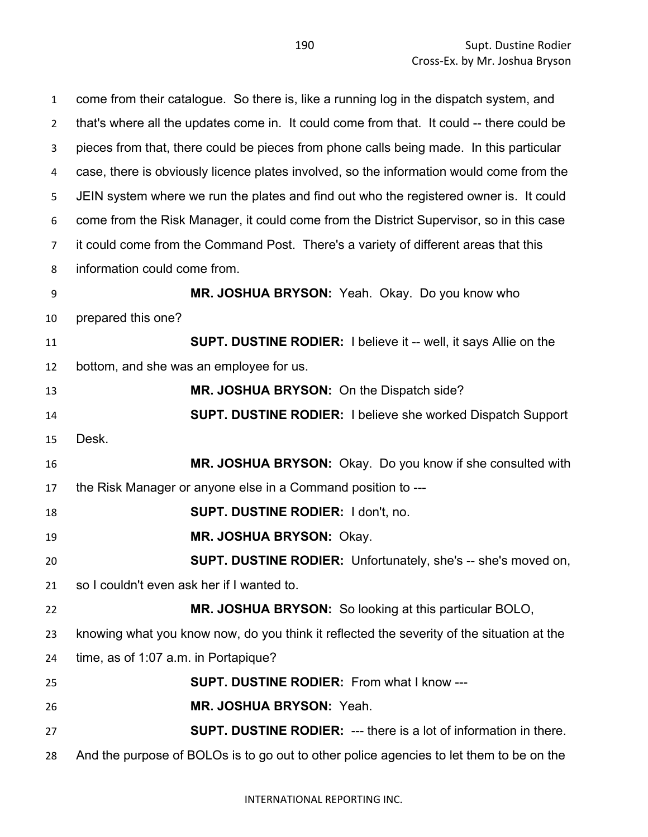come from their catalogue. So there is, like a running log in the dispatch system, and 2 that's where all the updates come in. It could come from that. It could -- there could be pieces from that, there could be pieces from phone calls being made. In this particular case, there is obviously licence plates involved, so the information would come from the JEIN system where we run the plates and find out who the registered owner is. It could come from the Risk Manager, it could come from the District Supervisor, so in this case it could come from the Command Post. There's a variety of different areas that this information could come from. **MR. JOSHUA BRYSON:** Yeah. Okay. Do you know who prepared this one? **SUPT. DUSTINE RODIER:** I believe it -- well, it says Allie on the bottom, and she was an employee for us. **MR. JOSHUA BRYSON:** On the Dispatch side? **SUPT. DUSTINE RODIER:** I believe she worked Dispatch Support Desk. **MR. JOSHUA BRYSON:** Okay. Do you know if she consulted with the Risk Manager or anyone else in a Command position to --- **SUPT. DUSTINE RODIER:** I don't, no. **MR. JOSHUA BRYSON:** Okay. **SUPT. DUSTINE RODIER:** Unfortunately, she's -- she's moved on, so I couldn't even ask her if I wanted to. **MR. JOSHUA BRYSON:** So looking at this particular BOLO, knowing what you know now, do you think it reflected the severity of the situation at the time, as of 1:07 a.m. in Portapique? **SUPT. DUSTINE RODIER:** From what I know --- **MR. JOSHUA BRYSON:** Yeah. **SUPT. DUSTINE RODIER:** --- there is a lot of information in there. And the purpose of BOLOs is to go out to other police agencies to let them to be on the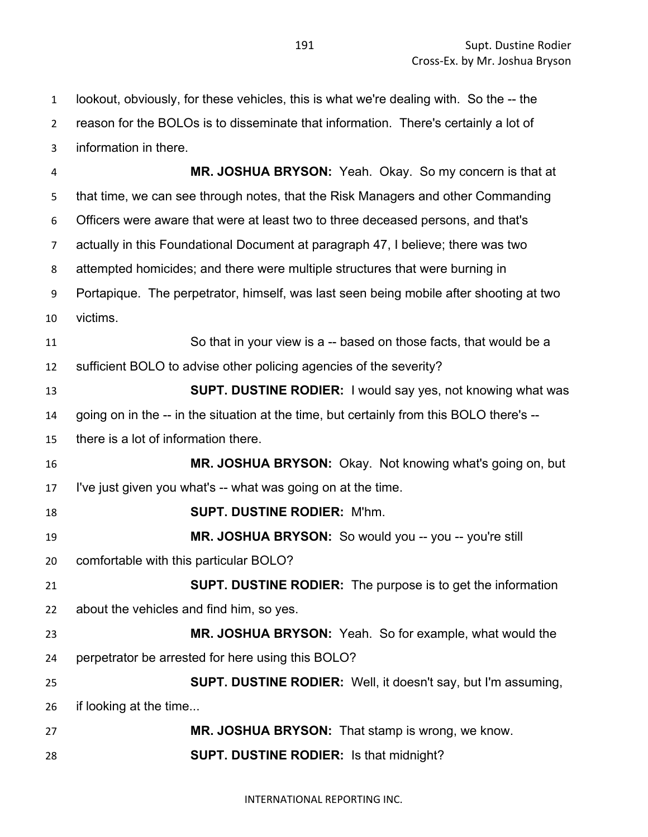lookout, obviously, for these vehicles, this is what we're dealing with. So the -- the reason for the BOLOs is to disseminate that information. There's certainly a lot of information in there.

 **MR. JOSHUA BRYSON:** Yeah. Okay. So my concern is that at that time, we can see through notes, that the Risk Managers and other Commanding Officers were aware that were at least two to three deceased persons, and that's actually in this Foundational Document at paragraph 47, I believe; there was two attempted homicides; and there were multiple structures that were burning in Portapique. The perpetrator, himself, was last seen being mobile after shooting at two victims. So that in your view is a -- based on those facts, that would be a sufficient BOLO to advise other policing agencies of the severity? **SUPT. DUSTINE RODIER:** I would say yes, not knowing what was going on in the -- in the situation at the time, but certainly from this BOLO there's -- there is a lot of information there. **MR. JOSHUA BRYSON:** Okay. Not knowing what's going on, but I've just given you what's -- what was going on at the time. **SUPT. DUSTINE RODIER:** M'hm. **MR. JOSHUA BRYSON:** So would you -- you -- you're still comfortable with this particular BOLO? **SUPT. DUSTINE RODIER:** The purpose is to get the information about the vehicles and find him, so yes. **MR. JOSHUA BRYSON:** Yeah. So for example, what would the perpetrator be arrested for here using this BOLO? **SUPT. DUSTINE RODIER:** Well, it doesn't say, but I'm assuming, if looking at the time... **MR. JOSHUA BRYSON:** That stamp is wrong, we know. **SUPT. DUSTINE RODIER:** Is that midnight?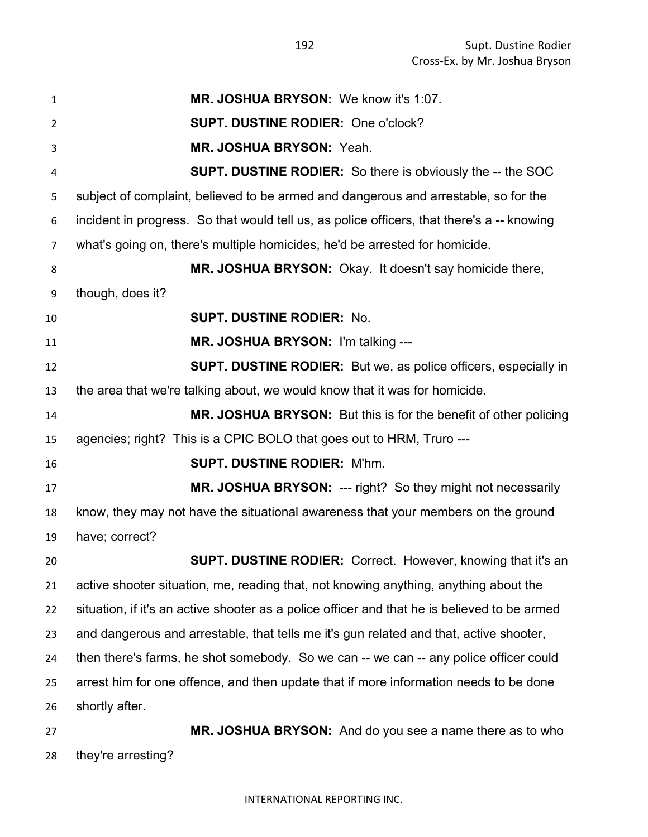**MR. JOSHUA BRYSON:** We know it's 1:07. **SUPT. DUSTINE RODIER:** One o'clock? **MR. JOSHUA BRYSON:** Yeah. **SUPT. DUSTINE RODIER:** So there is obviously the -- the SOC subject of complaint, believed to be armed and dangerous and arrestable, so for the incident in progress. So that would tell us, as police officers, that there's a -- knowing what's going on, there's multiple homicides, he'd be arrested for homicide. **MR. JOSHUA BRYSON:** Okay. It doesn't say homicide there, though, does it? **SUPT. DUSTINE RODIER:** No. **MR. JOSHUA BRYSON:** I'm talking --- **SUPT. DUSTINE RODIER:** But we, as police officers, especially in the area that we're talking about, we would know that it was for homicide. **MR. JOSHUA BRYSON:** But this is for the benefit of other policing agencies; right? This is a CPIC BOLO that goes out to HRM, Truro --- **SUPT. DUSTINE RODIER:** M'hm. **MR. JOSHUA BRYSON:** --- right? So they might not necessarily know, they may not have the situational awareness that your members on the ground have; correct? **SUPT. DUSTINE RODIER:** Correct. However, knowing that it's an active shooter situation, me, reading that, not knowing anything, anything about the situation, if it's an active shooter as a police officer and that he is believed to be armed and dangerous and arrestable, that tells me it's gun related and that, active shooter, then there's farms, he shot somebody. So we can -- we can -- any police officer could arrest him for one offence, and then update that if more information needs to be done shortly after. **MR. JOSHUA BRYSON:** And do you see a name there as to who

they're arresting?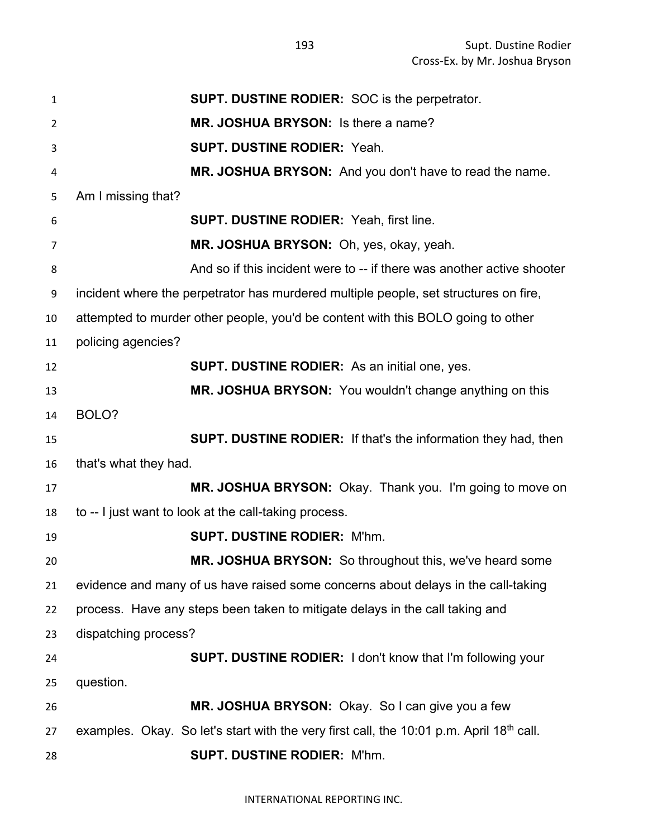**SUPT. DUSTINE RODIER:** SOC is the perpetrator. **MR. JOSHUA BRYSON:** Is there a name? **SUPT. DUSTINE RODIER:** Yeah. **MR. JOSHUA BRYSON:** And you don't have to read the name. Am I missing that? **SUPT. DUSTINE RODIER:** Yeah, first line. **MR. JOSHUA BRYSON:** Oh, yes, okay, yeah. And so if this incident were to -- if there was another active shooter incident where the perpetrator has murdered multiple people, set structures on fire, attempted to murder other people, you'd be content with this BOLO going to other policing agencies? **SUPT. DUSTINE RODIER:** As an initial one, yes. **MR. JOSHUA BRYSON:** You wouldn't change anything on this BOLO? **SUPT. DUSTINE RODIER:** If that's the information they had, then that's what they had. **MR. JOSHUA BRYSON:** Okay. Thank you. I'm going to move on to -- I just want to look at the call-taking process. **SUPT. DUSTINE RODIER:** M'hm. **MR. JOSHUA BRYSON:** So throughout this, we've heard some evidence and many of us have raised some concerns about delays in the call-taking process. Have any steps been taken to mitigate delays in the call taking and dispatching process? **SUPT. DUSTINE RODIER:** I don't know that I'm following your question. **MR. JOSHUA BRYSON:** Okay. So I can give you a few 27 examples. Okay. So let's start with the very first call, the 10:01 p.m. April 18<sup>th</sup> call. **SUPT. DUSTINE RODIER:** M'hm.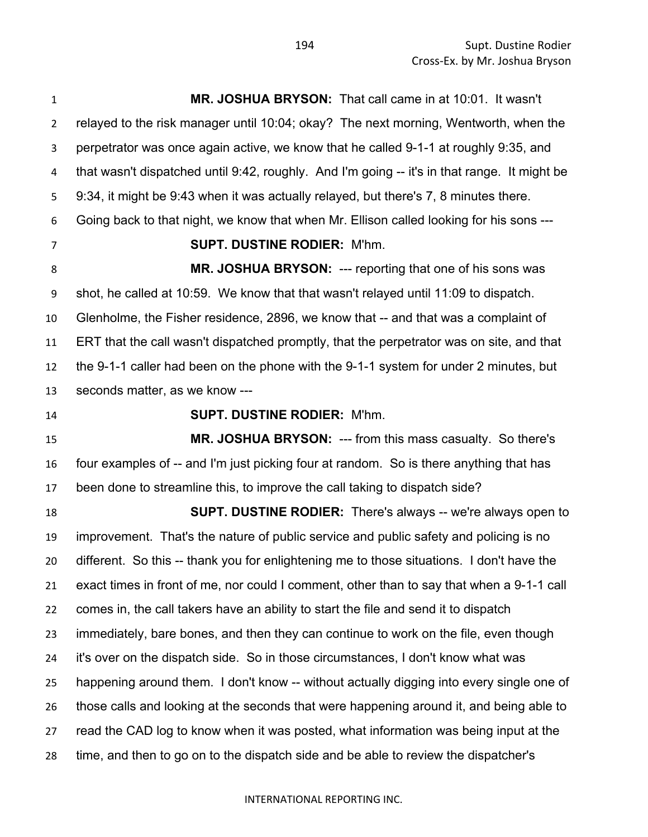**MR. JOSHUA BRYSON:** That call came in at 10:01. It wasn't relayed to the risk manager until 10:04; okay? The next morning, Wentworth, when the perpetrator was once again active, we know that he called 9-1-1 at roughly 9:35, and that wasn't dispatched until 9:42, roughly. And I'm going -- it's in that range. It might be 9:34, it might be 9:43 when it was actually relayed, but there's 7, 8 minutes there. Going back to that night, we know that when Mr. Ellison called looking for his sons --- **SUPT. DUSTINE RODIER:** M'hm. **MR. JOSHUA BRYSON:** --- reporting that one of his sons was shot, he called at 10:59. We know that that wasn't relayed until 11:09 to dispatch. Glenholme, the Fisher residence, 2896, we know that -- and that was a complaint of ERT that the call wasn't dispatched promptly, that the perpetrator was on site, and that the 9-1-1 caller had been on the phone with the 9-1-1 system for under 2 minutes, but seconds matter, as we know --- **SUPT. DUSTINE RODIER:** M'hm. **MR. JOSHUA BRYSON:** --- from this mass casualty. So there's four examples of -- and I'm just picking four at random. So is there anything that has been done to streamline this, to improve the call taking to dispatch side? **SUPT. DUSTINE RODIER:** There's always -- we're always open to improvement. That's the nature of public service and public safety and policing is no different. So this -- thank you for enlightening me to those situations. I don't have the exact times in front of me, nor could I comment, other than to say that when a 9-1-1 call comes in, the call takers have an ability to start the file and send it to dispatch immediately, bare bones, and then they can continue to work on the file, even though it's over on the dispatch side. So in those circumstances, I don't know what was happening around them. I don't know -- without actually digging into every single one of those calls and looking at the seconds that were happening around it, and being able to read the CAD log to know when it was posted, what information was being input at the time, and then to go on to the dispatch side and be able to review the dispatcher's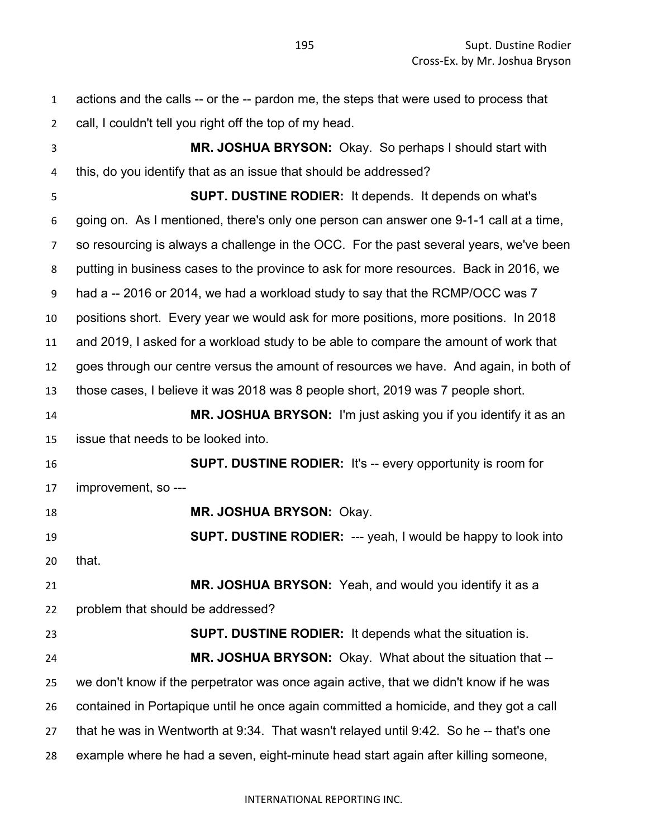| $\mathbf{1}$   | actions and the calls -- or the -- pardon me, the steps that were used to process that |
|----------------|----------------------------------------------------------------------------------------|
| $\overline{2}$ | call, I couldn't tell you right off the top of my head.                                |
| 3              | MR. JOSHUA BRYSON: Okay. So perhaps I should start with                                |
| 4              | this, do you identify that as an issue that should be addressed?                       |
| 5              | <b>SUPT. DUSTINE RODIER:</b> It depends. It depends on what's                          |
| 6              | going on. As I mentioned, there's only one person can answer one 9-1-1 call at a time, |
| 7              | so resourcing is always a challenge in the OCC. For the past several years, we've been |
| 8              | putting in business cases to the province to ask for more resources. Back in 2016, we  |
| 9              | had a -- 2016 or 2014, we had a workload study to say that the RCMP/OCC was 7          |
| 10             | positions short. Every year we would ask for more positions, more positions. In 2018   |
| 11             | and 2019, I asked for a workload study to be able to compare the amount of work that   |
| 12             | goes through our centre versus the amount of resources we have. And again, in both of  |
| 13             | those cases, I believe it was 2018 was 8 people short, 2019 was 7 people short.        |
| 14             | MR. JOSHUA BRYSON: I'm just asking you if you identify it as an                        |
| 15             | issue that needs to be looked into.                                                    |
| 16             | <b>SUPT. DUSTINE RODIER:</b> It's -- every opportunity is room for                     |
| 17             | improvement, so ---                                                                    |
| 18             | MR. JOSHUA BRYSON: Okay.                                                               |
| 19             | <b>SUPT. DUSTINE RODIER: --- yeah, I would be happy to look into</b>                   |
| 20             | that.                                                                                  |
| 21             | MR. JOSHUA BRYSON: Yeah, and would you identify it as a                                |
| 22             | problem that should be addressed?                                                      |
| 23             | <b>SUPT. DUSTINE RODIER:</b> It depends what the situation is.                         |
| 24             | MR. JOSHUA BRYSON: Okay. What about the situation that --                              |
| 25             | we don't know if the perpetrator was once again active, that we didn't know if he was  |
| 26             | contained in Portapique until he once again committed a homicide, and they got a call  |
| 27             | that he was in Wentworth at 9:34. That wasn't relayed until 9:42. So he -- that's one  |
| 28             | example where he had a seven, eight-minute head start again after killing someone,     |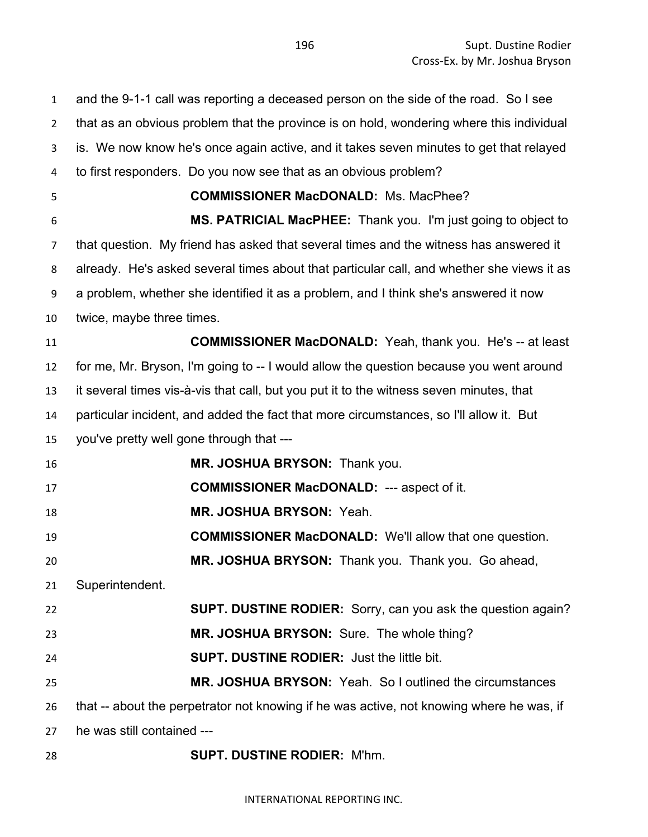and the 9-1-1 call was reporting a deceased person on the side of the road. So I see that as an obvious problem that the province is on hold, wondering where this individual is. We now know he's once again active, and it takes seven minutes to get that relayed to first responders. Do you now see that as an obvious problem? **COMMISSIONER MacDONALD:** Ms. MacPhee? **MS. PATRICIAL MacPHEE:** Thank you. I'm just going to object to that question. My friend has asked that several times and the witness has answered it already. He's asked several times about that particular call, and whether she views it as a problem, whether she identified it as a problem, and I think she's answered it now twice, maybe three times. **COMMISSIONER MacDONALD:** Yeah, thank you. He's -- at least for me, Mr. Bryson, I'm going to -- I would allow the question because you went around it several times vis-à-vis that call, but you put it to the witness seven minutes, that particular incident, and added the fact that more circumstances, so I'll allow it. But you've pretty well gone through that --- **MR. JOSHUA BRYSON:** Thank you. **COMMISSIONER MacDONALD:** --- aspect of it. **MR. JOSHUA BRYSON:** Yeah. **COMMISSIONER MacDONALD:** We'll allow that one question. **MR. JOSHUA BRYSON:** Thank you. Thank you. Go ahead, Superintendent. **SUPT. DUSTINE RODIER:** Sorry, can you ask the question again? **MR. JOSHUA BRYSON:** Sure. The whole thing? **SUPT. DUSTINE RODIER:** Just the little bit. **MR. JOSHUA BRYSON:** Yeah. So I outlined the circumstances that -- about the perpetrator not knowing if he was active, not knowing where he was, if he was still contained --- **SUPT. DUSTINE RODIER:** M'hm.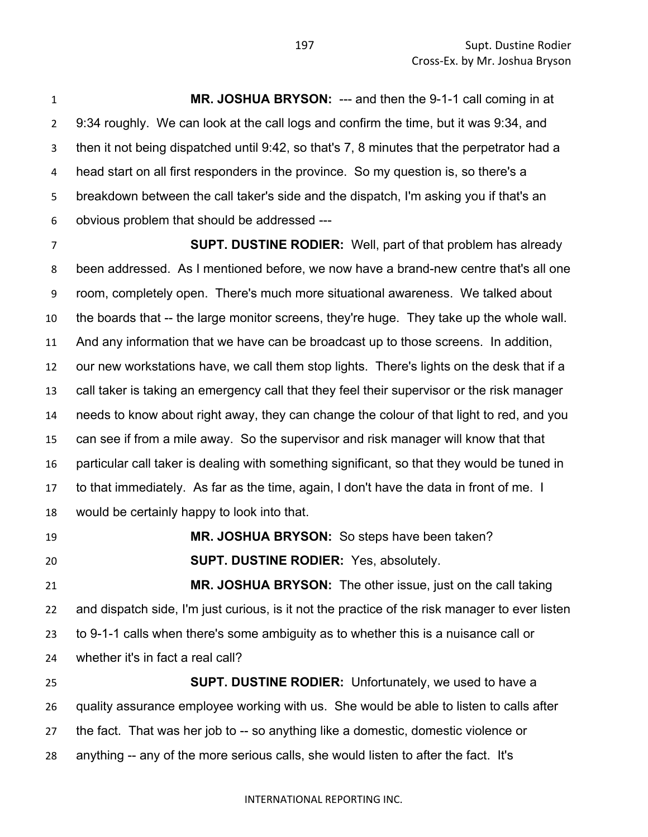**MR. JOSHUA BRYSON:** --- and then the 9-1-1 call coming in at 9:34 roughly. We can look at the call logs and confirm the time, but it was 9:34, and then it not being dispatched until 9:42, so that's 7, 8 minutes that the perpetrator had a head start on all first responders in the province. So my question is, so there's a breakdown between the call taker's side and the dispatch, I'm asking you if that's an obvious problem that should be addressed ---

 **SUPT. DUSTINE RODIER:** Well, part of that problem has already been addressed. As I mentioned before, we now have a brand-new centre that's all one room, completely open. There's much more situational awareness. We talked about the boards that -- the large monitor screens, they're huge. They take up the whole wall. And any information that we have can be broadcast up to those screens. In addition, our new workstations have, we call them stop lights. There's lights on the desk that if a call taker is taking an emergency call that they feel their supervisor or the risk manager needs to know about right away, they can change the colour of that light to red, and you can see if from a mile away. So the supervisor and risk manager will know that that particular call taker is dealing with something significant, so that they would be tuned in to that immediately. As far as the time, again, I don't have the data in front of me. I would be certainly happy to look into that.

 **MR. JOSHUA BRYSON:** So steps have been taken? **SUPT. DUSTINE RODIER:** Yes, absolutely.

 **MR. JOSHUA BRYSON:** The other issue, just on the call taking and dispatch side, I'm just curious, is it not the practice of the risk manager to ever listen to 9-1-1 calls when there's some ambiguity as to whether this is a nuisance call or whether it's in fact a real call?

 **SUPT. DUSTINE RODIER:** Unfortunately, we used to have a quality assurance employee working with us. She would be able to listen to calls after the fact. That was her job to -- so anything like a domestic, domestic violence or anything -- any of the more serious calls, she would listen to after the fact. It's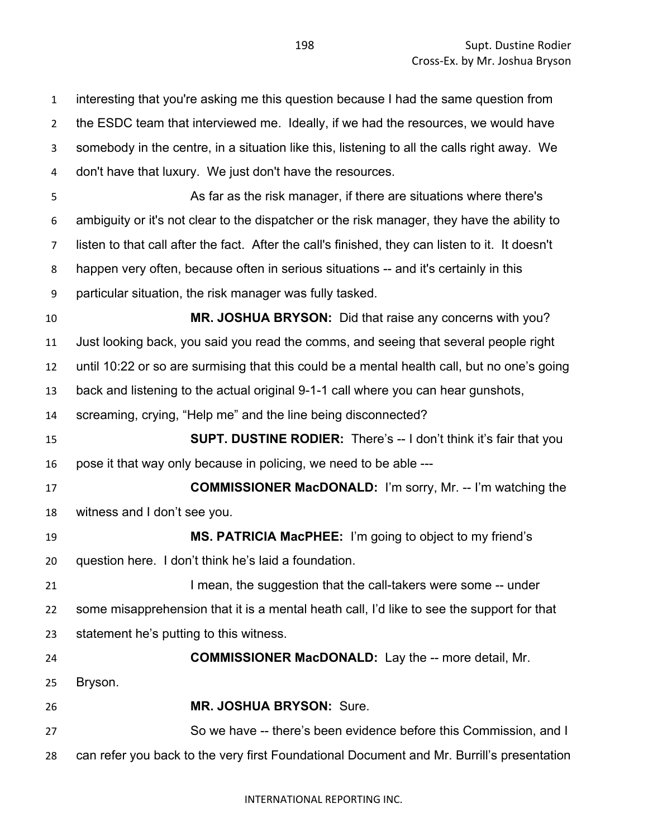interesting that you're asking me this question because I had the same question from the ESDC team that interviewed me. Ideally, if we had the resources, we would have somebody in the centre, in a situation like this, listening to all the calls right away. We don't have that luxury. We just don't have the resources. As far as the risk manager, if there are situations where there's ambiguity or it's not clear to the dispatcher or the risk manager, they have the ability to listen to that call after the fact. After the call's finished, they can listen to it. It doesn't happen very often, because often in serious situations -- and it's certainly in this particular situation, the risk manager was fully tasked. **MR. JOSHUA BRYSON:** Did that raise any concerns with you? Just looking back, you said you read the comms, and seeing that several people right until 10:22 or so are surmising that this could be a mental health call, but no one's going back and listening to the actual original 9-1-1 call where you can hear gunshots, screaming, crying, "Help me" and the line being disconnected? **SUPT. DUSTINE RODIER:** There's -- I don't think it's fair that you pose it that way only because in policing, we need to be able --- **COMMISSIONER MacDONALD:** I'm sorry, Mr. -- I'm watching the witness and I don't see you. **MS. PATRICIA MacPHEE:** I'm going to object to my friend's question here. I don't think he's laid a foundation. **I mean, the suggestion that the call-takers were some -- under**  some misapprehension that it is a mental heath call, I'd like to see the support for that statement he's putting to this witness. **COMMISSIONER MacDONALD:** Lay the -- more detail, Mr. Bryson. **MR. JOSHUA BRYSON:** Sure. So we have -- there's been evidence before this Commission, and I can refer you back to the very first Foundational Document and Mr. Burrill's presentation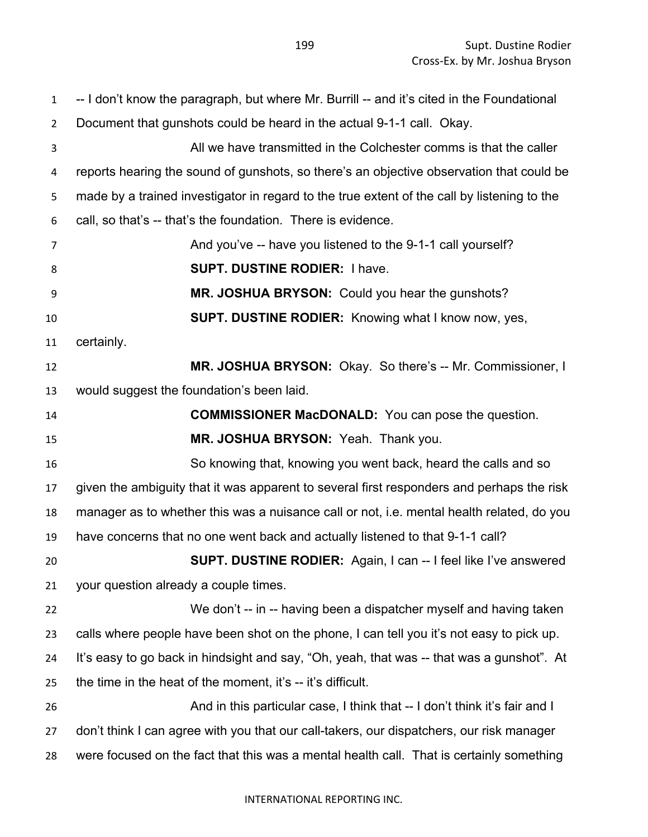-- I don't know the paragraph, but where Mr. Burrill -- and it's cited in the Foundational Document that gunshots could be heard in the actual 9-1-1 call. Okay. All we have transmitted in the Colchester comms is that the caller reports hearing the sound of gunshots, so there's an objective observation that could be made by a trained investigator in regard to the true extent of the call by listening to the call, so that's -- that's the foundation. There is evidence. And you've -- have you listened to the 9-1-1 call yourself? **SUPT. DUSTINE RODIER:** I have. **MR. JOSHUA BRYSON:** Could you hear the gunshots? **SUPT. DUSTINE RODIER:** Knowing what I know now, yes, certainly. **MR. JOSHUA BRYSON:** Okay. So there's -- Mr. Commissioner, I would suggest the foundation's been laid. **COMMISSIONER MacDONALD:** You can pose the question. **MR. JOSHUA BRYSON:** Yeah. Thank you. So knowing that, knowing you went back, heard the calls and so given the ambiguity that it was apparent to several first responders and perhaps the risk manager as to whether this was a nuisance call or not, i.e. mental health related, do you have concerns that no one went back and actually listened to that 9-1-1 call? **SUPT. DUSTINE RODIER:** Again, I can -- I feel like I've answered your question already a couple times. We don't -- in -- having been a dispatcher myself and having taken calls where people have been shot on the phone, I can tell you it's not easy to pick up. It's easy to go back in hindsight and say, "Oh, yeah, that was -- that was a gunshot". At the time in the heat of the moment, it's -- it's difficult. 26 And in this particular case, I think that -- I don't think it's fair and I don't think I can agree with you that our call-takers, our dispatchers, our risk manager were focused on the fact that this was a mental health call. That is certainly something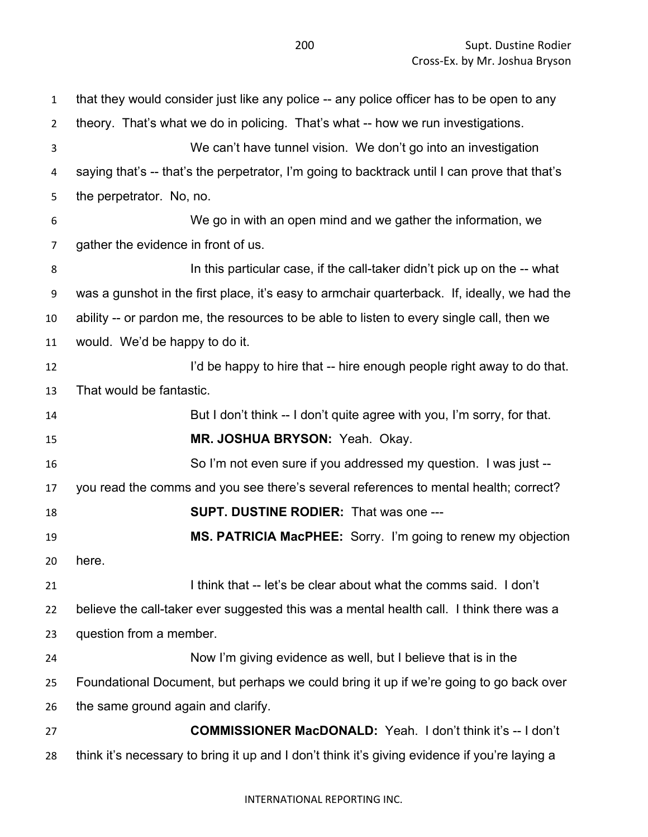| $\mathbf{1}$   | that they would consider just like any police -- any police officer has to be open to any     |
|----------------|-----------------------------------------------------------------------------------------------|
| $\overline{2}$ | theory. That's what we do in policing. That's what -- how we run investigations.              |
| 3              | We can't have tunnel vision. We don't go into an investigation                                |
| 4              | saying that's -- that's the perpetrator, I'm going to backtrack until I can prove that that's |
| 5              | the perpetrator. No, no.                                                                      |
| 6              | We go in with an open mind and we gather the information, we                                  |
| $\overline{7}$ | gather the evidence in front of us.                                                           |
| 8              | In this particular case, if the call-taker didn't pick up on the -- what                      |
| 9              | was a gunshot in the first place, it's easy to armchair quarterback. If, ideally, we had the  |
| 10             | ability -- or pardon me, the resources to be able to listen to every single call, then we     |
| 11             | would. We'd be happy to do it.                                                                |
| 12             | I'd be happy to hire that -- hire enough people right away to do that.                        |
| 13             | That would be fantastic.                                                                      |
| 14             | But I don't think -- I don't quite agree with you, I'm sorry, for that.                       |
| 15             | MR. JOSHUA BRYSON: Yeah. Okay.                                                                |
| 16             | So I'm not even sure if you addressed my question. I was just --                              |
| 17             | you read the comms and you see there's several references to mental health; correct?          |
| 18             | <b>SUPT. DUSTINE RODIER: That was one ---</b>                                                 |
| 19             | MS. PATRICIA MacPHEE: Sorry. I'm going to renew my objection                                  |
| 20             | here.                                                                                         |
| 21             | I think that -- let's be clear about what the comms said. I don't                             |
| 22             | believe the call-taker ever suggested this was a mental health call. I think there was a      |
| 23             | question from a member.                                                                       |
| 24             | Now I'm giving evidence as well, but I believe that is in the                                 |
| 25             | Foundational Document, but perhaps we could bring it up if we're going to go back over        |
| 26             | the same ground again and clarify.                                                            |
| 27             | <b>COMMISSIONER MacDONALD:</b> Yeah. I don't think it's -- I don't                            |
| 28             | think it's necessary to bring it up and I don't think it's giving evidence if you're laying a |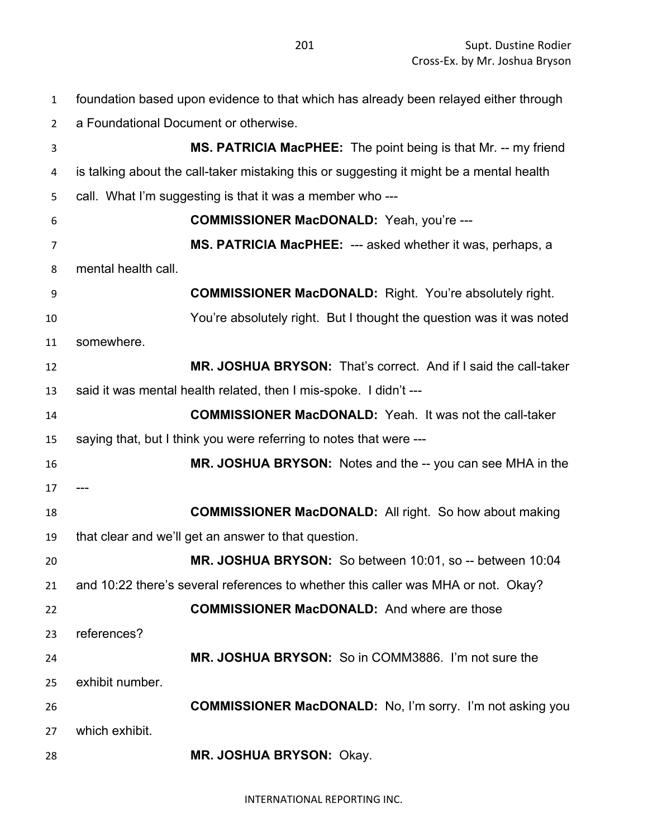foundation based upon evidence to that which has already been relayed either through

a Foundational Document or otherwise.

 **MS. PATRICIA MacPHEE:** The point being is that Mr. -- my friend is talking about the call-taker mistaking this or suggesting it might be a mental health call. What I'm suggesting is that it was a member who --- **COMMISSIONER MacDONALD:** Yeah, you're --- **MS. PATRICIA MacPHEE:** --- asked whether it was, perhaps, a mental health call. **COMMISSIONER MacDONALD:** Right. You're absolutely right. You're absolutely right. But I thought the question was it was noted somewhere. **MR. JOSHUA BRYSON:** That's correct. And if I said the call-taker said it was mental health related, then I mis-spoke. I didn't --- **COMMISSIONER MacDONALD:** Yeah. It was not the call-taker saying that, but I think you were referring to notes that were --- **MR. JOSHUA BRYSON:** Notes and the -- you can see MHA in the **COMMISSIONER MacDONALD:** All right. So how about making that clear and we'll get an answer to that question. **MR. JOSHUA BRYSON:** So between 10:01, so -- between 10:04 and 10:22 there's several references to whether this caller was MHA or not. Okay? **COMMISSIONER MacDONALD:** And where are those references? **MR. JOSHUA BRYSON:** So in COMM3886. I'm not sure the exhibit number. **COMMISSIONER MacDONALD:** No, I'm sorry. I'm not asking you which exhibit. **MR. JOSHUA BRYSON:** Okay.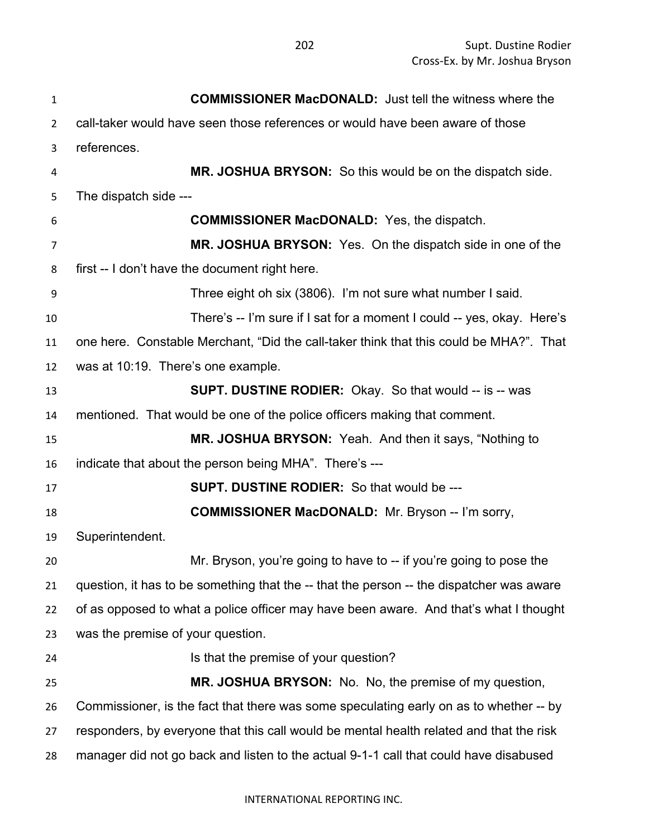| $\mathbf{1}$   | <b>COMMISSIONER MacDONALD:</b> Just tell the witness where the                           |
|----------------|------------------------------------------------------------------------------------------|
| 2              | call-taker would have seen those references or would have been aware of those            |
| 3              | references.                                                                              |
| 4              | MR. JOSHUA BRYSON: So this would be on the dispatch side.                                |
| 5              | The dispatch side ---                                                                    |
| 6              | <b>COMMISSIONER MacDONALD:</b> Yes, the dispatch.                                        |
| $\overline{7}$ | MR. JOSHUA BRYSON: Yes. On the dispatch side in one of the                               |
| 8              | first -- I don't have the document right here.                                           |
| 9              | Three eight oh six (3806). I'm not sure what number I said.                              |
| 10             | There's -- I'm sure if I sat for a moment I could -- yes, okay. Here's                   |
| 11             | one here. Constable Merchant, "Did the call-taker think that this could be MHA?". That   |
| 12             | was at 10:19. There's one example.                                                       |
| 13             | <b>SUPT. DUSTINE RODIER:</b> Okay. So that would -- is -- was                            |
| 14             | mentioned. That would be one of the police officers making that comment.                 |
| 15             | MR. JOSHUA BRYSON: Yeah. And then it says, "Nothing to                                   |
| 16             | indicate that about the person being MHA". There's ---                                   |
| 17             | <b>SUPT. DUSTINE RODIER:</b> So that would be ---                                        |
| 18             | <b>COMMISSIONER MacDONALD:</b> Mr. Bryson -- I'm sorry,                                  |
| 19             | Superintendent.                                                                          |
| 20             | Mr. Bryson, you're going to have to -- if you're going to pose the                       |
| 21             | question, it has to be something that the -- that the person -- the dispatcher was aware |
| 22             | of as opposed to what a police officer may have been aware. And that's what I thought    |
| 23             | was the premise of your question.                                                        |
| 24             | Is that the premise of your question?                                                    |
| 25             | MR. JOSHUA BRYSON: No. No, the premise of my question,                                   |
| 26             | Commissioner, is the fact that there was some speculating early on as to whether -- by   |
| 27             | responders, by everyone that this call would be mental health related and that the risk  |
| 28             | manager did not go back and listen to the actual 9-1-1 call that could have disabused    |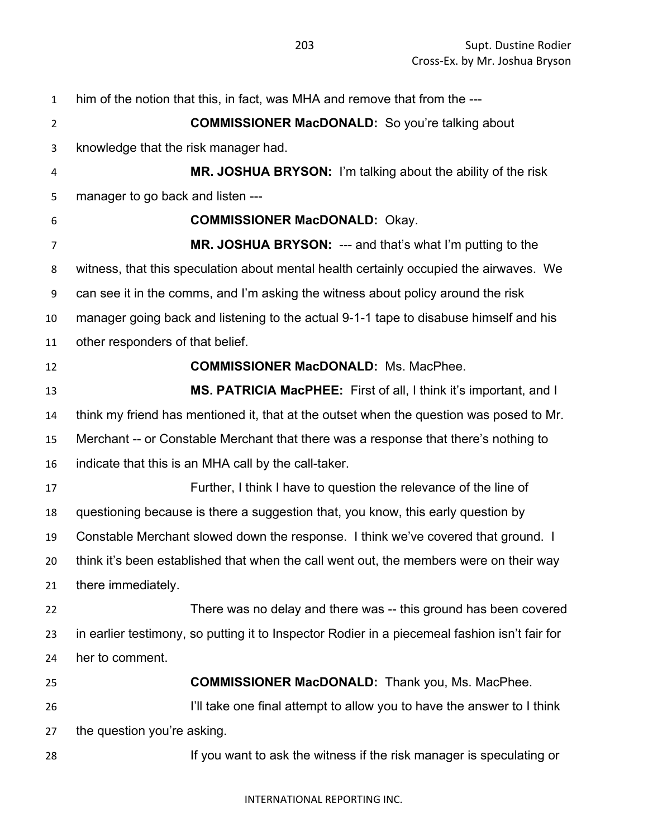| $\mathbf{1}$   | him of the notion that this, in fact, was MHA and remove that from the ---                    |
|----------------|-----------------------------------------------------------------------------------------------|
| $\overline{2}$ | <b>COMMISSIONER MacDONALD:</b> So you're talking about                                        |
| 3              | knowledge that the risk manager had.                                                          |
| 4              | MR. JOSHUA BRYSON: I'm talking about the ability of the risk                                  |
| 5              | manager to go back and listen ---                                                             |
| 6              | <b>COMMISSIONER MacDONALD: Okay.</b>                                                          |
| $\overline{7}$ | MR. JOSHUA BRYSON: --- and that's what I'm putting to the                                     |
| 8              | witness, that this speculation about mental health certainly occupied the airwaves. We        |
| 9              | can see it in the comms, and I'm asking the witness about policy around the risk              |
| 10             | manager going back and listening to the actual 9-1-1 tape to disabuse himself and his         |
| 11             | other responders of that belief.                                                              |
| 12             | <b>COMMISSIONER MacDONALD:</b> Ms. MacPhee.                                                   |
| 13             | MS. PATRICIA MacPHEE: First of all, I think it's important, and I                             |
| 14             | think my friend has mentioned it, that at the outset when the question was posed to Mr.       |
| 15             | Merchant -- or Constable Merchant that there was a response that there's nothing to           |
| 16             | indicate that this is an MHA call by the call-taker.                                          |
| 17             | Further, I think I have to question the relevance of the line of                              |
| 18             | questioning because is there a suggestion that, you know, this early question by              |
| 19             | Constable Merchant slowed down the response. I think we've covered that ground. I             |
| 20             | think it's been established that when the call went out, the members were on their way        |
| 21             | there immediately.                                                                            |
| 22             | There was no delay and there was -- this ground has been covered                              |
| 23             | in earlier testimony, so putting it to Inspector Rodier in a piecemeal fashion isn't fair for |
| 24             | her to comment.                                                                               |
| 25             | <b>COMMISSIONER MacDONALD:</b> Thank you, Ms. MacPhee.                                        |
| 26             | I'll take one final attempt to allow you to have the answer to I think                        |
| 27             | the question you're asking.                                                                   |
| 28             | If you want to ask the witness if the risk manager is speculating or                          |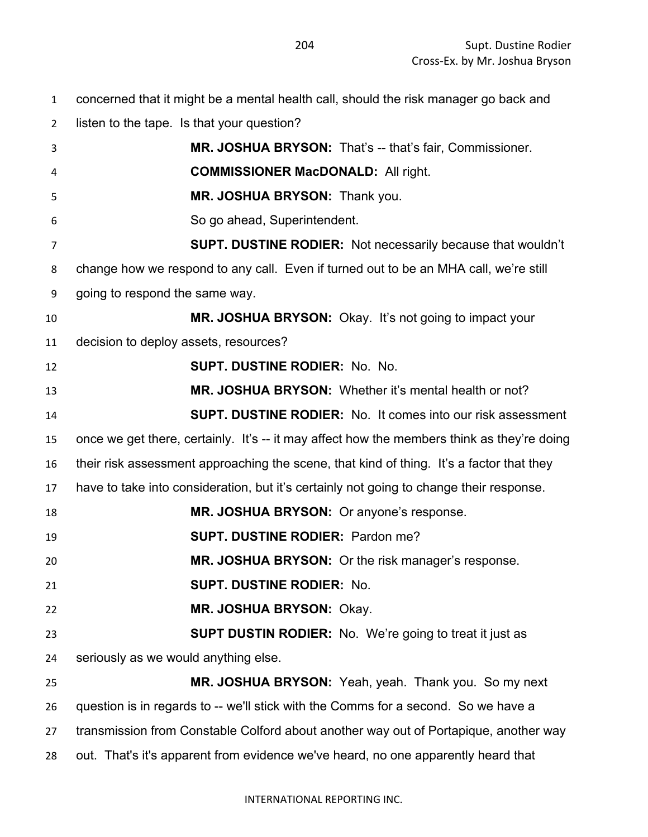| $\mathbf{1}$   | concerned that it might be a mental health call, should the risk manager go back and       |
|----------------|--------------------------------------------------------------------------------------------|
| $\overline{2}$ | listen to the tape. Is that your question?                                                 |
| 3              | MR. JOSHUA BRYSON: That's -- that's fair, Commissioner.                                    |
| 4              | <b>COMMISSIONER MacDONALD: All right.</b>                                                  |
| 5              | MR. JOSHUA BRYSON: Thank you.                                                              |
| 6              | So go ahead, Superintendent.                                                               |
| 7              | SUPT. DUSTINE RODIER: Not necessarily because that wouldn't                                |
| 8              | change how we respond to any call. Even if turned out to be an MHA call, we're still       |
| 9              | going to respond the same way.                                                             |
| 10             | MR. JOSHUA BRYSON: Okay. It's not going to impact your                                     |
| 11             | decision to deploy assets, resources?                                                      |
| 12             | <b>SUPT. DUSTINE RODIER: No. No.</b>                                                       |
| 13             | MR. JOSHUA BRYSON: Whether it's mental health or not?                                      |
| 14             | <b>SUPT. DUSTINE RODIER:</b> No. It comes into our risk assessment                         |
| 15             | once we get there, certainly. It's -- it may affect how the members think as they're doing |
| 16             | their risk assessment approaching the scene, that kind of thing. It's a factor that they   |
| 17             | have to take into consideration, but it's certainly not going to change their response.    |
| 18             | MR. JOSHUA BRYSON: Or anyone's response.                                                   |
| 19             | <b>SUPT. DUSTINE RODIER: Pardon me?</b>                                                    |
| 20             | MR. JOSHUA BRYSON: Or the risk manager's response.                                         |
| 21             | <b>SUPT. DUSTINE RODIER: No.</b>                                                           |
| 22             | MR. JOSHUA BRYSON: Okay.                                                                   |
| 23             | <b>SUPT DUSTIN RODIER:</b> No. We're going to treat it just as                             |
| 24             | seriously as we would anything else.                                                       |
| 25             | MR. JOSHUA BRYSON: Yeah, yeah. Thank you. So my next                                       |
|                |                                                                                            |

question is in regards to -- we'll stick with the Comms for a second. So we have a

transmission from Constable Colford about another way out of Portapique, another way

out. That's it's apparent from evidence we've heard, no one apparently heard that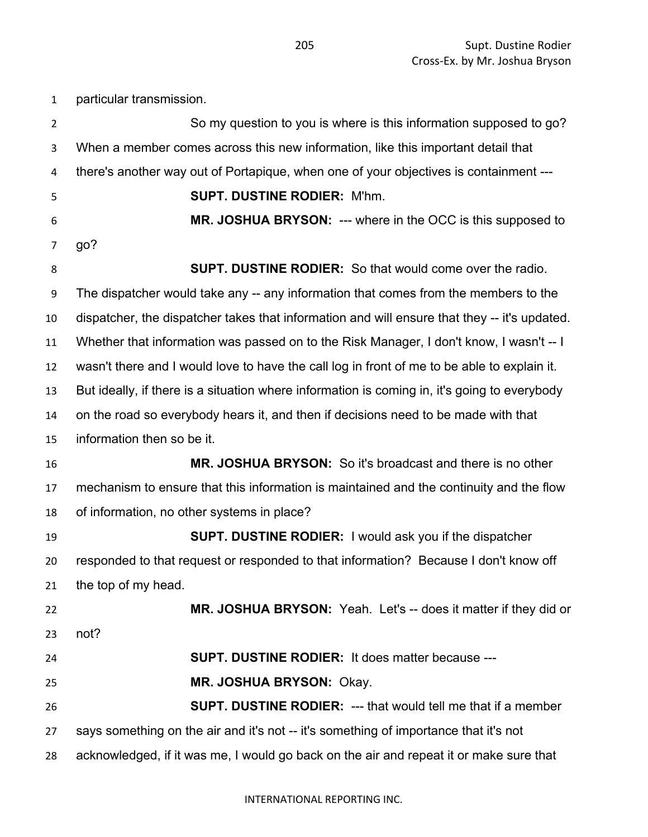| $\mathbf{1}$   | particular transmission.                                                                     |
|----------------|----------------------------------------------------------------------------------------------|
| $\overline{2}$ | So my question to you is where is this information supposed to go?                           |
| 3              | When a member comes across this new information, like this important detail that             |
| 4              | there's another way out of Portapique, when one of your objectives is containment ---        |
| 5              | <b>SUPT. DUSTINE RODIER: M'hm.</b>                                                           |
| 6              | MR. JOSHUA BRYSON: --- where in the OCC is this supposed to                                  |
| 7              | go?                                                                                          |
| 8              | <b>SUPT. DUSTINE RODIER:</b> So that would come over the radio.                              |
| 9              | The dispatcher would take any -- any information that comes from the members to the          |
| 10             | dispatcher, the dispatcher takes that information and will ensure that they -- it's updated. |
| 11             | Whether that information was passed on to the Risk Manager, I don't know, I wasn't -- I      |
| 12             | wasn't there and I would love to have the call log in front of me to be able to explain it.  |
| 13             | But ideally, if there is a situation where information is coming in, it's going to everybody |
| 14             | on the road so everybody hears it, and then if decisions need to be made with that           |
| 15             | information then so be it.                                                                   |
| 16             | MR. JOSHUA BRYSON: So it's broadcast and there is no other                                   |
| 17             | mechanism to ensure that this information is maintained and the continuity and the flow      |
| 18             | of information, no other systems in place?                                                   |
| 19             | <b>SUPT. DUSTINE RODIER:</b> I would ask you if the dispatcher                               |
| 20             | responded to that request or responded to that information? Because I don't know off         |
| 21             | the top of my head.                                                                          |
| 22             | MR. JOSHUA BRYSON: Yeah. Let's -- does it matter if they did or                              |
| 23             | not?                                                                                         |
| 24             | <b>SUPT. DUSTINE RODIER: It does matter because ---</b>                                      |
| 25             | MR. JOSHUA BRYSON: Okay.                                                                     |
| 26             | <b>SUPT. DUSTINE RODIER: --- that would tell me that if a member</b>                         |
| 27             | says something on the air and it's not -- it's something of importance that it's not         |
| 28             | acknowledged, if it was me, I would go back on the air and repeat it or make sure that       |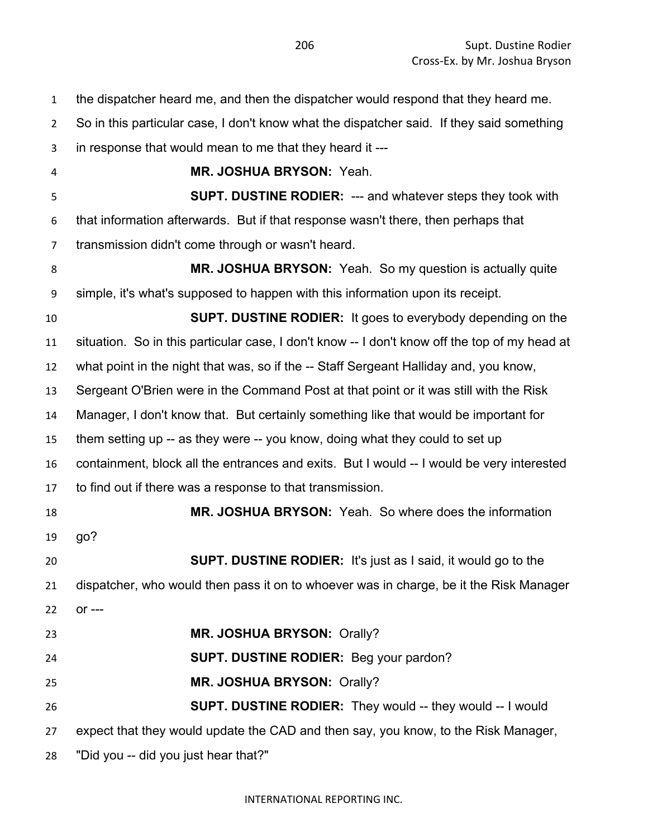| $\mathbf{1}$   | the dispatcher heard me, and then the dispatcher would respond that they heard me.            |
|----------------|-----------------------------------------------------------------------------------------------|
| $\overline{2}$ | So in this particular case, I don't know what the dispatcher said. If they said something     |
| 3              | in response that would mean to me that they heard it ---                                      |
| 4              | MR. JOSHUA BRYSON: Yeah.                                                                      |
| 5              | <b>SUPT. DUSTINE RODIER: --- and whatever steps they took with</b>                            |
| 6              | that information afterwards. But if that response wasn't there, then perhaps that             |
| $\overline{7}$ | transmission didn't come through or wasn't heard.                                             |
| 8              | MR. JOSHUA BRYSON: Yeah. So my question is actually quite                                     |
| 9              | simple, it's what's supposed to happen with this information upon its receipt.                |
| 10             | <b>SUPT. DUSTINE RODIER:</b> It goes to everybody depending on the                            |
| 11             | situation. So in this particular case, I don't know -- I don't know off the top of my head at |
| 12             | what point in the night that was, so if the -- Staff Sergeant Halliday and, you know,         |
| 13             | Sergeant O'Brien were in the Command Post at that point or it was still with the Risk         |
| 14             | Manager, I don't know that. But certainly something like that would be important for          |
| 15             | them setting up -- as they were -- you know, doing what they could to set up                  |
| 16             | containment, block all the entrances and exits. But I would -- I would be very interested     |
| 17             | to find out if there was a response to that transmission.                                     |
| 18             | MR. JOSHUA BRYSON: Yeah. So where does the information                                        |
| 19             | go?                                                                                           |
| 20             | <b>SUPT. DUSTINE RODIER:</b> It's just as I said, it would go to the                          |
| 21             | dispatcher, who would then pass it on to whoever was in charge, be it the Risk Manager        |
| 22             | $or --$                                                                                       |
| 23             | MR. JOSHUA BRYSON: Orally?                                                                    |
| 24             | <b>SUPT. DUSTINE RODIER:</b> Beg your pardon?                                                 |
| 25             | MR. JOSHUA BRYSON: Orally?                                                                    |
| 26             | <b>SUPT. DUSTINE RODIER:</b> They would -- they would -- I would                              |
| 27             | expect that they would update the CAD and then say, you know, to the Risk Manager,            |
| 28             | "Did you -- did you just hear that?"                                                          |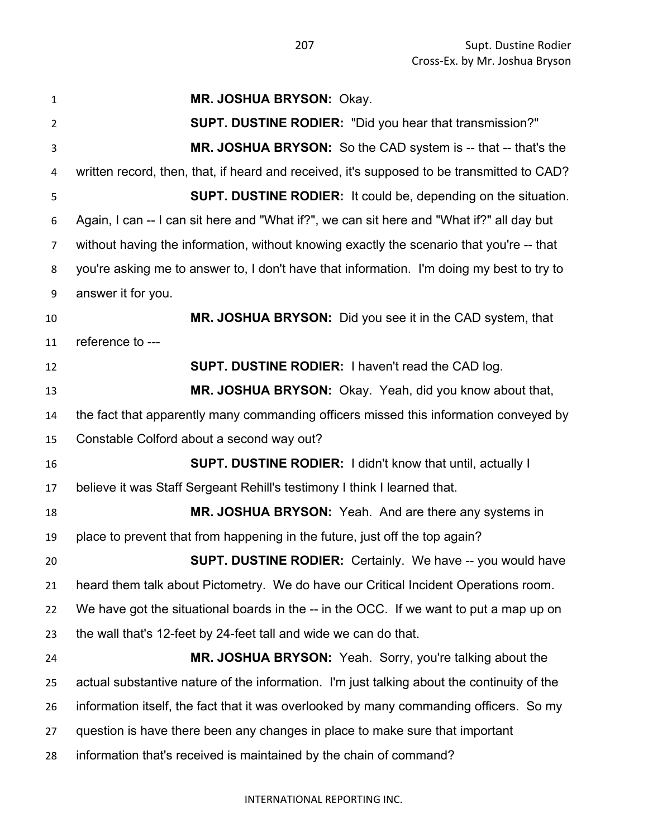| $\mathbf{1}$   | MR. JOSHUA BRYSON: Okay.                                                                   |
|----------------|--------------------------------------------------------------------------------------------|
| $\overline{2}$ | <b>SUPT. DUSTINE RODIER:</b> "Did you hear that transmission?"                             |
| 3              | MR. JOSHUA BRYSON: So the CAD system is -- that -- that's the                              |
| 4              | written record, then, that, if heard and received, it's supposed to be transmitted to CAD? |
| 5              | <b>SUPT. DUSTINE RODIER:</b> It could be, depending on the situation.                      |
| 6              | Again, I can -- I can sit here and "What if?", we can sit here and "What if?" all day but  |
| 7              | without having the information, without knowing exactly the scenario that you're -- that   |
| 8              | you're asking me to answer to, I don't have that information. I'm doing my best to try to  |
| 9              | answer it for you.                                                                         |
| 10             | MR. JOSHUA BRYSON: Did you see it in the CAD system, that                                  |
| 11             | reference to ---                                                                           |
| 12             | <b>SUPT. DUSTINE RODIER: I haven't read the CAD log.</b>                                   |
| 13             | MR. JOSHUA BRYSON: Okay. Yeah, did you know about that,                                    |
| 14             | the fact that apparently many commanding officers missed this information conveyed by      |
| 15             | Constable Colford about a second way out?                                                  |
| 16             | <b>SUPT. DUSTINE RODIER:</b> I didn't know that until, actually I                          |
| 17             | believe it was Staff Sergeant Rehill's testimony I think I learned that.                   |
| 18             | MR. JOSHUA BRYSON: Yeah. And are there any systems in                                      |
| 19             | place to prevent that from happening in the future, just off the top again?                |
| 20             | <b>SUPT. DUSTINE RODIER:</b> Certainly. We have -- you would have                          |
| 21             | heard them talk about Pictometry. We do have our Critical Incident Operations room.        |
| 22             | We have got the situational boards in the -- in the OCC. If we want to put a map up on     |
| 23             | the wall that's 12-feet by 24-feet tall and wide we can do that.                           |
| 24             | MR. JOSHUA BRYSON: Yeah. Sorry, you're talking about the                                   |
| 25             | actual substantive nature of the information. I'm just talking about the continuity of the |
| 26             | information itself, the fact that it was overlooked by many commanding officers. So my     |
| 27             | question is have there been any changes in place to make sure that important               |
| 28             | information that's received is maintained by the chain of command?                         |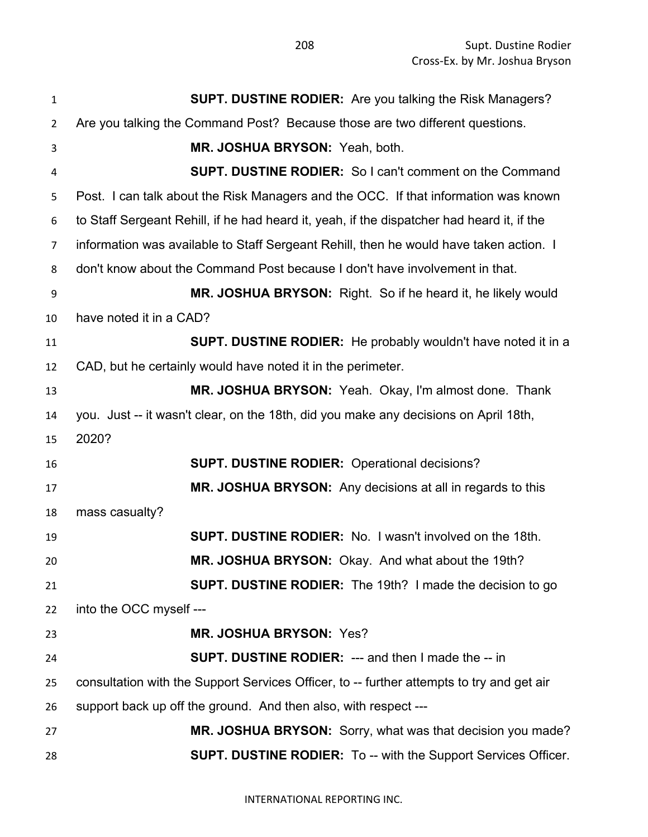| $\mathbf 1$             | <b>SUPT. DUSTINE RODIER:</b> Are you talking the Risk Managers?                            |
|-------------------------|--------------------------------------------------------------------------------------------|
| $\overline{2}$          | Are you talking the Command Post? Because those are two different questions.               |
| 3                       | MR. JOSHUA BRYSON: Yeah, both.                                                             |
| $\overline{\mathbf{4}}$ | <b>SUPT. DUSTINE RODIER:</b> So I can't comment on the Command                             |
| 5                       | Post. I can talk about the Risk Managers and the OCC. If that information was known        |
| 6                       | to Staff Sergeant Rehill, if he had heard it, yeah, if the dispatcher had heard it, if the |
| $\overline{7}$          | information was available to Staff Sergeant Rehill, then he would have taken action. I     |
| 8                       | don't know about the Command Post because I don't have involvement in that.                |
| 9                       | MR. JOSHUA BRYSON: Right. So if he heard it, he likely would                               |
| 10                      | have noted it in a CAD?                                                                    |
| 11                      | <b>SUPT. DUSTINE RODIER:</b> He probably wouldn't have noted it in a                       |
| 12                      | CAD, but he certainly would have noted it in the perimeter.                                |
| 13                      | MR. JOSHUA BRYSON: Yeah. Okay, I'm almost done. Thank                                      |
| 14                      | you. Just -- it wasn't clear, on the 18th, did you make any decisions on April 18th,       |
| 15                      | 2020?                                                                                      |
| 16                      | <b>SUPT. DUSTINE RODIER: Operational decisions?</b>                                        |
| 17                      | MR. JOSHUA BRYSON: Any decisions at all in regards to this                                 |
| 18                      | mass casualty?                                                                             |
| 19                      | <b>SUPT. DUSTINE RODIER:</b> No. I wasn't involved on the 18th.                            |
| 20                      | MR. JOSHUA BRYSON: Okay. And what about the 19th?                                          |
| 21                      | <b>SUPT. DUSTINE RODIER:</b> The 19th? I made the decision to go                           |
| 22                      | into the OCC myself ---                                                                    |
| 23                      | MR. JOSHUA BRYSON: Yes?                                                                    |
| 24                      | <b>SUPT. DUSTINE RODIER: --- and then I made the -- in</b>                                 |
| 25                      | consultation with the Support Services Officer, to -- further attempts to try and get air  |
| 26                      | support back up off the ground. And then also, with respect ---                            |
| 27                      | MR. JOSHUA BRYSON: Sorry, what was that decision you made?                                 |
| 28                      | <b>SUPT. DUSTINE RODIER:</b> To -- with the Support Services Officer.                      |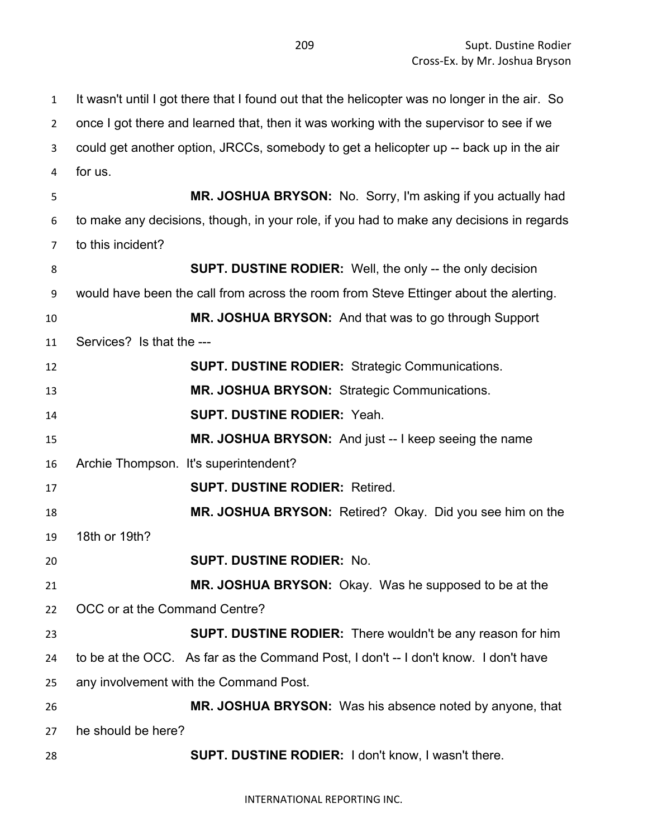It wasn't until I got there that I found out that the helicopter was no longer in the air. So once I got there and learned that, then it was working with the supervisor to see if we could get another option, JRCCs, somebody to get a helicopter up -- back up in the air for us. **MR. JOSHUA BRYSON:** No. Sorry, I'm asking if you actually had to make any decisions, though, in your role, if you had to make any decisions in regards to this incident? **SUPT. DUSTINE RODIER:** Well, the only -- the only decision would have been the call from across the room from Steve Ettinger about the alerting. **MR. JOSHUA BRYSON:** And that was to go through Support Services? Is that the --- **SUPT. DUSTINE RODIER:** Strategic Communications. **MR. JOSHUA BRYSON:** Strategic Communications. **SUPT. DUSTINE RODIER:** Yeah. **MR. JOSHUA BRYSON:** And just -- I keep seeing the name Archie Thompson. It's superintendent? **SUPT. DUSTINE RODIER:** Retired. **MR. JOSHUA BRYSON:** Retired? Okay. Did you see him on the 18th or 19th? **SUPT. DUSTINE RODIER:** No. **MR. JOSHUA BRYSON:** Okay. Was he supposed to be at the OCC or at the Command Centre? **SUPT. DUSTINE RODIER:** There wouldn't be any reason for him to be at the OCC. As far as the Command Post, I don't -- I don't know. I don't have any involvement with the Command Post. **MR. JOSHUA BRYSON:** Was his absence noted by anyone, that he should be here? **SUPT. DUSTINE RODIER:** I don't know, I wasn't there.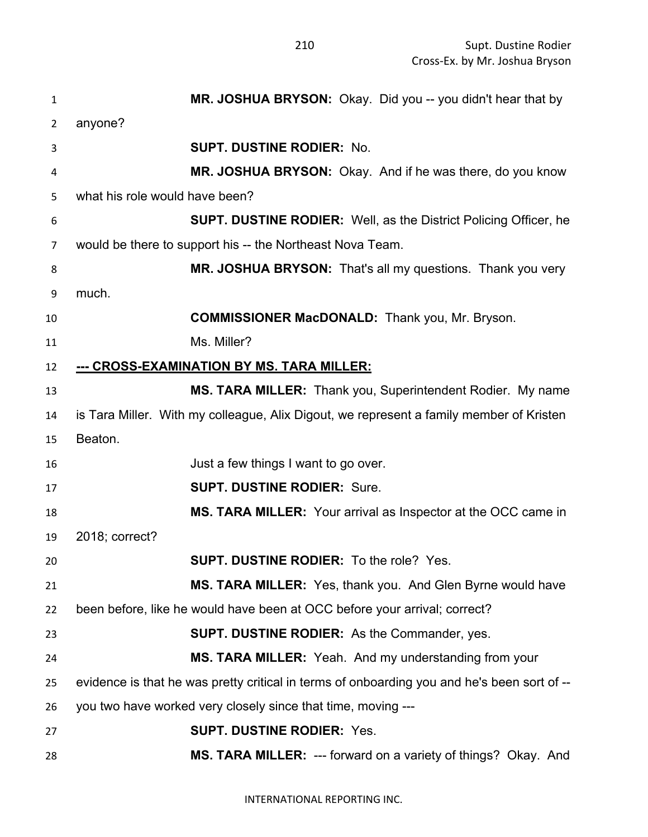| 1              | MR. JOSHUA BRYSON: Okay. Did you -- you didn't hear that by                                 |
|----------------|---------------------------------------------------------------------------------------------|
| $\overline{2}$ | anyone?                                                                                     |
| 3              | <b>SUPT. DUSTINE RODIER: No.</b>                                                            |
| 4              | MR. JOSHUA BRYSON: Okay. And if he was there, do you know                                   |
| 5              | what his role would have been?                                                              |
| 6              | <b>SUPT. DUSTINE RODIER:</b> Well, as the District Policing Officer, he                     |
| 7              | would be there to support his -- the Northeast Nova Team.                                   |
| 8              | MR. JOSHUA BRYSON: That's all my questions. Thank you very                                  |
| 9              | much.                                                                                       |
| 10             | <b>COMMISSIONER MacDONALD:</b> Thank you, Mr. Bryson.                                       |
| 11             | Ms. Miller?                                                                                 |
| 12             | --- CROSS-EXAMINATION BY MS. TARA MILLER:                                                   |
| 13             | MS. TARA MILLER: Thank you, Superintendent Rodier. My name                                  |
| 14             | is Tara Miller. With my colleague, Alix Digout, we represent a family member of Kristen     |
| 15             | Beaton.                                                                                     |
| 16             | Just a few things I want to go over.                                                        |
| 17             | <b>SUPT. DUSTINE RODIER: Sure.</b>                                                          |
| 18             | MS. TARA MILLER: Your arrival as Inspector at the OCC came in                               |
| 19             | 2018; correct?                                                                              |
| 20             | SUPT. DUSTINE RODIER: To the role? Yes                                                      |
| 21             | MS. TARA MILLER: Yes, thank you. And Glen Byrne would have                                  |
| 22             | been before, like he would have been at OCC before your arrival; correct?                   |
| 23             | <b>SUPT. DUSTINE RODIER:</b> As the Commander, yes.                                         |
| 24             | MS. TARA MILLER: Yeah. And my understanding from your                                       |
| 25             | evidence is that he was pretty critical in terms of onboarding you and he's been sort of -- |
| 26             | you two have worked very closely since that time, moving ---                                |
| 27             | <b>SUPT. DUSTINE RODIER: Yes.</b>                                                           |
| 28             | MS. TARA MILLER: --- forward on a variety of things? Okay. And                              |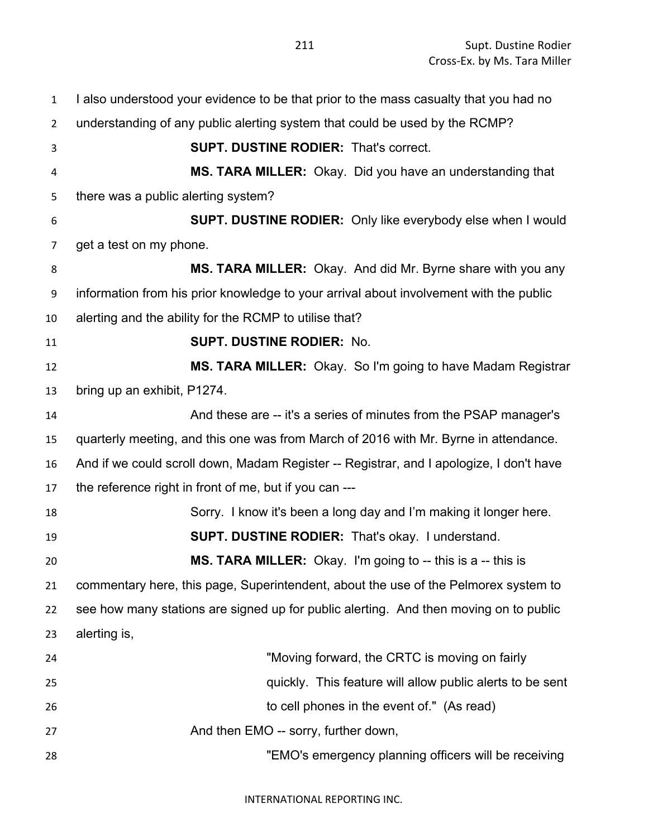| $\mathbf{1}$   | I also understood your evidence to be that prior to the mass casualty that you had no   |
|----------------|-----------------------------------------------------------------------------------------|
| $\overline{2}$ | understanding of any public alerting system that could be used by the RCMP?             |
| 3              | <b>SUPT. DUSTINE RODIER: That's correct.</b>                                            |
| 4              | MS. TARA MILLER: Okay. Did you have an understanding that                               |
| 5              | there was a public alerting system?                                                     |
| 6              | <b>SUPT. DUSTINE RODIER:</b> Only like everybody else when I would                      |
| 7              | get a test on my phone.                                                                 |
| 8              | MS. TARA MILLER: Okay. And did Mr. Byrne share with you any                             |
| 9              | information from his prior knowledge to your arrival about involvement with the public  |
| 10             | alerting and the ability for the RCMP to utilise that?                                  |
| 11             | <b>SUPT. DUSTINE RODIER: No.</b>                                                        |
| 12             | MS. TARA MILLER: Okay. So I'm going to have Madam Registrar                             |
| 13             | bring up an exhibit, P1274.                                                             |
| 14             | And these are -- it's a series of minutes from the PSAP manager's                       |
| 15             | quarterly meeting, and this one was from March of 2016 with Mr. Byrne in attendance.    |
| 16             | And if we could scroll down, Madam Register -- Registrar, and I apologize, I don't have |
| 17             | the reference right in front of me, but if you can ---                                  |
| 18             | Sorry. I know it's been a long day and I'm making it longer here.                       |
| 19             | <b>SUPT. DUSTINE RODIER:</b> That's okay. I understand.                                 |
| 20             | MS. TARA MILLER: Okay. I'm going to -- this is a -- this is                             |
| 21             | commentary here, this page, Superintendent, about the use of the Pelmorex system to     |
| 22             | see how many stations are signed up for public alerting. And then moving on to public   |
| 23             | alerting is,                                                                            |
| 24             | "Moving forward, the CRTC is moving on fairly                                           |
| 25             | quickly. This feature will allow public alerts to be sent                               |
| 26             | to cell phones in the event of." (As read)                                              |
| 27             | And then EMO -- sorry, further down,                                                    |
| 28             | "EMO's emergency planning officers will be receiving                                    |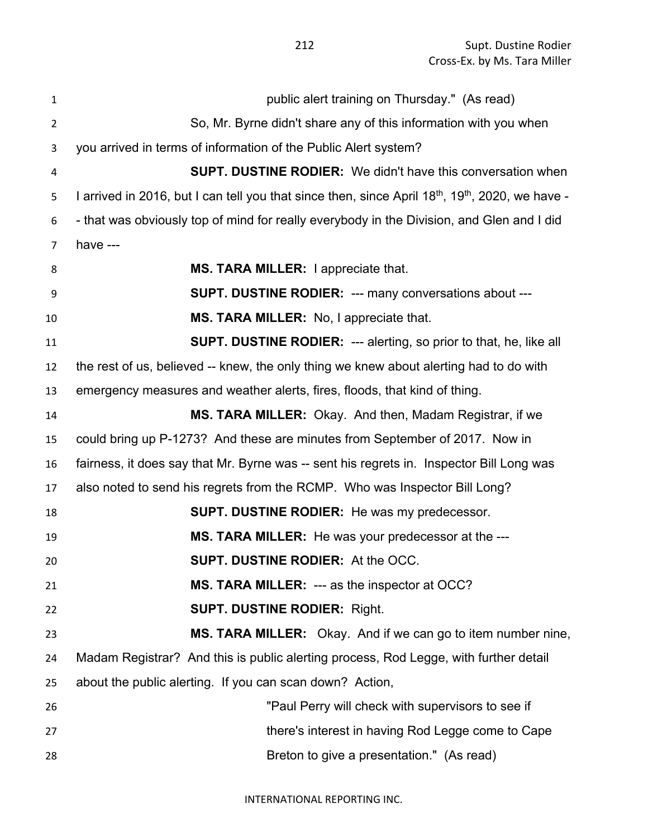| $\mathbf{1}$   | public alert training on Thursday." (As read)                                                                            |
|----------------|--------------------------------------------------------------------------------------------------------------------------|
| $\overline{2}$ | So, Mr. Byrne didn't share any of this information with you when                                                         |
| 3              | you arrived in terms of information of the Public Alert system?                                                          |
| 4              | <b>SUPT. DUSTINE RODIER:</b> We didn't have this conversation when                                                       |
| 5              | I arrived in 2016, but I can tell you that since then, since April 18 <sup>th</sup> , 19 <sup>th</sup> , 2020, we have - |
| 6              | - that was obviously top of mind for really everybody in the Division, and Glen and I did                                |
| $\overline{7}$ | have ---                                                                                                                 |
| 8              | MS. TARA MILLER: I appreciate that.                                                                                      |
| 9              | <b>SUPT. DUSTINE RODIER: --- many conversations about ---</b>                                                            |
| 10             | MS. TARA MILLER: No, I appreciate that.                                                                                  |
| 11             | <b>SUPT. DUSTINE RODIER: --- alerting, so prior to that, he, like all</b>                                                |
| 12             | the rest of us, believed -- knew, the only thing we knew about alerting had to do with                                   |
| 13             | emergency measures and weather alerts, fires, floods, that kind of thing.                                                |
| 14             | MS. TARA MILLER: Okay. And then, Madam Registrar, if we                                                                  |
| 15             | could bring up P-1273? And these are minutes from September of 2017. Now in                                              |
| 16             | fairness, it does say that Mr. Byrne was -- sent his regrets in. Inspector Bill Long was                                 |
| 17             | also noted to send his regrets from the RCMP. Who was Inspector Bill Long?                                               |
| 18             | <b>SUPT. DUSTINE RODIER:</b> He was my predecessor.                                                                      |
| 19             | MS. TARA MILLER: He was your predecessor at the ---                                                                      |
| 20             | SUPT. DUSTINE RODIER: At the OCC.                                                                                        |
| 21             | MS. TARA MILLER: --- as the inspector at OCC?                                                                            |
| 22             | <b>SUPT. DUSTINE RODIER: Right.</b>                                                                                      |
| 23             | MS. TARA MILLER: Okay. And if we can go to item number nine,                                                             |
| 24             | Madam Registrar? And this is public alerting process, Rod Legge, with further detail                                     |
| 25             | about the public alerting. If you can scan down? Action,                                                                 |
| 26             | "Paul Perry will check with supervisors to see if                                                                        |
| 27             | there's interest in having Rod Legge come to Cape                                                                        |
| 28             | Breton to give a presentation." (As read)                                                                                |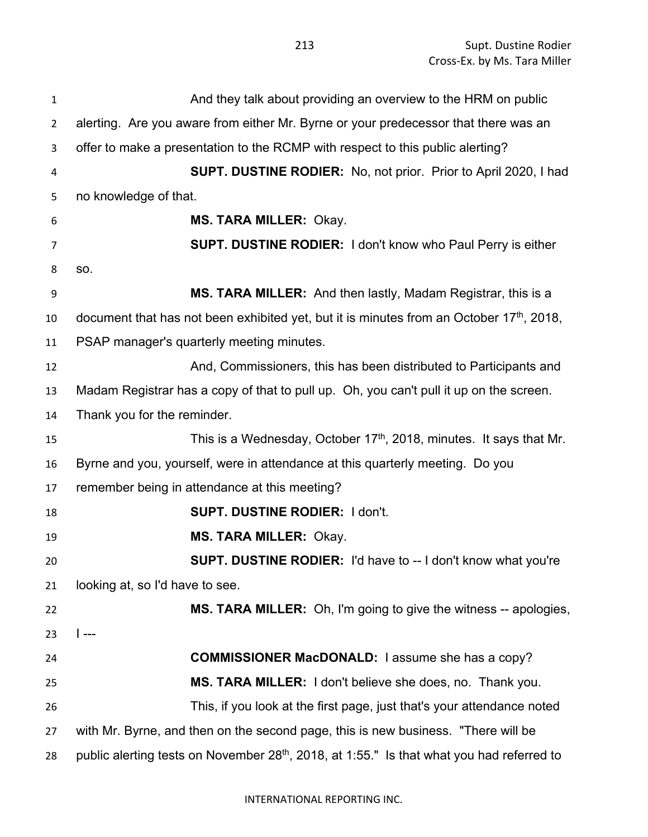And they talk about providing an overview to the HRM on public alerting. Are you aware from either Mr. Byrne or your predecessor that there was an offer to make a presentation to the RCMP with respect to this public alerting? **SUPT. DUSTINE RODIER:** No, not prior. Prior to April 2020, I had no knowledge of that. **MS. TARA MILLER:** Okay. **SUPT. DUSTINE RODIER:** I don't know who Paul Perry is either so. **MS. TARA MILLER:** And then lastly, Madam Registrar, this is a 10 document that has not been exhibited yet, but it is minutes from an October  $17<sup>th</sup>$ , 2018, PSAP manager's quarterly meeting minutes. And, Commissioners, this has been distributed to Participants and Madam Registrar has a copy of that to pull up. Oh, you can't pull it up on the screen. Thank you for the reminder. 15 This is a Wednesday, October 17<sup>th</sup>, 2018, minutes. It says that Mr. Byrne and you, yourself, were in attendance at this quarterly meeting. Do you remember being in attendance at this meeting? **SUPT. DUSTINE RODIER:** I don't. **MS. TARA MILLER:** Okay. **SUPT. DUSTINE RODIER:** I'd have to -- I don't know what you're looking at, so I'd have to see. **MS. TARA MILLER:** Oh, I'm going to give the witness -- apologies, I --- **COMMISSIONER MacDONALD:** I assume she has a copy? **MS. TARA MILLER:** I don't believe she does, no. Thank you. This, if you look at the first page, just that's your attendance noted with Mr. Byrne, and then on the second page, this is new business. "There will be 28 public alerting tests on November  $28<sup>th</sup>$ , 2018, at 1:55." Is that what you had referred to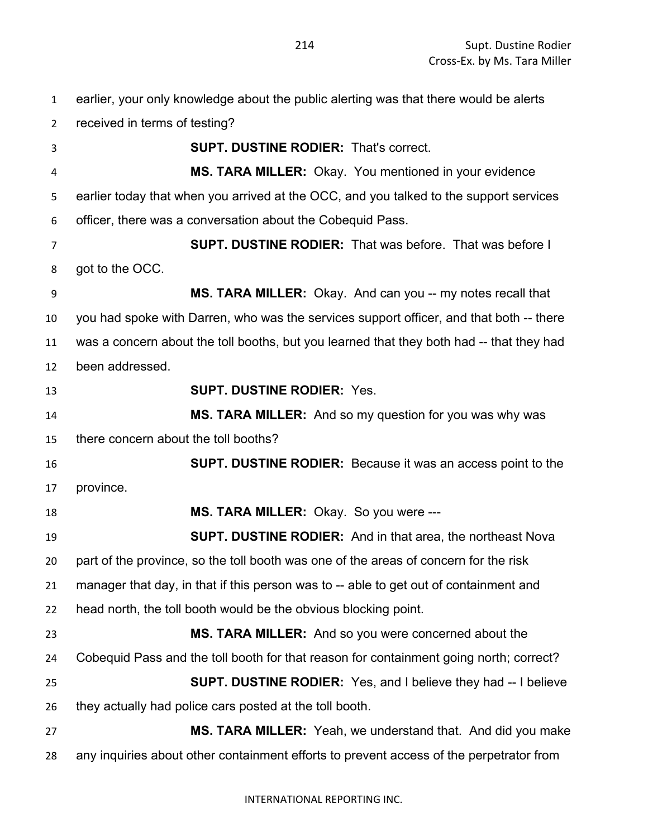earlier, your only knowledge about the public alerting was that there would be alerts received in terms of testing? **SUPT. DUSTINE RODIER:** That's correct. **MS. TARA MILLER:** Okay. You mentioned in your evidence earlier today that when you arrived at the OCC, and you talked to the support services officer, there was a conversation about the Cobequid Pass. **SUPT. DUSTINE RODIER:** That was before. That was before I got to the OCC. **MS. TARA MILLER:** Okay. And can you -- my notes recall that you had spoke with Darren, who was the services support officer, and that both -- there was a concern about the toll booths, but you learned that they both had -- that they had been addressed. **SUPT. DUSTINE RODIER:** Yes. **MS. TARA MILLER:** And so my question for you was why was there concern about the toll booths? **SUPT. DUSTINE RODIER:** Because it was an access point to the province. **MS. TARA MILLER:** Okay. So you were --- **SUPT. DUSTINE RODIER:** And in that area, the northeast Nova part of the province, so the toll booth was one of the areas of concern for the risk manager that day, in that if this person was to -- able to get out of containment and head north, the toll booth would be the obvious blocking point. **MS. TARA MILLER:** And so you were concerned about the Cobequid Pass and the toll booth for that reason for containment going north; correct? **SUPT. DUSTINE RODIER:** Yes, and I believe they had -- I believe they actually had police cars posted at the toll booth. **MS. TARA MILLER:** Yeah, we understand that. And did you make any inquiries about other containment efforts to prevent access of the perpetrator from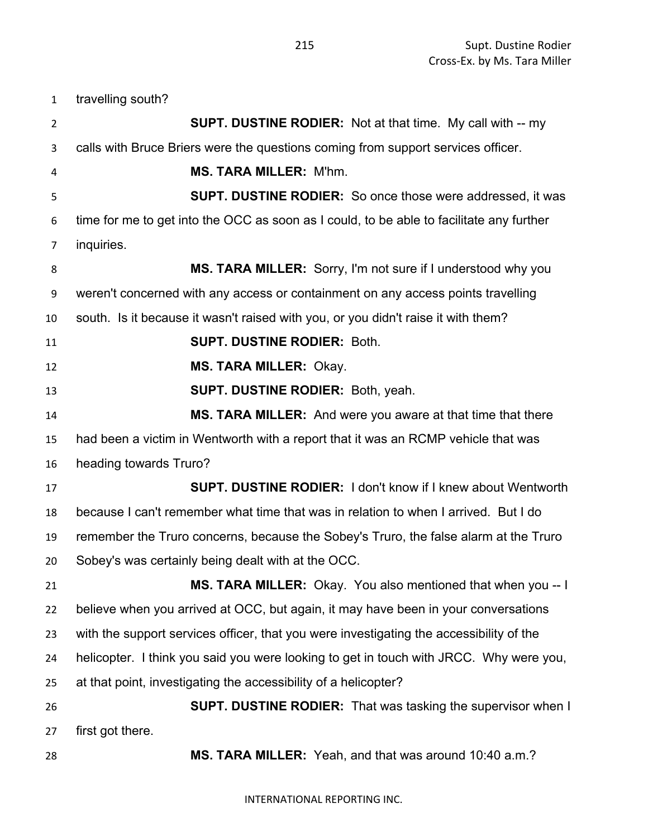| $\mathbf{1}$   | travelling south?                                                                        |
|----------------|------------------------------------------------------------------------------------------|
| $\overline{2}$ | <b>SUPT. DUSTINE RODIER:</b> Not at that time. My call with -- my                        |
| 3              | calls with Bruce Briers were the questions coming from support services officer.         |
| 4              | <b>MS. TARA MILLER: M'hm.</b>                                                            |
| 5              | <b>SUPT. DUSTINE RODIER:</b> So once those were addressed, it was                        |
| 6              | time for me to get into the OCC as soon as I could, to be able to facilitate any further |
| $\overline{7}$ | inquiries.                                                                               |
| 8              | MS. TARA MILLER: Sorry, I'm not sure if I understood why you                             |
| 9              | weren't concerned with any access or containment on any access points travelling         |
| 10             | south. Is it because it wasn't raised with you, or you didn't raise it with them?        |
| 11             | <b>SUPT. DUSTINE RODIER: Both.</b>                                                       |
| 12             | <b>MS. TARA MILLER: Okay.</b>                                                            |
| 13             | <b>SUPT. DUSTINE RODIER: Both, yeah.</b>                                                 |
| 14             | MS. TARA MILLER: And were you aware at that time that there                              |
| 15             | had been a victim in Wentworth with a report that it was an RCMP vehicle that was        |
| 16             | heading towards Truro?                                                                   |
| 17             | <b>SUPT. DUSTINE RODIER: I don't know if I knew about Wentworth</b>                      |
| 18             | because I can't remember what time that was in relation to when I arrived. But I do      |
| 19             | remember the Truro concerns, because the Sobey's Truro, the false alarm at the Truro     |
| 20             | Sobey's was certainly being dealt with at the OCC.                                       |
| 21             | MS. TARA MILLER: Okay. You also mentioned that when you -- I                             |
| 22             | believe when you arrived at OCC, but again, it may have been in your conversations       |
| 23             | with the support services officer, that you were investigating the accessibility of the  |
| 24             | helicopter. I think you said you were looking to get in touch with JRCC. Why were you,   |
| 25             | at that point, investigating the accessibility of a helicopter?                          |
| 26             | <b>SUPT. DUSTINE RODIER:</b> That was tasking the supervisor when I                      |
| 27             | first got there.                                                                         |
| 28             | MS. TARA MILLER: Yeah, and that was around 10:40 a.m.?                                   |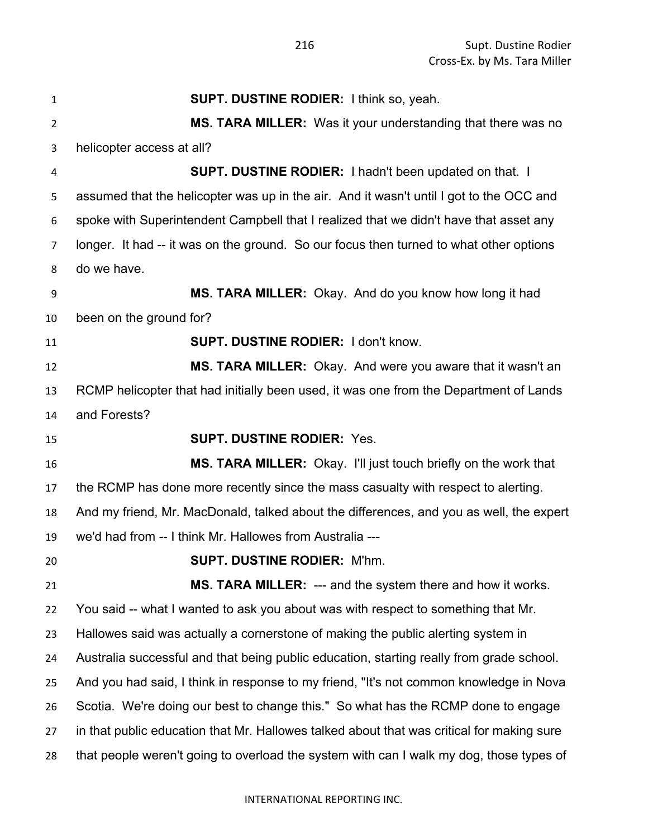| $\mathbf{1}$   | <b>SUPT. DUSTINE RODIER: I think so, yeah.</b>                                            |
|----------------|-------------------------------------------------------------------------------------------|
| $\overline{2}$ | MS. TARA MILLER: Was it your understanding that there was no                              |
| 3              | helicopter access at all?                                                                 |
| 4              | <b>SUPT. DUSTINE RODIER: I hadn't been updated on that. I</b>                             |
| 5              | assumed that the helicopter was up in the air. And it wasn't until I got to the OCC and   |
| 6              | spoke with Superintendent Campbell that I realized that we didn't have that asset any     |
| 7              | longer. It had -- it was on the ground. So our focus then turned to what other options    |
| 8              | do we have.                                                                               |
| 9              | MS. TARA MILLER: Okay. And do you know how long it had                                    |
| 10             | been on the ground for?                                                                   |
| 11             | <b>SUPT. DUSTINE RODIER: I don't know.</b>                                                |
| 12             | MS. TARA MILLER: Okay. And were you aware that it wasn't an                               |
| 13             | RCMP helicopter that had initially been used, it was one from the Department of Lands     |
| 14             | and Forests?                                                                              |
| 15             | <b>SUPT. DUSTINE RODIER: Yes.</b>                                                         |
| 16             | <b>MS. TARA MILLER:</b> Okay. I'll just touch briefly on the work that                    |
| 17             | the RCMP has done more recently since the mass casualty with respect to alerting.         |
| 18             | And my friend, Mr. MacDonald, talked about the differences, and you as well, the expert   |
| 19             | we'd had from -- I think Mr. Hallowes from Australia ---                                  |
| 20             | <b>SUPT. DUSTINE RODIER: M'hm</b>                                                         |
| 21             | <b>MS. TARA MILLER:</b> --- and the system there and how it works.                        |
| 22             | You said -- what I wanted to ask you about was with respect to something that Mr.         |
| 23             | Hallowes said was actually a cornerstone of making the public alerting system in          |
| 24             | Australia successful and that being public education, starting really from grade school.  |
| 25             | And you had said, I think in response to my friend, "It's not common knowledge in Nova    |
| 26             | Scotia. We're doing our best to change this." So what has the RCMP done to engage         |
| 27             | in that public education that Mr. Hallowes talked about that was critical for making sure |
| 28             | that people weren't going to overload the system with can I walk my dog, those types of   |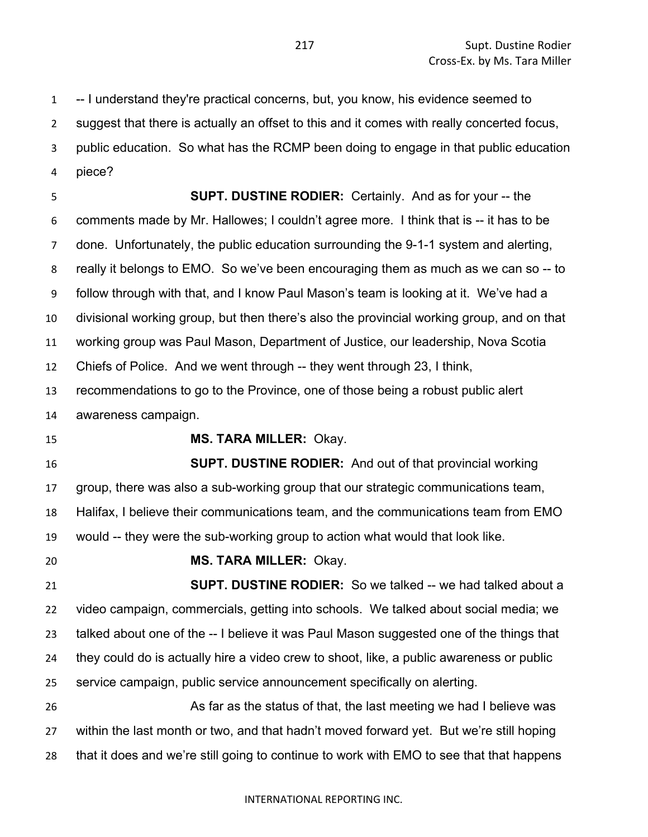-- I understand they're practical concerns, but, you know, his evidence seemed to suggest that there is actually an offset to this and it comes with really concerted focus, public education. So what has the RCMP been doing to engage in that public education piece?

 **SUPT. DUSTINE RODIER:** Certainly. And as for your -- the comments made by Mr. Hallowes; I couldn't agree more. I think that is -- it has to be done. Unfortunately, the public education surrounding the 9-1-1 system and alerting, really it belongs to EMO. So we've been encouraging them as much as we can so -- to follow through with that, and I know Paul Mason's team is looking at it. We've had a divisional working group, but then there's also the provincial working group, and on that working group was Paul Mason, Department of Justice, our leadership, Nova Scotia Chiefs of Police. And we went through -- they went through 23, I think, recommendations to go to the Province, one of those being a robust public alert awareness campaign. **MS. TARA MILLER:** Okay. **SUPT. DUSTINE RODIER:** And out of that provincial working group, there was also a sub-working group that our strategic communications team, Halifax, I believe their communications team, and the communications team from EMO would -- they were the sub-working group to action what would that look like. **MS. TARA MILLER:** Okay. **SUPT. DUSTINE RODIER:** So we talked -- we had talked about a video campaign, commercials, getting into schools. We talked about social media; we talked about one of the -- I believe it was Paul Mason suggested one of the things that they could do is actually hire a video crew to shoot, like, a public awareness or public service campaign, public service announcement specifically on alerting. 26 As far as the status of that, the last meeting we had I believe was

 within the last month or two, and that hadn't moved forward yet. But we're still hoping that it does and we're still going to continue to work with EMO to see that that happens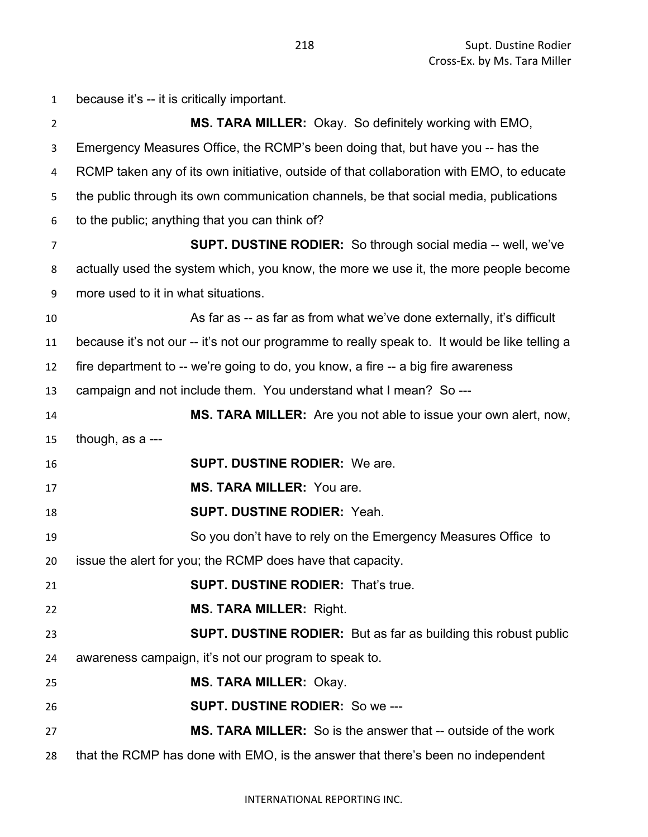| $\mathbf{1}$   | because it's -- it is critically important.                                                   |
|----------------|-----------------------------------------------------------------------------------------------|
| $\overline{2}$ | <b>MS. TARA MILLER:</b> Okay. So definitely working with EMO,                                 |
| 3              | Emergency Measures Office, the RCMP's been doing that, but have you -- has the                |
| 4              | RCMP taken any of its own initiative, outside of that collaboration with EMO, to educate      |
| 5              | the public through its own communication channels, be that social media, publications         |
| 6              | to the public; anything that you can think of?                                                |
| 7              | <b>SUPT. DUSTINE RODIER:</b> So through social media -- well, we've                           |
| 8              | actually used the system which, you know, the more we use it, the more people become          |
| 9              | more used to it in what situations.                                                           |
| 10             | As far as -- as far as from what we've done externally, it's difficult                        |
| 11             | because it's not our -- it's not our programme to really speak to. It would be like telling a |
| 12             | fire department to -- we're going to do, you know, a fire -- a big fire awareness             |
| 13             | campaign and not include them. You understand what I mean? So ---                             |
| 14             | MS. TARA MILLER: Are you not able to issue your own alert, now,                               |
| 15             | though, as a ---                                                                              |
| 16             | <b>SUPT. DUSTINE RODIER: We are.</b>                                                          |
| 17             | <b>MS. TARA MILLER: You are.</b>                                                              |
| 18             | <b>SUPT. DUSTINE RODIER: Yeah.</b>                                                            |
| 19             | So you don't have to rely on the Emergency Measures Office to                                 |
| 20             | issue the alert for you; the RCMP does have that capacity.                                    |
| 21             | <b>SUPT. DUSTINE RODIER: That's true.</b>                                                     |
| 22             | <b>MS. TARA MILLER: Right.</b>                                                                |
| 23             | <b>SUPT. DUSTINE RODIER:</b> But as far as building this robust public                        |
| 24             | awareness campaign, it's not our program to speak to.                                         |
| 25             | <b>MS. TARA MILLER: Okay.</b>                                                                 |
| 26             | <b>SUPT. DUSTINE RODIER: So we ---</b>                                                        |
| 27             | MS. TARA MILLER: So is the answer that -- outside of the work                                 |
| 28             | that the RCMP has done with EMO, is the answer that there's been no independent               |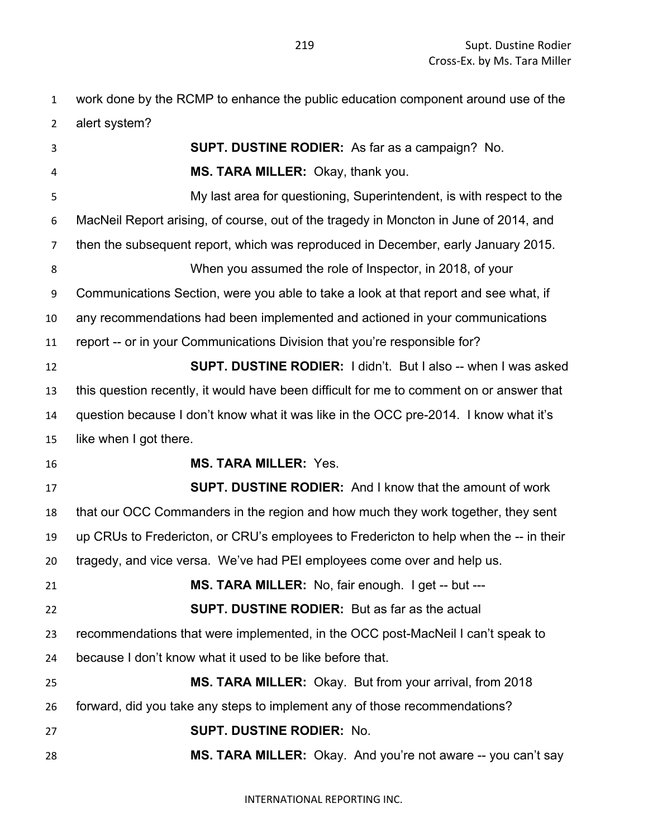work done by the RCMP to enhance the public education component around use of the alert system?

| 3                                      | <b>SUPT. DUSTINE RODIER:</b> As far as a campaign? No.                                   |
|----------------------------------------|------------------------------------------------------------------------------------------|
|                                        |                                                                                          |
| 4                                      | MS. TARA MILLER: Okay, thank you.                                                        |
| 5                                      | My last area for questioning, Superintendent, is with respect to the                     |
| 6                                      | MacNeil Report arising, of course, out of the tragedy in Moncton in June of 2014, and    |
| 7                                      | then the subsequent report, which was reproduced in December, early January 2015.        |
| 8                                      | When you assumed the role of Inspector, in 2018, of your                                 |
| 9                                      | Communications Section, were you able to take a look at that report and see what, if     |
| 10                                     | any recommendations had been implemented and actioned in your communications             |
| 11                                     | report -- or in your Communications Division that you're responsible for?                |
| 12                                     | <b>SUPT. DUSTINE RODIER:</b> I didn't. But I also -- when I was asked                    |
| 13                                     | this question recently, it would have been difficult for me to comment on or answer that |
| 14                                     | question because I don't know what it was like in the OCC pre-2014. I know what it's     |
| 15                                     | like when I got there.                                                                   |
| 16                                     | <b>MS. TARA MILLER: Yes.</b>                                                             |
|                                        |                                                                                          |
|                                        | <b>SUPT. DUSTINE RODIER:</b> And I know that the amount of work                          |
| 18                                     | that our OCC Commanders in the region and how much they work together, they sent         |
| 19                                     | up CRUs to Fredericton, or CRU's employees to Fredericton to help when the -- in their   |
|                                        | tragedy, and vice versa. We've had PEI employees come over and help us.                  |
|                                        | MS. TARA MILLER: No, fair enough. I get -- but ---                                       |
|                                        | <b>SUPT. DUSTINE RODIER:</b> But as far as the actual                                    |
|                                        | recommendations that were implemented, in the OCC post-MacNeil I can't speak to          |
| 24                                     | because I don't know what it used to be like before that.                                |
|                                        | MS. TARA MILLER: Okay. But from your arrival, from 2018                                  |
| 17<br>20<br>21<br>22<br>23<br>25<br>26 | forward, did you take any steps to implement any of those recommendations?               |
| 27                                     | <b>SUPT. DUSTINE RODIER: No.</b>                                                         |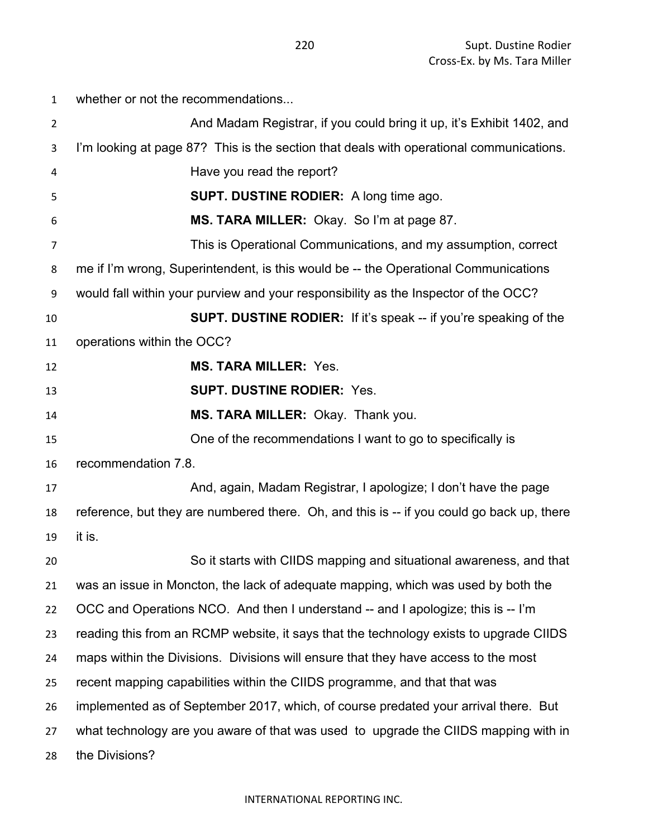whether or not the recommendations... **And Madam Registrar, if you could bring it up, it's Exhibit 1402, and**  I'm looking at page 87? This is the section that deals with operational communications. Have you read the report? **SUPT. DUSTINE RODIER:** A long time ago. **MS. TARA MILLER:** Okay. So I'm at page 87. This is Operational Communications, and my assumption, correct me if I'm wrong, Superintendent, is this would be -- the Operational Communications would fall within your purview and your responsibility as the Inspector of the OCC? **SUPT. DUSTINE RODIER:** If it's speak -- if you're speaking of the operations within the OCC? **MS. TARA MILLER:** Yes. **SUPT. DUSTINE RODIER:** Yes. **MS. TARA MILLER:** Okay. Thank you. One of the recommendations I want to go to specifically is recommendation 7.8. **And, again, Madam Registrar, I apologize; I don't have the page**  reference, but they are numbered there. Oh, and this is -- if you could go back up, there it is. So it starts with CIIDS mapping and situational awareness, and that was an issue in Moncton, the lack of adequate mapping, which was used by both the OCC and Operations NCO. And then I understand -- and I apologize; this is -- I'm reading this from an RCMP website, it says that the technology exists to upgrade CIIDS maps within the Divisions. Divisions will ensure that they have access to the most recent mapping capabilities within the CIIDS programme, and that that was implemented as of September 2017, which, of course predated your arrival there. But what technology are you aware of that was used to upgrade the CIIDS mapping with in the Divisions?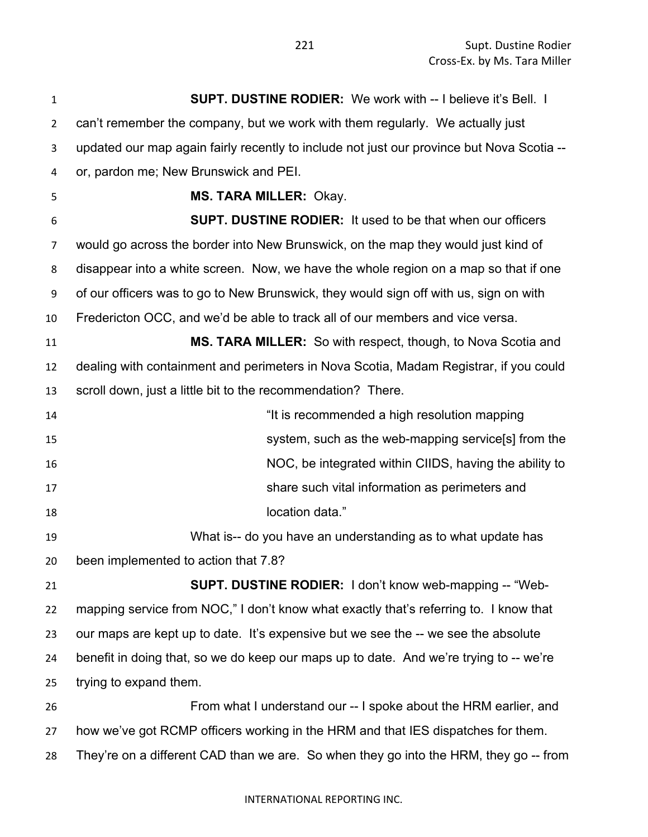**SUPT. DUSTINE RODIER:** We work with -- I believe it's Bell. I can't remember the company, but we work with them regularly. We actually just updated our map again fairly recently to include not just our province but Nova Scotia -- or, pardon me; New Brunswick and PEI. **MS. TARA MILLER:** Okay. **SUPT. DUSTINE RODIER:** It used to be that when our officers would go across the border into New Brunswick, on the map they would just kind of disappear into a white screen. Now, we have the whole region on a map so that if one of our officers was to go to New Brunswick, they would sign off with us, sign on with Fredericton OCC, and we'd be able to track all of our members and vice versa. **MS. TARA MILLER:** So with respect, though, to Nova Scotia and dealing with containment and perimeters in Nova Scotia, Madam Registrar, if you could scroll down, just a little bit to the recommendation? There. "It is recommended a high resolution mapping system, such as the web-mapping service[s] from the NOC, be integrated within CIIDS, having the ability to share such vital information as perimeters and **location data.**" What is-- do you have an understanding as to what update has been implemented to action that 7.8? **SUPT. DUSTINE RODIER:** I don't know web-mapping -- "Web- mapping service from NOC," I don't know what exactly that's referring to. I know that our maps are kept up to date. It's expensive but we see the -- we see the absolute benefit in doing that, so we do keep our maps up to date. And we're trying to -- we're trying to expand them. From what I understand our -- I spoke about the HRM earlier, and how we've got RCMP officers working in the HRM and that IES dispatches for them. They're on a different CAD than we are. So when they go into the HRM, they go -- from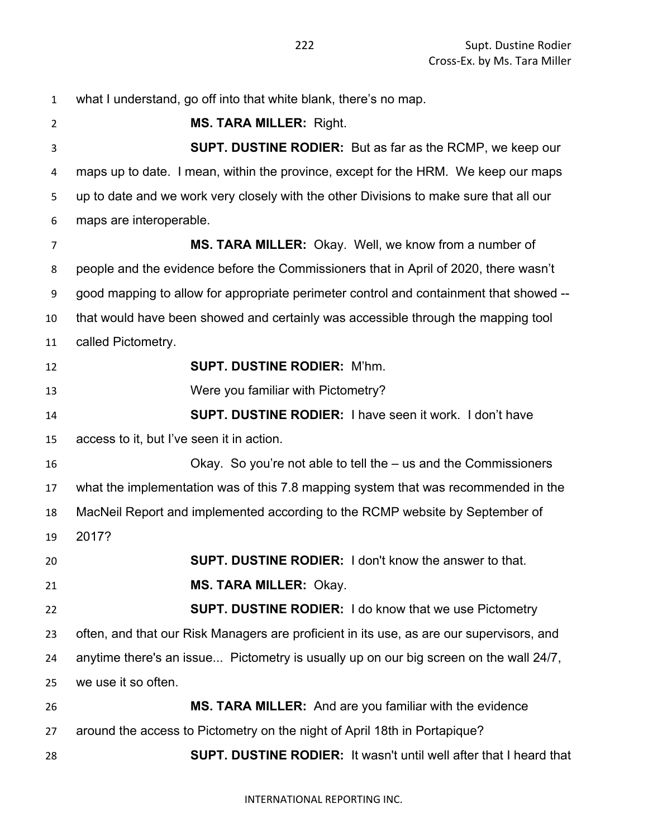what I understand, go off into that white blank, there's no map. **MS. TARA MILLER:** Right. **SUPT. DUSTINE RODIER:** But as far as the RCMP, we keep our maps up to date. I mean, within the province, except for the HRM. We keep our maps up to date and we work very closely with the other Divisions to make sure that all our maps are interoperable. **MS. TARA MILLER:** Okay. Well, we know from a number of people and the evidence before the Commissioners that in April of 2020, there wasn't good mapping to allow for appropriate perimeter control and containment that showed -- that would have been showed and certainly was accessible through the mapping tool called Pictometry. **SUPT. DUSTINE RODIER:** M'hm. Were you familiar with Pictometry? **SUPT. DUSTINE RODIER:** I have seen it work. I don't have access to it, but I've seen it in action. Okay. So you're not able to tell the – us and the Commissioners what the implementation was of this 7.8 mapping system that was recommended in the MacNeil Report and implemented according to the RCMP website by September of 2017? **SUPT. DUSTINE RODIER:** I don't know the answer to that. **MS. TARA MILLER:** Okay. **SUPT. DUSTINE RODIER:** I do know that we use Pictometry often, and that our Risk Managers are proficient in its use, as are our supervisors, and anytime there's an issue... Pictometry is usually up on our big screen on the wall 24/7, we use it so often. **MS. TARA MILLER:** And are you familiar with the evidence around the access to Pictometry on the night of April 18th in Portapique? **SUPT. DUSTINE RODIER:** It wasn't until well after that I heard that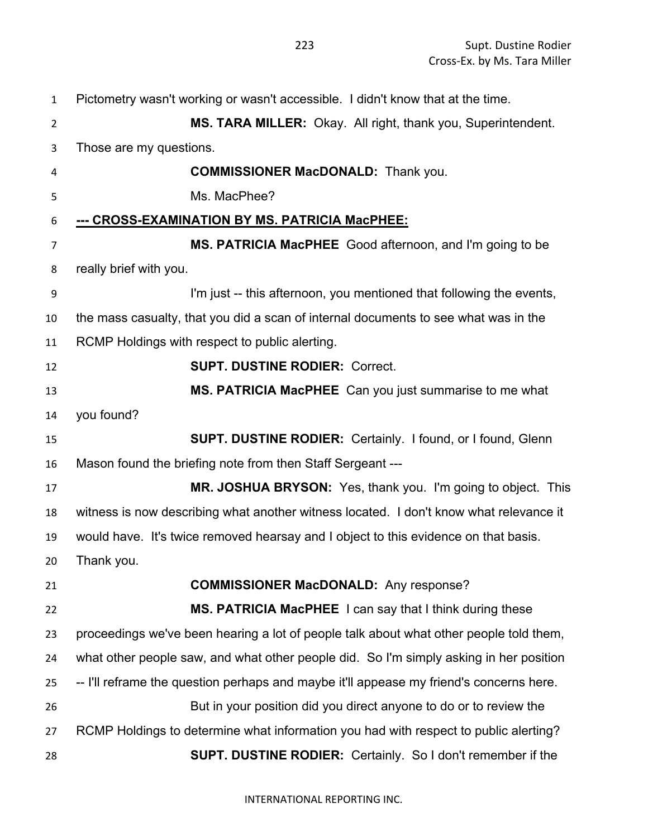| 1  | Pictometry wasn't working or wasn't accessible. I didn't know that at the time.         |
|----|-----------------------------------------------------------------------------------------|
| 2  | MS. TARA MILLER: Okay. All right, thank you, Superintendent.                            |
| 3  | Those are my questions.                                                                 |
| 4  | <b>COMMISSIONER MacDONALD:</b> Thank you.                                               |
| 5  | Ms. MacPhee?                                                                            |
| 6  | <u>--- CROSS-EXAMINATION BY MS. PATRICIA MacPHEE:</u>                                   |
| 7  | MS. PATRICIA MacPHEE Good afternoon, and I'm going to be                                |
| 8  | really brief with you.                                                                  |
| 9  | I'm just -- this afternoon, you mentioned that following the events,                    |
| 10 | the mass casualty, that you did a scan of internal documents to see what was in the     |
| 11 | RCMP Holdings with respect to public alerting.                                          |
| 12 | <b>SUPT. DUSTINE RODIER: Correct.</b>                                                   |
| 13 | MS. PATRICIA MacPHEE Can you just summarise to me what                                  |
| 14 | you found?                                                                              |
| 15 | <b>SUPT. DUSTINE RODIER: Certainly. I found, or I found, Glenn</b>                      |
| 16 | Mason found the briefing note from then Staff Sergeant ---                              |
| 17 | MR. JOSHUA BRYSON: Yes, thank you. I'm going to object. This                            |
| 18 | witness is now describing what another witness located. I don't know what relevance it  |
| 19 | would have. It's twice removed hearsay and I object to this evidence on that basis.     |
| 20 | Thank you.                                                                              |
| 21 | <b>COMMISSIONER MacDONALD:</b> Any response?                                            |
| 22 | MS. PATRICIA MacPHEE I can say that I think during these                                |
| 23 | proceedings we've been hearing a lot of people talk about what other people told them,  |
| 24 | what other people saw, and what other people did. So I'm simply asking in her position  |
| 25 | -- I'll reframe the question perhaps and maybe it'll appease my friend's concerns here. |
| 26 | But in your position did you direct anyone to do or to review the                       |
| 27 | RCMP Holdings to determine what information you had with respect to public alerting?    |
| 28 | <b>SUPT. DUSTINE RODIER:</b> Certainly. So I don't remember if the                      |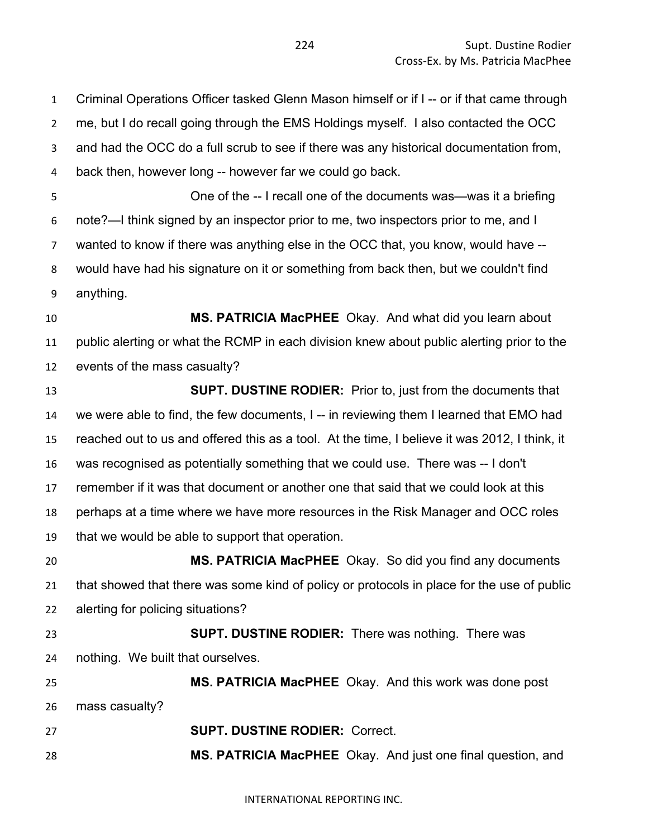Criminal Operations Officer tasked Glenn Mason himself or if I -- or if that came through me, but I do recall going through the EMS Holdings myself. I also contacted the OCC and had the OCC do a full scrub to see if there was any historical documentation from, back then, however long -- however far we could go back. One of the -- I recall one of the documents was—was it a briefing note?—I think signed by an inspector prior to me, two inspectors prior to me, and I wanted to know if there was anything else in the OCC that, you know, would have -- would have had his signature on it or something from back then, but we couldn't find anything. **MS. PATRICIA MacPHEE** Okay. And what did you learn about public alerting or what the RCMP in each division knew about public alerting prior to the events of the mass casualty? **SUPT. DUSTINE RODIER:** Prior to, just from the documents that we were able to find, the few documents, I -- in reviewing them I learned that EMO had reached out to us and offered this as a tool. At the time, I believe it was 2012, I think, it was recognised as potentially something that we could use. There was -- I don't remember if it was that document or another one that said that we could look at this perhaps at a time where we have more resources in the Risk Manager and OCC roles that we would be able to support that operation. **MS. PATRICIA MacPHEE** Okay. So did you find any documents that showed that there was some kind of policy or protocols in place for the use of public alerting for policing situations? **SUPT. DUSTINE RODIER:** There was nothing. There was nothing. We built that ourselves. **MS. PATRICIA MacPHEE** Okay. And this work was done post mass casualty? **SUPT. DUSTINE RODIER:** Correct. **MS. PATRICIA MacPHEE** Okay. And just one final question, and

INTERNATIONAL REPORTING INC.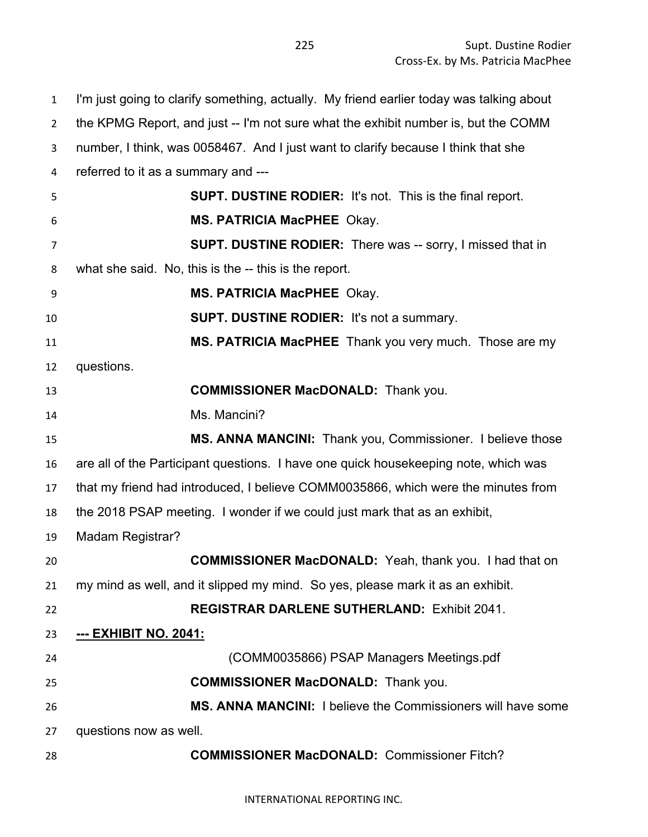I'm just going to clarify something, actually. My friend earlier today was talking about the KPMG Report, and just -- I'm not sure what the exhibit number is, but the COMM number, I think, was 0058467. And I just want to clarify because I think that she referred to it as a summary and --- **SUPT. DUSTINE RODIER:** It's not. This is the final report. **MS. PATRICIA MacPHEE** Okay. **SUPT. DUSTINE RODIER:** There was -- sorry, I missed that in what she said. No, this is the -- this is the report. **MS. PATRICIA MacPHEE** Okay. **SUPT. DUSTINE RODIER:** It's not a summary. **MS. PATRICIA MacPHEE** Thank you very much. Those are my questions. **COMMISSIONER MacDONALD:** Thank you. Ms. Mancini? **MS. ANNA MANCINI:** Thank you, Commissioner. I believe those are all of the Participant questions. I have one quick housekeeping note, which was that my friend had introduced, I believe COMM0035866, which were the minutes from the 2018 PSAP meeting. I wonder if we could just mark that as an exhibit, Madam Registrar? **COMMISSIONER MacDONALD:** Yeah, thank you. I had that on my mind as well, and it slipped my mind. So yes, please mark it as an exhibit. **REGISTRAR DARLENE SUTHERLAND:** Exhibit 2041. **--- EXHIBIT NO. 2041:** (COMM0035866) PSAP Managers Meetings.pdf **COMMISSIONER MacDONALD:** Thank you. **MS. ANNA MANCINI:** I believe the Commissioners will have some questions now as well. **COMMISSIONER MacDONALD:** Commissioner Fitch?

INTERNATIONAL REPORTING INC.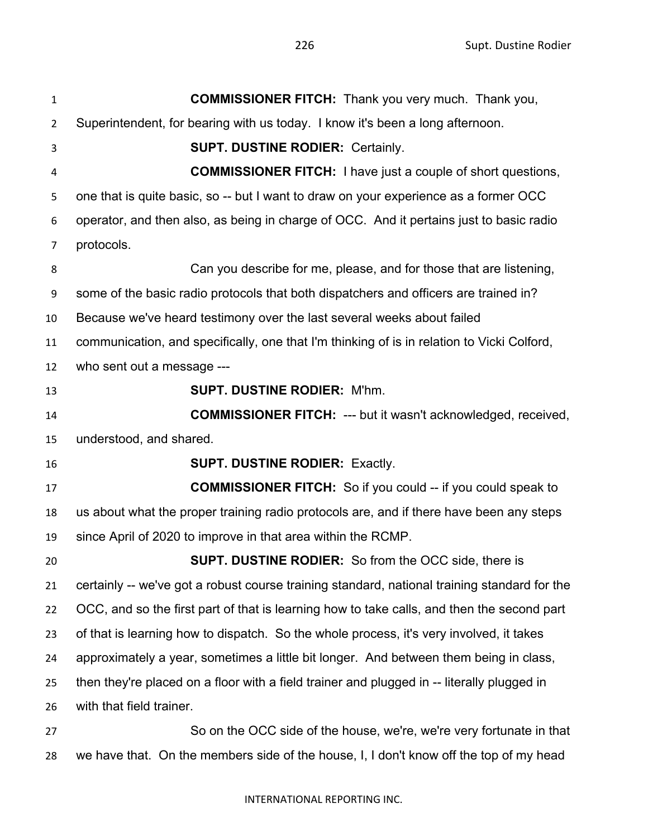| 1  | <b>COMMISSIONER FITCH:</b> Thank you very much. Thank you,                                   |
|----|----------------------------------------------------------------------------------------------|
| 2  | Superintendent, for bearing with us today. I know it's been a long afternoon.                |
| 3  | <b>SUPT. DUSTINE RODIER: Certainly.</b>                                                      |
| 4  | <b>COMMISSIONER FITCH:</b> I have just a couple of short questions,                          |
| 5  | one that is quite basic, so -- but I want to draw on your experience as a former OCC         |
| 6  | operator, and then also, as being in charge of OCC. And it pertains just to basic radio      |
| 7  | protocols.                                                                                   |
| 8  | Can you describe for me, please, and for those that are listening,                           |
| 9  | some of the basic radio protocols that both dispatchers and officers are trained in?         |
| 10 | Because we've heard testimony over the last several weeks about failed                       |
| 11 | communication, and specifically, one that I'm thinking of is in relation to Vicki Colford,   |
| 12 | who sent out a message ---                                                                   |
| 13 | <b>SUPT. DUSTINE RODIER: M'hm.</b>                                                           |
| 14 | <b>COMMISSIONER FITCH: --- but it wasn't acknowledged, received,</b>                         |
| 15 | understood, and shared.                                                                      |
| 16 | <b>SUPT. DUSTINE RODIER: Exactly.</b>                                                        |
| 17 | <b>COMMISSIONER FITCH:</b> So if you could -- if you could speak to                          |
| 18 | us about what the proper training radio protocols are, and if there have been any steps      |
| 19 | since April of 2020 to improve in that area within the RCMP.                                 |
| 20 | <b>SUPT. DUSTINE RODIER:</b> So from the OCC side, there is                                  |
| 21 | certainly -- we've got a robust course training standard, national training standard for the |
| 22 | OCC, and so the first part of that is learning how to take calls, and then the second part   |
| 23 | of that is learning how to dispatch. So the whole process, it's very involved, it takes      |
| 24 | approximately a year, sometimes a little bit longer. And between them being in class,        |
| 25 | then they're placed on a floor with a field trainer and plugged in -- literally plugged in   |
| 26 | with that field trainer.                                                                     |
| 27 | So on the OCC side of the house, we're, we're very fortunate in that                         |
|    |                                                                                              |

we have that. On the members side of the house, I, I don't know off the top of my head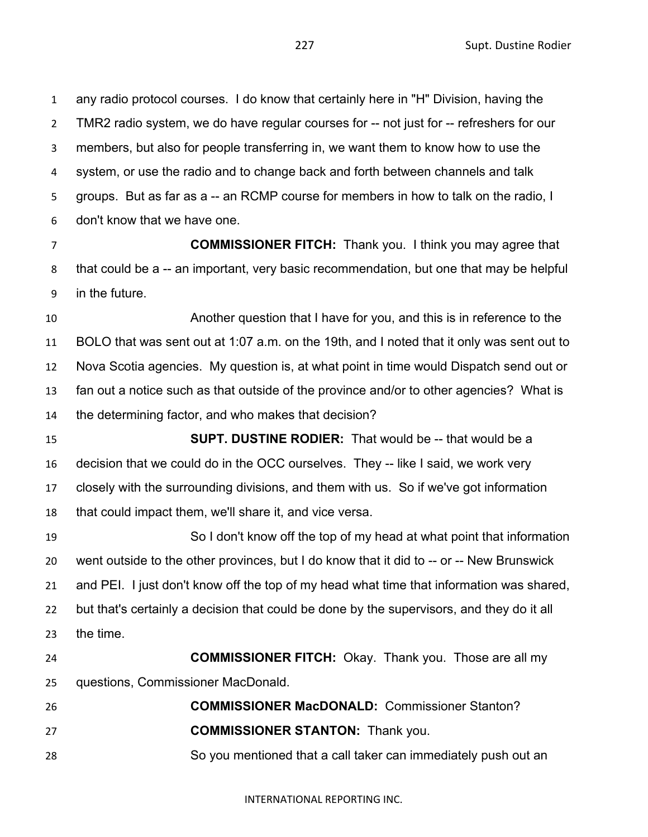any radio protocol courses. I do know that certainly here in "H" Division, having the TMR2 radio system, we do have regular courses for -- not just for -- refreshers for our members, but also for people transferring in, we want them to know how to use the system, or use the radio and to change back and forth between channels and talk groups. But as far as a -- an RCMP course for members in how to talk on the radio, I don't know that we have one.

 **COMMISSIONER FITCH:** Thank you. I think you may agree that that could be a -- an important, very basic recommendation, but one that may be helpful in the future.

 Another question that I have for you, and this is in reference to the BOLO that was sent out at 1:07 a.m. on the 19th, and I noted that it only was sent out to Nova Scotia agencies. My question is, at what point in time would Dispatch send out or fan out a notice such as that outside of the province and/or to other agencies? What is the determining factor, and who makes that decision?

 **SUPT. DUSTINE RODIER:** That would be -- that would be a decision that we could do in the OCC ourselves. They -- like I said, we work very closely with the surrounding divisions, and them with us. So if we've got information that could impact them, we'll share it, and vice versa.

 So I don't know off the top of my head at what point that information went outside to the other provinces, but I do know that it did to -- or -- New Brunswick and PEI. I just don't know off the top of my head what time that information was shared, but that's certainly a decision that could be done by the supervisors, and they do it all the time.

 **COMMISSIONER FITCH:** Okay. Thank you. Those are all my questions, Commissioner MacDonald.

 **COMMISSIONER MacDONALD:** Commissioner Stanton? **COMMISSIONER STANTON:** Thank you. So you mentioned that a call taker can immediately push out an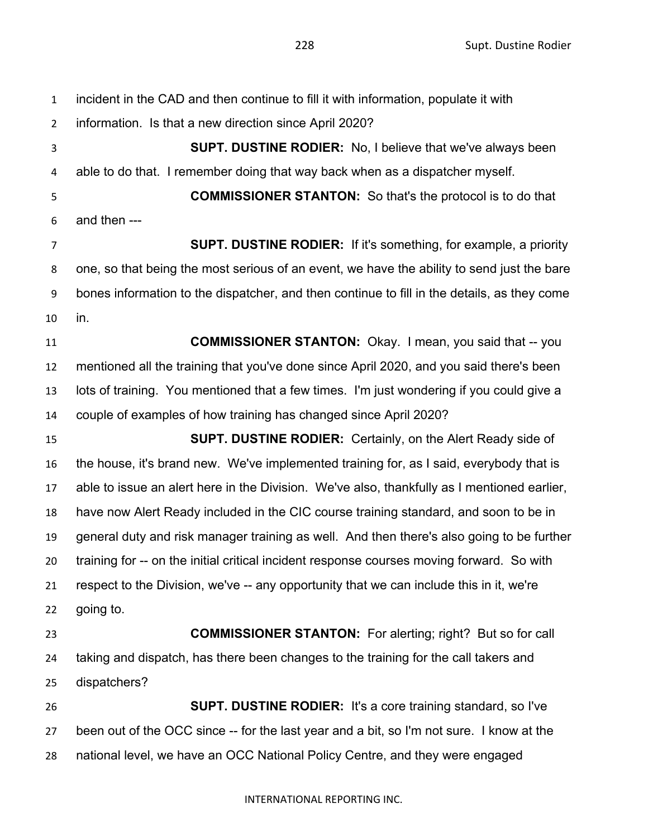incident in the CAD and then continue to fill it with information, populate it with information. Is that a new direction since April 2020? **SUPT. DUSTINE RODIER:** No, I believe that we've always been able to do that. I remember doing that way back when as a dispatcher myself. **COMMISSIONER STANTON:** So that's the protocol is to do that and then --- **SUPT. DUSTINE RODIER:** If it's something, for example, a priority one, so that being the most serious of an event, we have the ability to send just the bare bones information to the dispatcher, and then continue to fill in the details, as they come in. **COMMISSIONER STANTON:** Okay. I mean, you said that -- you mentioned all the training that you've done since April 2020, and you said there's been lots of training. You mentioned that a few times. I'm just wondering if you could give a couple of examples of how training has changed since April 2020? **SUPT. DUSTINE RODIER:** Certainly, on the Alert Ready side of the house, it's brand new. We've implemented training for, as I said, everybody that is able to issue an alert here in the Division. We've also, thankfully as I mentioned earlier, have now Alert Ready included in the CIC course training standard, and soon to be in general duty and risk manager training as well. And then there's also going to be further training for -- on the initial critical incident response courses moving forward. So with respect to the Division, we've -- any opportunity that we can include this in it, we're going to. **COMMISSIONER STANTON:** For alerting; right? But so for call taking and dispatch, has there been changes to the training for the call takers and dispatchers? **SUPT. DUSTINE RODIER:** It's a core training standard, so I've been out of the OCC since -- for the last year and a bit, so I'm not sure. I know at the national level, we have an OCC National Policy Centre, and they were engaged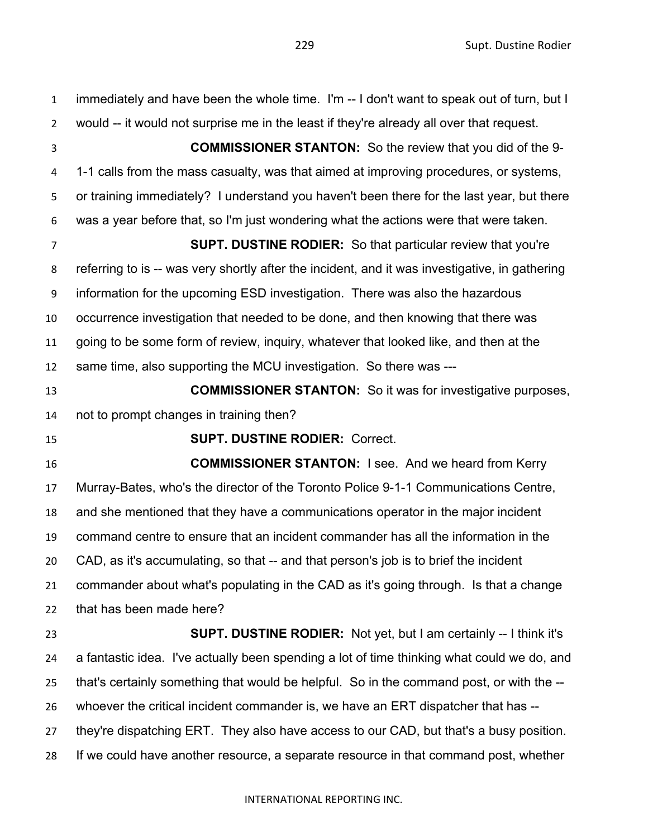immediately and have been the whole time. I'm -- I don't want to speak out of turn, but I would -- it would not surprise me in the least if they're already all over that request. **COMMISSIONER STANTON:** So the review that you did of the 9- 1-1 calls from the mass casualty, was that aimed at improving procedures, or systems, or training immediately? I understand you haven't been there for the last year, but there was a year before that, so I'm just wondering what the actions were that were taken. **SUPT. DUSTINE RODIER:** So that particular review that you're referring to is -- was very shortly after the incident, and it was investigative, in gathering information for the upcoming ESD investigation. There was also the hazardous occurrence investigation that needed to be done, and then knowing that there was going to be some form of review, inquiry, whatever that looked like, and then at the same time, also supporting the MCU investigation. So there was --- **COMMISSIONER STANTON:** So it was for investigative purposes, not to prompt changes in training then? **SUPT. DUSTINE RODIER:** Correct. **COMMISSIONER STANTON:** I see. And we heard from Kerry Murray-Bates, who's the director of the Toronto Police 9-1-1 Communications Centre, and she mentioned that they have a communications operator in the major incident command centre to ensure that an incident commander has all the information in the CAD, as it's accumulating, so that -- and that person's job is to brief the incident commander about what's populating in the CAD as it's going through. Is that a change that has been made here? **SUPT. DUSTINE RODIER:** Not yet, but I am certainly -- I think it's a fantastic idea. I've actually been spending a lot of time thinking what could we do, and that's certainly something that would be helpful. So in the command post, or with the -- whoever the critical incident commander is, we have an ERT dispatcher that has -- they're dispatching ERT. They also have access to our CAD, but that's a busy position. If we could have another resource, a separate resource in that command post, whether

## INTERNATIONAL REPORTING INC.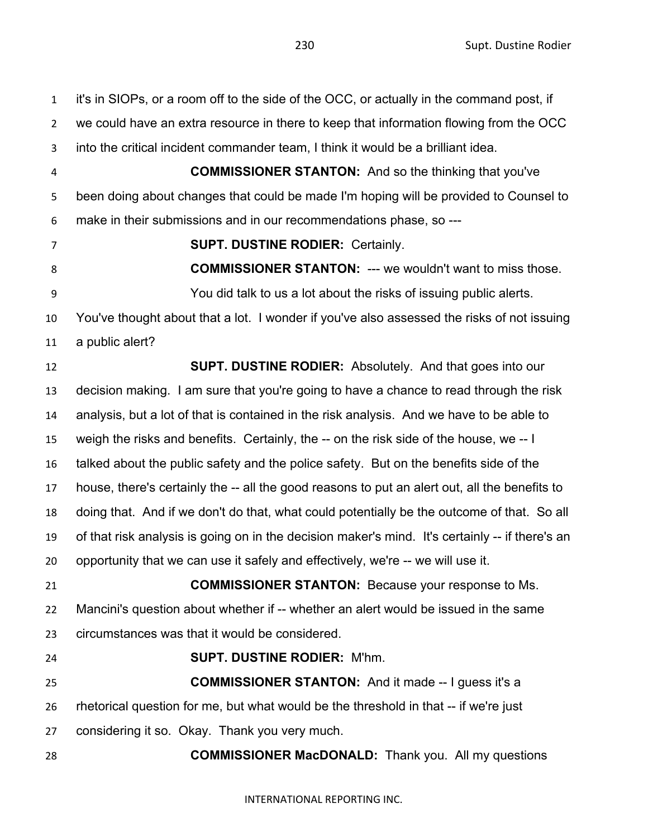Supt. Dustine Rodier

| $\mathbf{1}$   | it's in SIOPs, or a room off to the side of the OCC, or actually in the command post, if        |
|----------------|-------------------------------------------------------------------------------------------------|
| $\overline{2}$ | we could have an extra resource in there to keep that information flowing from the OCC          |
| 3              | into the critical incident commander team, I think it would be a brilliant idea.                |
| 4              | <b>COMMISSIONER STANTON:</b> And so the thinking that you've                                    |
| 5              | been doing about changes that could be made I'm hoping will be provided to Counsel to           |
| 6              | make in their submissions and in our recommendations phase, so ---                              |
| 7              | <b>SUPT. DUSTINE RODIER: Certainly.</b>                                                         |
| 8              | <b>COMMISSIONER STANTON: --- we wouldn't want to miss those.</b>                                |
| 9              | You did talk to us a lot about the risks of issuing public alerts.                              |
| 10             | You've thought about that a lot. I wonder if you've also assessed the risks of not issuing      |
| 11             | a public alert?                                                                                 |
| 12             | <b>SUPT. DUSTINE RODIER:</b> Absolutely. And that goes into our                                 |
| 13             | decision making. I am sure that you're going to have a chance to read through the risk          |
| 14             | analysis, but a lot of that is contained in the risk analysis. And we have to be able to        |
| 15             | weigh the risks and benefits. Certainly, the -- on the risk side of the house, we -- I          |
| 16             | talked about the public safety and the police safety. But on the benefits side of the           |
| 17             | house, there's certainly the -- all the good reasons to put an alert out, all the benefits to   |
| 18             | doing that. And if we don't do that, what could potentially be the outcome of that. So all      |
| 19             | of that risk analysis is going on in the decision maker's mind. It's certainly -- if there's an |
| 20             | opportunity that we can use it safely and effectively, we're -- we will use it.                 |
| 21             | <b>COMMISSIONER STANTON:</b> Because your response to Ms.                                       |
| 22             | Mancini's question about whether if -- whether an alert would be issued in the same             |
| 23             | circumstances was that it would be considered.                                                  |
| 24             | <b>SUPT. DUSTINE RODIER: M'hm.</b>                                                              |
| 25             | <b>COMMISSIONER STANTON:</b> And it made -- I guess it's a                                      |
| 26             | rhetorical question for me, but what would be the threshold in that -- if we're just            |
| 27             | considering it so. Okay. Thank you very much.                                                   |
| 28             | <b>COMMISSIONER MacDONALD:</b> Thank you. All my questions                                      |
|                |                                                                                                 |
|                | INTERNATIONAL REPORTING INC.                                                                    |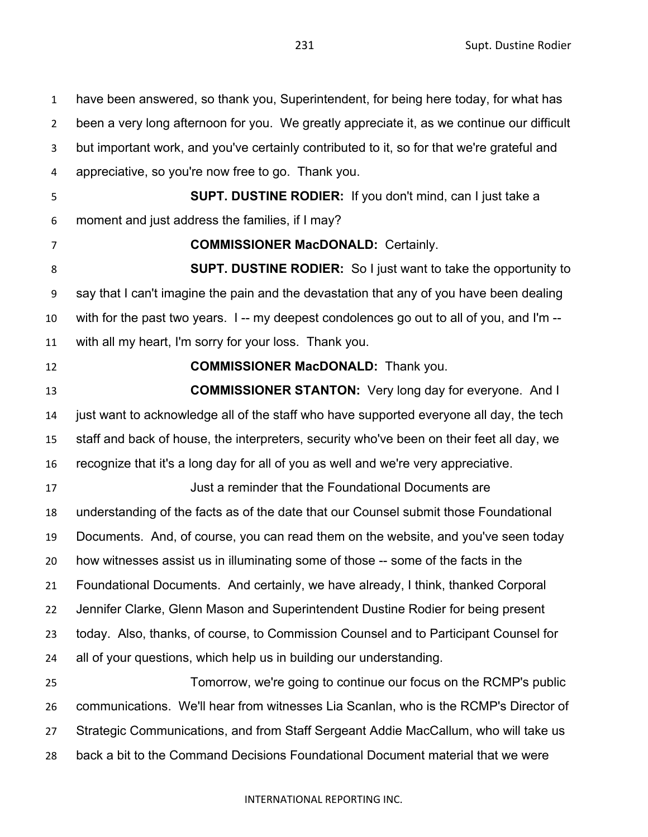have been answered, so thank you, Superintendent, for being here today, for what has been a very long afternoon for you. We greatly appreciate it, as we continue our difficult but important work, and you've certainly contributed to it, so for that we're grateful and appreciative, so you're now free to go. Thank you. **SUPT. DUSTINE RODIER:** If you don't mind, can I just take a moment and just address the families, if I may? **COMMISSIONER MacDONALD:** Certainly. **SUPT. DUSTINE RODIER:** So I just want to take the opportunity to say that I can't imagine the pain and the devastation that any of you have been dealing with for the past two years. I -- my deepest condolences go out to all of you, and I'm -- with all my heart, I'm sorry for your loss. Thank you. **COMMISSIONER MacDONALD:** Thank you. **COMMISSIONER STANTON:** Very long day for everyone. And I just want to acknowledge all of the staff who have supported everyone all day, the tech staff and back of house, the interpreters, security who've been on their feet all day, we recognize that it's a long day for all of you as well and we're very appreciative. Just a reminder that the Foundational Documents are understanding of the facts as of the date that our Counsel submit those Foundational Documents. And, of course, you can read them on the website, and you've seen today how witnesses assist us in illuminating some of those -- some of the facts in the Foundational Documents. And certainly, we have already, I think, thanked Corporal Jennifer Clarke, Glenn Mason and Superintendent Dustine Rodier for being present today. Also, thanks, of course, to Commission Counsel and to Participant Counsel for all of your questions, which help us in building our understanding. Tomorrow, we're going to continue our focus on the RCMP's public communications. We'll hear from witnesses Lia Scanlan, who is the RCMP's Director of Strategic Communications, and from Staff Sergeant Addie MacCallum, who will take us

back a bit to the Command Decisions Foundational Document material that we were